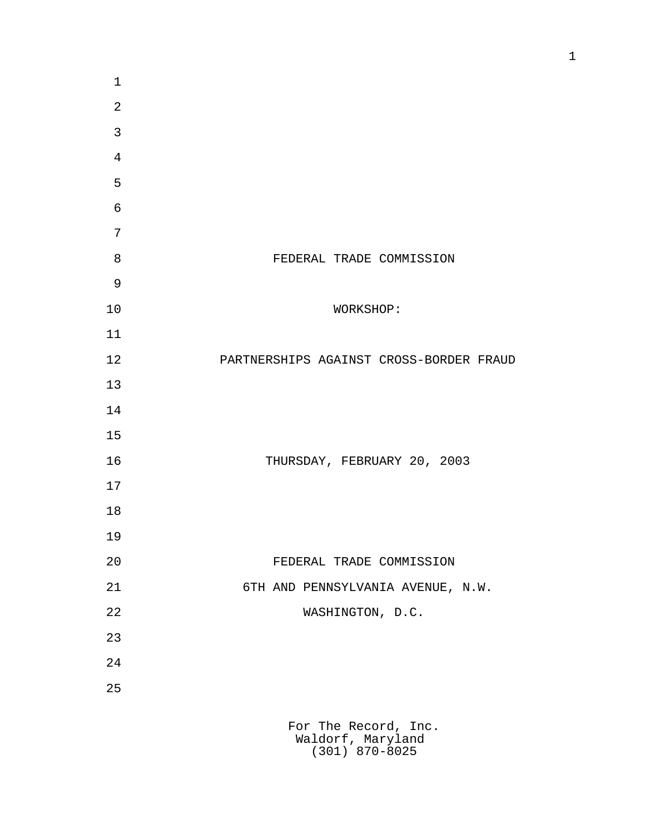| $\mathbf 1$    |                                           |
|----------------|-------------------------------------------|
| $\overline{2}$ |                                           |
| $\mathfrak{Z}$ |                                           |
| $\overline{4}$ |                                           |
| 5              |                                           |
| $\epsilon$     |                                           |
| $\sqrt{ }$     |                                           |
| $\,8\,$        | FEDERAL TRADE COMMISSION                  |
| $\overline{9}$ |                                           |
| 10             | WORKSHOP:                                 |
| 11             |                                           |
| 12             | PARTNERSHIPS AGAINST CROSS-BORDER FRAUD   |
| 13             |                                           |
| 14             |                                           |
| 15             |                                           |
| 16             | THURSDAY, FEBRUARY 20, 2003               |
| 17             |                                           |
| 18             |                                           |
| 19             |                                           |
| 20             | FEDERAL TRADE COMMISSION                  |
| 21             | 6TH AND PENNSYLVANIA AVENUE, N.W.         |
| 22             | WASHINGTON, D.C.                          |
| 23             |                                           |
| 24             |                                           |
| 25             |                                           |
|                |                                           |
|                | For The Record, Inc.<br>Waldorf, Maryland |

(301) 870-8025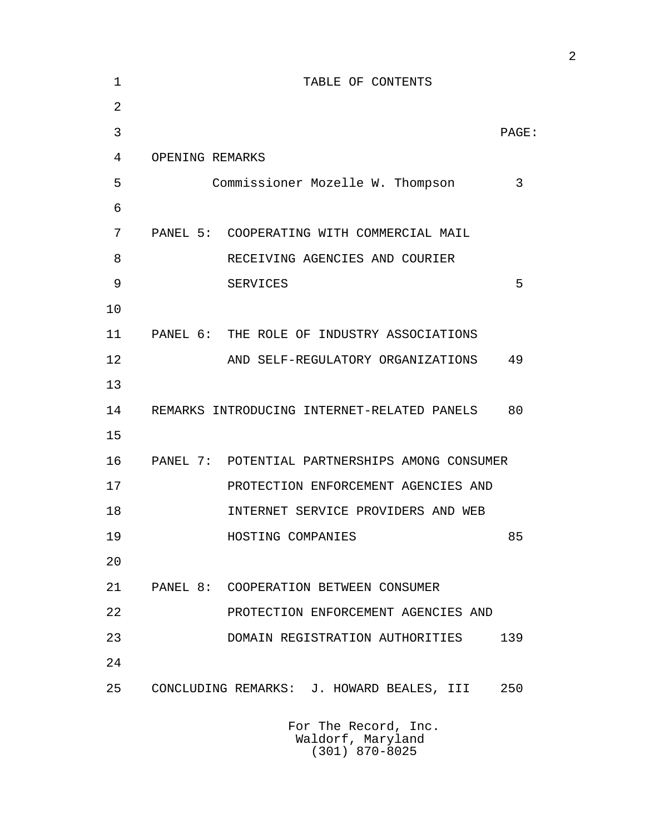| 1              |                 | TABLE OF CONTENTS                              |       |
|----------------|-----------------|------------------------------------------------|-------|
| $\overline{2}$ |                 |                                                |       |
| 3              |                 |                                                | PAGE: |
| 4              | OPENING REMARKS |                                                |       |
| 5              |                 | Commissioner Mozelle W. Thompson               | 3     |
| 6              |                 |                                                |       |
| 7              |                 | PANEL 5: COOPERATING WITH COMMERCIAL MAIL      |       |
| 8              |                 | RECEIVING AGENCIES AND COURIER                 |       |
| 9              |                 | <b>SERVICES</b>                                | 5     |
| 10             |                 |                                                |       |
| 11             |                 | PANEL 6: THE ROLE OF INDUSTRY ASSOCIATIONS     |       |
| 12             |                 | AND SELF-REGULATORY ORGANIZATIONS              | 49    |
| 13             |                 |                                                |       |
| 14             |                 | REMARKS INTRODUCING INTERNET-RELATED PANELS    | 80    |
| 15             |                 |                                                |       |
| 16             |                 | PANEL 7: POTENTIAL PARTNERSHIPS AMONG CONSUMER |       |
| 17             |                 | PROTECTION ENFORCEMENT AGENCIES AND            |       |
| 18             |                 | INTERNET SERVICE PROVIDERS AND WEB             |       |
| 19             |                 | HOSTING COMPANIES                              | 85    |
| 20             |                 |                                                |       |
| 21             |                 | PANEL 8: COOPERATION BETWEEN CONSUMER          |       |
| 22             |                 | PROTECTION ENFORCEMENT AGENCIES AND            |       |
| 23             |                 | DOMAIN REGISTRATION AUTHORITIES                | 139   |
| 24             |                 |                                                |       |
| 25             |                 | CONCLUDING REMARKS: J. HOWARD BEALES, III      | 250   |
|                |                 | For The Record, Inc.                           |       |

 Waldorf, Maryland (301) 870-8025

2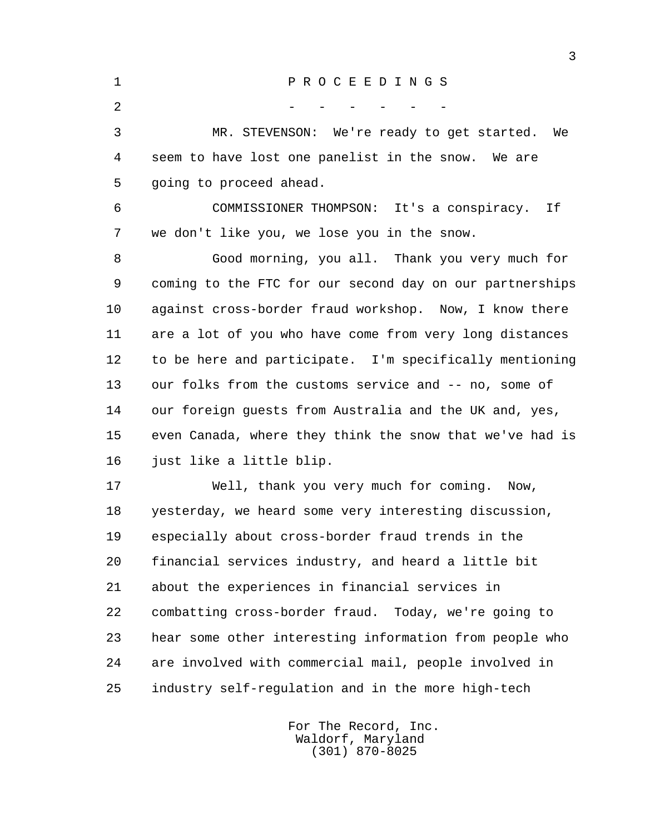1 P R O C E E D I N G S  $2$  - - - - - - 3 MR. STEVENSON: We're ready to get started. We 4 seem to have lost one panelist in the snow. We are 5 going to proceed ahead. 6 COMMISSIONER THOMPSON: It's a conspiracy. If 7 we don't like you, we lose you in the snow. 8 Good morning, you all. Thank you very much for 9 coming to the FTC for our second day on our partnerships 10 against cross-border fraud workshop. Now, I know there 11 are a lot of you who have come from very long distances 12 to be here and participate. I'm specifically mentioning 13 our folks from the customs service and -- no, some of 14 our foreign guests from Australia and the UK and, yes, 15 even Canada, where they think the snow that we've had is 16 just like a little blip. 17 Well, thank you very much for coming. Now,

 18 yesterday, we heard some very interesting discussion, 19 especially about cross-border fraud trends in the 20 financial services industry, and heard a little bit 21 about the experiences in financial services in 22 combatting cross-border fraud. Today, we're going to 23 hear some other interesting information from people who 24 are involved with commercial mail, people involved in 25 industry self-regulation and in the more high-tech

> For The Record, Inc. Waldorf, Maryland (301) 870-8025

3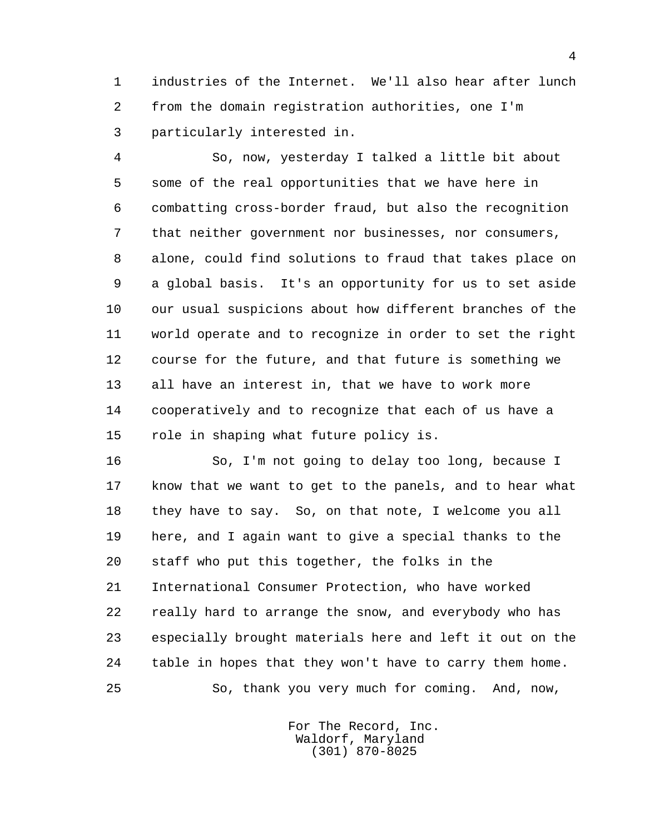1 industries of the Internet. We'll also hear after lunch 2 from the domain registration authorities, one I'm 3 particularly interested in.

 4 So, now, yesterday I talked a little bit about 5 some of the real opportunities that we have here in 6 combatting cross-border fraud, but also the recognition 7 that neither government nor businesses, nor consumers, 8 alone, could find solutions to fraud that takes place on 9 a global basis. It's an opportunity for us to set aside 10 our usual suspicions about how different branches of the 11 world operate and to recognize in order to set the right 12 course for the future, and that future is something we 13 all have an interest in, that we have to work more 14 cooperatively and to recognize that each of us have a 15 role in shaping what future policy is.

 16 So, I'm not going to delay too long, because I 17 know that we want to get to the panels, and to hear what 18 they have to say. So, on that note, I welcome you all 19 here, and I again want to give a special thanks to the 20 staff who put this together, the folks in the 21 International Consumer Protection, who have worked 22 really hard to arrange the snow, and everybody who has 23 especially brought materials here and left it out on the 24 table in hopes that they won't have to carry them home. 25 So, thank you very much for coming. And, now,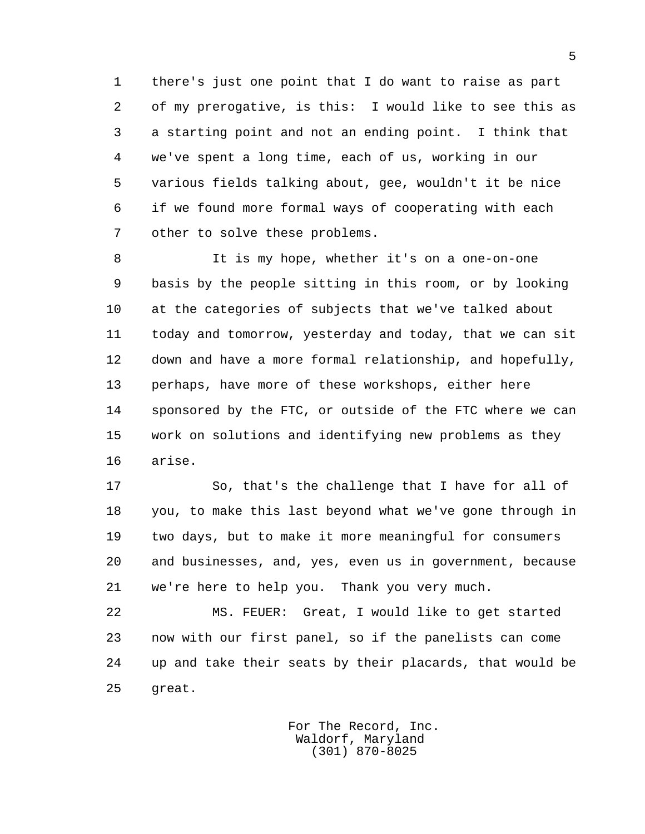1 there's just one point that I do want to raise as part 2 of my prerogative, is this: I would like to see this as 3 a starting point and not an ending point. I think that 4 we've spent a long time, each of us, working in our 5 various fields talking about, gee, wouldn't it be nice 6 if we found more formal ways of cooperating with each 7 other to solve these problems.

 8 It is my hope, whether it's on a one-on-one 9 basis by the people sitting in this room, or by looking 10 at the categories of subjects that we've talked about 11 today and tomorrow, yesterday and today, that we can sit 12 down and have a more formal relationship, and hopefully, 13 perhaps, have more of these workshops, either here 14 sponsored by the FTC, or outside of the FTC where we can 15 work on solutions and identifying new problems as they 16 arise.

 17 So, that's the challenge that I have for all of 18 you, to make this last beyond what we've gone through in 19 two days, but to make it more meaningful for consumers 20 and businesses, and, yes, even us in government, because 21 we're here to help you. Thank you very much.

 22 MS. FEUER: Great, I would like to get started 23 now with our first panel, so if the panelists can come 24 up and take their seats by their placards, that would be 25 great.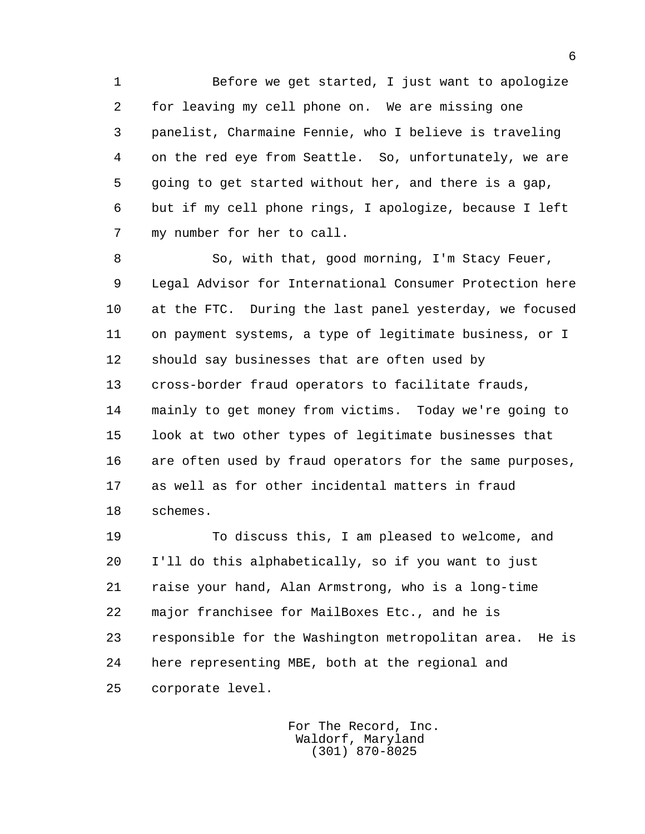1 Before we get started, I just want to apologize 2 for leaving my cell phone on. We are missing one 3 panelist, Charmaine Fennie, who I believe is traveling 4 on the red eye from Seattle. So, unfortunately, we are 5 going to get started without her, and there is a gap, 6 but if my cell phone rings, I apologize, because I left 7 my number for her to call.

 8 So, with that, good morning, I'm Stacy Feuer, 9 Legal Advisor for International Consumer Protection here 10 at the FTC. During the last panel yesterday, we focused 11 on payment systems, a type of legitimate business, or I 12 should say businesses that are often used by 13 cross-border fraud operators to facilitate frauds, 14 mainly to get money from victims. Today we're going to 15 look at two other types of legitimate businesses that 16 are often used by fraud operators for the same purposes, 17 as well as for other incidental matters in fraud 18 schemes.

 19 To discuss this, I am pleased to welcome, and 20 I'll do this alphabetically, so if you want to just 21 raise your hand, Alan Armstrong, who is a long-time 22 major franchisee for MailBoxes Etc., and he is 23 responsible for the Washington metropolitan area. He is 24 here representing MBE, both at the regional and 25 corporate level.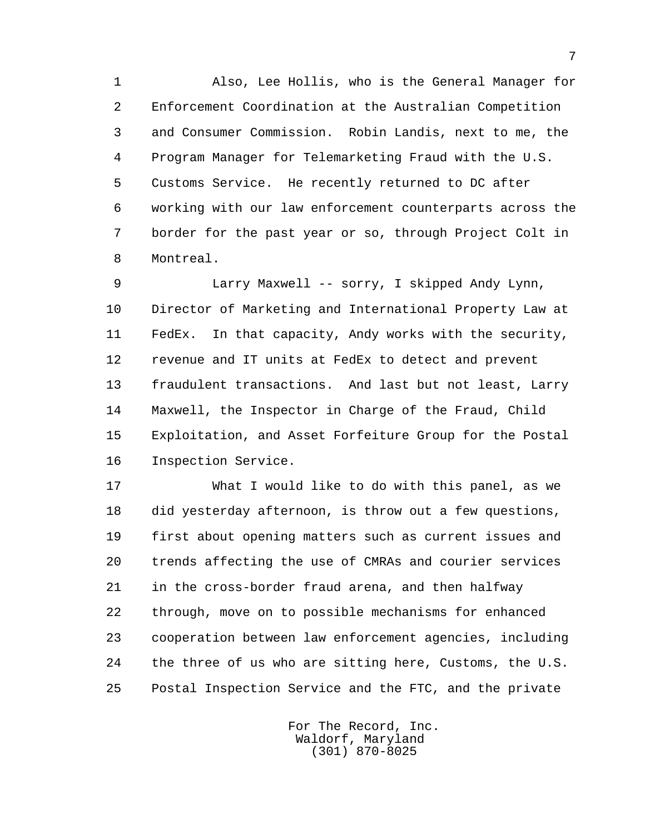1 Also, Lee Hollis, who is the General Manager for 2 Enforcement Coordination at the Australian Competition 3 and Consumer Commission. Robin Landis, next to me, the 4 Program Manager for Telemarketing Fraud with the U.S. 5 Customs Service. He recently returned to DC after 6 working with our law enforcement counterparts across the 7 border for the past year or so, through Project Colt in 8 Montreal.

 9 Larry Maxwell -- sorry, I skipped Andy Lynn, 10 Director of Marketing and International Property Law at 11 FedEx. In that capacity, Andy works with the security, 12 revenue and IT units at FedEx to detect and prevent 13 fraudulent transactions. And last but not least, Larry 14 Maxwell, the Inspector in Charge of the Fraud, Child 15 Exploitation, and Asset Forfeiture Group for the Postal 16 Inspection Service.

 17 What I would like to do with this panel, as we 18 did yesterday afternoon, is throw out a few questions, 19 first about opening matters such as current issues and 20 trends affecting the use of CMRAs and courier services 21 in the cross-border fraud arena, and then halfway 22 through, move on to possible mechanisms for enhanced 23 cooperation between law enforcement agencies, including 24 the three of us who are sitting here, Customs, the U.S. 25 Postal Inspection Service and the FTC, and the private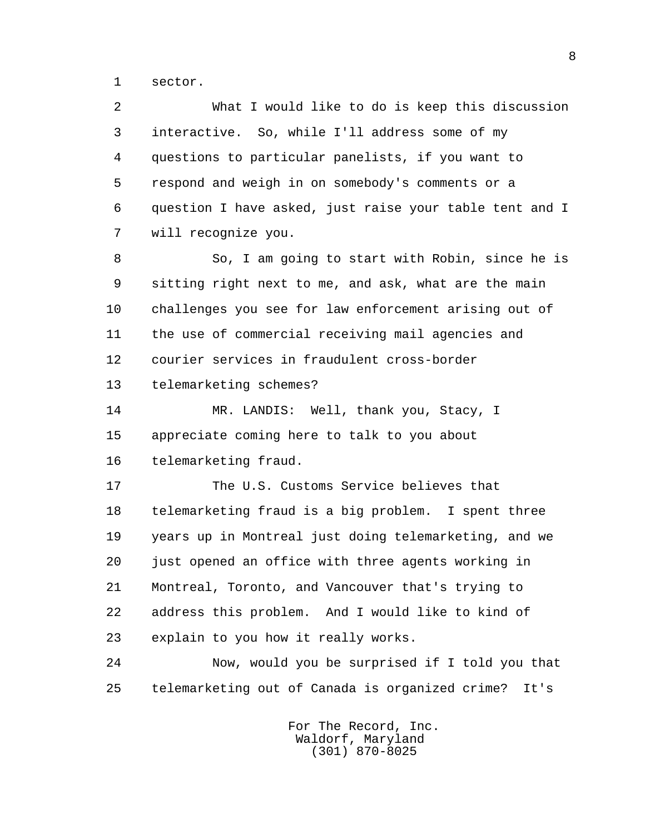1 sector.

 2 What I would like to do is keep this discussion 3 interactive. So, while I'll address some of my 4 questions to particular panelists, if you want to 5 respond and weigh in on somebody's comments or a 6 question I have asked, just raise your table tent and I 7 will recognize you.

 8 So, I am going to start with Robin, since he is 9 sitting right next to me, and ask, what are the main 10 challenges you see for law enforcement arising out of 11 the use of commercial receiving mail agencies and 12 courier services in fraudulent cross-border 13 telemarketing schemes?

 14 MR. LANDIS: Well, thank you, Stacy, I 15 appreciate coming here to talk to you about 16 telemarketing fraud.

 17 The U.S. Customs Service believes that 18 telemarketing fraud is a big problem. I spent three 19 years up in Montreal just doing telemarketing, and we 20 just opened an office with three agents working in 21 Montreal, Toronto, and Vancouver that's trying to 22 address this problem. And I would like to kind of 23 explain to you how it really works.

 24 Now, would you be surprised if I told you that 25 telemarketing out of Canada is organized crime? It's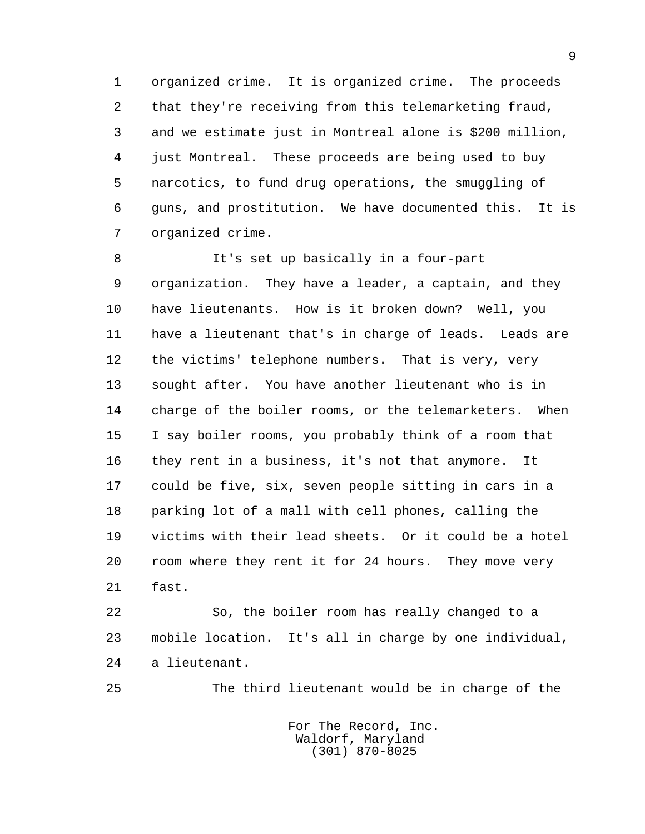1 organized crime. It is organized crime. The proceeds 2 that they're receiving from this telemarketing fraud, 3 and we estimate just in Montreal alone is \$200 million, 4 just Montreal. These proceeds are being used to buy 5 narcotics, to fund drug operations, the smuggling of 6 guns, and prostitution. We have documented this. It is 7 organized crime.

 8 It's set up basically in a four-part 9 organization. They have a leader, a captain, and they 10 have lieutenants. How is it broken down? Well, you 11 have a lieutenant that's in charge of leads. Leads are 12 the victims' telephone numbers. That is very, very 13 sought after. You have another lieutenant who is in 14 charge of the boiler rooms, or the telemarketers. When 15 I say boiler rooms, you probably think of a room that 16 they rent in a business, it's not that anymore. It 17 could be five, six, seven people sitting in cars in a 18 parking lot of a mall with cell phones, calling the 19 victims with their lead sheets. Or it could be a hotel 20 room where they rent it for 24 hours. They move very 21 fast.

 22 So, the boiler room has really changed to a 23 mobile location. It's all in charge by one individual, 24 a lieutenant.

25 The third lieutenant would be in charge of the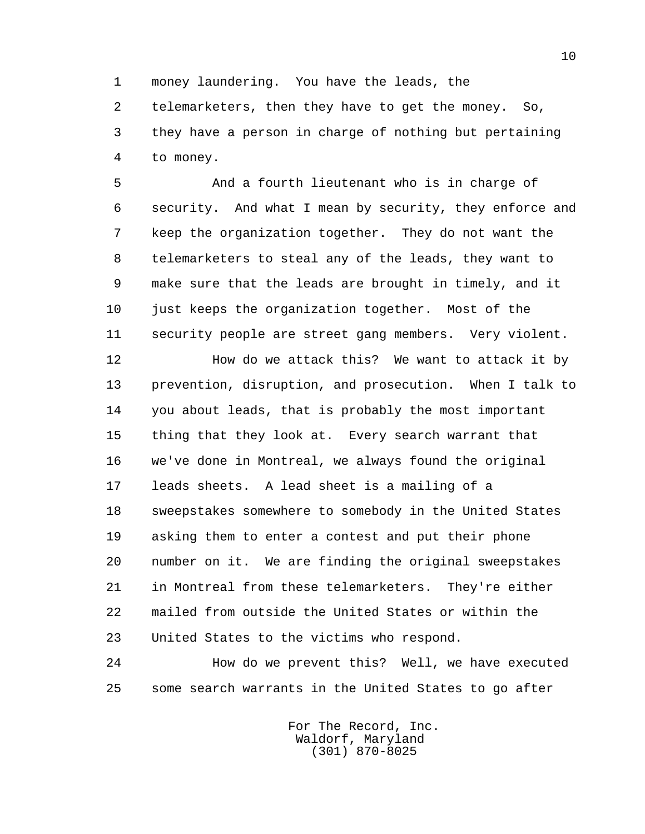1 money laundering. You have the leads, the

 2 telemarketers, then they have to get the money. So, 3 they have a person in charge of nothing but pertaining 4 to money.

 5 And a fourth lieutenant who is in charge of 6 security. And what I mean by security, they enforce and 7 keep the organization together. They do not want the 8 telemarketers to steal any of the leads, they want to 9 make sure that the leads are brought in timely, and it 10 just keeps the organization together. Most of the 11 security people are street gang members. Very violent.

 12 How do we attack this? We want to attack it by 13 prevention, disruption, and prosecution. When I talk to 14 you about leads, that is probably the most important 15 thing that they look at. Every search warrant that 16 we've done in Montreal, we always found the original 17 leads sheets. A lead sheet is a mailing of a 18 sweepstakes somewhere to somebody in the United States 19 asking them to enter a contest and put their phone 20 number on it. We are finding the original sweepstakes 21 in Montreal from these telemarketers. They're either 22 mailed from outside the United States or within the 23 United States to the victims who respond.

 24 How do we prevent this? Well, we have executed 25 some search warrants in the United States to go after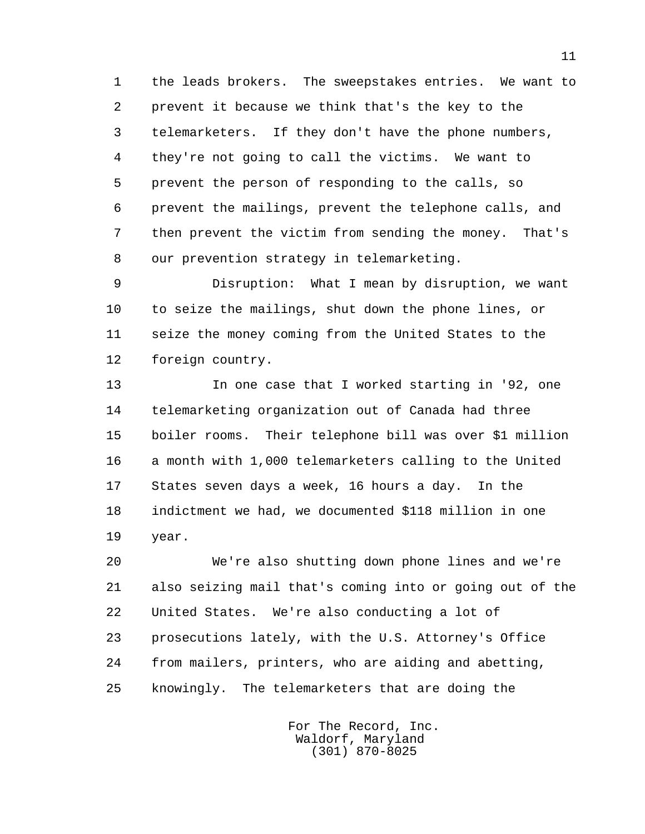1 the leads brokers. The sweepstakes entries. We want to 2 prevent it because we think that's the key to the 3 telemarketers. If they don't have the phone numbers, 4 they're not going to call the victims. We want to 5 prevent the person of responding to the calls, so 6 prevent the mailings, prevent the telephone calls, and 7 then prevent the victim from sending the money. That's 8 our prevention strategy in telemarketing.

 9 Disruption: What I mean by disruption, we want 10 to seize the mailings, shut down the phone lines, or 11 seize the money coming from the United States to the 12 foreign country.

 13 In one case that I worked starting in '92, one 14 telemarketing organization out of Canada had three 15 boiler rooms. Their telephone bill was over \$1 million 16 a month with 1,000 telemarketers calling to the United 17 States seven days a week, 16 hours a day. In the 18 indictment we had, we documented \$118 million in one 19 year.

 20 We're also shutting down phone lines and we're 21 also seizing mail that's coming into or going out of the 22 United States. We're also conducting a lot of 23 prosecutions lately, with the U.S. Attorney's Office 24 from mailers, printers, who are aiding and abetting, 25 knowingly. The telemarketers that are doing the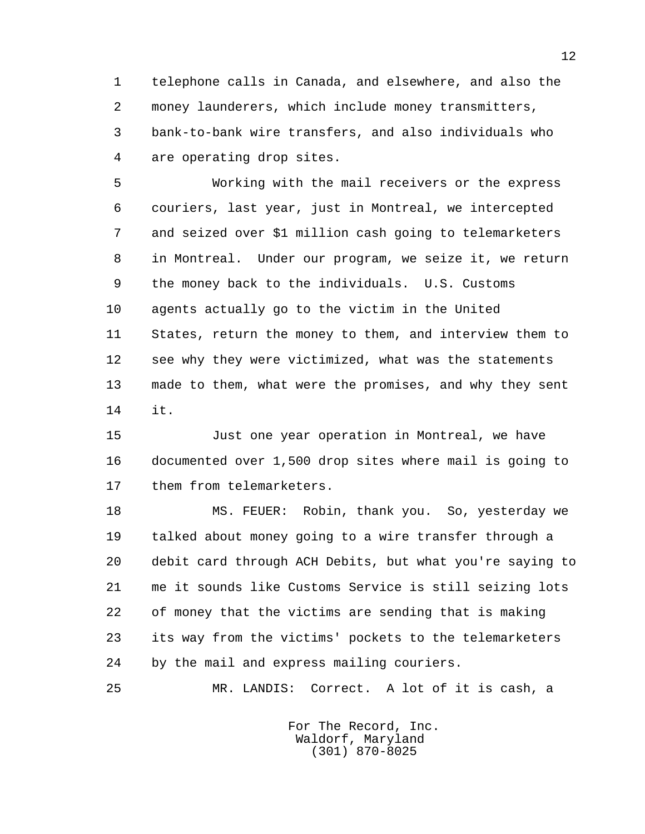1 telephone calls in Canada, and elsewhere, and also the 2 money launderers, which include money transmitters, 3 bank-to-bank wire transfers, and also individuals who 4 are operating drop sites.

 5 Working with the mail receivers or the express 6 couriers, last year, just in Montreal, we intercepted 7 and seized over \$1 million cash going to telemarketers 8 in Montreal. Under our program, we seize it, we return 9 the money back to the individuals. U.S. Customs 10 agents actually go to the victim in the United 11 States, return the money to them, and interview them to 12 see why they were victimized, what was the statements 13 made to them, what were the promises, and why they sent 14 it.

 15 Just one year operation in Montreal, we have 16 documented over 1,500 drop sites where mail is going to 17 them from telemarketers.

 18 MS. FEUER: Robin, thank you. So, yesterday we 19 talked about money going to a wire transfer through a 20 debit card through ACH Debits, but what you're saying to 21 me it sounds like Customs Service is still seizing lots 22 of money that the victims are sending that is making 23 its way from the victims' pockets to the telemarketers 24 by the mail and express mailing couriers.

25 MR. LANDIS: Correct. A lot of it is cash, a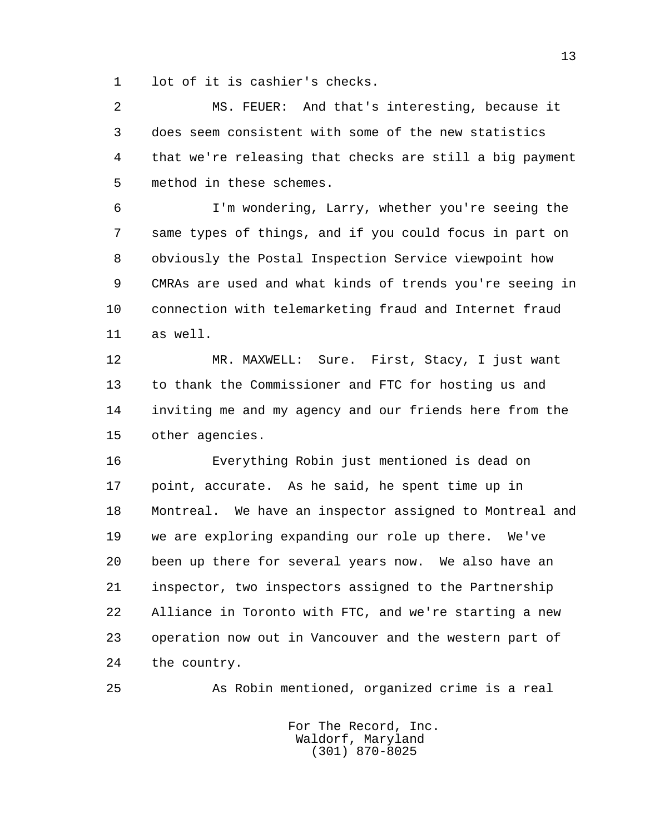1 lot of it is cashier's checks.

 2 MS. FEUER: And that's interesting, because it 3 does seem consistent with some of the new statistics 4 that we're releasing that checks are still a big payment 5 method in these schemes.

 6 I'm wondering, Larry, whether you're seeing the 7 same types of things, and if you could focus in part on 8 obviously the Postal Inspection Service viewpoint how 9 CMRAs are used and what kinds of trends you're seeing in 10 connection with telemarketing fraud and Internet fraud 11 as well.

 12 MR. MAXWELL: Sure. First, Stacy, I just want 13 to thank the Commissioner and FTC for hosting us and 14 inviting me and my agency and our friends here from the 15 other agencies.

 16 Everything Robin just mentioned is dead on 17 point, accurate. As he said, he spent time up in 18 Montreal. We have an inspector assigned to Montreal and 19 we are exploring expanding our role up there. We've 20 been up there for several years now. We also have an 21 inspector, two inspectors assigned to the Partnership 22 Alliance in Toronto with FTC, and we're starting a new 23 operation now out in Vancouver and the western part of 24 the country.

25 As Robin mentioned, organized crime is a real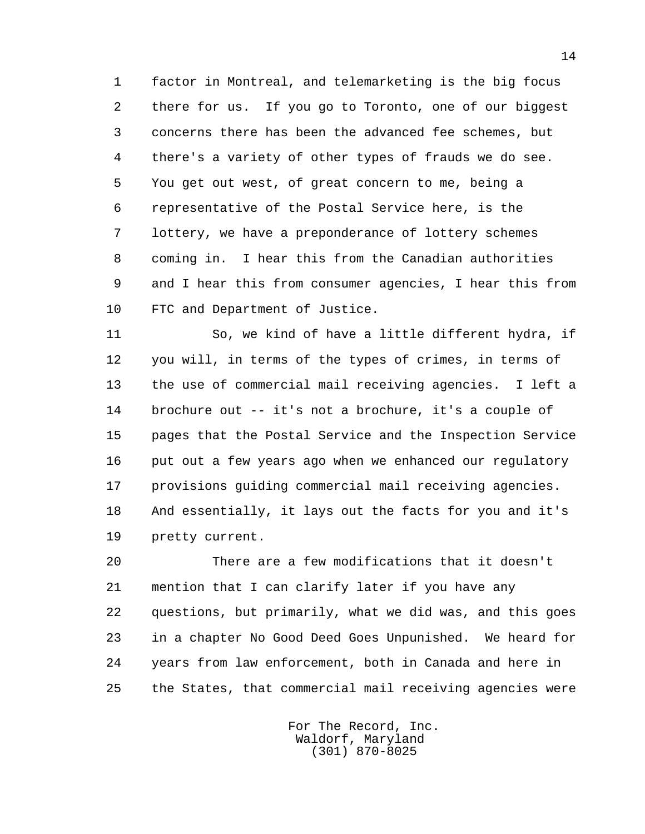1 factor in Montreal, and telemarketing is the big focus 2 there for us. If you go to Toronto, one of our biggest 3 concerns there has been the advanced fee schemes, but 4 there's a variety of other types of frauds we do see. 5 You get out west, of great concern to me, being a 6 representative of the Postal Service here, is the 7 lottery, we have a preponderance of lottery schemes 8 coming in. I hear this from the Canadian authorities 9 and I hear this from consumer agencies, I hear this from 10 FTC and Department of Justice.

 11 So, we kind of have a little different hydra, if 12 you will, in terms of the types of crimes, in terms of 13 the use of commercial mail receiving agencies. I left a 14 brochure out -- it's not a brochure, it's a couple of 15 pages that the Postal Service and the Inspection Service 16 put out a few years ago when we enhanced our regulatory 17 provisions guiding commercial mail receiving agencies. 18 And essentially, it lays out the facts for you and it's 19 pretty current.

 20 There are a few modifications that it doesn't 21 mention that I can clarify later if you have any 22 questions, but primarily, what we did was, and this goes 23 in a chapter No Good Deed Goes Unpunished. We heard for 24 years from law enforcement, both in Canada and here in 25 the States, that commercial mail receiving agencies were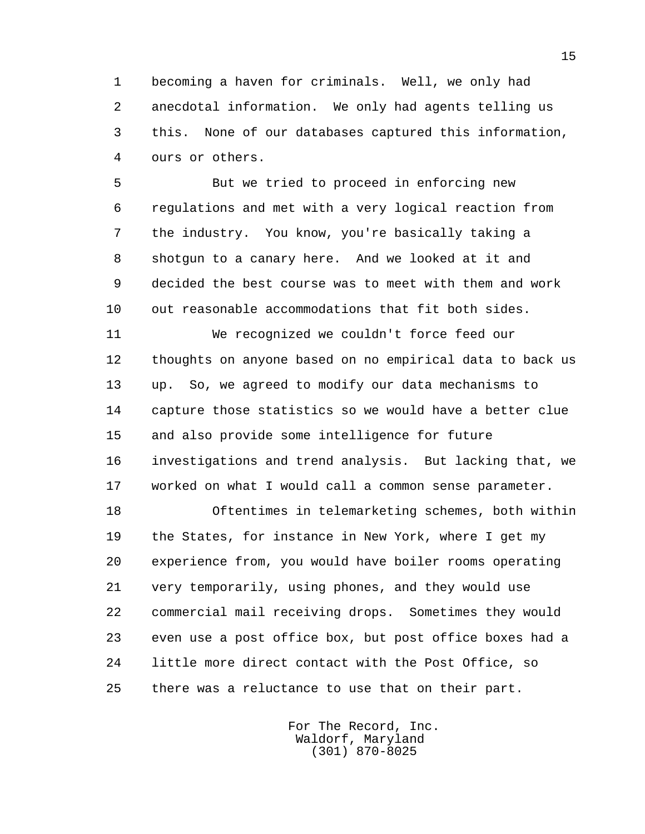1 becoming a haven for criminals. Well, we only had 2 anecdotal information. We only had agents telling us 3 this. None of our databases captured this information, 4 ours or others.

 5 But we tried to proceed in enforcing new 6 regulations and met with a very logical reaction from 7 the industry. You know, you're basically taking a 8 shotgun to a canary here. And we looked at it and 9 decided the best course was to meet with them and work 10 out reasonable accommodations that fit both sides.

 11 We recognized we couldn't force feed our 12 thoughts on anyone based on no empirical data to back us 13 up. So, we agreed to modify our data mechanisms to 14 capture those statistics so we would have a better clue 15 and also provide some intelligence for future 16 investigations and trend analysis. But lacking that, we 17 worked on what I would call a common sense parameter.

 18 Oftentimes in telemarketing schemes, both within 19 the States, for instance in New York, where I get my 20 experience from, you would have boiler rooms operating 21 very temporarily, using phones, and they would use 22 commercial mail receiving drops. Sometimes they would 23 even use a post office box, but post office boxes had a 24 little more direct contact with the Post Office, so 25 there was a reluctance to use that on their part.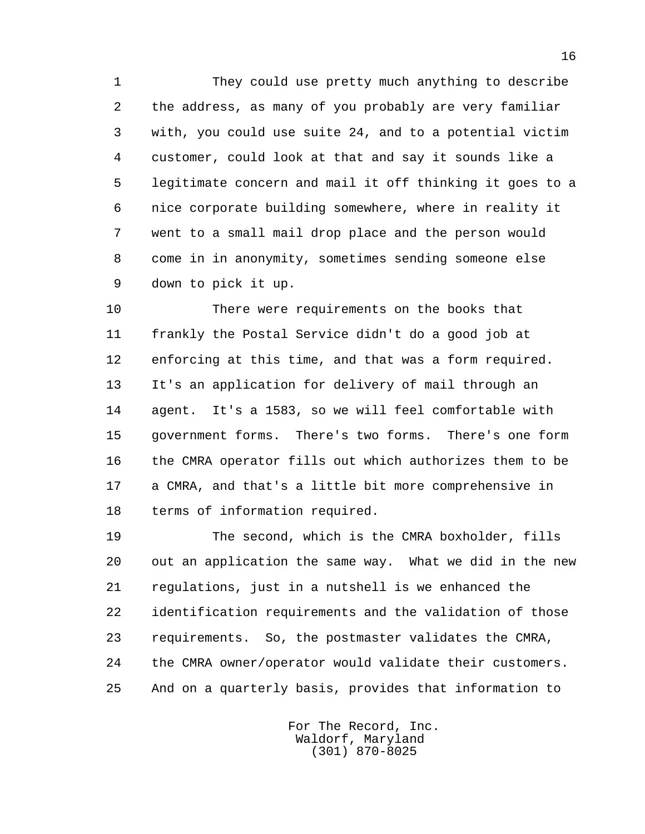1 They could use pretty much anything to describe 2 the address, as many of you probably are very familiar 3 with, you could use suite 24, and to a potential victim 4 customer, could look at that and say it sounds like a 5 legitimate concern and mail it off thinking it goes to a 6 nice corporate building somewhere, where in reality it 7 went to a small mail drop place and the person would 8 come in in anonymity, sometimes sending someone else 9 down to pick it up.

 10 There were requirements on the books that 11 frankly the Postal Service didn't do a good job at 12 enforcing at this time, and that was a form required. 13 It's an application for delivery of mail through an 14 agent. It's a 1583, so we will feel comfortable with 15 government forms. There's two forms. There's one form 16 the CMRA operator fills out which authorizes them to be 17 a CMRA, and that's a little bit more comprehensive in 18 terms of information required.

 19 The second, which is the CMRA boxholder, fills 20 out an application the same way. What we did in the new 21 regulations, just in a nutshell is we enhanced the 22 identification requirements and the validation of those 23 requirements. So, the postmaster validates the CMRA, 24 the CMRA owner/operator would validate their customers. 25 And on a quarterly basis, provides that information to

> For The Record, Inc. Waldorf, Maryland (301) 870-8025

16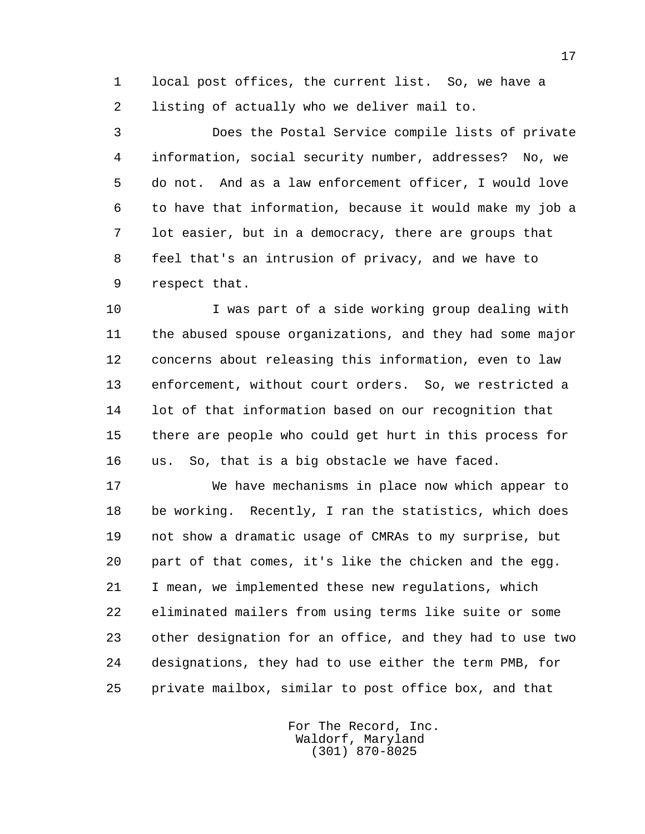1 local post offices, the current list. So, we have a 2 listing of actually who we deliver mail to.

 3 Does the Postal Service compile lists of private 4 information, social security number, addresses? No, we 5 do not. And as a law enforcement officer, I would love 6 to have that information, because it would make my job a 7 lot easier, but in a democracy, there are groups that 8 feel that's an intrusion of privacy, and we have to 9 respect that.

 10 I was part of a side working group dealing with 11 the abused spouse organizations, and they had some major 12 concerns about releasing this information, even to law 13 enforcement, without court orders. So, we restricted a 14 lot of that information based on our recognition that 15 there are people who could get hurt in this process for 16 us. So, that is a big obstacle we have faced.

 17 We have mechanisms in place now which appear to 18 be working. Recently, I ran the statistics, which does 19 not show a dramatic usage of CMRAs to my surprise, but 20 part of that comes, it's like the chicken and the egg. 21 I mean, we implemented these new regulations, which 22 eliminated mailers from using terms like suite or some 23 other designation for an office, and they had to use two 24 designations, they had to use either the term PMB, for 25 private mailbox, similar to post office box, and that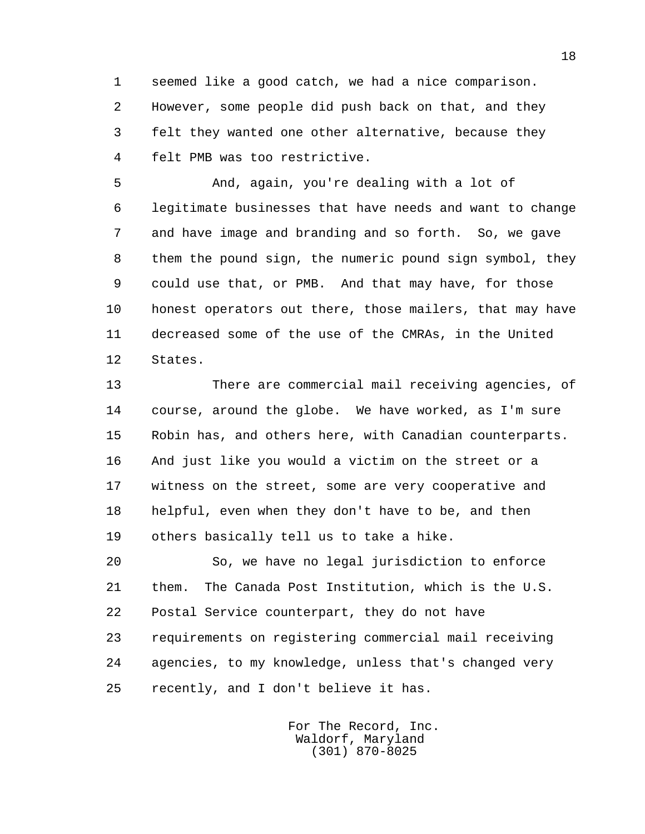1 seemed like a good catch, we had a nice comparison. 2 However, some people did push back on that, and they 3 felt they wanted one other alternative, because they 4 felt PMB was too restrictive.

 5 And, again, you're dealing with a lot of 6 legitimate businesses that have needs and want to change 7 and have image and branding and so forth. So, we gave 8 them the pound sign, the numeric pound sign symbol, they 9 could use that, or PMB. And that may have, for those 10 honest operators out there, those mailers, that may have 11 decreased some of the use of the CMRAs, in the United 12 States.

 13 There are commercial mail receiving agencies, of 14 course, around the globe. We have worked, as I'm sure 15 Robin has, and others here, with Canadian counterparts. 16 And just like you would a victim on the street or a 17 witness on the street, some are very cooperative and 18 helpful, even when they don't have to be, and then 19 others basically tell us to take a hike.

 20 So, we have no legal jurisdiction to enforce 21 them. The Canada Post Institution, which is the U.S. 22 Postal Service counterpart, they do not have 23 requirements on registering commercial mail receiving 24 agencies, to my knowledge, unless that's changed very 25 recently, and I don't believe it has.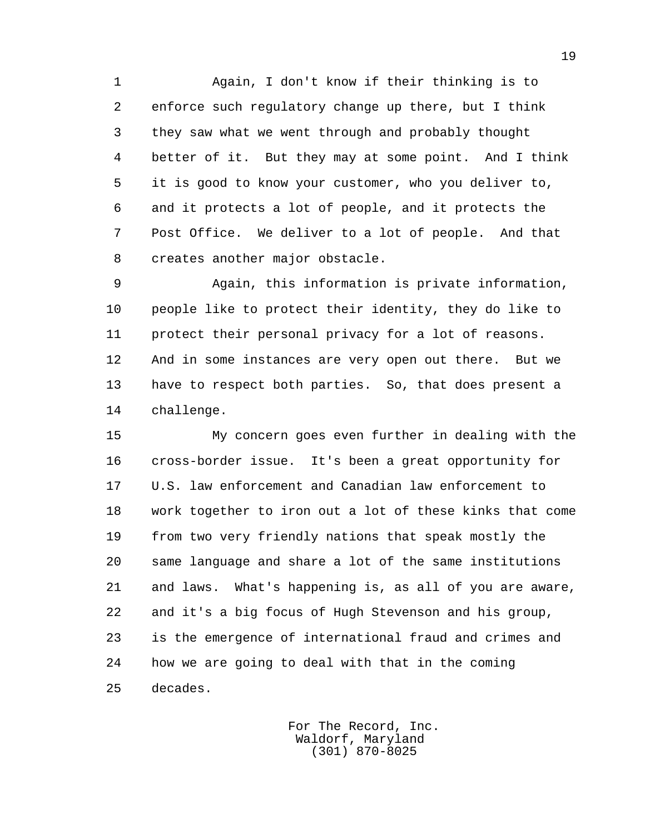1 Again, I don't know if their thinking is to 2 enforce such regulatory change up there, but I think 3 they saw what we went through and probably thought 4 better of it. But they may at some point. And I think 5 it is good to know your customer, who you deliver to, 6 and it protects a lot of people, and it protects the 7 Post Office. We deliver to a lot of people. And that 8 creates another major obstacle.

 9 Again, this information is private information, 10 people like to protect their identity, they do like to 11 protect their personal privacy for a lot of reasons. 12 And in some instances are very open out there. But we 13 have to respect both parties. So, that does present a 14 challenge.

 15 My concern goes even further in dealing with the 16 cross-border issue. It's been a great opportunity for 17 U.S. law enforcement and Canadian law enforcement to 18 work together to iron out a lot of these kinks that come 19 from two very friendly nations that speak mostly the 20 same language and share a lot of the same institutions 21 and laws. What's happening is, as all of you are aware, 22 and it's a big focus of Hugh Stevenson and his group, 23 is the emergence of international fraud and crimes and 24 how we are going to deal with that in the coming 25 decades.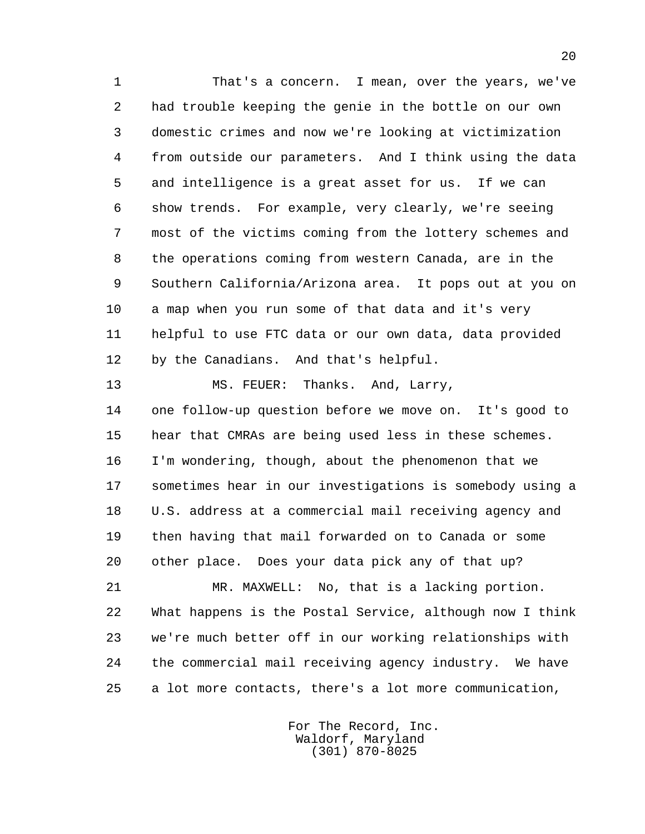1 That's a concern. I mean, over the years, we've 2 had trouble keeping the genie in the bottle on our own 3 domestic crimes and now we're looking at victimization 4 from outside our parameters. And I think using the data 5 and intelligence is a great asset for us. If we can 6 show trends. For example, very clearly, we're seeing 7 most of the victims coming from the lottery schemes and 8 the operations coming from western Canada, are in the 9 Southern California/Arizona area. It pops out at you on 10 a map when you run some of that data and it's very 11 helpful to use FTC data or our own data, data provided 12 by the Canadians. And that's helpful.

 13 MS. FEUER: Thanks. And, Larry, 14 one follow-up question before we move on. It's good to 15 hear that CMRAs are being used less in these schemes. 16 I'm wondering, though, about the phenomenon that we 17 sometimes hear in our investigations is somebody using a 18 U.S. address at a commercial mail receiving agency and 19 then having that mail forwarded on to Canada or some 20 other place. Does your data pick any of that up?

 21 MR. MAXWELL: No, that is a lacking portion. 22 What happens is the Postal Service, although now I think 23 we're much better off in our working relationships with 24 the commercial mail receiving agency industry. We have 25 a lot more contacts, there's a lot more communication,

> For The Record, Inc. Waldorf, Maryland (301) 870-8025

20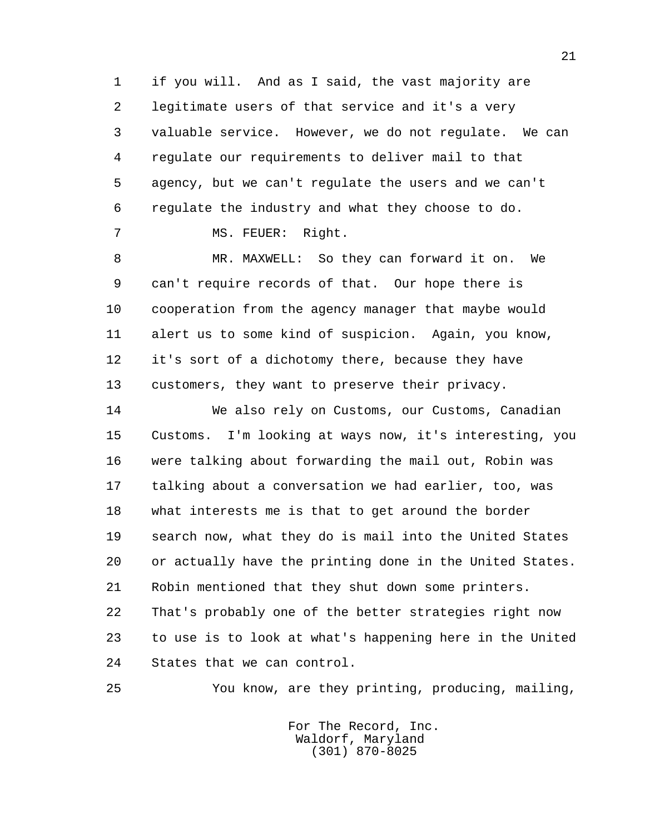1 if you will. And as I said, the vast majority are 2 legitimate users of that service and it's a very 3 valuable service. However, we do not regulate. We can 4 regulate our requirements to deliver mail to that 5 agency, but we can't regulate the users and we can't 6 regulate the industry and what they choose to do.

7 MS. FEUER: Right.

 8 MR. MAXWELL: So they can forward it on. We 9 can't require records of that. Our hope there is 10 cooperation from the agency manager that maybe would 11 alert us to some kind of suspicion. Again, you know, 12 it's sort of a dichotomy there, because they have 13 customers, they want to preserve their privacy.

 14 We also rely on Customs, our Customs, Canadian 15 Customs. I'm looking at ways now, it's interesting, you 16 were talking about forwarding the mail out, Robin was 17 talking about a conversation we had earlier, too, was 18 what interests me is that to get around the border 19 search now, what they do is mail into the United States 20 or actually have the printing done in the United States. 21 Robin mentioned that they shut down some printers. 22 That's probably one of the better strategies right now 23 to use is to look at what's happening here in the United 24 States that we can control.

25 You know, are they printing, producing, mailing,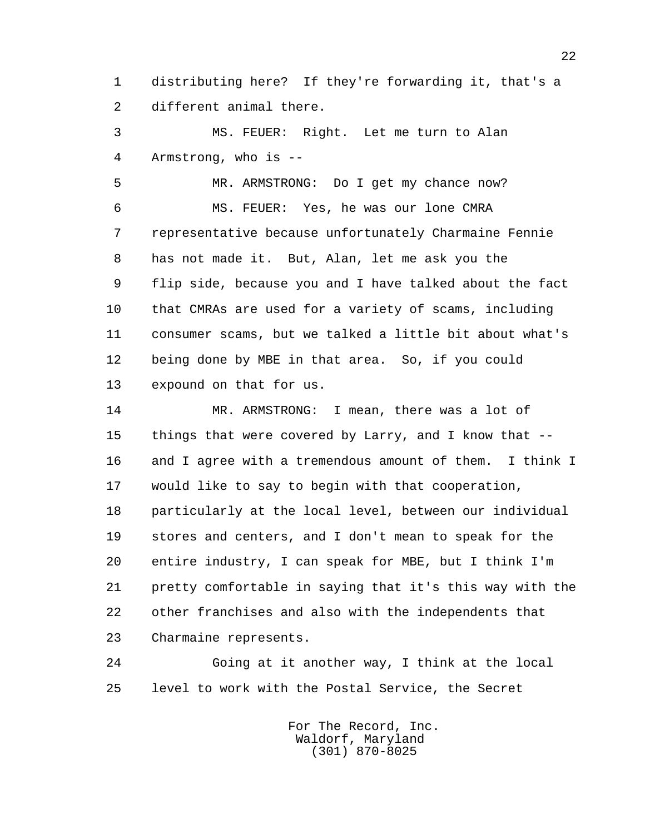1 distributing here? If they're forwarding it, that's a 2 different animal there.

 3 MS. FEUER: Right. Let me turn to Alan 4 Armstrong, who is --

 5 MR. ARMSTRONG: Do I get my chance now? 6 MS. FEUER: Yes, he was our lone CMRA 7 representative because unfortunately Charmaine Fennie 8 has not made it. But, Alan, let me ask you the 9 flip side, because you and I have talked about the fact 10 that CMRAs are used for a variety of scams, including 11 consumer scams, but we talked a little bit about what's 12 being done by MBE in that area. So, if you could 13 expound on that for us.

 14 MR. ARMSTRONG: I mean, there was a lot of 15 things that were covered by Larry, and I know that -- 16 and I agree with a tremendous amount of them. I think I 17 would like to say to begin with that cooperation, 18 particularly at the local level, between our individual 19 stores and centers, and I don't mean to speak for the 20 entire industry, I can speak for MBE, but I think I'm 21 pretty comfortable in saying that it's this way with the 22 other franchises and also with the independents that 23 Charmaine represents.

 24 Going at it another way, I think at the local 25 level to work with the Postal Service, the Secret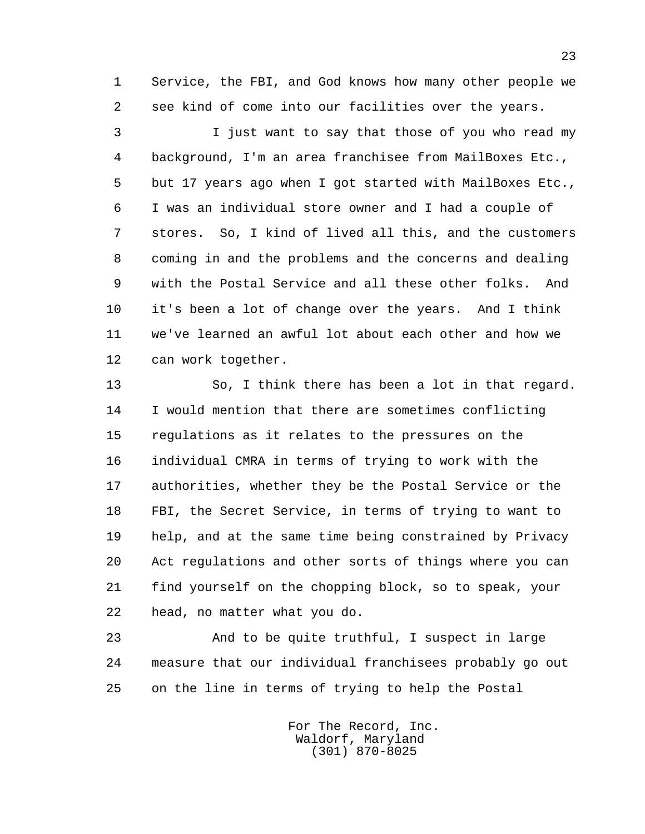1 Service, the FBI, and God knows how many other people we 2 see kind of come into our facilities over the years.

 3 I just want to say that those of you who read my 4 background, I'm an area franchisee from MailBoxes Etc., 5 but 17 years ago when I got started with MailBoxes Etc., 6 I was an individual store owner and I had a couple of 7 stores. So, I kind of lived all this, and the customers 8 coming in and the problems and the concerns and dealing 9 with the Postal Service and all these other folks. And 10 it's been a lot of change over the years. And I think 11 we've learned an awful lot about each other and how we 12 can work together.

 13 So, I think there has been a lot in that regard. 14 I would mention that there are sometimes conflicting 15 regulations as it relates to the pressures on the 16 individual CMRA in terms of trying to work with the 17 authorities, whether they be the Postal Service or the 18 FBI, the Secret Service, in terms of trying to want to 19 help, and at the same time being constrained by Privacy 20 Act regulations and other sorts of things where you can 21 find yourself on the chopping block, so to speak, your 22 head, no matter what you do.

 23 And to be quite truthful, I suspect in large 24 measure that our individual franchisees probably go out 25 on the line in terms of trying to help the Postal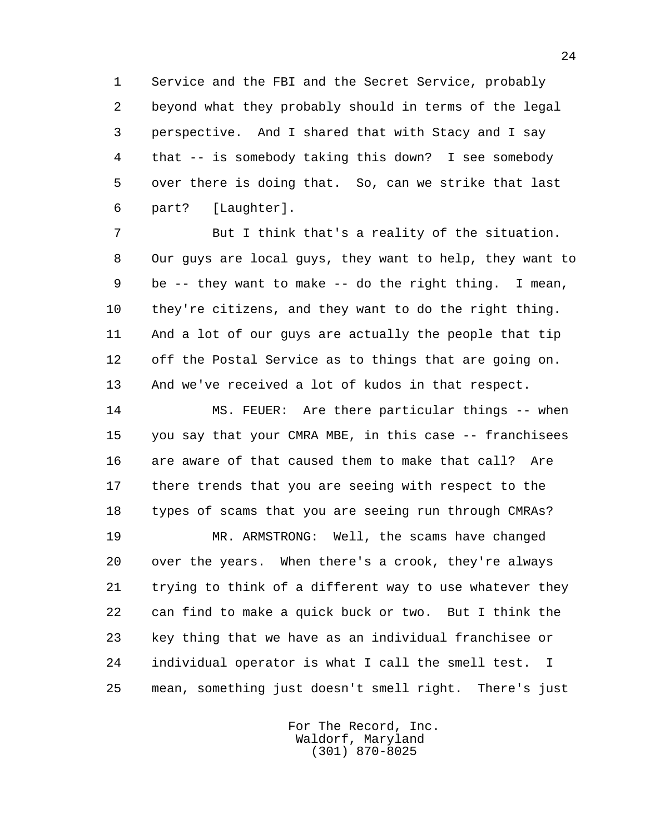1 Service and the FBI and the Secret Service, probably 2 beyond what they probably should in terms of the legal 3 perspective. And I shared that with Stacy and I say 4 that -- is somebody taking this down? I see somebody 5 over there is doing that. So, can we strike that last 6 part? [Laughter].

 7 But I think that's a reality of the situation. 8 Our guys are local guys, they want to help, they want to 9 be -- they want to make -- do the right thing. I mean, 10 they're citizens, and they want to do the right thing. 11 And a lot of our guys are actually the people that tip 12 off the Postal Service as to things that are going on. 13 And we've received a lot of kudos in that respect.

 14 MS. FEUER: Are there particular things -- when 15 you say that your CMRA MBE, in this case -- franchisees 16 are aware of that caused them to make that call? Are 17 there trends that you are seeing with respect to the 18 types of scams that you are seeing run through CMRAs? 19 MR. ARMSTRONG: Well, the scams have changed

 20 over the years. When there's a crook, they're always 21 trying to think of a different way to use whatever they 22 can find to make a quick buck or two. But I think the 23 key thing that we have as an individual franchisee or 24 individual operator is what I call the smell test. I 25 mean, something just doesn't smell right. There's just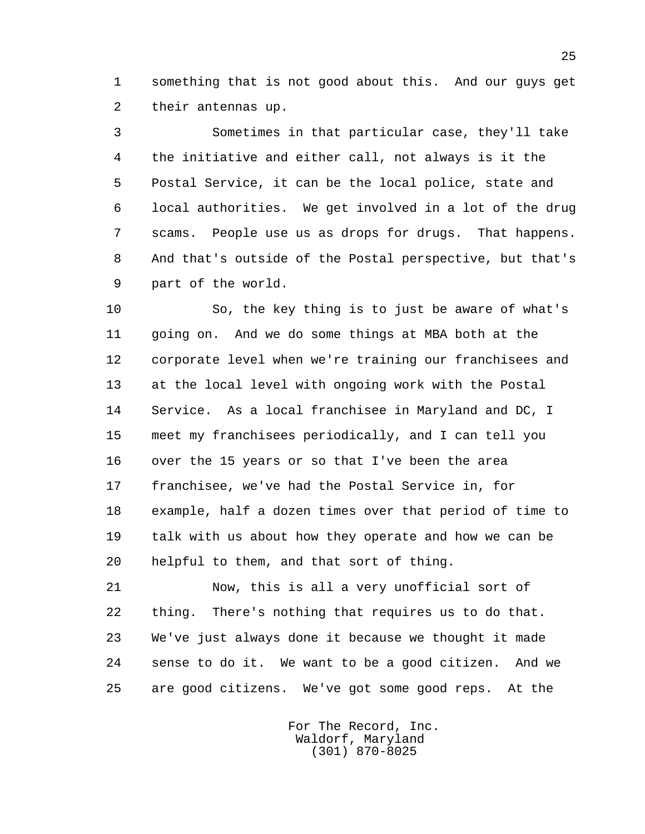1 something that is not good about this. And our guys get 2 their antennas up.

 3 Sometimes in that particular case, they'll take 4 the initiative and either call, not always is it the 5 Postal Service, it can be the local police, state and 6 local authorities. We get involved in a lot of the drug 7 scams. People use us as drops for drugs. That happens. 8 And that's outside of the Postal perspective, but that's 9 part of the world.

 10 So, the key thing is to just be aware of what's 11 going on. And we do some things at MBA both at the 12 corporate level when we're training our franchisees and 13 at the local level with ongoing work with the Postal 14 Service. As a local franchisee in Maryland and DC, I 15 meet my franchisees periodically, and I can tell you 16 over the 15 years or so that I've been the area 17 franchisee, we've had the Postal Service in, for 18 example, half a dozen times over that period of time to 19 talk with us about how they operate and how we can be 20 helpful to them, and that sort of thing.

 21 Now, this is all a very unofficial sort of 22 thing. There's nothing that requires us to do that. 23 We've just always done it because we thought it made 24 sense to do it. We want to be a good citizen. And we 25 are good citizens. We've got some good reps. At the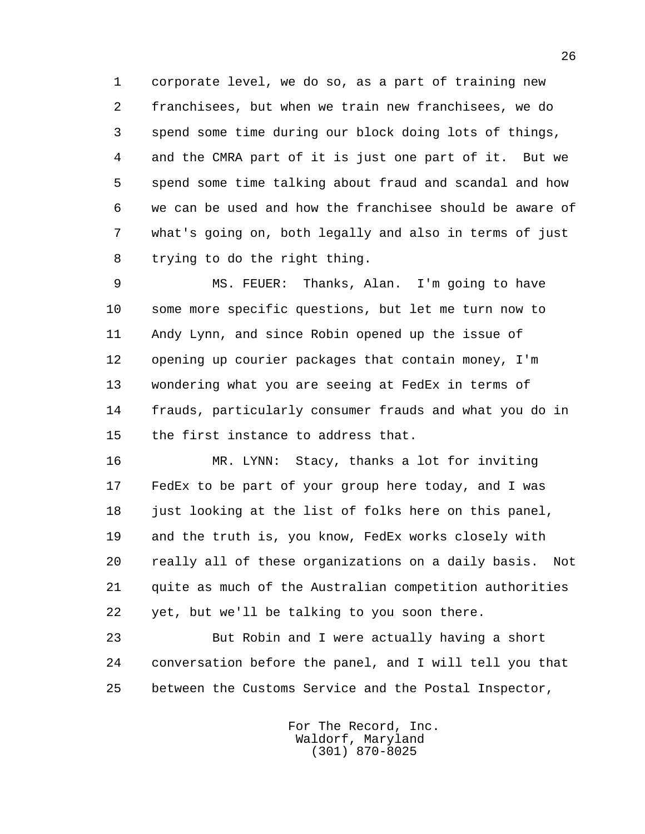1 corporate level, we do so, as a part of training new 2 franchisees, but when we train new franchisees, we do 3 spend some time during our block doing lots of things, 4 and the CMRA part of it is just one part of it. But we 5 spend some time talking about fraud and scandal and how 6 we can be used and how the franchisee should be aware of 7 what's going on, both legally and also in terms of just 8 trying to do the right thing.

 9 MS. FEUER: Thanks, Alan. I'm going to have 10 some more specific questions, but let me turn now to 11 Andy Lynn, and since Robin opened up the issue of 12 opening up courier packages that contain money, I'm 13 wondering what you are seeing at FedEx in terms of 14 frauds, particularly consumer frauds and what you do in 15 the first instance to address that.

 16 MR. LYNN: Stacy, thanks a lot for inviting 17 FedEx to be part of your group here today, and I was 18 just looking at the list of folks here on this panel, 19 and the truth is, you know, FedEx works closely with 20 really all of these organizations on a daily basis. Not 21 quite as much of the Australian competition authorities 22 yet, but we'll be talking to you soon there.

 23 But Robin and I were actually having a short 24 conversation before the panel, and I will tell you that 25 between the Customs Service and the Postal Inspector,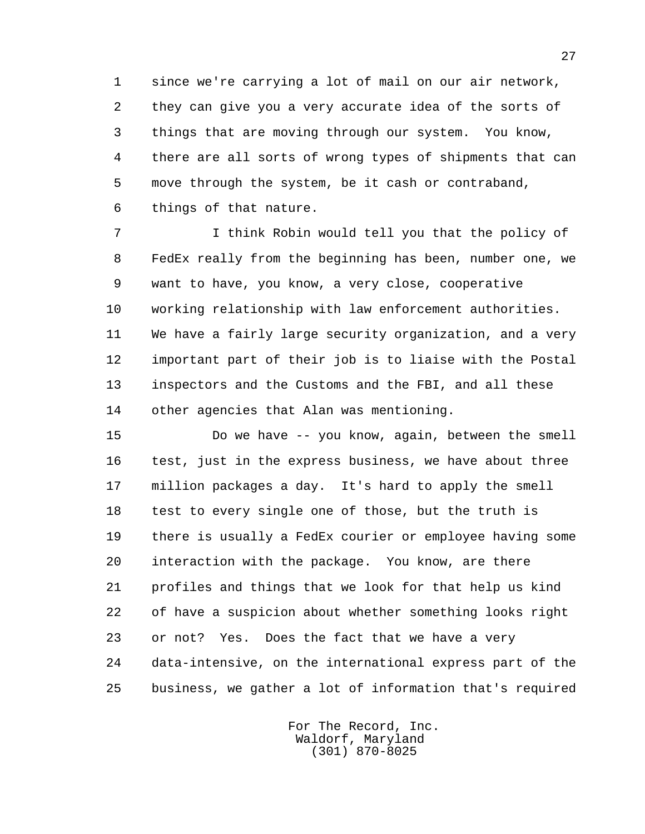1 since we're carrying a lot of mail on our air network, 2 they can give you a very accurate idea of the sorts of 3 things that are moving through our system. You know, 4 there are all sorts of wrong types of shipments that can 5 move through the system, be it cash or contraband, 6 things of that nature.

 7 I think Robin would tell you that the policy of 8 FedEx really from the beginning has been, number one, we 9 want to have, you know, a very close, cooperative 10 working relationship with law enforcement authorities. 11 We have a fairly large security organization, and a very 12 important part of their job is to liaise with the Postal 13 inspectors and the Customs and the FBI, and all these 14 other agencies that Alan was mentioning.

 15 Do we have -- you know, again, between the smell 16 test, just in the express business, we have about three 17 million packages a day. It's hard to apply the smell 18 test to every single one of those, but the truth is 19 there is usually a FedEx courier or employee having some 20 interaction with the package. You know, are there 21 profiles and things that we look for that help us kind 22 of have a suspicion about whether something looks right 23 or not? Yes. Does the fact that we have a very 24 data-intensive, on the international express part of the 25 business, we gather a lot of information that's required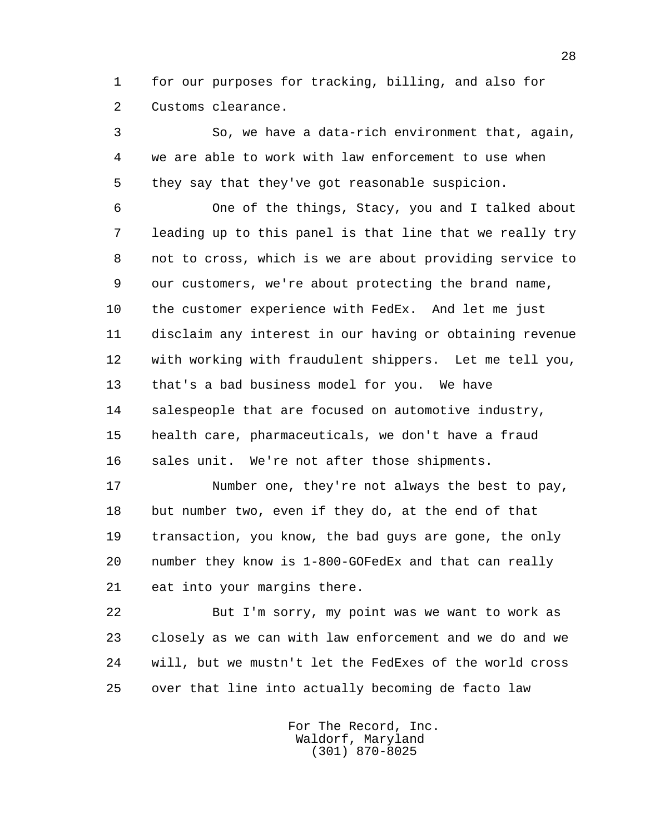1 for our purposes for tracking, billing, and also for 2 Customs clearance.

 3 So, we have a data-rich environment that, again, 4 we are able to work with law enforcement to use when 5 they say that they've got reasonable suspicion.

 6 One of the things, Stacy, you and I talked about 7 leading up to this panel is that line that we really try 8 not to cross, which is we are about providing service to 9 our customers, we're about protecting the brand name, 10 the customer experience with FedEx. And let me just 11 disclaim any interest in our having or obtaining revenue 12 with working with fraudulent shippers. Let me tell you, 13 that's a bad business model for you. We have 14 salespeople that are focused on automotive industry, 15 health care, pharmaceuticals, we don't have a fraud 16 sales unit. We're not after those shipments.

 17 Number one, they're not always the best to pay, 18 but number two, even if they do, at the end of that 19 transaction, you know, the bad guys are gone, the only 20 number they know is 1-800-GOFedEx and that can really 21 eat into your margins there.

 22 But I'm sorry, my point was we want to work as 23 closely as we can with law enforcement and we do and we 24 will, but we mustn't let the FedExes of the world cross 25 over that line into actually becoming de facto law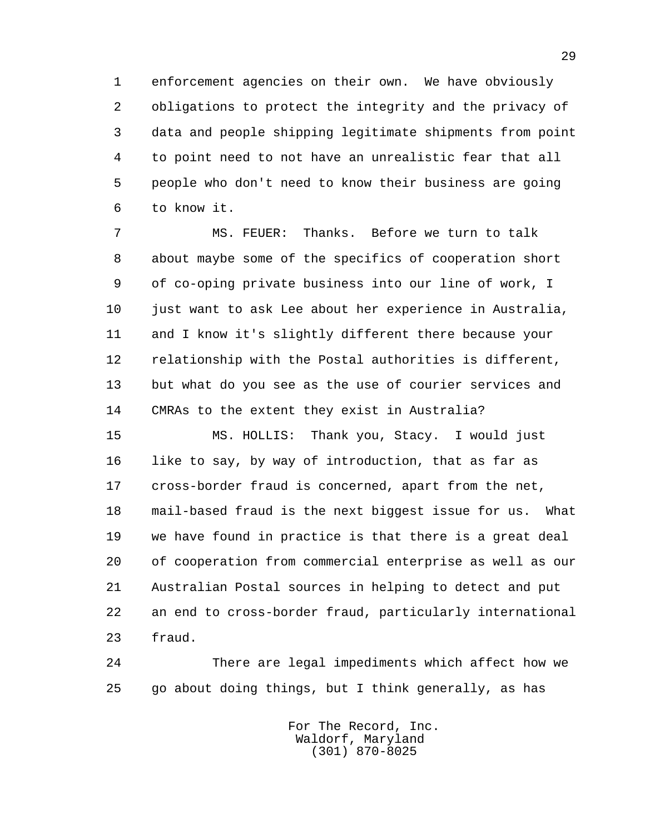1 enforcement agencies on their own. We have obviously 2 obligations to protect the integrity and the privacy of 3 data and people shipping legitimate shipments from point 4 to point need to not have an unrealistic fear that all 5 people who don't need to know their business are going 6 to know it.

 7 MS. FEUER: Thanks. Before we turn to talk 8 about maybe some of the specifics of cooperation short 9 of co-oping private business into our line of work, I 10 just want to ask Lee about her experience in Australia, 11 and I know it's slightly different there because your 12 relationship with the Postal authorities is different, 13 but what do you see as the use of courier services and 14 CMRAs to the extent they exist in Australia?

 15 MS. HOLLIS: Thank you, Stacy. I would just 16 like to say, by way of introduction, that as far as 17 cross-border fraud is concerned, apart from the net, 18 mail-based fraud is the next biggest issue for us. What 19 we have found in practice is that there is a great deal 20 of cooperation from commercial enterprise as well as our 21 Australian Postal sources in helping to detect and put 22 an end to cross-border fraud, particularly international 23 fraud.

 24 There are legal impediments which affect how we 25 go about doing things, but I think generally, as has

> For The Record, Inc. Waldorf, Maryland (301) 870-8025

29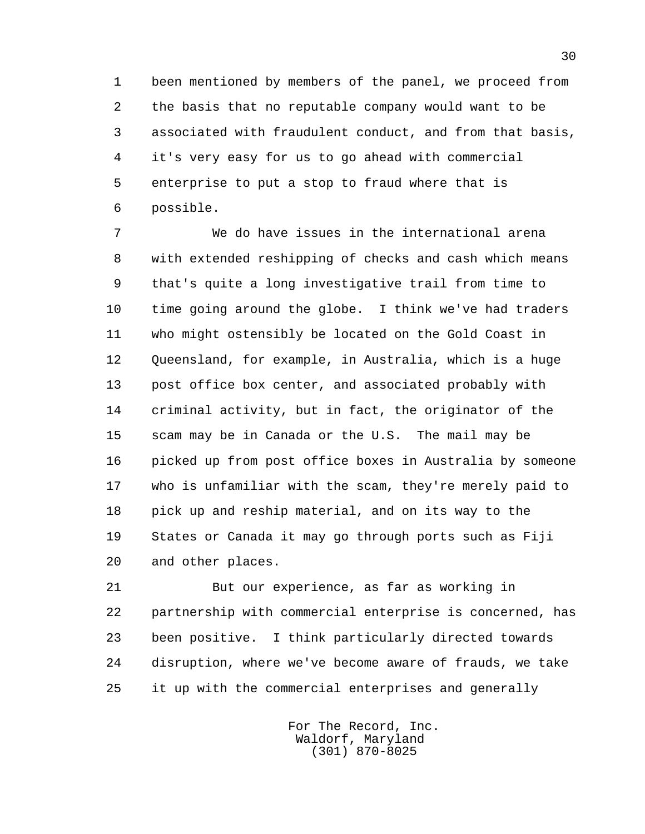1 been mentioned by members of the panel, we proceed from 2 the basis that no reputable company would want to be 3 associated with fraudulent conduct, and from that basis, 4 it's very easy for us to go ahead with commercial 5 enterprise to put a stop to fraud where that is 6 possible.

 7 We do have issues in the international arena 8 with extended reshipping of checks and cash which means 9 that's quite a long investigative trail from time to 10 time going around the globe. I think we've had traders 11 who might ostensibly be located on the Gold Coast in 12 Queensland, for example, in Australia, which is a huge 13 post office box center, and associated probably with 14 criminal activity, but in fact, the originator of the 15 scam may be in Canada or the U.S. The mail may be 16 picked up from post office boxes in Australia by someone 17 who is unfamiliar with the scam, they're merely paid to 18 pick up and reship material, and on its way to the 19 States or Canada it may go through ports such as Fiji 20 and other places.

 21 But our experience, as far as working in 22 partnership with commercial enterprise is concerned, has 23 been positive. I think particularly directed towards 24 disruption, where we've become aware of frauds, we take 25 it up with the commercial enterprises and generally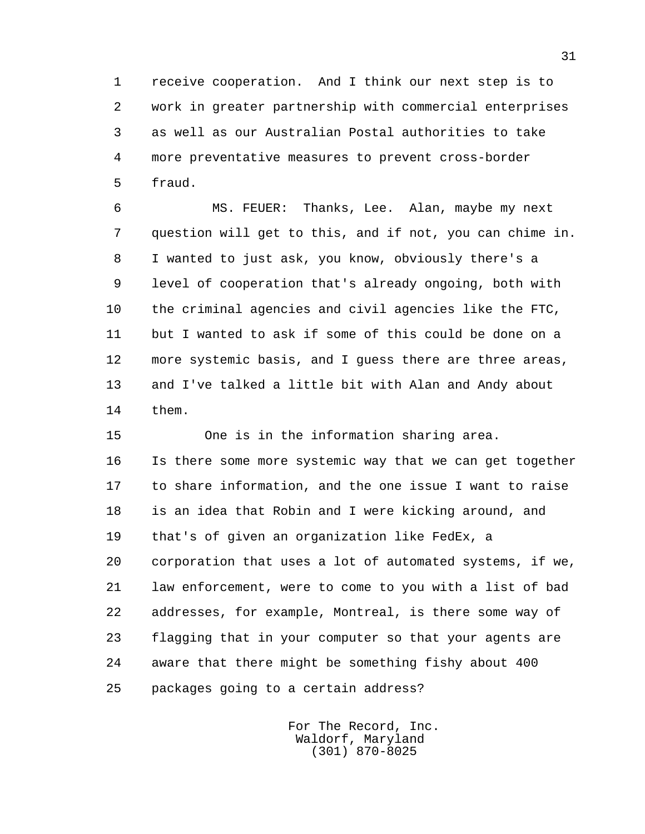1 receive cooperation. And I think our next step is to 2 work in greater partnership with commercial enterprises 3 as well as our Australian Postal authorities to take 4 more preventative measures to prevent cross-border 5 fraud.

 6 MS. FEUER: Thanks, Lee. Alan, maybe my next 7 question will get to this, and if not, you can chime in. 8 I wanted to just ask, you know, obviously there's a 9 level of cooperation that's already ongoing, both with 10 the criminal agencies and civil agencies like the FTC, 11 but I wanted to ask if some of this could be done on a 12 more systemic basis, and I guess there are three areas, 13 and I've talked a little bit with Alan and Andy about 14 them.

 15 One is in the information sharing area. 16 Is there some more systemic way that we can get together 17 to share information, and the one issue I want to raise 18 is an idea that Robin and I were kicking around, and 19 that's of given an organization like FedEx, a 20 corporation that uses a lot of automated systems, if we, 21 law enforcement, were to come to you with a list of bad 22 addresses, for example, Montreal, is there some way of 23 flagging that in your computer so that your agents are 24 aware that there might be something fishy about 400 25 packages going to a certain address?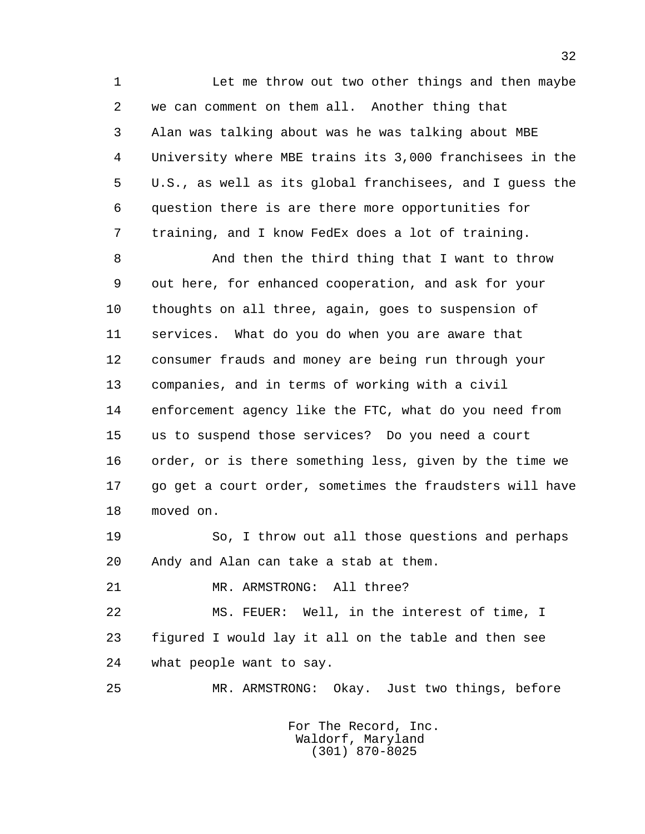1 Let me throw out two other things and then maybe 2 we can comment on them all. Another thing that 3 Alan was talking about was he was talking about MBE 4 University where MBE trains its 3,000 franchisees in the 5 U.S., as well as its global franchisees, and I guess the 6 question there is are there more opportunities for 7 training, and I know FedEx does a lot of training.

 8 And then the third thing that I want to throw 9 out here, for enhanced cooperation, and ask for your 10 thoughts on all three, again, goes to suspension of 11 services. What do you do when you are aware that 12 consumer frauds and money are being run through your 13 companies, and in terms of working with a civil 14 enforcement agency like the FTC, what do you need from 15 us to suspend those services? Do you need a court 16 order, or is there something less, given by the time we 17 go get a court order, sometimes the fraudsters will have 18 moved on.

 19 So, I throw out all those questions and perhaps 20 Andy and Alan can take a stab at them.

21 MR. ARMSTRONG: All three?

 22 MS. FEUER: Well, in the interest of time, I 23 figured I would lay it all on the table and then see 24 what people want to say.

25 MR. ARMSTRONG: Okay. Just two things, before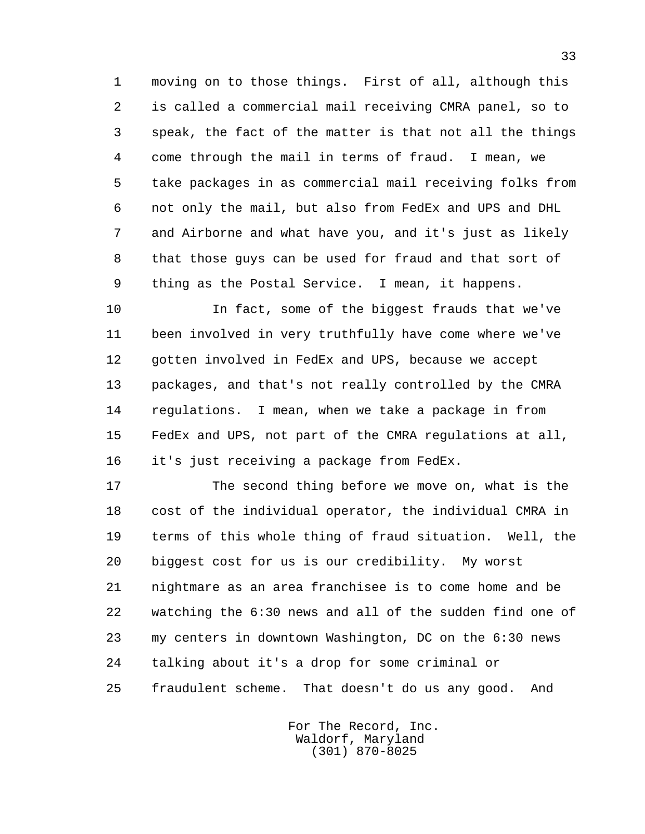1 moving on to those things. First of all, although this 2 is called a commercial mail receiving CMRA panel, so to 3 speak, the fact of the matter is that not all the things 4 come through the mail in terms of fraud. I mean, we 5 take packages in as commercial mail receiving folks from 6 not only the mail, but also from FedEx and UPS and DHL 7 and Airborne and what have you, and it's just as likely 8 that those guys can be used for fraud and that sort of 9 thing as the Postal Service. I mean, it happens.

 10 In fact, some of the biggest frauds that we've 11 been involved in very truthfully have come where we've 12 gotten involved in FedEx and UPS, because we accept 13 packages, and that's not really controlled by the CMRA 14 regulations. I mean, when we take a package in from 15 FedEx and UPS, not part of the CMRA regulations at all, 16 it's just receiving a package from FedEx.

 17 The second thing before we move on, what is the 18 cost of the individual operator, the individual CMRA in 19 terms of this whole thing of fraud situation. Well, the 20 biggest cost for us is our credibility. My worst 21 nightmare as an area franchisee is to come home and be 22 watching the 6:30 news and all of the sudden find one of 23 my centers in downtown Washington, DC on the 6:30 news 24 talking about it's a drop for some criminal or 25 fraudulent scheme. That doesn't do us any good. And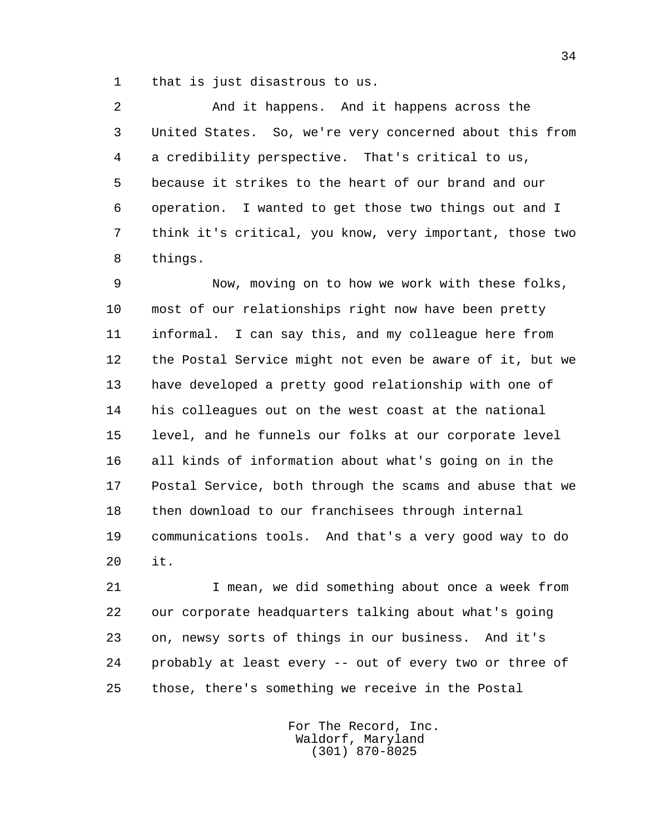1 that is just disastrous to us.

 2 And it happens. And it happens across the 3 United States. So, we're very concerned about this from 4 a credibility perspective. That's critical to us, 5 because it strikes to the heart of our brand and our 6 operation. I wanted to get those two things out and I 7 think it's critical, you know, very important, those two 8 things.

 9 Now, moving on to how we work with these folks, 10 most of our relationships right now have been pretty 11 informal. I can say this, and my colleague here from 12 the Postal Service might not even be aware of it, but we 13 have developed a pretty good relationship with one of 14 his colleagues out on the west coast at the national 15 level, and he funnels our folks at our corporate level 16 all kinds of information about what's going on in the 17 Postal Service, both through the scams and abuse that we 18 then download to our franchisees through internal 19 communications tools. And that's a very good way to do 20 it.

 21 I mean, we did something about once a week from 22 our corporate headquarters talking about what's going 23 on, newsy sorts of things in our business. And it's 24 probably at least every -- out of every two or three of 25 those, there's something we receive in the Postal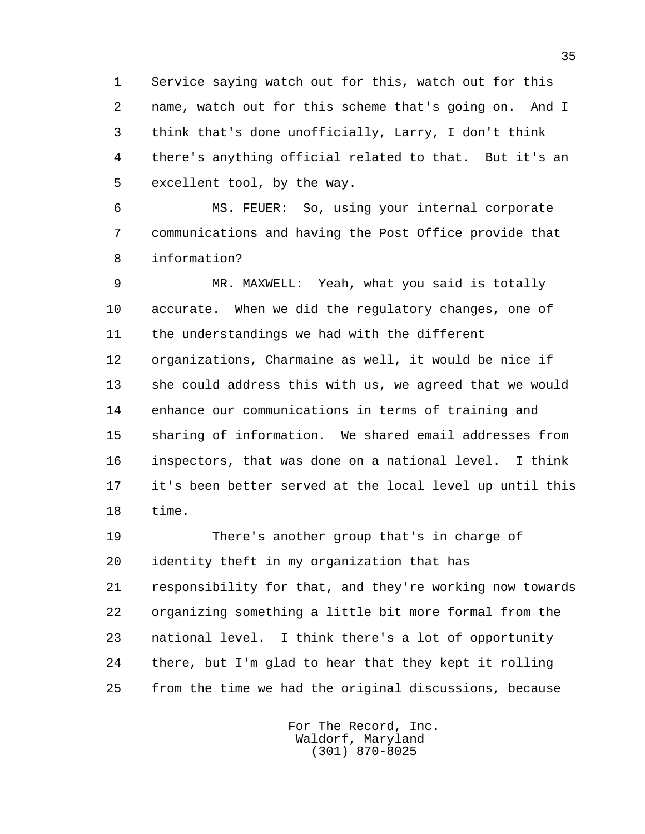1 Service saying watch out for this, watch out for this 2 name, watch out for this scheme that's going on. And I 3 think that's done unofficially, Larry, I don't think 4 there's anything official related to that. But it's an 5 excellent tool, by the way.

 6 MS. FEUER: So, using your internal corporate 7 communications and having the Post Office provide that 8 information?

 9 MR. MAXWELL: Yeah, what you said is totally 10 accurate. When we did the regulatory changes, one of 11 the understandings we had with the different 12 organizations, Charmaine as well, it would be nice if 13 she could address this with us, we agreed that we would 14 enhance our communications in terms of training and 15 sharing of information. We shared email addresses from 16 inspectors, that was done on a national level. I think 17 it's been better served at the local level up until this 18 time.

 19 There's another group that's in charge of 20 identity theft in my organization that has 21 responsibility for that, and they're working now towards 22 organizing something a little bit more formal from the 23 national level. I think there's a lot of opportunity 24 there, but I'm glad to hear that they kept it rolling 25 from the time we had the original discussions, because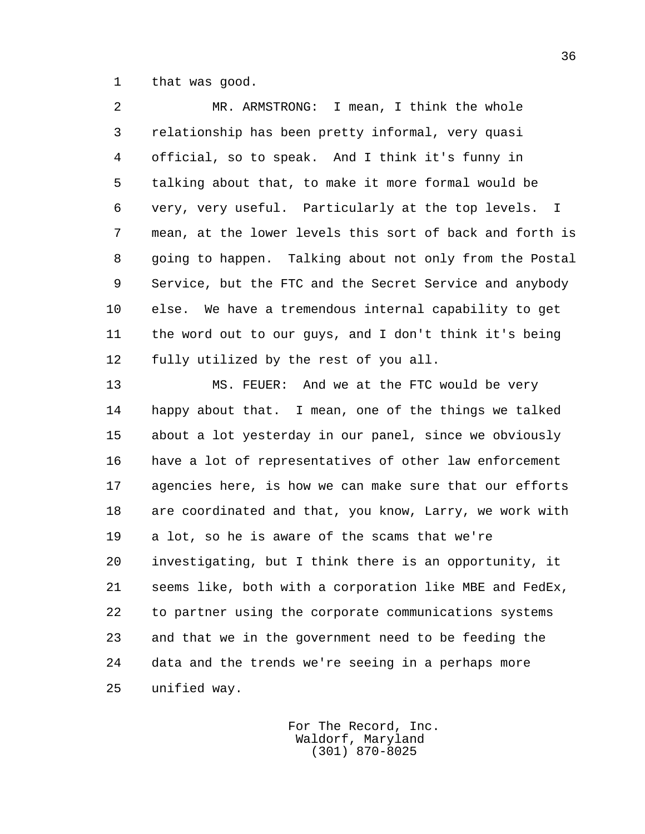1 that was good.

 2 MR. ARMSTRONG: I mean, I think the whole 3 relationship has been pretty informal, very quasi 4 official, so to speak. And I think it's funny in 5 talking about that, to make it more formal would be 6 very, very useful. Particularly at the top levels. I 7 mean, at the lower levels this sort of back and forth is 8 going to happen. Talking about not only from the Postal 9 Service, but the FTC and the Secret Service and anybody 10 else. We have a tremendous internal capability to get 11 the word out to our guys, and I don't think it's being 12 fully utilized by the rest of you all.

 13 MS. FEUER: And we at the FTC would be very 14 happy about that. I mean, one of the things we talked 15 about a lot yesterday in our panel, since we obviously 16 have a lot of representatives of other law enforcement 17 agencies here, is how we can make sure that our efforts 18 are coordinated and that, you know, Larry, we work with 19 a lot, so he is aware of the scams that we're 20 investigating, but I think there is an opportunity, it 21 seems like, both with a corporation like MBE and FedEx, 22 to partner using the corporate communications systems 23 and that we in the government need to be feeding the 24 data and the trends we're seeing in a perhaps more 25 unified way.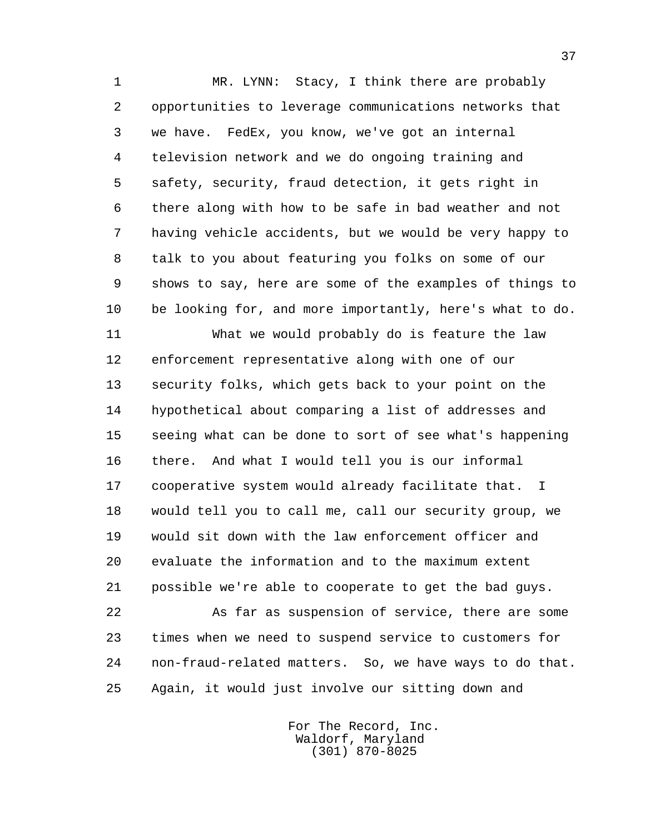1 MR. LYNN: Stacy, I think there are probably 2 opportunities to leverage communications networks that 3 we have. FedEx, you know, we've got an internal 4 television network and we do ongoing training and 5 safety, security, fraud detection, it gets right in 6 there along with how to be safe in bad weather and not 7 having vehicle accidents, but we would be very happy to 8 talk to you about featuring you folks on some of our 9 shows to say, here are some of the examples of things to 10 be looking for, and more importantly, here's what to do.

 11 What we would probably do is feature the law 12 enforcement representative along with one of our 13 security folks, which gets back to your point on the 14 hypothetical about comparing a list of addresses and 15 seeing what can be done to sort of see what's happening 16 there. And what I would tell you is our informal 17 cooperative system would already facilitate that. I 18 would tell you to call me, call our security group, we 19 would sit down with the law enforcement officer and 20 evaluate the information and to the maximum extent 21 possible we're able to cooperate to get the bad guys.

 22 As far as suspension of service, there are some 23 times when we need to suspend service to customers for 24 non-fraud-related matters. So, we have ways to do that. 25 Again, it would just involve our sitting down and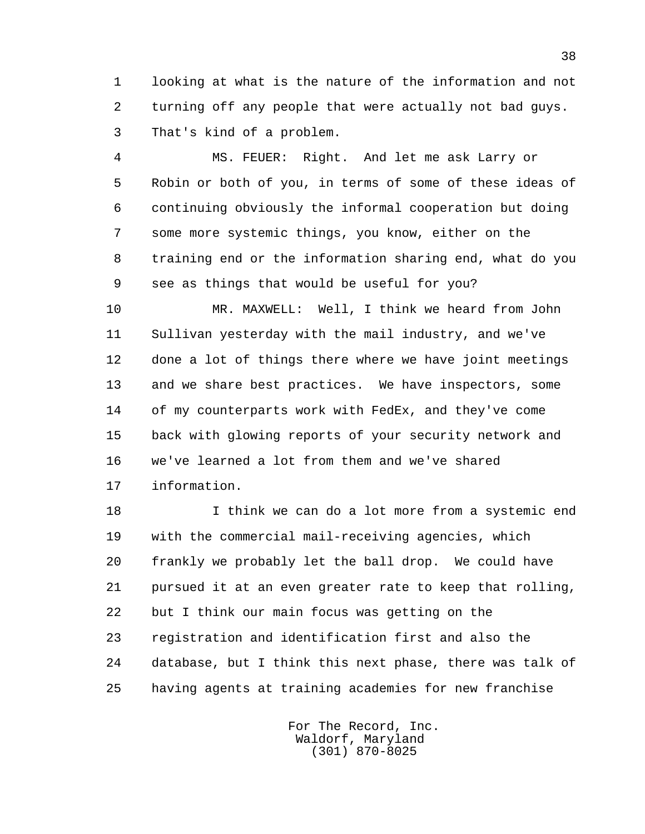1 looking at what is the nature of the information and not 2 turning off any people that were actually not bad guys. 3 That's kind of a problem.

 4 MS. FEUER: Right. And let me ask Larry or 5 Robin or both of you, in terms of some of these ideas of 6 continuing obviously the informal cooperation but doing 7 some more systemic things, you know, either on the 8 training end or the information sharing end, what do you 9 see as things that would be useful for you?

 10 MR. MAXWELL: Well, I think we heard from John 11 Sullivan yesterday with the mail industry, and we've 12 done a lot of things there where we have joint meetings 13 and we share best practices. We have inspectors, some 14 of my counterparts work with FedEx, and they've come 15 back with glowing reports of your security network and 16 we've learned a lot from them and we've shared 17 information.

 18 I think we can do a lot more from a systemic end 19 with the commercial mail-receiving agencies, which 20 frankly we probably let the ball drop. We could have 21 pursued it at an even greater rate to keep that rolling, 22 but I think our main focus was getting on the 23 registration and identification first and also the 24 database, but I think this next phase, there was talk of 25 having agents at training academies for new franchise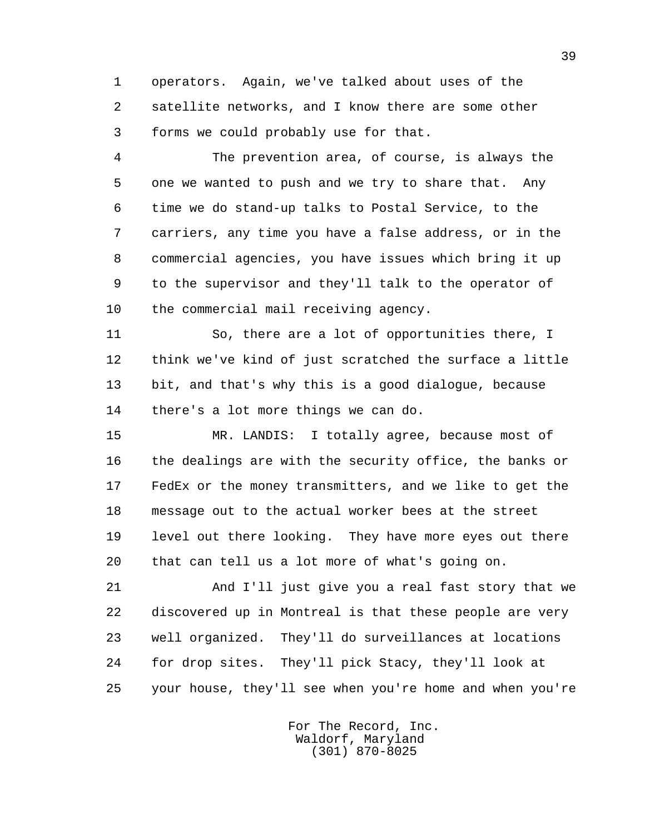1 operators. Again, we've talked about uses of the 2 satellite networks, and I know there are some other 3 forms we could probably use for that.

 4 The prevention area, of course, is always the 5 one we wanted to push and we try to share that. Any 6 time we do stand-up talks to Postal Service, to the 7 carriers, any time you have a false address, or in the 8 commercial agencies, you have issues which bring it up 9 to the supervisor and they'll talk to the operator of 10 the commercial mail receiving agency.

 11 So, there are a lot of opportunities there, I 12 think we've kind of just scratched the surface a little 13 bit, and that's why this is a good dialogue, because 14 there's a lot more things we can do.

 15 MR. LANDIS: I totally agree, because most of 16 the dealings are with the security office, the banks or 17 FedEx or the money transmitters, and we like to get the 18 message out to the actual worker bees at the street 19 level out there looking. They have more eyes out there 20 that can tell us a lot more of what's going on.

 21 And I'll just give you a real fast story that we 22 discovered up in Montreal is that these people are very 23 well organized. They'll do surveillances at locations 24 for drop sites. They'll pick Stacy, they'll look at 25 your house, they'll see when you're home and when you're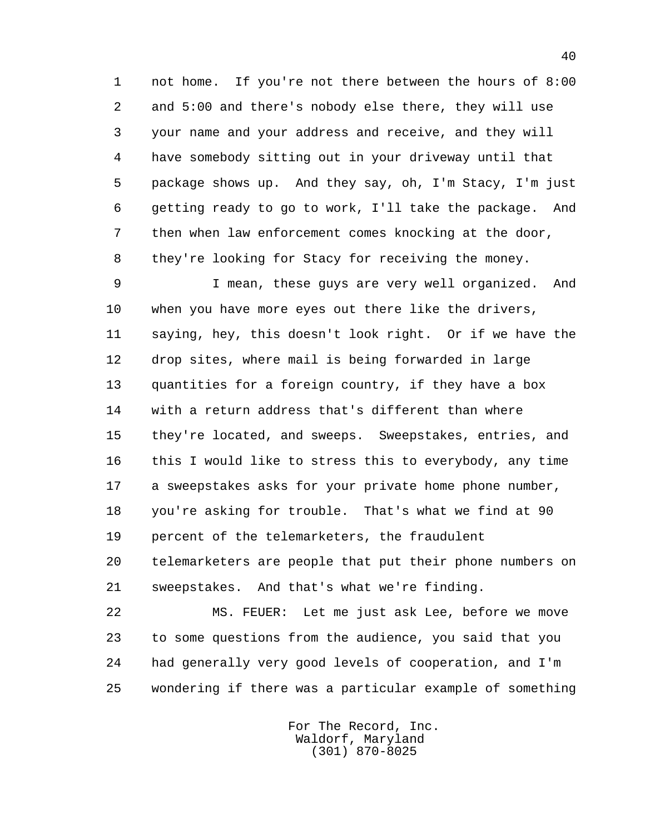1 not home. If you're not there between the hours of 8:00 2 and 5:00 and there's nobody else there, they will use 3 your name and your address and receive, and they will 4 have somebody sitting out in your driveway until that 5 package shows up. And they say, oh, I'm Stacy, I'm just 6 getting ready to go to work, I'll take the package. And 7 then when law enforcement comes knocking at the door, 8 they're looking for Stacy for receiving the money.

 9 I mean, these guys are very well organized. And 10 when you have more eyes out there like the drivers, 11 saying, hey, this doesn't look right. Or if we have the 12 drop sites, where mail is being forwarded in large 13 quantities for a foreign country, if they have a box 14 with a return address that's different than where 15 they're located, and sweeps. Sweepstakes, entries, and 16 this I would like to stress this to everybody, any time 17 a sweepstakes asks for your private home phone number, 18 you're asking for trouble. That's what we find at 90 19 percent of the telemarketers, the fraudulent 20 telemarketers are people that put their phone numbers on 21 sweepstakes. And that's what we're finding.

 22 MS. FEUER: Let me just ask Lee, before we move 23 to some questions from the audience, you said that you 24 had generally very good levels of cooperation, and I'm 25 wondering if there was a particular example of something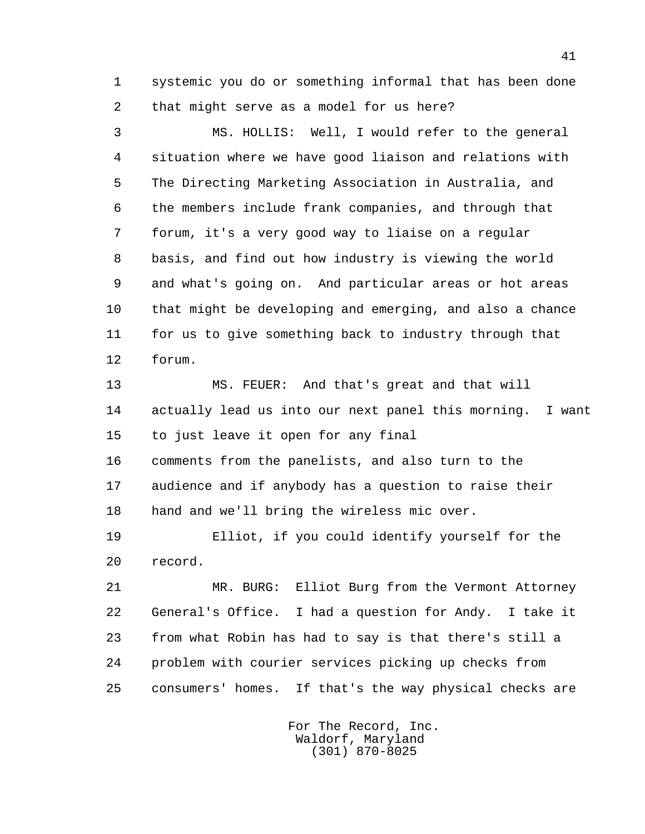1 systemic you do or something informal that has been done 2 that might serve as a model for us here?

 3 MS. HOLLIS: Well, I would refer to the general 4 situation where we have good liaison and relations with 5 The Directing Marketing Association in Australia, and 6 the members include frank companies, and through that 7 forum, it's a very good way to liaise on a regular 8 basis, and find out how industry is viewing the world 9 and what's going on. And particular areas or hot areas 10 that might be developing and emerging, and also a chance 11 for us to give something back to industry through that 12 forum.

 13 MS. FEUER: And that's great and that will 14 actually lead us into our next panel this morning. I want 15 to just leave it open for any final 16 comments from the panelists, and also turn to the 17 audience and if anybody has a question to raise their

18 hand and we'll bring the wireless mic over.

 19 Elliot, if you could identify yourself for the 20 record.

 21 MR. BURG: Elliot Burg from the Vermont Attorney 22 General's Office. I had a question for Andy. I take it 23 from what Robin has had to say is that there's still a 24 problem with courier services picking up checks from 25 consumers' homes. If that's the way physical checks are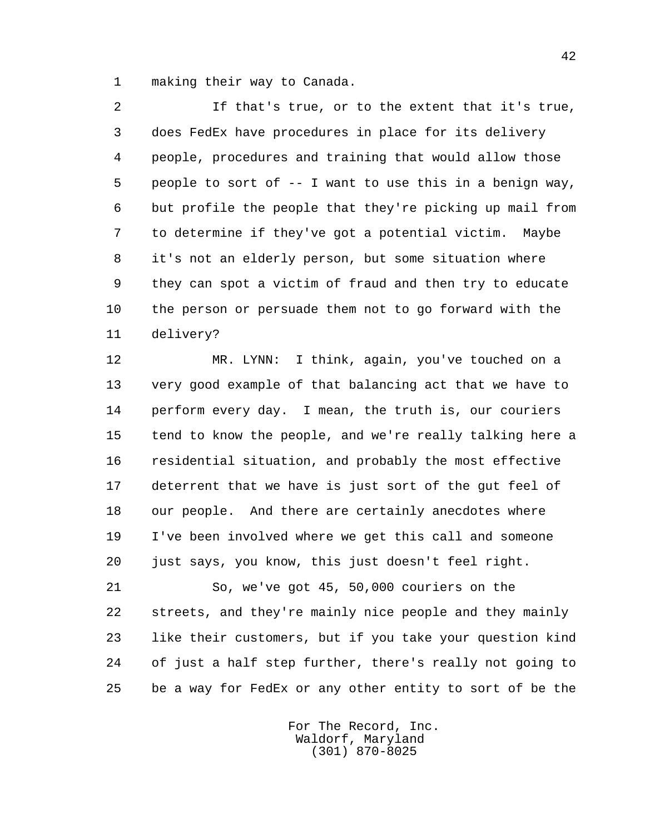1 making their way to Canada.

 2 If that's true, or to the extent that it's true, 3 does FedEx have procedures in place for its delivery 4 people, procedures and training that would allow those 5 people to sort of -- I want to use this in a benign way, 6 but profile the people that they're picking up mail from 7 to determine if they've got a potential victim. Maybe 8 it's not an elderly person, but some situation where 9 they can spot a victim of fraud and then try to educate 10 the person or persuade them not to go forward with the 11 delivery?

 12 MR. LYNN: I think, again, you've touched on a 13 very good example of that balancing act that we have to 14 perform every day. I mean, the truth is, our couriers 15 tend to know the people, and we're really talking here a 16 residential situation, and probably the most effective 17 deterrent that we have is just sort of the gut feel of 18 our people. And there are certainly anecdotes where 19 I've been involved where we get this call and someone 20 just says, you know, this just doesn't feel right.

 21 So, we've got 45, 50,000 couriers on the 22 streets, and they're mainly nice people and they mainly 23 like their customers, but if you take your question kind 24 of just a half step further, there's really not going to 25 be a way for FedEx or any other entity to sort of be the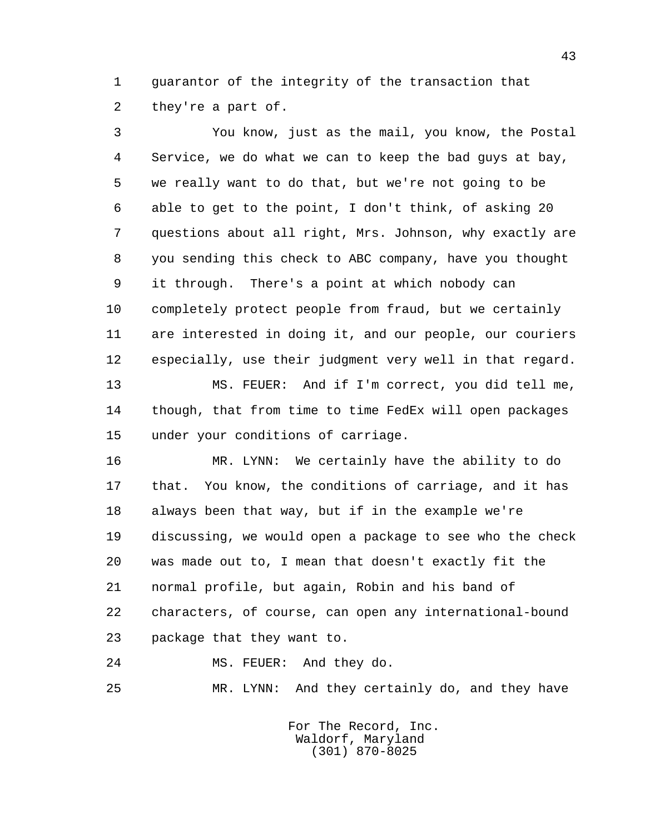1 guarantor of the integrity of the transaction that 2 they're a part of.

 3 You know, just as the mail, you know, the Postal 4 Service, we do what we can to keep the bad guys at bay, 5 we really want to do that, but we're not going to be 6 able to get to the point, I don't think, of asking 20 7 questions about all right, Mrs. Johnson, why exactly are 8 you sending this check to ABC company, have you thought 9 it through. There's a point at which nobody can 10 completely protect people from fraud, but we certainly 11 are interested in doing it, and our people, our couriers 12 especially, use their judgment very well in that regard. 13 MS. FEUER: And if I'm correct, you did tell me,

 14 though, that from time to time FedEx will open packages 15 under your conditions of carriage.

 16 MR. LYNN: We certainly have the ability to do 17 that. You know, the conditions of carriage, and it has 18 always been that way, but if in the example we're 19 discussing, we would open a package to see who the check 20 was made out to, I mean that doesn't exactly fit the 21 normal profile, but again, Robin and his band of 22 characters, of course, can open any international-bound 23 package that they want to.

24 MS. FEUER: And they do.

25 MR. LYNN: And they certainly do, and they have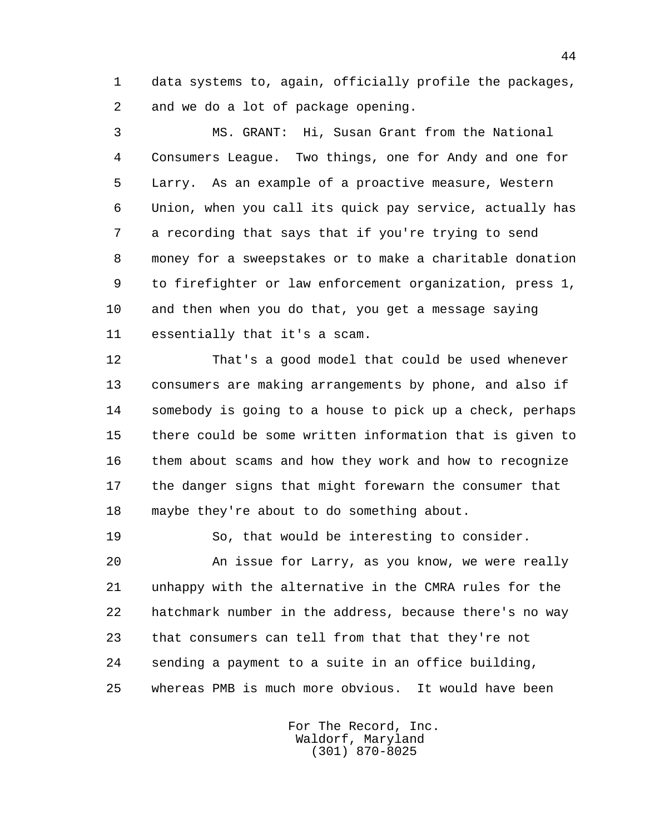1 data systems to, again, officially profile the packages, 2 and we do a lot of package opening.

 3 MS. GRANT: Hi, Susan Grant from the National 4 Consumers League. Two things, one for Andy and one for 5 Larry. As an example of a proactive measure, Western 6 Union, when you call its quick pay service, actually has 7 a recording that says that if you're trying to send 8 money for a sweepstakes or to make a charitable donation 9 to firefighter or law enforcement organization, press 1, 10 and then when you do that, you get a message saying 11 essentially that it's a scam.

 12 That's a good model that could be used whenever 13 consumers are making arrangements by phone, and also if 14 somebody is going to a house to pick up a check, perhaps 15 there could be some written information that is given to 16 them about scams and how they work and how to recognize 17 the danger signs that might forewarn the consumer that 18 maybe they're about to do something about.

19 So, that would be interesting to consider.

 20 An issue for Larry, as you know, we were really 21 unhappy with the alternative in the CMRA rules for the 22 hatchmark number in the address, because there's no way 23 that consumers can tell from that that they're not 24 sending a payment to a suite in an office building, 25 whereas PMB is much more obvious. It would have been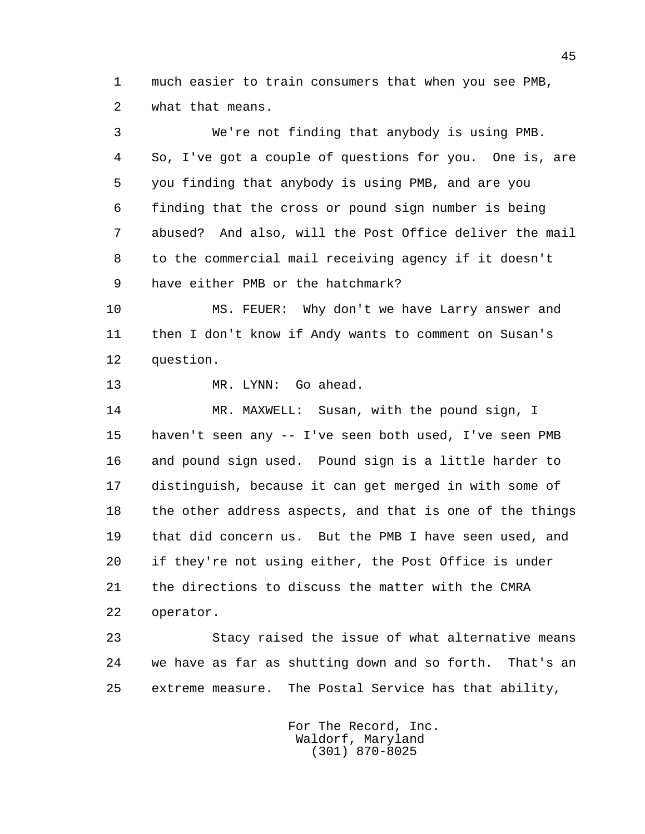1 much easier to train consumers that when you see PMB, 2 what that means.

 3 We're not finding that anybody is using PMB. 4 So, I've got a couple of questions for you. One is, are 5 you finding that anybody is using PMB, and are you 6 finding that the cross or pound sign number is being 7 abused? And also, will the Post Office deliver the mail 8 to the commercial mail receiving agency if it doesn't 9 have either PMB or the hatchmark?

 10 MS. FEUER: Why don't we have Larry answer and 11 then I don't know if Andy wants to comment on Susan's 12 question.

13 MR. LYNN: Go ahead.

 14 MR. MAXWELL: Susan, with the pound sign, I 15 haven't seen any -- I've seen both used, I've seen PMB 16 and pound sign used. Pound sign is a little harder to 17 distinguish, because it can get merged in with some of 18 the other address aspects, and that is one of the things 19 that did concern us. But the PMB I have seen used, and 20 if they're not using either, the Post Office is under 21 the directions to discuss the matter with the CMRA 22 operator.

 23 Stacy raised the issue of what alternative means 24 we have as far as shutting down and so forth. That's an 25 extreme measure. The Postal Service has that ability,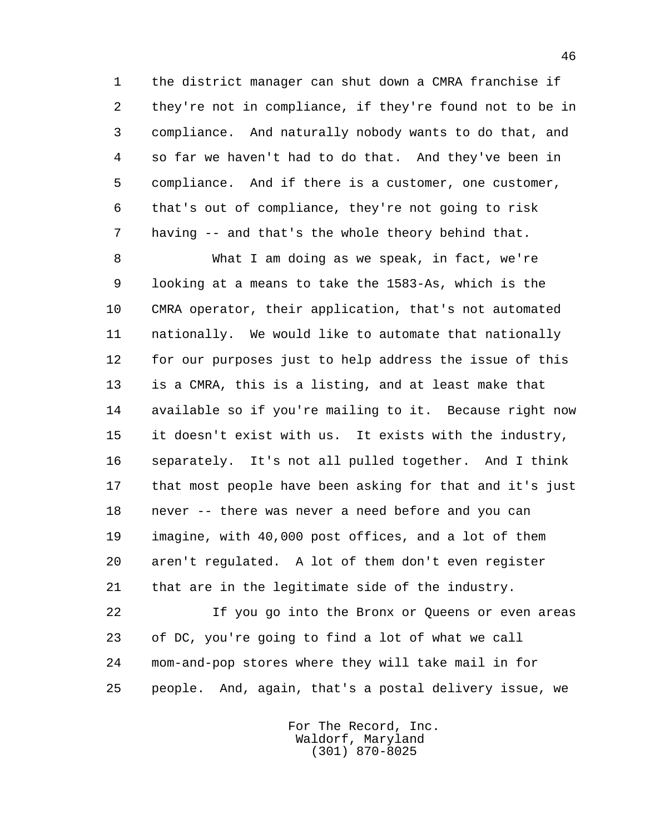1 the district manager can shut down a CMRA franchise if 2 they're not in compliance, if they're found not to be in 3 compliance. And naturally nobody wants to do that, and 4 so far we haven't had to do that. And they've been in 5 compliance. And if there is a customer, one customer, 6 that's out of compliance, they're not going to risk 7 having -- and that's the whole theory behind that.

 8 What I am doing as we speak, in fact, we're 9 looking at a means to take the 1583-As, which is the 10 CMRA operator, their application, that's not automated 11 nationally. We would like to automate that nationally 12 for our purposes just to help address the issue of this 13 is a CMRA, this is a listing, and at least make that 14 available so if you're mailing to it. Because right now 15 it doesn't exist with us. It exists with the industry, 16 separately. It's not all pulled together. And I think 17 that most people have been asking for that and it's just 18 never -- there was never a need before and you can 19 imagine, with 40,000 post offices, and a lot of them 20 aren't regulated. A lot of them don't even register 21 that are in the legitimate side of the industry.

 22 If you go into the Bronx or Queens or even areas 23 of DC, you're going to find a lot of what we call 24 mom-and-pop stores where they will take mail in for 25 people. And, again, that's a postal delivery issue, we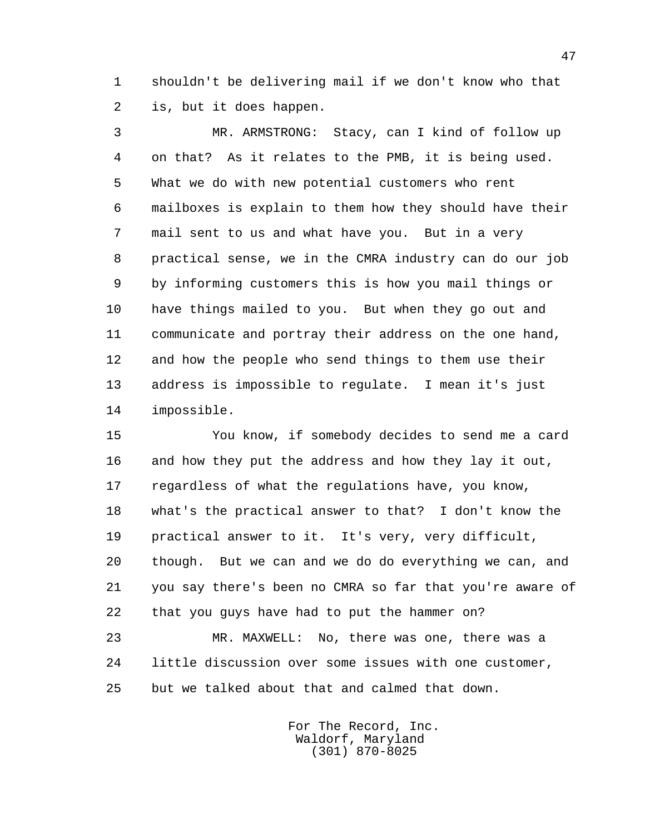1 shouldn't be delivering mail if we don't know who that 2 is, but it does happen.

 3 MR. ARMSTRONG: Stacy, can I kind of follow up 4 on that? As it relates to the PMB, it is being used. 5 What we do with new potential customers who rent 6 mailboxes is explain to them how they should have their 7 mail sent to us and what have you. But in a very 8 practical sense, we in the CMRA industry can do our job 9 by informing customers this is how you mail things or 10 have things mailed to you. But when they go out and 11 communicate and portray their address on the one hand, 12 and how the people who send things to them use their 13 address is impossible to regulate. I mean it's just 14 impossible.

 15 You know, if somebody decides to send me a card 16 and how they put the address and how they lay it out, 17 regardless of what the regulations have, you know, 18 what's the practical answer to that? I don't know the 19 practical answer to it. It's very, very difficult, 20 though. But we can and we do do everything we can, and 21 you say there's been no CMRA so far that you're aware of 22 that you guys have had to put the hammer on?

 23 MR. MAXWELL: No, there was one, there was a 24 little discussion over some issues with one customer, 25 but we talked about that and calmed that down.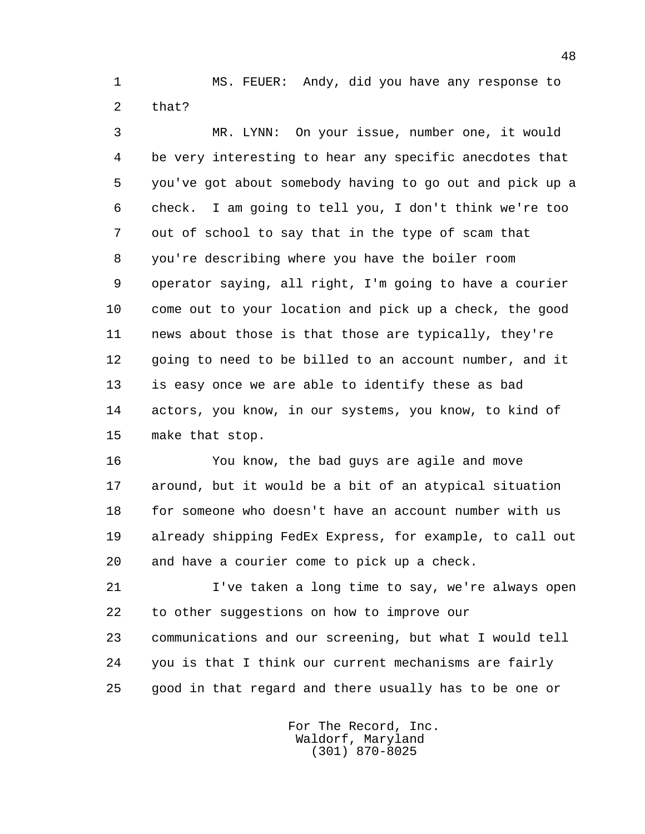1 MS. FEUER: Andy, did you have any response to 2 that?

 3 MR. LYNN: On your issue, number one, it would 4 be very interesting to hear any specific anecdotes that 5 you've got about somebody having to go out and pick up a 6 check. I am going to tell you, I don't think we're too 7 out of school to say that in the type of scam that 8 you're describing where you have the boiler room 9 operator saying, all right, I'm going to have a courier 10 come out to your location and pick up a check, the good 11 news about those is that those are typically, they're 12 going to need to be billed to an account number, and it 13 is easy once we are able to identify these as bad 14 actors, you know, in our systems, you know, to kind of 15 make that stop.

 16 You know, the bad guys are agile and move 17 around, but it would be a bit of an atypical situation 18 for someone who doesn't have an account number with us 19 already shipping FedEx Express, for example, to call out 20 and have a courier come to pick up a check.

 21 I've taken a long time to say, we're always open 22 to other suggestions on how to improve our 23 communications and our screening, but what I would tell 24 you is that I think our current mechanisms are fairly 25 good in that regard and there usually has to be one or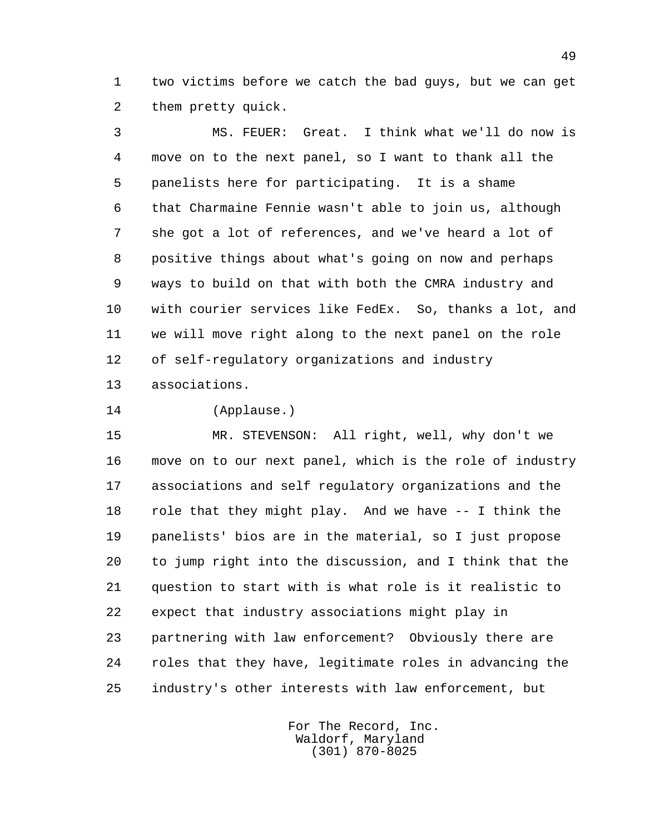1 two victims before we catch the bad guys, but we can get 2 them pretty quick.

 3 MS. FEUER: Great. I think what we'll do now is 4 move on to the next panel, so I want to thank all the 5 panelists here for participating. It is a shame 6 that Charmaine Fennie wasn't able to join us, although 7 she got a lot of references, and we've heard a lot of 8 positive things about what's going on now and perhaps 9 ways to build on that with both the CMRA industry and 10 with courier services like FedEx. So, thanks a lot, and 11 we will move right along to the next panel on the role 12 of self-regulatory organizations and industry 13 associations.

14 (Applause.)

 15 MR. STEVENSON: All right, well, why don't we 16 move on to our next panel, which is the role of industry 17 associations and self regulatory organizations and the 18 role that they might play. And we have -- I think the 19 panelists' bios are in the material, so I just propose 20 to jump right into the discussion, and I think that the 21 question to start with is what role is it realistic to 22 expect that industry associations might play in 23 partnering with law enforcement? Obviously there are 24 roles that they have, legitimate roles in advancing the 25 industry's other interests with law enforcement, but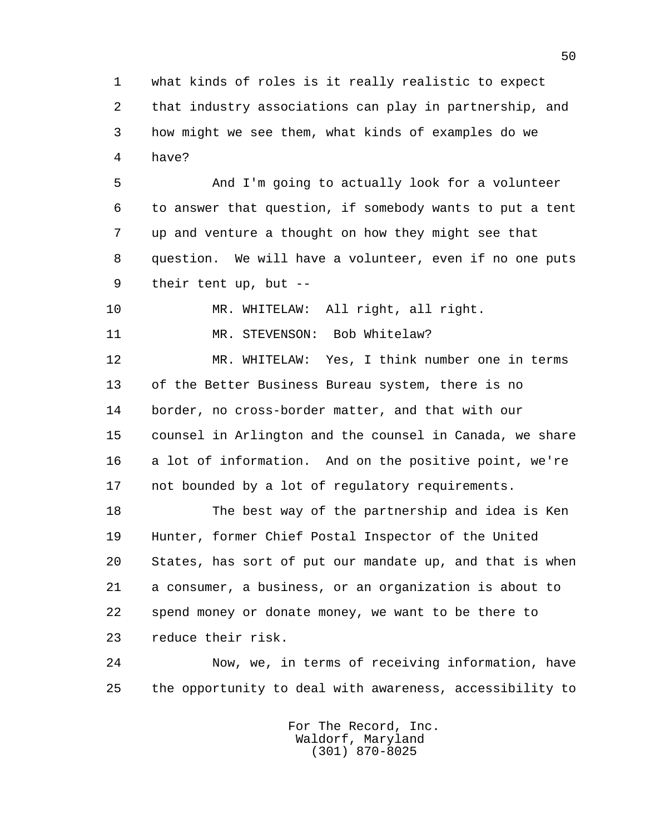1 what kinds of roles is it really realistic to expect 2 that industry associations can play in partnership, and 3 how might we see them, what kinds of examples do we 4 have?

 5 And I'm going to actually look for a volunteer 6 to answer that question, if somebody wants to put a tent 7 up and venture a thought on how they might see that 8 question. We will have a volunteer, even if no one puts 9 their tent up, but --

10 MR. WHITELAW: All right, all right.

11 MR. STEVENSON: Bob Whitelaw?

 12 MR. WHITELAW: Yes, I think number one in terms 13 of the Better Business Bureau system, there is no 14 border, no cross-border matter, and that with our 15 counsel in Arlington and the counsel in Canada, we share 16 a lot of information. And on the positive point, we're 17 not bounded by a lot of regulatory requirements.

 18 The best way of the partnership and idea is Ken 19 Hunter, former Chief Postal Inspector of the United 20 States, has sort of put our mandate up, and that is when 21 a consumer, a business, or an organization is about to 22 spend money or donate money, we want to be there to 23 reduce their risk.

 24 Now, we, in terms of receiving information, have 25 the opportunity to deal with awareness, accessibility to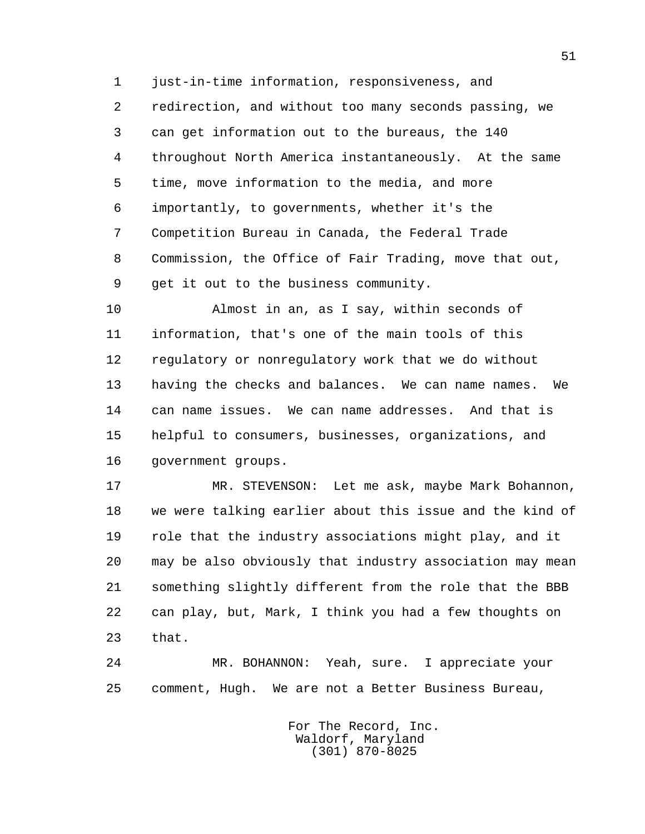1 just-in-time information, responsiveness, and 2 redirection, and without too many seconds passing, we 3 can get information out to the bureaus, the 140 4 throughout North America instantaneously. At the same 5 time, move information to the media, and more 6 importantly, to governments, whether it's the 7 Competition Bureau in Canada, the Federal Trade 8 Commission, the Office of Fair Trading, move that out, 9 get it out to the business community.

 10 Almost in an, as I say, within seconds of 11 information, that's one of the main tools of this 12 regulatory or nonregulatory work that we do without 13 having the checks and balances. We can name names. We 14 can name issues. We can name addresses. And that is 15 helpful to consumers, businesses, organizations, and 16 government groups.

 17 MR. STEVENSON: Let me ask, maybe Mark Bohannon, 18 we were talking earlier about this issue and the kind of 19 role that the industry associations might play, and it 20 may be also obviously that industry association may mean 21 something slightly different from the role that the BBB 22 can play, but, Mark, I think you had a few thoughts on 23 that.

 24 MR. BOHANNON: Yeah, sure. I appreciate your 25 comment, Hugh. We are not a Better Business Bureau,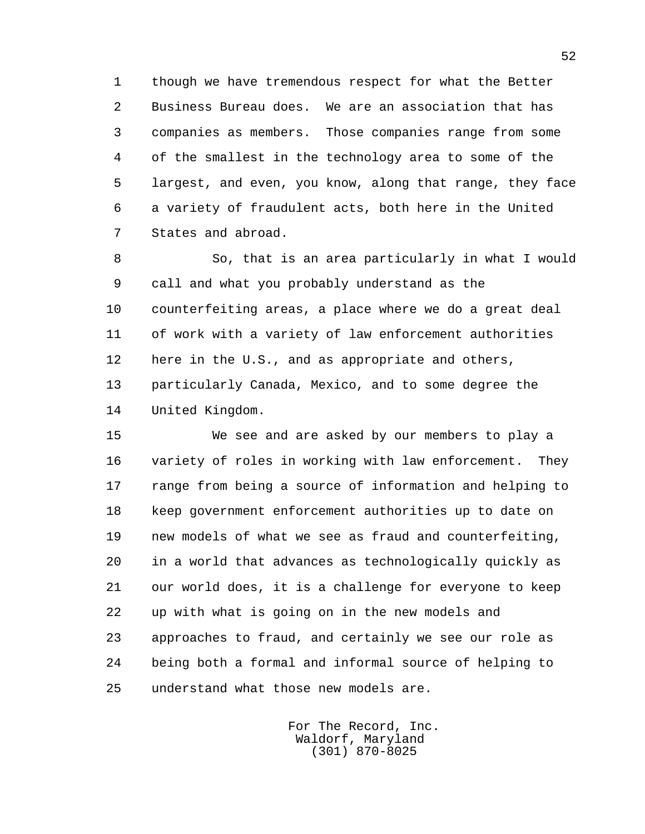1 though we have tremendous respect for what the Better 2 Business Bureau does. We are an association that has 3 companies as members. Those companies range from some 4 of the smallest in the technology area to some of the 5 largest, and even, you know, along that range, they face 6 a variety of fraudulent acts, both here in the United 7 States and abroad.

 8 So, that is an area particularly in what I would 9 call and what you probably understand as the 10 counterfeiting areas, a place where we do a great deal 11 of work with a variety of law enforcement authorities 12 here in the U.S., and as appropriate and others, 13 particularly Canada, Mexico, and to some degree the 14 United Kingdom.

 15 We see and are asked by our members to play a 16 variety of roles in working with law enforcement. They 17 range from being a source of information and helping to 18 keep government enforcement authorities up to date on 19 new models of what we see as fraud and counterfeiting, 20 in a world that advances as technologically quickly as 21 our world does, it is a challenge for everyone to keep 22 up with what is going on in the new models and 23 approaches to fraud, and certainly we see our role as 24 being both a formal and informal source of helping to 25 understand what those new models are.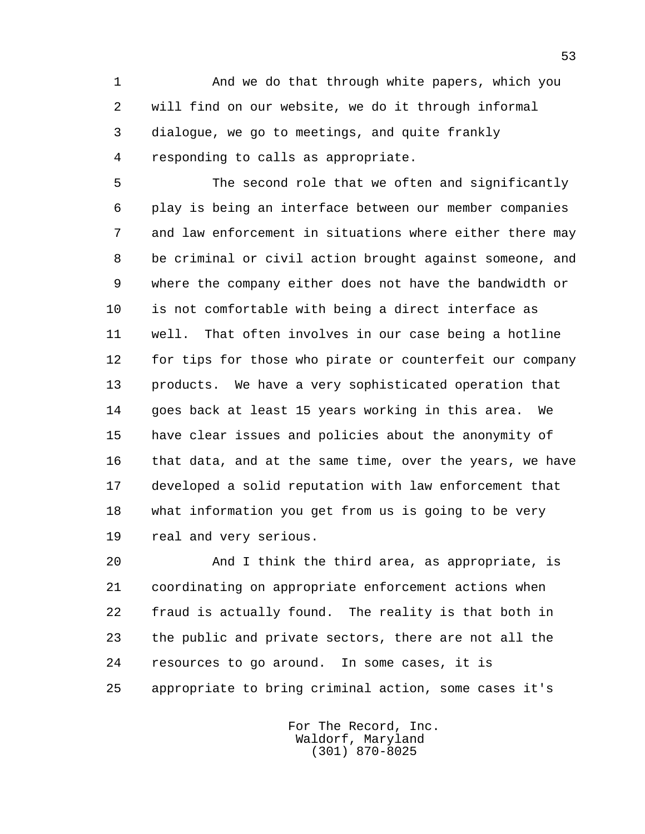1 And we do that through white papers, which you 2 will find on our website, we do it through informal 3 dialogue, we go to meetings, and quite frankly 4 responding to calls as appropriate.

 5 The second role that we often and significantly 6 play is being an interface between our member companies 7 and law enforcement in situations where either there may 8 be criminal or civil action brought against someone, and 9 where the company either does not have the bandwidth or 10 is not comfortable with being a direct interface as 11 well. That often involves in our case being a hotline 12 for tips for those who pirate or counterfeit our company 13 products. We have a very sophisticated operation that 14 goes back at least 15 years working in this area. We 15 have clear issues and policies about the anonymity of 16 that data, and at the same time, over the years, we have 17 developed a solid reputation with law enforcement that 18 what information you get from us is going to be very 19 real and very serious.

 20 And I think the third area, as appropriate, is 21 coordinating on appropriate enforcement actions when 22 fraud is actually found. The reality is that both in 23 the public and private sectors, there are not all the 24 resources to go around. In some cases, it is 25 appropriate to bring criminal action, some cases it's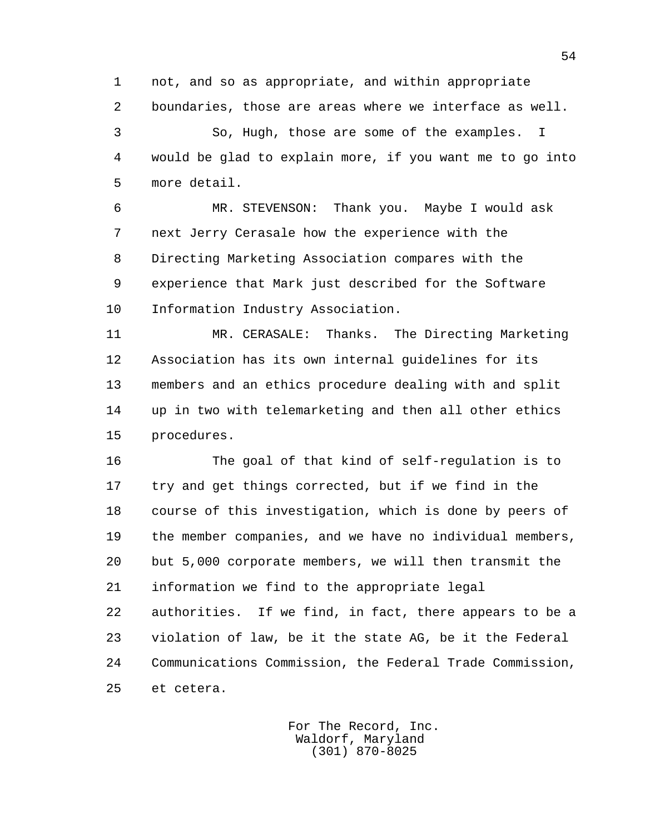1 not, and so as appropriate, and within appropriate 2 boundaries, those are areas where we interface as well.

 3 So, Hugh, those are some of the examples. I 4 would be glad to explain more, if you want me to go into 5 more detail.

 6 MR. STEVENSON: Thank you. Maybe I would ask 7 next Jerry Cerasale how the experience with the 8 Directing Marketing Association compares with the 9 experience that Mark just described for the Software 10 Information Industry Association.

 11 MR. CERASALE: Thanks. The Directing Marketing 12 Association has its own internal guidelines for its 13 members and an ethics procedure dealing with and split 14 up in two with telemarketing and then all other ethics 15 procedures.

 16 The goal of that kind of self-regulation is to 17 try and get things corrected, but if we find in the 18 course of this investigation, which is done by peers of 19 the member companies, and we have no individual members, 20 but 5,000 corporate members, we will then transmit the 21 information we find to the appropriate legal 22 authorities. If we find, in fact, there appears to be a 23 violation of law, be it the state AG, be it the Federal 24 Communications Commission, the Federal Trade Commission, 25 et cetera.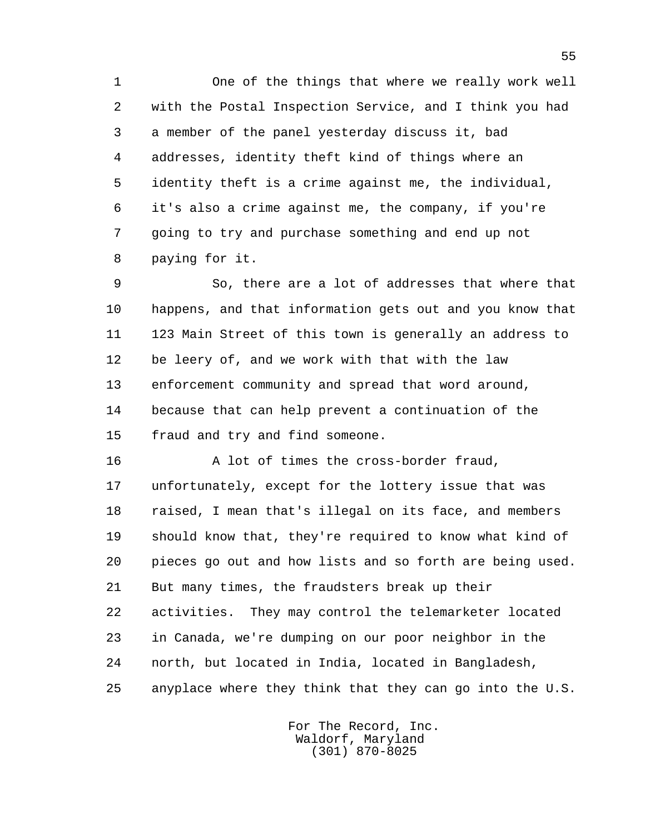1 One of the things that where we really work well 2 with the Postal Inspection Service, and I think you had 3 a member of the panel yesterday discuss it, bad 4 addresses, identity theft kind of things where an 5 identity theft is a crime against me, the individual, 6 it's also a crime against me, the company, if you're 7 going to try and purchase something and end up not 8 paying for it.

 9 So, there are a lot of addresses that where that 10 happens, and that information gets out and you know that 11 123 Main Street of this town is generally an address to 12 be leery of, and we work with that with the law 13 enforcement community and spread that word around, 14 because that can help prevent a continuation of the 15 fraud and try and find someone.

 16 A lot of times the cross-border fraud, 17 unfortunately, except for the lottery issue that was 18 raised, I mean that's illegal on its face, and members 19 should know that, they're required to know what kind of 20 pieces go out and how lists and so forth are being used. 21 But many times, the fraudsters break up their 22 activities. They may control the telemarketer located 23 in Canada, we're dumping on our poor neighbor in the 24 north, but located in India, located in Bangladesh, 25 anyplace where they think that they can go into the U.S.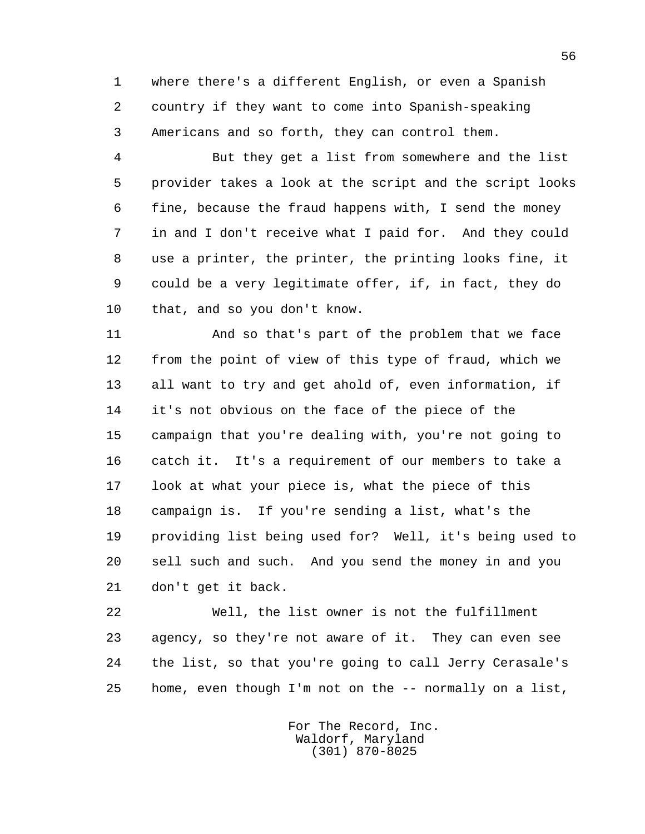1 where there's a different English, or even a Spanish 2 country if they want to come into Spanish-speaking 3 Americans and so forth, they can control them.

 4 But they get a list from somewhere and the list 5 provider takes a look at the script and the script looks 6 fine, because the fraud happens with, I send the money 7 in and I don't receive what I paid for. And they could 8 use a printer, the printer, the printing looks fine, it 9 could be a very legitimate offer, if, in fact, they do 10 that, and so you don't know.

 11 And so that's part of the problem that we face 12 from the point of view of this type of fraud, which we 13 all want to try and get ahold of, even information, if 14 it's not obvious on the face of the piece of the 15 campaign that you're dealing with, you're not going to 16 catch it. It's a requirement of our members to take a 17 look at what your piece is, what the piece of this 18 campaign is. If you're sending a list, what's the 19 providing list being used for? Well, it's being used to 20 sell such and such. And you send the money in and you 21 don't get it back.

 22 Well, the list owner is not the fulfillment 23 agency, so they're not aware of it. They can even see 24 the list, so that you're going to call Jerry Cerasale's 25 home, even though I'm not on the -- normally on a list,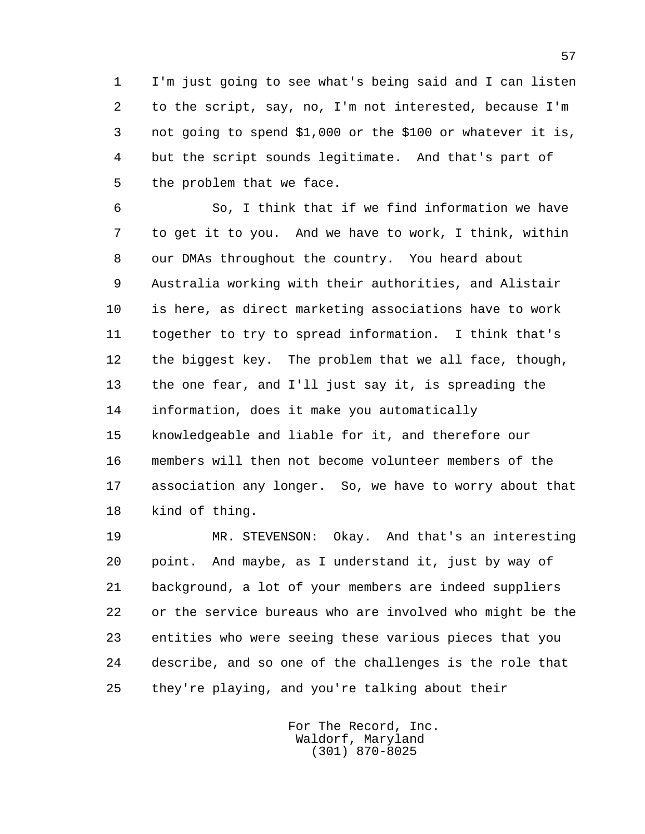1 I'm just going to see what's being said and I can listen 2 to the script, say, no, I'm not interested, because I'm 3 not going to spend \$1,000 or the \$100 or whatever it is, 4 but the script sounds legitimate. And that's part of 5 the problem that we face.

 6 So, I think that if we find information we have 7 to get it to you. And we have to work, I think, within 8 our DMAs throughout the country. You heard about 9 Australia working with their authorities, and Alistair 10 is here, as direct marketing associations have to work 11 together to try to spread information. I think that's 12 the biggest key. The problem that we all face, though, 13 the one fear, and I'll just say it, is spreading the 14 information, does it make you automatically 15 knowledgeable and liable for it, and therefore our 16 members will then not become volunteer members of the 17 association any longer. So, we have to worry about that 18 kind of thing.

 19 MR. STEVENSON: Okay. And that's an interesting 20 point. And maybe, as I understand it, just by way of 21 background, a lot of your members are indeed suppliers 22 or the service bureaus who are involved who might be the 23 entities who were seeing these various pieces that you 24 describe, and so one of the challenges is the role that 25 they're playing, and you're talking about their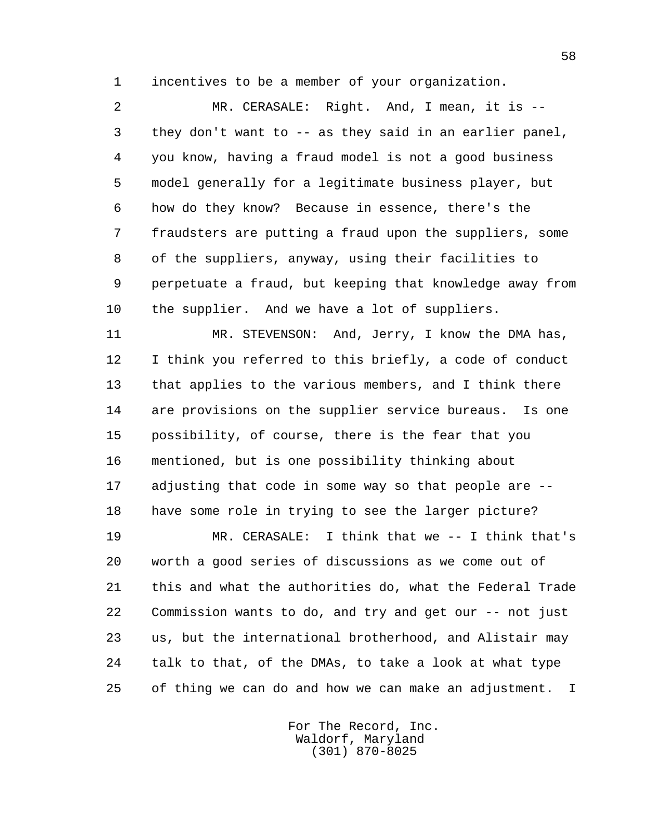1 incentives to be a member of your organization.

 2 MR. CERASALE: Right. And, I mean, it is -- 3 they don't want to -- as they said in an earlier panel, 4 you know, having a fraud model is not a good business 5 model generally for a legitimate business player, but 6 how do they know? Because in essence, there's the 7 fraudsters are putting a fraud upon the suppliers, some 8 of the suppliers, anyway, using their facilities to 9 perpetuate a fraud, but keeping that knowledge away from 10 the supplier. And we have a lot of suppliers.

 11 MR. STEVENSON: And, Jerry, I know the DMA has, 12 I think you referred to this briefly, a code of conduct 13 that applies to the various members, and I think there 14 are provisions on the supplier service bureaus. Is one 15 possibility, of course, there is the fear that you 16 mentioned, but is one possibility thinking about 17 adjusting that code in some way so that people are -- 18 have some role in trying to see the larger picture?

 19 MR. CERASALE: I think that we -- I think that's 20 worth a good series of discussions as we come out of 21 this and what the authorities do, what the Federal Trade 22 Commission wants to do, and try and get our -- not just 23 us, but the international brotherhood, and Alistair may 24 talk to that, of the DMAs, to take a look at what type 25 of thing we can do and how we can make an adjustment. I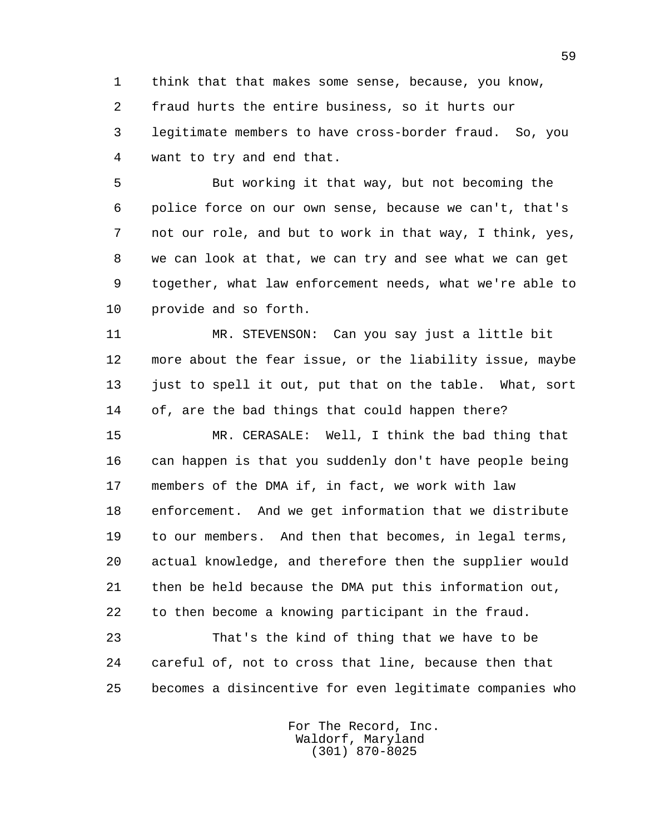1 think that that makes some sense, because, you know, 2 fraud hurts the entire business, so it hurts our 3 legitimate members to have cross-border fraud. So, you 4 want to try and end that.

 5 But working it that way, but not becoming the 6 police force on our own sense, because we can't, that's 7 not our role, and but to work in that way, I think, yes, 8 we can look at that, we can try and see what we can get 9 together, what law enforcement needs, what we're able to 10 provide and so forth.

 11 MR. STEVENSON: Can you say just a little bit 12 more about the fear issue, or the liability issue, maybe 13 just to spell it out, put that on the table. What, sort 14 of, are the bad things that could happen there?

 15 MR. CERASALE: Well, I think the bad thing that 16 can happen is that you suddenly don't have people being 17 members of the DMA if, in fact, we work with law 18 enforcement. And we get information that we distribute 19 to our members. And then that becomes, in legal terms, 20 actual knowledge, and therefore then the supplier would 21 then be held because the DMA put this information out, 22 to then become a knowing participant in the fraud.

 23 That's the kind of thing that we have to be 24 careful of, not to cross that line, because then that 25 becomes a disincentive for even legitimate companies who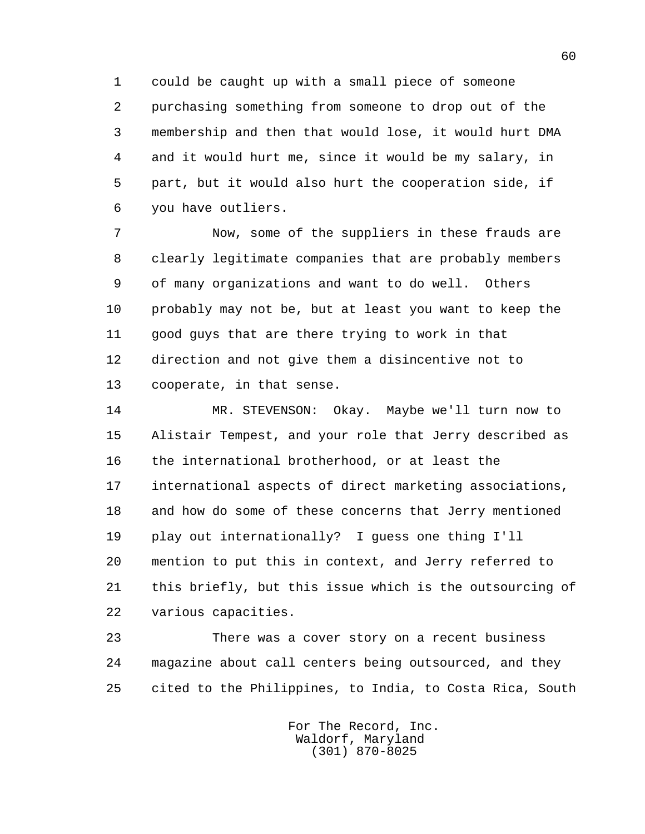1 could be caught up with a small piece of someone 2 purchasing something from someone to drop out of the 3 membership and then that would lose, it would hurt DMA 4 and it would hurt me, since it would be my salary, in 5 part, but it would also hurt the cooperation side, if 6 you have outliers.

 7 Now, some of the suppliers in these frauds are 8 clearly legitimate companies that are probably members 9 of many organizations and want to do well. Others 10 probably may not be, but at least you want to keep the 11 good guys that are there trying to work in that 12 direction and not give them a disincentive not to 13 cooperate, in that sense.

 14 MR. STEVENSON: Okay. Maybe we'll turn now to 15 Alistair Tempest, and your role that Jerry described as 16 the international brotherhood, or at least the 17 international aspects of direct marketing associations, 18 and how do some of these concerns that Jerry mentioned 19 play out internationally? I guess one thing I'll 20 mention to put this in context, and Jerry referred to 21 this briefly, but this issue which is the outsourcing of 22 various capacities.

 23 There was a cover story on a recent business 24 magazine about call centers being outsourced, and they 25 cited to the Philippines, to India, to Costa Rica, South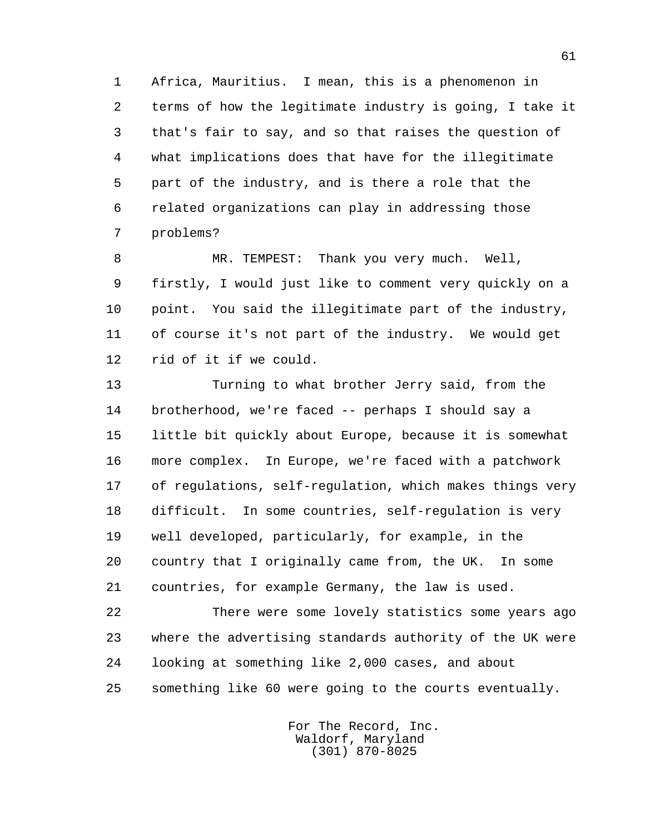1 Africa, Mauritius. I mean, this is a phenomenon in 2 terms of how the legitimate industry is going, I take it 3 that's fair to say, and so that raises the question of 4 what implications does that have for the illegitimate 5 part of the industry, and is there a role that the 6 related organizations can play in addressing those 7 problems?

 8 MR. TEMPEST: Thank you very much. Well, 9 firstly, I would just like to comment very quickly on a 10 point. You said the illegitimate part of the industry, 11 of course it's not part of the industry. We would get 12 rid of it if we could.

 13 Turning to what brother Jerry said, from the 14 brotherhood, we're faced -- perhaps I should say a 15 little bit quickly about Europe, because it is somewhat 16 more complex. In Europe, we're faced with a patchwork 17 of regulations, self-regulation, which makes things very 18 difficult. In some countries, self-regulation is very 19 well developed, particularly, for example, in the 20 country that I originally came from, the UK. In some 21 countries, for example Germany, the law is used.

 22 There were some lovely statistics some years ago 23 where the advertising standards authority of the UK were 24 looking at something like 2,000 cases, and about 25 something like 60 were going to the courts eventually.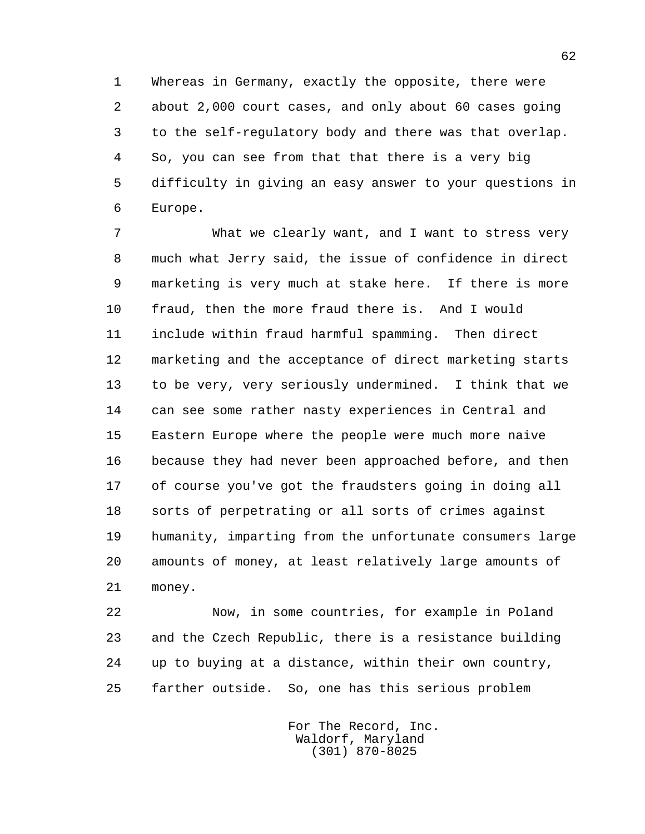1 Whereas in Germany, exactly the opposite, there were 2 about 2,000 court cases, and only about 60 cases going 3 to the self-regulatory body and there was that overlap. 4 So, you can see from that that there is a very big 5 difficulty in giving an easy answer to your questions in 6 Europe.

 7 What we clearly want, and I want to stress very 8 much what Jerry said, the issue of confidence in direct 9 marketing is very much at stake here. If there is more 10 fraud, then the more fraud there is. And I would 11 include within fraud harmful spamming. Then direct 12 marketing and the acceptance of direct marketing starts 13 to be very, very seriously undermined. I think that we 14 can see some rather nasty experiences in Central and 15 Eastern Europe where the people were much more naive 16 because they had never been approached before, and then 17 of course you've got the fraudsters going in doing all 18 sorts of perpetrating or all sorts of crimes against 19 humanity, imparting from the unfortunate consumers large 20 amounts of money, at least relatively large amounts of 21 money.

 22 Now, in some countries, for example in Poland 23 and the Czech Republic, there is a resistance building 24 up to buying at a distance, within their own country, 25 farther outside. So, one has this serious problem

> For The Record, Inc. Waldorf, Maryland (301) 870-8025

62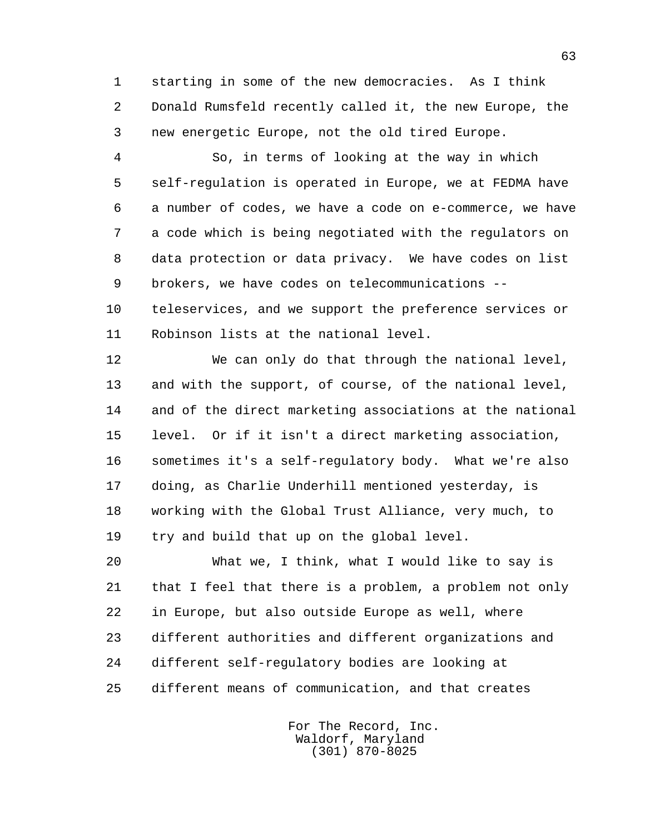1 starting in some of the new democracies. As I think 2 Donald Rumsfeld recently called it, the new Europe, the 3 new energetic Europe, not the old tired Europe.

 4 So, in terms of looking at the way in which 5 self-regulation is operated in Europe, we at FEDMA have 6 a number of codes, we have a code on e-commerce, we have 7 a code which is being negotiated with the regulators on 8 data protection or data privacy. We have codes on list 9 brokers, we have codes on telecommunications --

 10 teleservices, and we support the preference services or 11 Robinson lists at the national level.

 12 We can only do that through the national level, 13 and with the support, of course, of the national level, 14 and of the direct marketing associations at the national 15 level. Or if it isn't a direct marketing association, 16 sometimes it's a self-regulatory body. What we're also 17 doing, as Charlie Underhill mentioned yesterday, is 18 working with the Global Trust Alliance, very much, to 19 try and build that up on the global level.

 20 What we, I think, what I would like to say is 21 that I feel that there is a problem, a problem not only 22 in Europe, but also outside Europe as well, where 23 different authorities and different organizations and 24 different self-regulatory bodies are looking at 25 different means of communication, and that creates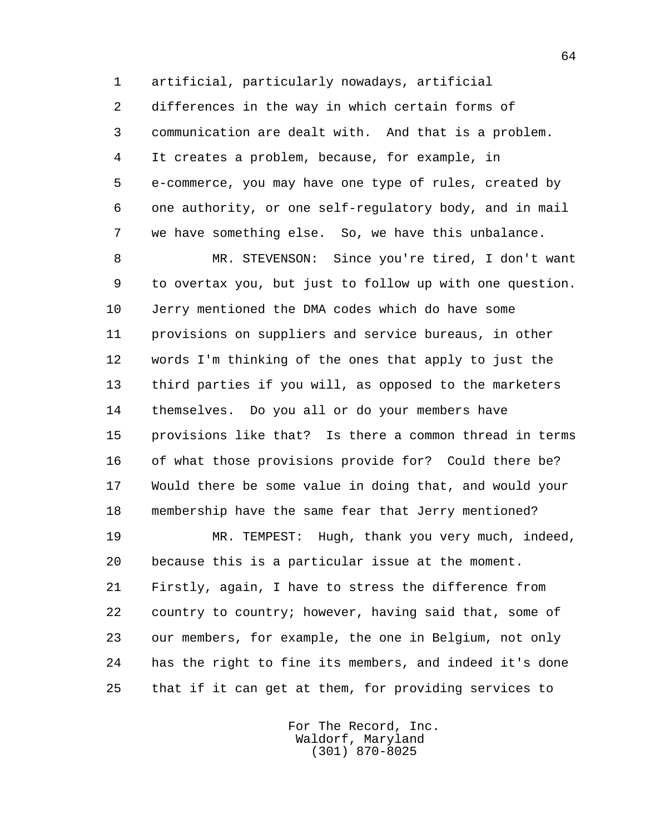1 artificial, particularly nowadays, artificial 2 differences in the way in which certain forms of 3 communication are dealt with. And that is a problem. 4 It creates a problem, because, for example, in 5 e-commerce, you may have one type of rules, created by 6 one authority, or one self-regulatory body, and in mail 7 we have something else. So, we have this unbalance.

 8 MR. STEVENSON: Since you're tired, I don't want 9 to overtax you, but just to follow up with one question. 10 Jerry mentioned the DMA codes which do have some 11 provisions on suppliers and service bureaus, in other 12 words I'm thinking of the ones that apply to just the 13 third parties if you will, as opposed to the marketers 14 themselves. Do you all or do your members have 15 provisions like that? Is there a common thread in terms 16 of what those provisions provide for? Could there be? 17 Would there be some value in doing that, and would your 18 membership have the same fear that Jerry mentioned?

 19 MR. TEMPEST: Hugh, thank you very much, indeed, 20 because this is a particular issue at the moment. 21 Firstly, again, I have to stress the difference from 22 country to country; however, having said that, some of 23 our members, for example, the one in Belgium, not only 24 has the right to fine its members, and indeed it's done 25 that if it can get at them, for providing services to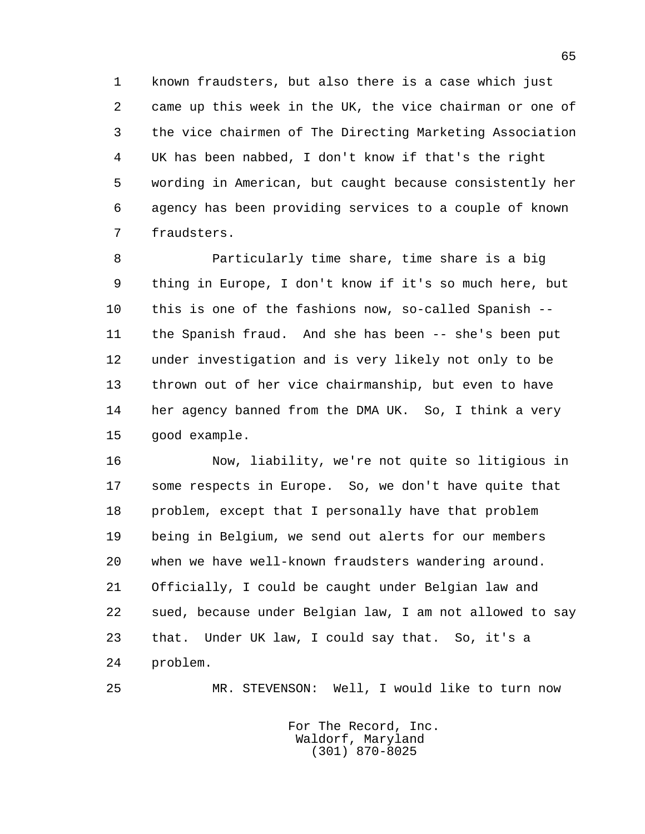1 known fraudsters, but also there is a case which just 2 came up this week in the UK, the vice chairman or one of 3 the vice chairmen of The Directing Marketing Association 4 UK has been nabbed, I don't know if that's the right 5 wording in American, but caught because consistently her 6 agency has been providing services to a couple of known 7 fraudsters.

 8 Particularly time share, time share is a big 9 thing in Europe, I don't know if it's so much here, but 10 this is one of the fashions now, so-called Spanish -- 11 the Spanish fraud. And she has been -- she's been put 12 under investigation and is very likely not only to be 13 thrown out of her vice chairmanship, but even to have 14 her agency banned from the DMA UK. So, I think a very 15 good example.

 16 Now, liability, we're not quite so litigious in 17 some respects in Europe. So, we don't have quite that 18 problem, except that I personally have that problem 19 being in Belgium, we send out alerts for our members 20 when we have well-known fraudsters wandering around. 21 Officially, I could be caught under Belgian law and 22 sued, because under Belgian law, I am not allowed to say 23 that. Under UK law, I could say that. So, it's a 24 problem.

25 MR. STEVENSON: Well, I would like to turn now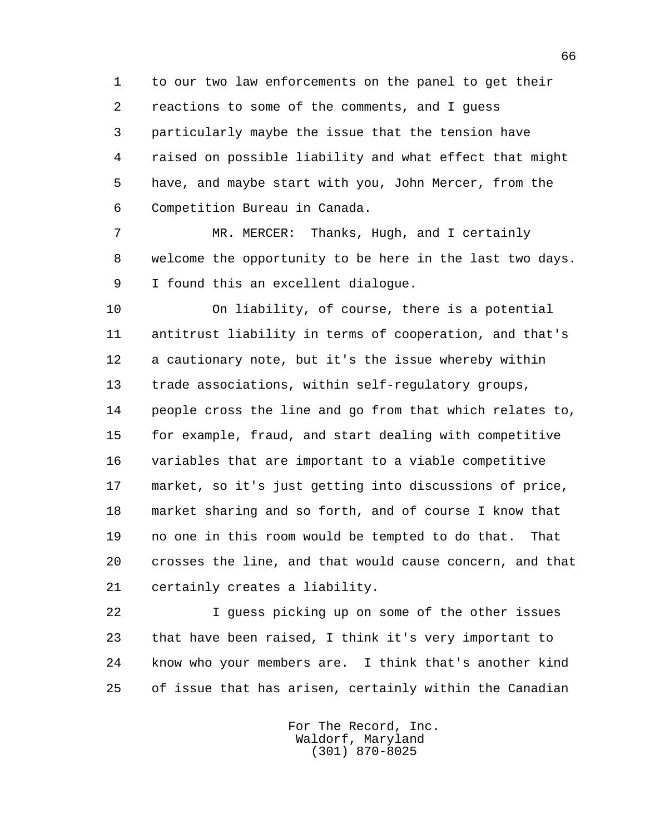1 to our two law enforcements on the panel to get their 2 reactions to some of the comments, and I guess 3 particularly maybe the issue that the tension have 4 raised on possible liability and what effect that might 5 have, and maybe start with you, John Mercer, from the 6 Competition Bureau in Canada.

 7 MR. MERCER: Thanks, Hugh, and I certainly 8 welcome the opportunity to be here in the last two days. 9 I found this an excellent dialogue.

 10 On liability, of course, there is a potential 11 antitrust liability in terms of cooperation, and that's 12 a cautionary note, but it's the issue whereby within 13 trade associations, within self-regulatory groups, 14 people cross the line and go from that which relates to, 15 for example, fraud, and start dealing with competitive 16 variables that are important to a viable competitive 17 market, so it's just getting into discussions of price, 18 market sharing and so forth, and of course I know that 19 no one in this room would be tempted to do that. That 20 crosses the line, and that would cause concern, and that 21 certainly creates a liability.

 22 I guess picking up on some of the other issues 23 that have been raised, I think it's very important to 24 know who your members are. I think that's another kind 25 of issue that has arisen, certainly within the Canadian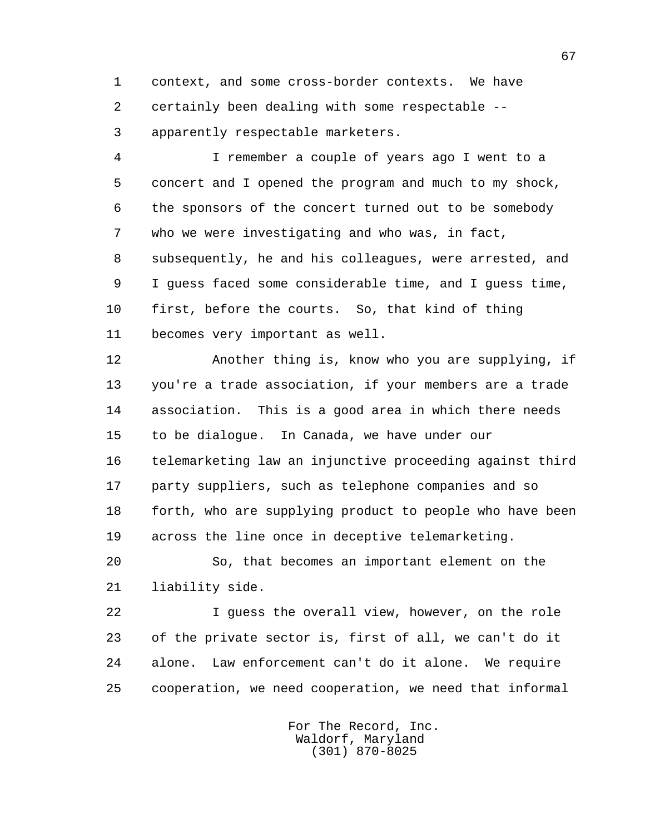1 context, and some cross-border contexts. We have 2 certainly been dealing with some respectable -- 3 apparently respectable marketers.

 4 I remember a couple of years ago I went to a 5 concert and I opened the program and much to my shock, 6 the sponsors of the concert turned out to be somebody 7 who we were investigating and who was, in fact, 8 subsequently, he and his colleagues, were arrested, and 9 I guess faced some considerable time, and I guess time, 10 first, before the courts. So, that kind of thing 11 becomes very important as well.

 12 Another thing is, know who you are supplying, if 13 you're a trade association, if your members are a trade 14 association. This is a good area in which there needs 15 to be dialogue. In Canada, we have under our 16 telemarketing law an injunctive proceeding against third 17 party suppliers, such as telephone companies and so 18 forth, who are supplying product to people who have been 19 across the line once in deceptive telemarketing.

 20 So, that becomes an important element on the 21 liability side.

 22 I guess the overall view, however, on the role 23 of the private sector is, first of all, we can't do it 24 alone. Law enforcement can't do it alone. We require 25 cooperation, we need cooperation, we need that informal

> For The Record, Inc. Waldorf, Maryland (301) 870-8025

67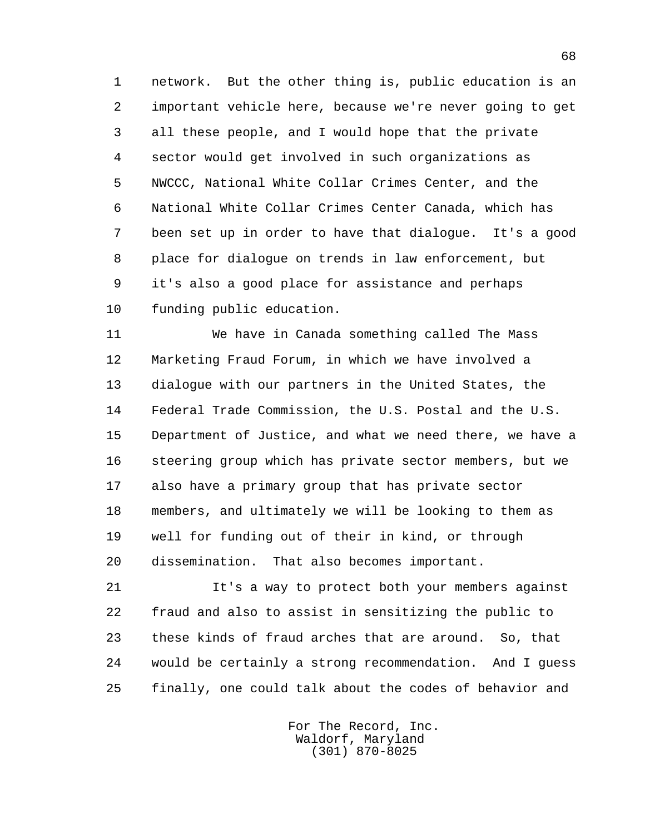1 network. But the other thing is, public education is an 2 important vehicle here, because we're never going to get 3 all these people, and I would hope that the private 4 sector would get involved in such organizations as 5 NWCCC, National White Collar Crimes Center, and the 6 National White Collar Crimes Center Canada, which has 7 been set up in order to have that dialogue. It's a good 8 place for dialogue on trends in law enforcement, but 9 it's also a good place for assistance and perhaps 10 funding public education.

 11 We have in Canada something called The Mass 12 Marketing Fraud Forum, in which we have involved a 13 dialogue with our partners in the United States, the 14 Federal Trade Commission, the U.S. Postal and the U.S. 15 Department of Justice, and what we need there, we have a 16 steering group which has private sector members, but we 17 also have a primary group that has private sector 18 members, and ultimately we will be looking to them as 19 well for funding out of their in kind, or through 20 dissemination. That also becomes important.

 21 It's a way to protect both your members against 22 fraud and also to assist in sensitizing the public to 23 these kinds of fraud arches that are around. So, that 24 would be certainly a strong recommendation. And I guess 25 finally, one could talk about the codes of behavior and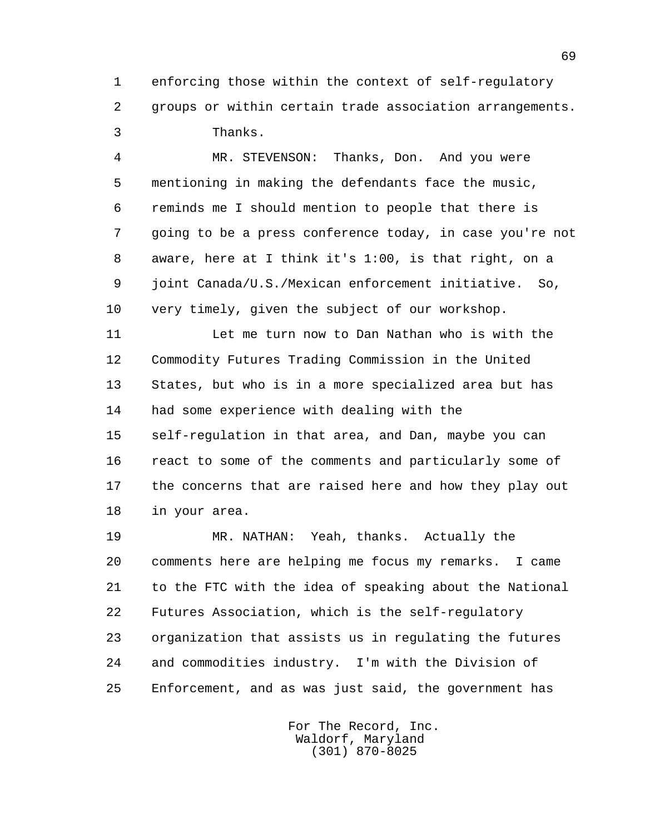1 enforcing those within the context of self-regulatory 2 groups or within certain trade association arrangements. 3 Thanks.

 4 MR. STEVENSON: Thanks, Don. And you were 5 mentioning in making the defendants face the music, 6 reminds me I should mention to people that there is 7 going to be a press conference today, in case you're not 8 aware, here at I think it's 1:00, is that right, on a 9 joint Canada/U.S./Mexican enforcement initiative. So, 10 very timely, given the subject of our workshop.

 11 Let me turn now to Dan Nathan who is with the 12 Commodity Futures Trading Commission in the United 13 States, but who is in a more specialized area but has 14 had some experience with dealing with the 15 self-regulation in that area, and Dan, maybe you can 16 react to some of the comments and particularly some of 17 the concerns that are raised here and how they play out 18 in your area.

 19 MR. NATHAN: Yeah, thanks. Actually the 20 comments here are helping me focus my remarks. I came 21 to the FTC with the idea of speaking about the National 22 Futures Association, which is the self-regulatory 23 organization that assists us in regulating the futures 24 and commodities industry. I'm with the Division of 25 Enforcement, and as was just said, the government has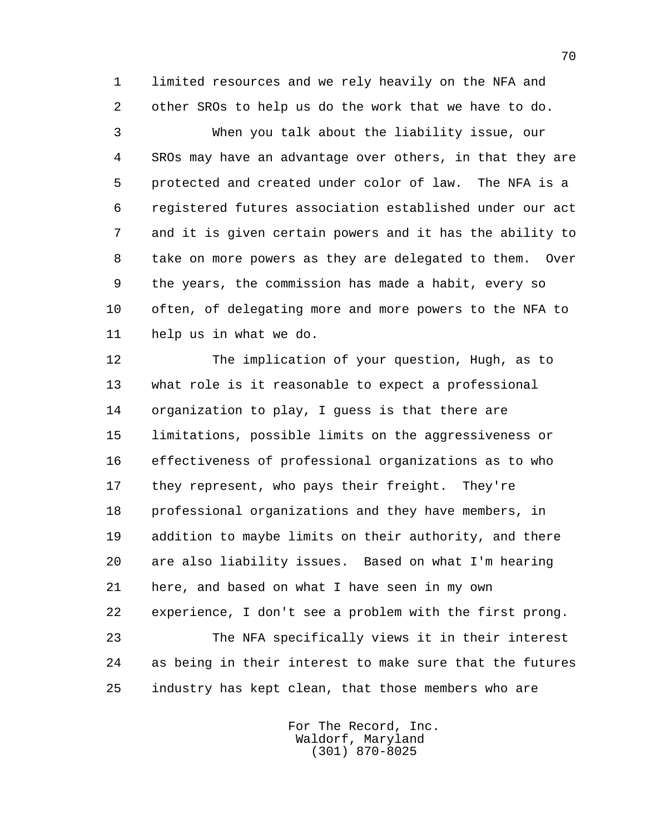1 limited resources and we rely heavily on the NFA and 2 other SROs to help us do the work that we have to do.

 3 When you talk about the liability issue, our 4 SROs may have an advantage over others, in that they are 5 protected and created under color of law. The NFA is a 6 registered futures association established under our act 7 and it is given certain powers and it has the ability to 8 take on more powers as they are delegated to them. Over 9 the years, the commission has made a habit, every so 10 often, of delegating more and more powers to the NFA to 11 help us in what we do.

 12 The implication of your question, Hugh, as to 13 what role is it reasonable to expect a professional 14 organization to play, I guess is that there are 15 limitations, possible limits on the aggressiveness or 16 effectiveness of professional organizations as to who 17 they represent, who pays their freight. They're 18 professional organizations and they have members, in 19 addition to maybe limits on their authority, and there 20 are also liability issues. Based on what I'm hearing 21 here, and based on what I have seen in my own 22 experience, I don't see a problem with the first prong. 23 The NFA specifically views it in their interest 24 as being in their interest to make sure that the futures 25 industry has kept clean, that those members who are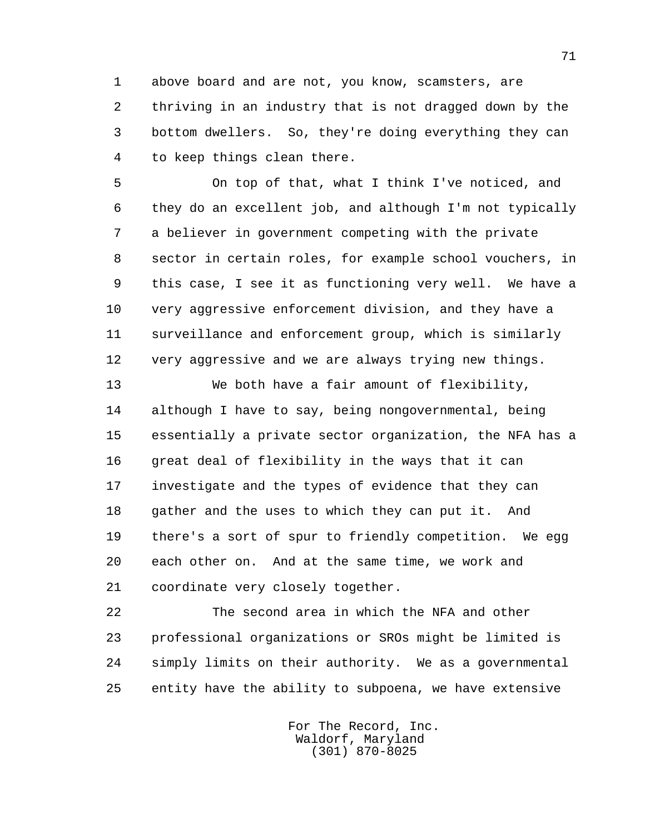1 above board and are not, you know, scamsters, are 2 thriving in an industry that is not dragged down by the 3 bottom dwellers. So, they're doing everything they can 4 to keep things clean there.

 5 On top of that, what I think I've noticed, and 6 they do an excellent job, and although I'm not typically 7 a believer in government competing with the private 8 sector in certain roles, for example school vouchers, in 9 this case, I see it as functioning very well. We have a 10 very aggressive enforcement division, and they have a 11 surveillance and enforcement group, which is similarly 12 very aggressive and we are always trying new things.

 13 We both have a fair amount of flexibility, 14 although I have to say, being nongovernmental, being 15 essentially a private sector organization, the NFA has a 16 great deal of flexibility in the ways that it can 17 investigate and the types of evidence that they can 18 gather and the uses to which they can put it. And 19 there's a sort of spur to friendly competition. We egg 20 each other on. And at the same time, we work and 21 coordinate very closely together.

 22 The second area in which the NFA and other 23 professional organizations or SROs might be limited is 24 simply limits on their authority. We as a governmental 25 entity have the ability to subpoena, we have extensive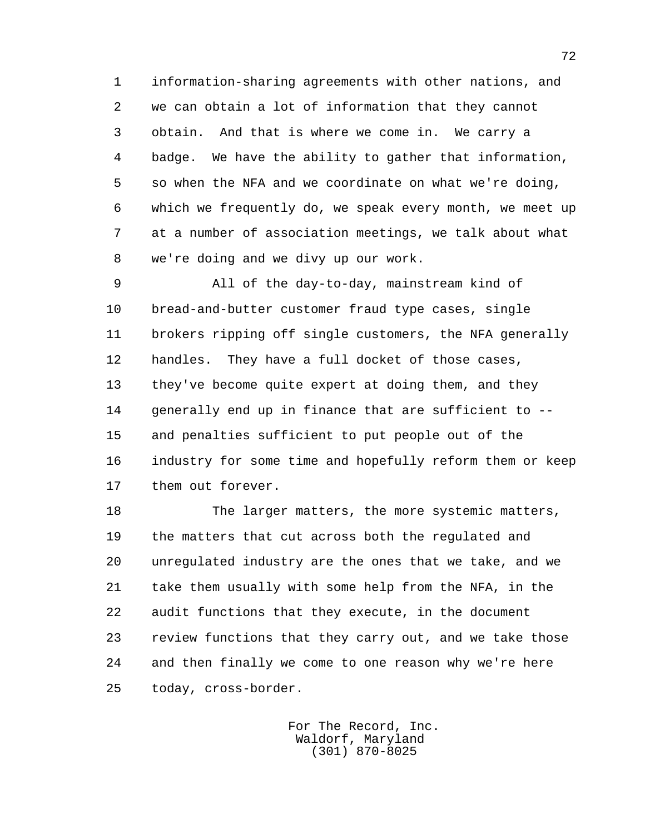1 information-sharing agreements with other nations, and 2 we can obtain a lot of information that they cannot 3 obtain. And that is where we come in. We carry a 4 badge. We have the ability to gather that information, 5 so when the NFA and we coordinate on what we're doing, 6 which we frequently do, we speak every month, we meet up 7 at a number of association meetings, we talk about what 8 we're doing and we divy up our work.

 9 All of the day-to-day, mainstream kind of 10 bread-and-butter customer fraud type cases, single 11 brokers ripping off single customers, the NFA generally 12 handles. They have a full docket of those cases, 13 they've become quite expert at doing them, and they 14 generally end up in finance that are sufficient to -- 15 and penalties sufficient to put people out of the 16 industry for some time and hopefully reform them or keep 17 them out forever.

 18 The larger matters, the more systemic matters, 19 the matters that cut across both the regulated and 20 unregulated industry are the ones that we take, and we 21 take them usually with some help from the NFA, in the 22 audit functions that they execute, in the document 23 review functions that they carry out, and we take those 24 and then finally we come to one reason why we're here 25 today, cross-border.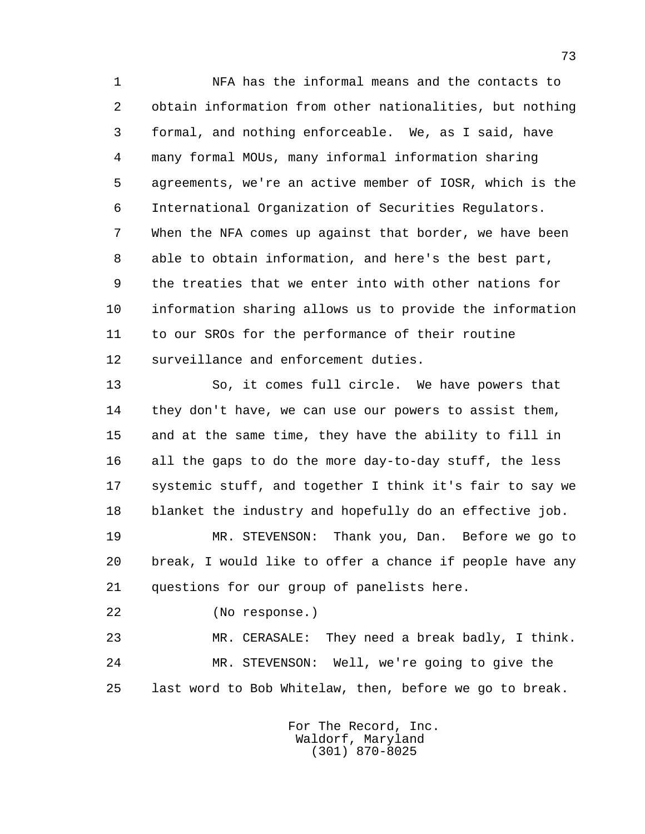1 NFA has the informal means and the contacts to 2 obtain information from other nationalities, but nothing 3 formal, and nothing enforceable. We, as I said, have 4 many formal MOUs, many informal information sharing 5 agreements, we're an active member of IOSR, which is the 6 International Organization of Securities Regulators. 7 When the NFA comes up against that border, we have been 8 able to obtain information, and here's the best part, 9 the treaties that we enter into with other nations for 10 information sharing allows us to provide the information 11 to our SROs for the performance of their routine 12 surveillance and enforcement duties.

 13 So, it comes full circle. We have powers that 14 they don't have, we can use our powers to assist them, 15 and at the same time, they have the ability to fill in 16 all the gaps to do the more day-to-day stuff, the less 17 systemic stuff, and together I think it's fair to say we 18 blanket the industry and hopefully do an effective job.

 19 MR. STEVENSON: Thank you, Dan. Before we go to 20 break, I would like to offer a chance if people have any 21 questions for our group of panelists here.

22 (No response.)

 23 MR. CERASALE: They need a break badly, I think. 24 MR. STEVENSON: Well, we're going to give the 25 last word to Bob Whitelaw, then, before we go to break.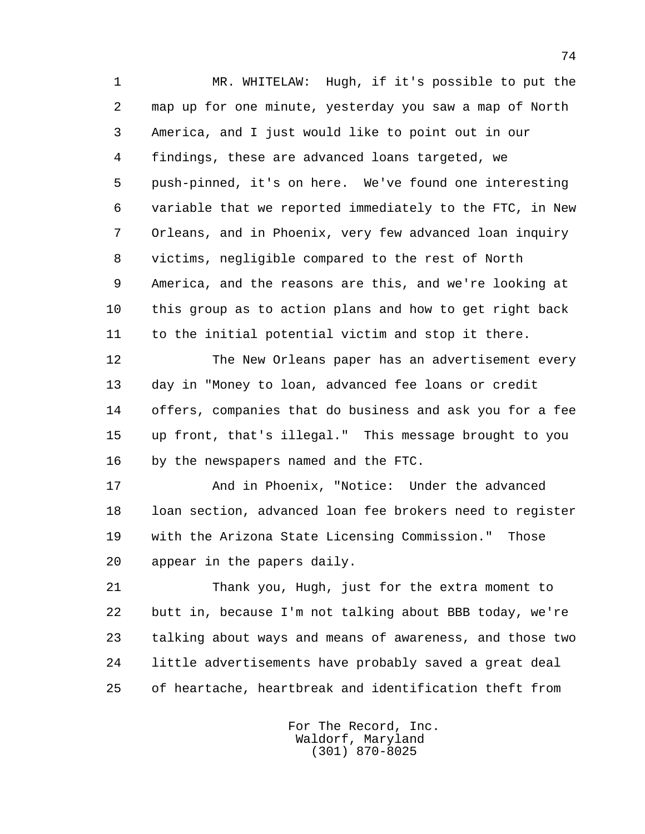1 MR. WHITELAW: Hugh, if it's possible to put the 2 map up for one minute, yesterday you saw a map of North 3 America, and I just would like to point out in our 4 findings, these are advanced loans targeted, we 5 push-pinned, it's on here. We've found one interesting 6 variable that we reported immediately to the FTC, in New 7 Orleans, and in Phoenix, very few advanced loan inquiry 8 victims, negligible compared to the rest of North 9 America, and the reasons are this, and we're looking at 10 this group as to action plans and how to get right back 11 to the initial potential victim and stop it there.

 12 The New Orleans paper has an advertisement every 13 day in "Money to loan, advanced fee loans or credit 14 offers, companies that do business and ask you for a fee 15 up front, that's illegal." This message brought to you 16 by the newspapers named and the FTC.

 17 And in Phoenix, "Notice: Under the advanced 18 loan section, advanced loan fee brokers need to register 19 with the Arizona State Licensing Commission." Those 20 appear in the papers daily.

 21 Thank you, Hugh, just for the extra moment to 22 butt in, because I'm not talking about BBB today, we're 23 talking about ways and means of awareness, and those two 24 little advertisements have probably saved a great deal 25 of heartache, heartbreak and identification theft from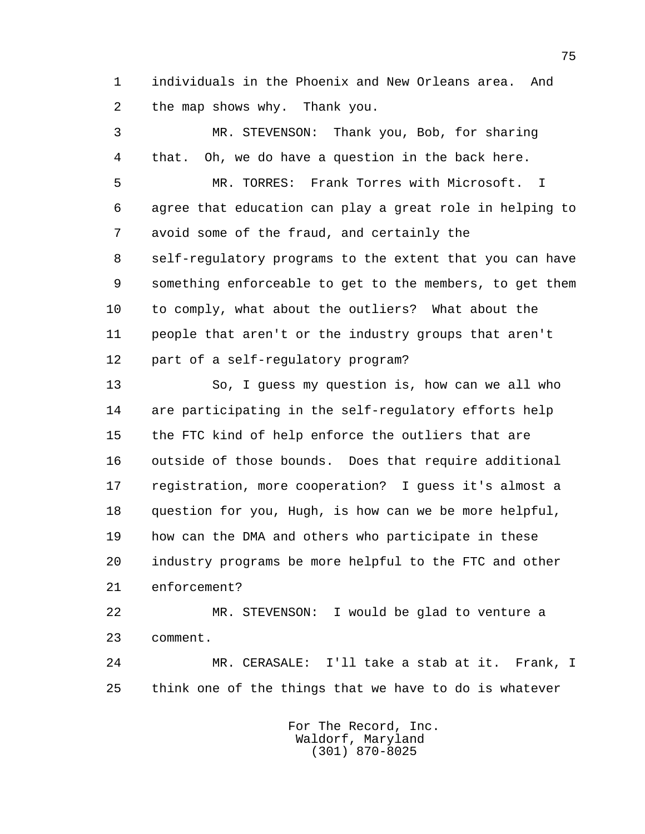1 individuals in the Phoenix and New Orleans area. And 2 the map shows why. Thank you.

 3 MR. STEVENSON: Thank you, Bob, for sharing 4 that. Oh, we do have a question in the back here. 5 MR. TORRES: Frank Torres with Microsoft. I 6 agree that education can play a great role in helping to 7 avoid some of the fraud, and certainly the 8 self-regulatory programs to the extent that you can have 9 something enforceable to get to the members, to get them 10 to comply, what about the outliers? What about the 11 people that aren't or the industry groups that aren't 12 part of a self-regulatory program?

 13 So, I guess my question is, how can we all who 14 are participating in the self-regulatory efforts help 15 the FTC kind of help enforce the outliers that are 16 outside of those bounds. Does that require additional 17 registration, more cooperation? I guess it's almost a 18 question for you, Hugh, is how can we be more helpful, 19 how can the DMA and others who participate in these 20 industry programs be more helpful to the FTC and other 21 enforcement?

 22 MR. STEVENSON: I would be glad to venture a 23 comment.

 24 MR. CERASALE: I'll take a stab at it. Frank, I 25 think one of the things that we have to do is whatever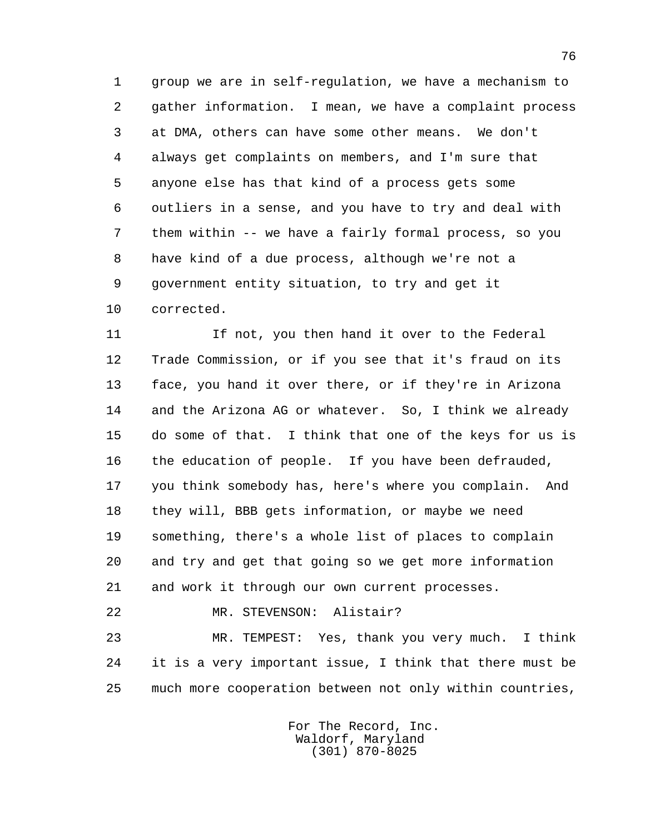1 group we are in self-regulation, we have a mechanism to 2 gather information. I mean, we have a complaint process 3 at DMA, others can have some other means. We don't 4 always get complaints on members, and I'm sure that 5 anyone else has that kind of a process gets some 6 outliers in a sense, and you have to try and deal with 7 them within -- we have a fairly formal process, so you 8 have kind of a due process, although we're not a 9 government entity situation, to try and get it 10 corrected.

11 11 If not, you then hand it over to the Federal 12 Trade Commission, or if you see that it's fraud on its 13 face, you hand it over there, or if they're in Arizona 14 and the Arizona AG or whatever. So, I think we already 15 do some of that. I think that one of the keys for us is 16 the education of people. If you have been defrauded, 17 you think somebody has, here's where you complain. And 18 they will, BBB gets information, or maybe we need 19 something, there's a whole list of places to complain 20 and try and get that going so we get more information 21 and work it through our own current processes.

22 MR. STEVENSON: Alistair?

 23 MR. TEMPEST: Yes, thank you very much. I think 24 it is a very important issue, I think that there must be 25 much more cooperation between not only within countries,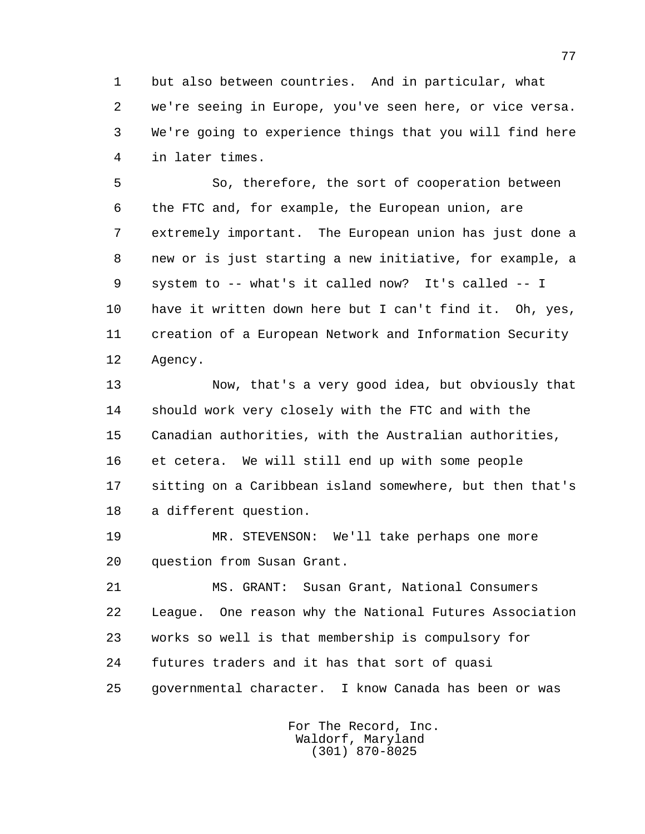1 but also between countries. And in particular, what 2 we're seeing in Europe, you've seen here, or vice versa. 3 We're going to experience things that you will find here 4 in later times.

 5 So, therefore, the sort of cooperation between 6 the FTC and, for example, the European union, are 7 extremely important. The European union has just done a 8 new or is just starting a new initiative, for example, a 9 system to -- what's it called now? It's called -- I 10 have it written down here but I can't find it. Oh, yes, 11 creation of a European Network and Information Security 12 Agency.

 13 Now, that's a very good idea, but obviously that 14 should work very closely with the FTC and with the 15 Canadian authorities, with the Australian authorities, 16 et cetera. We will still end up with some people 17 sitting on a Caribbean island somewhere, but then that's 18 a different question.

 19 MR. STEVENSON: We'll take perhaps one more 20 question from Susan Grant.

 21 MS. GRANT: Susan Grant, National Consumers 22 League. One reason why the National Futures Association 23 works so well is that membership is compulsory for 24 futures traders and it has that sort of quasi 25 governmental character. I know Canada has been or was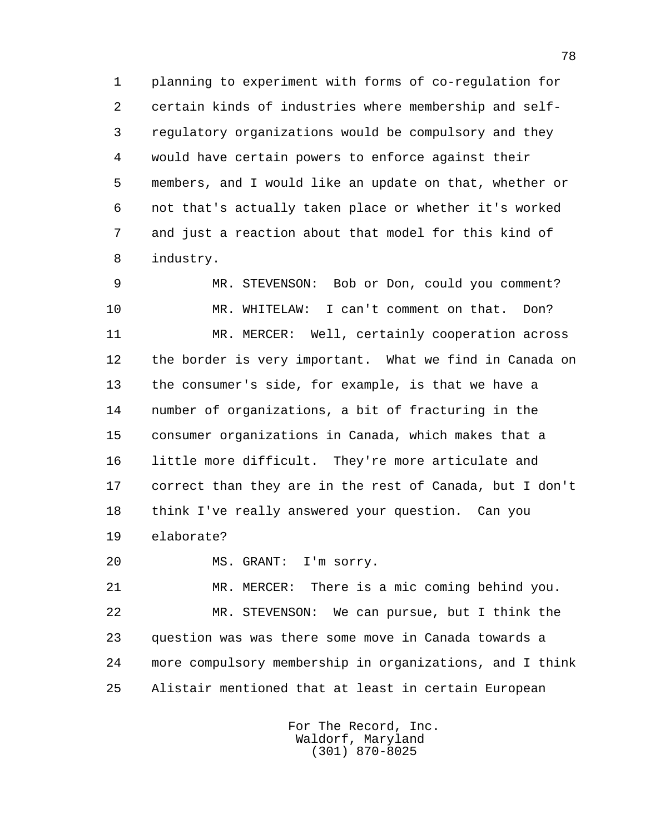1 planning to experiment with forms of co-regulation for 2 certain kinds of industries where membership and self- 3 regulatory organizations would be compulsory and they 4 would have certain powers to enforce against their 5 members, and I would like an update on that, whether or 6 not that's actually taken place or whether it's worked 7 and just a reaction about that model for this kind of 8 industry.

 9 MR. STEVENSON: Bob or Don, could you comment? 10 MR. WHITELAW: I can't comment on that. Don? 11 MR. MERCER: Well, certainly cooperation across 12 the border is very important. What we find in Canada on 13 the consumer's side, for example, is that we have a 14 number of organizations, a bit of fracturing in the 15 consumer organizations in Canada, which makes that a 16 little more difficult. They're more articulate and 17 correct than they are in the rest of Canada, but I don't 18 think I've really answered your question. Can you 19 elaborate?

20 MS. GRANT: I'm sorry.

 21 MR. MERCER: There is a mic coming behind you. 22 MR. STEVENSON: We can pursue, but I think the 23 question was was there some move in Canada towards a 24 more compulsory membership in organizations, and I think 25 Alistair mentioned that at least in certain European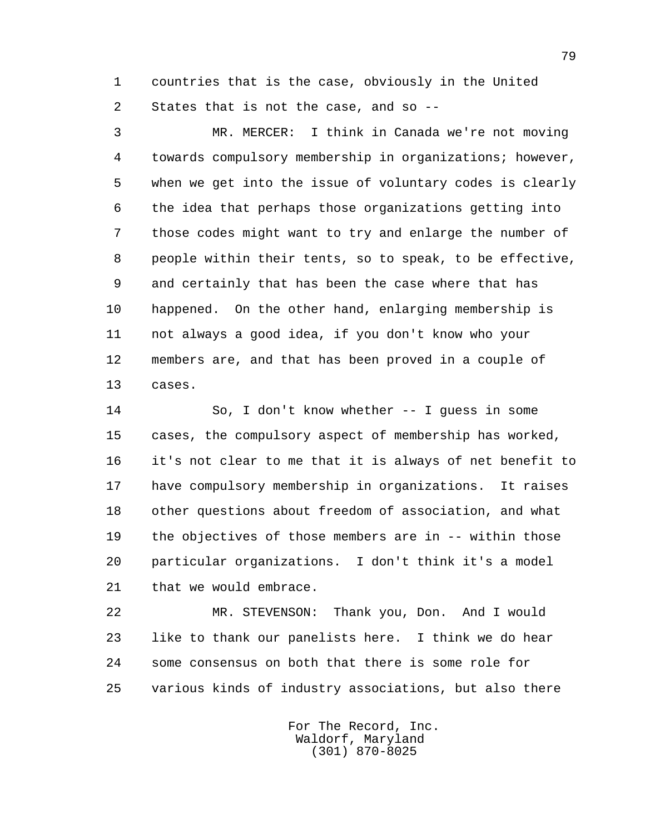1 countries that is the case, obviously in the United 2 States that is not the case, and so --

 3 MR. MERCER: I think in Canada we're not moving 4 towards compulsory membership in organizations; however, 5 when we get into the issue of voluntary codes is clearly 6 the idea that perhaps those organizations getting into 7 those codes might want to try and enlarge the number of 8 people within their tents, so to speak, to be effective, 9 and certainly that has been the case where that has 10 happened. On the other hand, enlarging membership is 11 not always a good idea, if you don't know who your 12 members are, and that has been proved in a couple of 13 cases.

 14 So, I don't know whether -- I guess in some 15 cases, the compulsory aspect of membership has worked, 16 it's not clear to me that it is always of net benefit to 17 have compulsory membership in organizations. It raises 18 other questions about freedom of association, and what 19 the objectives of those members are in -- within those 20 particular organizations. I don't think it's a model 21 that we would embrace.

 22 MR. STEVENSON: Thank you, Don. And I would 23 like to thank our panelists here. I think we do hear 24 some consensus on both that there is some role for 25 various kinds of industry associations, but also there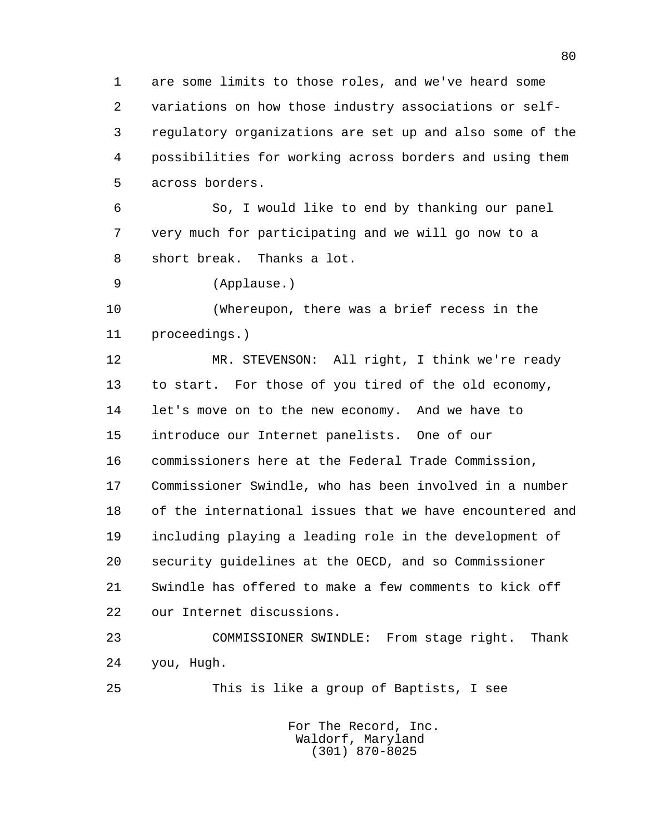1 are some limits to those roles, and we've heard some 2 variations on how those industry associations or self- 3 regulatory organizations are set up and also some of the 4 possibilities for working across borders and using them 5 across borders.

 6 So, I would like to end by thanking our panel 7 very much for participating and we will go now to a 8 short break. Thanks a lot.

9 (Applause.)

 10 (Whereupon, there was a brief recess in the 11 proceedings.)

 12 MR. STEVENSON: All right, I think we're ready 13 to start. For those of you tired of the old economy, 14 let's move on to the new economy. And we have to 15 introduce our Internet panelists. One of our 16 commissioners here at the Federal Trade Commission, 17 Commissioner Swindle, who has been involved in a number 18 of the international issues that we have encountered and 19 including playing a leading role in the development of 20 security guidelines at the OECD, and so Commissioner 21 Swindle has offered to make a few comments to kick off 22 our Internet discussions.

 23 COMMISSIONER SWINDLE: From stage right. Thank 24 you, Hugh.

25 This is like a group of Baptists, I see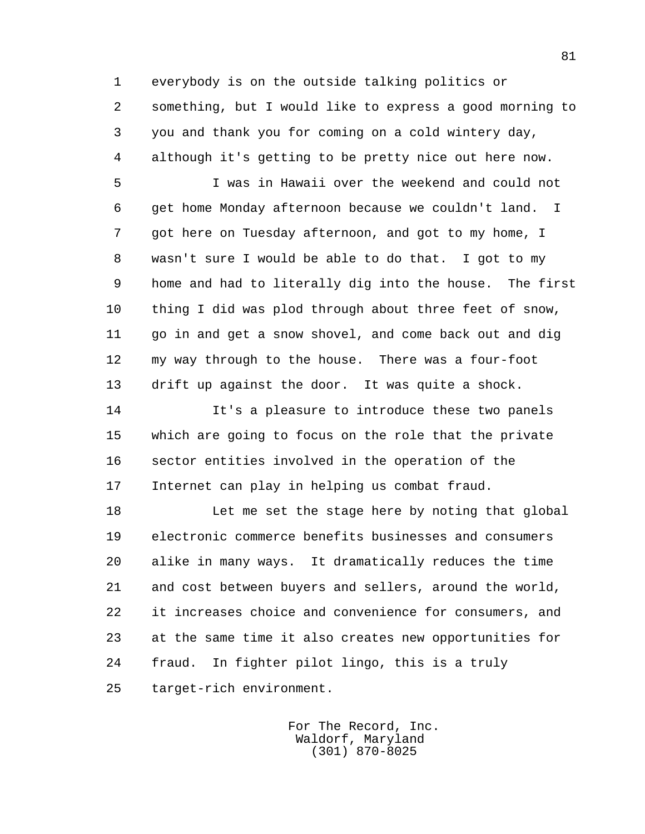1 everybody is on the outside talking politics or 2 something, but I would like to express a good morning to 3 you and thank you for coming on a cold wintery day, 4 although it's getting to be pretty nice out here now.

 5 I was in Hawaii over the weekend and could not 6 get home Monday afternoon because we couldn't land. I 7 got here on Tuesday afternoon, and got to my home, I 8 wasn't sure I would be able to do that. I got to my 9 home and had to literally dig into the house. The first 10 thing I did was plod through about three feet of snow, 11 go in and get a snow shovel, and come back out and dig 12 my way through to the house. There was a four-foot 13 drift up against the door. It was quite a shock.

 14 It's a pleasure to introduce these two panels 15 which are going to focus on the role that the private 16 sector entities involved in the operation of the 17 Internet can play in helping us combat fraud.

 18 Let me set the stage here by noting that global 19 electronic commerce benefits businesses and consumers 20 alike in many ways. It dramatically reduces the time 21 and cost between buyers and sellers, around the world, 22 it increases choice and convenience for consumers, and 23 at the same time it also creates new opportunities for 24 fraud. In fighter pilot lingo, this is a truly 25 target-rich environment.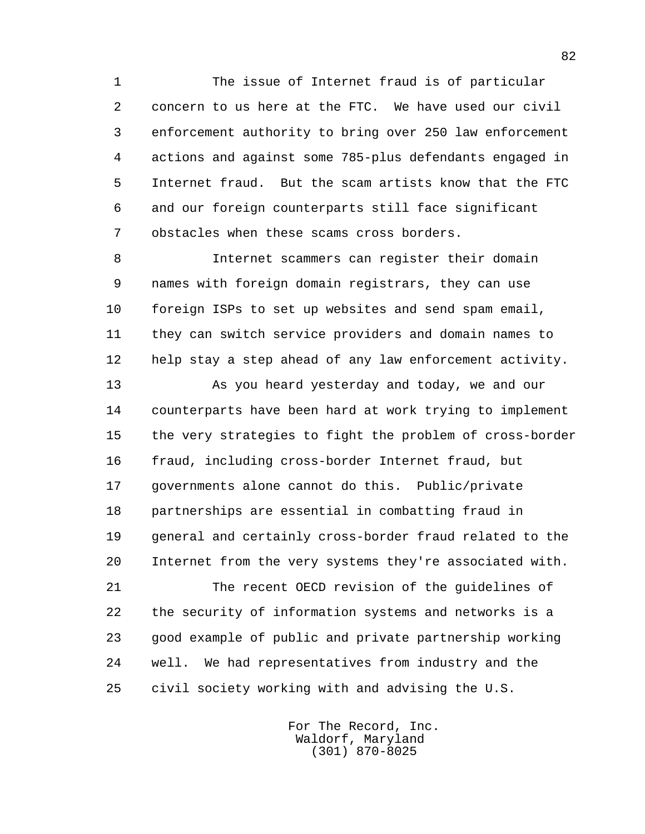1 The issue of Internet fraud is of particular 2 concern to us here at the FTC. We have used our civil 3 enforcement authority to bring over 250 law enforcement 4 actions and against some 785-plus defendants engaged in 5 Internet fraud. But the scam artists know that the FTC 6 and our foreign counterparts still face significant 7 obstacles when these scams cross borders.

 8 Internet scammers can register their domain 9 names with foreign domain registrars, they can use 10 foreign ISPs to set up websites and send spam email, 11 they can switch service providers and domain names to 12 help stay a step ahead of any law enforcement activity.

 13 As you heard yesterday and today, we and our 14 counterparts have been hard at work trying to implement 15 the very strategies to fight the problem of cross-border 16 fraud, including cross-border Internet fraud, but 17 governments alone cannot do this. Public/private 18 partnerships are essential in combatting fraud in 19 general and certainly cross-border fraud related to the 20 Internet from the very systems they're associated with.

 21 The recent OECD revision of the guidelines of 22 the security of information systems and networks is a 23 good example of public and private partnership working 24 well. We had representatives from industry and the 25 civil society working with and advising the U.S.

> For The Record, Inc. Waldorf, Maryland (301) 870-8025

82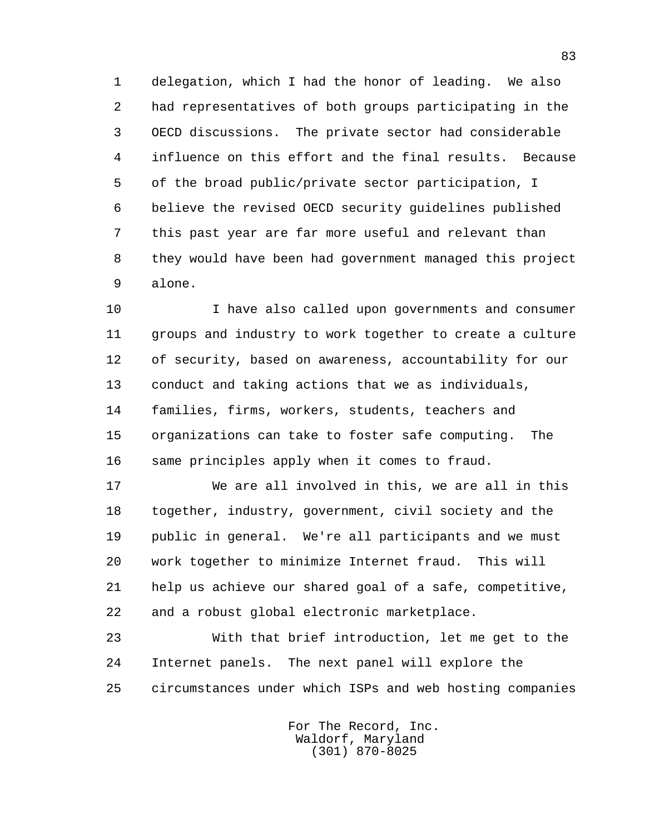1 delegation, which I had the honor of leading. We also 2 had representatives of both groups participating in the 3 OECD discussions. The private sector had considerable 4 influence on this effort and the final results. Because 5 of the broad public/private sector participation, I 6 believe the revised OECD security guidelines published 7 this past year are far more useful and relevant than 8 they would have been had government managed this project 9 alone.

 10 I have also called upon governments and consumer 11 groups and industry to work together to create a culture 12 of security, based on awareness, accountability for our 13 conduct and taking actions that we as individuals, 14 families, firms, workers, students, teachers and 15 organizations can take to foster safe computing. The 16 same principles apply when it comes to fraud.

 17 We are all involved in this, we are all in this 18 together, industry, government, civil society and the 19 public in general. We're all participants and we must 20 work together to minimize Internet fraud. This will 21 help us achieve our shared goal of a safe, competitive, 22 and a robust global electronic marketplace.

 23 With that brief introduction, let me get to the 24 Internet panels. The next panel will explore the 25 circumstances under which ISPs and web hosting companies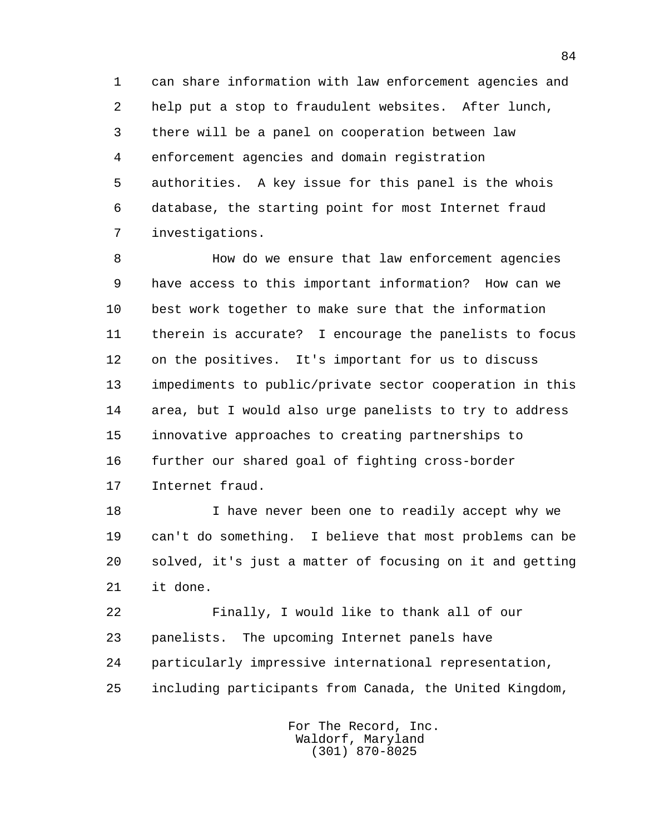1 can share information with law enforcement agencies and 2 help put a stop to fraudulent websites. After lunch, 3 there will be a panel on cooperation between law 4 enforcement agencies and domain registration 5 authorities. A key issue for this panel is the whois 6 database, the starting point for most Internet fraud 7 investigations.

 8 How do we ensure that law enforcement agencies 9 have access to this important information? How can we 10 best work together to make sure that the information 11 therein is accurate? I encourage the panelists to focus 12 on the positives. It's important for us to discuss 13 impediments to public/private sector cooperation in this 14 area, but I would also urge panelists to try to address 15 innovative approaches to creating partnerships to 16 further our shared goal of fighting cross-border 17 Internet fraud.

 18 I have never been one to readily accept why we 19 can't do something. I believe that most problems can be 20 solved, it's just a matter of focusing on it and getting 21 it done.

 22 Finally, I would like to thank all of our 23 panelists. The upcoming Internet panels have 24 particularly impressive international representation, 25 including participants from Canada, the United Kingdom,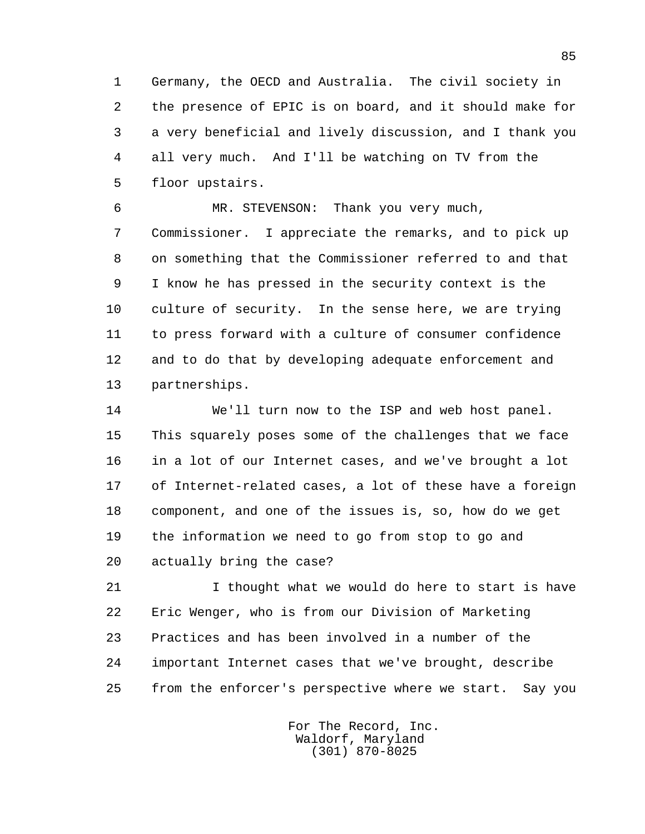1 Germany, the OECD and Australia. The civil society in 2 the presence of EPIC is on board, and it should make for 3 a very beneficial and lively discussion, and I thank you 4 all very much. And I'll be watching on TV from the 5 floor upstairs.

 6 MR. STEVENSON: Thank you very much, 7 Commissioner. I appreciate the remarks, and to pick up 8 on something that the Commissioner referred to and that 9 I know he has pressed in the security context is the 10 culture of security. In the sense here, we are trying 11 to press forward with a culture of consumer confidence 12 and to do that by developing adequate enforcement and 13 partnerships.

 14 We'll turn now to the ISP and web host panel. 15 This squarely poses some of the challenges that we face 16 in a lot of our Internet cases, and we've brought a lot 17 of Internet-related cases, a lot of these have a foreign 18 component, and one of the issues is, so, how do we get 19 the information we need to go from stop to go and 20 actually bring the case?

21 1 I thought what we would do here to start is have 22 Eric Wenger, who is from our Division of Marketing 23 Practices and has been involved in a number of the 24 important Internet cases that we've brought, describe 25 from the enforcer's perspective where we start. Say you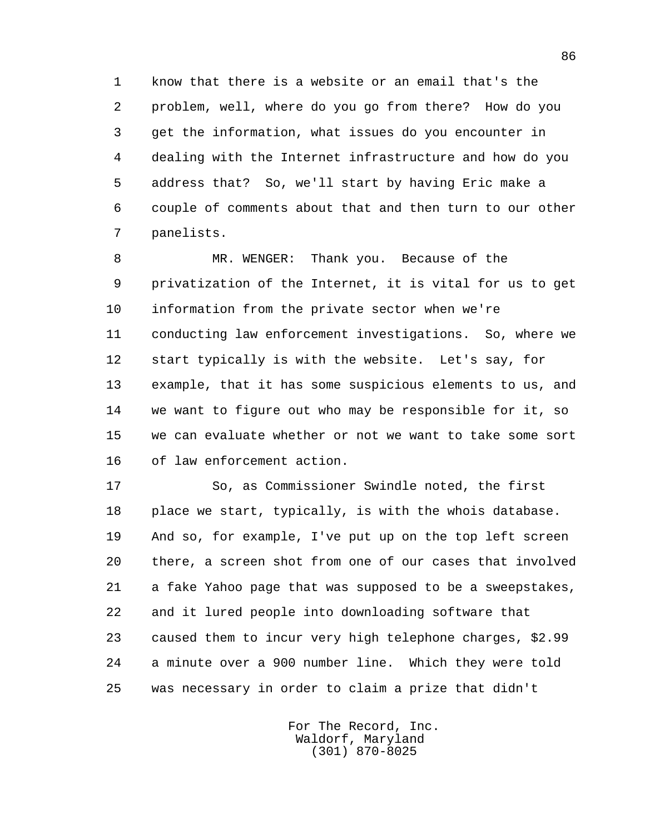1 know that there is a website or an email that's the 2 problem, well, where do you go from there? How do you 3 get the information, what issues do you encounter in 4 dealing with the Internet infrastructure and how do you 5 address that? So, we'll start by having Eric make a 6 couple of comments about that and then turn to our other 7 panelists.

 8 MR. WENGER: Thank you. Because of the 9 privatization of the Internet, it is vital for us to get 10 information from the private sector when we're 11 conducting law enforcement investigations. So, where we 12 start typically is with the website. Let's say, for 13 example, that it has some suspicious elements to us, and 14 we want to figure out who may be responsible for it, so 15 we can evaluate whether or not we want to take some sort 16 of law enforcement action.

 17 So, as Commissioner Swindle noted, the first 18 place we start, typically, is with the whois database. 19 And so, for example, I've put up on the top left screen 20 there, a screen shot from one of our cases that involved 21 a fake Yahoo page that was supposed to be a sweepstakes, 22 and it lured people into downloading software that 23 caused them to incur very high telephone charges, \$2.99 24 a minute over a 900 number line. Which they were told 25 was necessary in order to claim a prize that didn't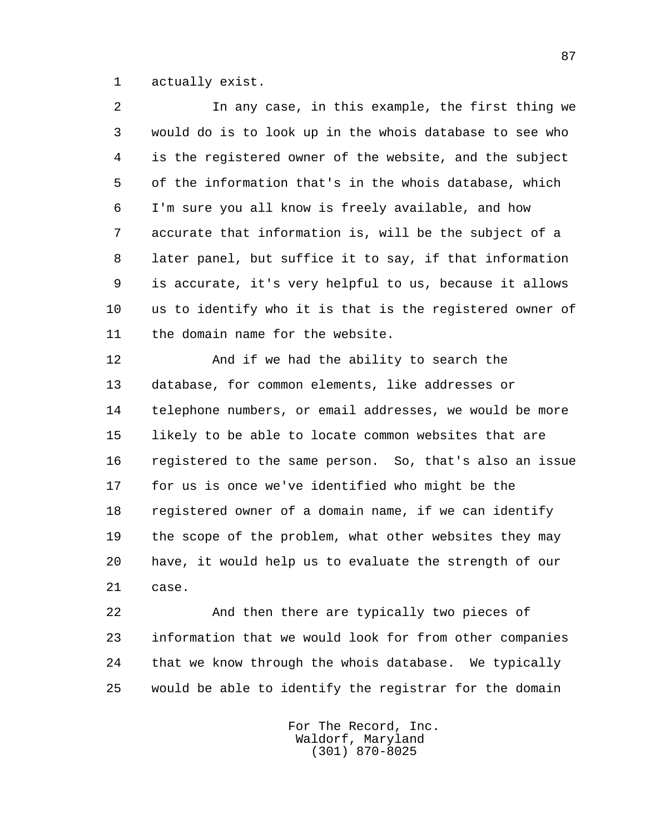1 actually exist.

 2 In any case, in this example, the first thing we 3 would do is to look up in the whois database to see who 4 is the registered owner of the website, and the subject 5 of the information that's in the whois database, which 6 I'm sure you all know is freely available, and how 7 accurate that information is, will be the subject of a 8 later panel, but suffice it to say, if that information 9 is accurate, it's very helpful to us, because it allows 10 us to identify who it is that is the registered owner of 11 the domain name for the website.

 12 And if we had the ability to search the 13 database, for common elements, like addresses or 14 telephone numbers, or email addresses, we would be more 15 likely to be able to locate common websites that are 16 registered to the same person. So, that's also an issue 17 for us is once we've identified who might be the 18 registered owner of a domain name, if we can identify 19 the scope of the problem, what other websites they may 20 have, it would help us to evaluate the strength of our 21 case.

 22 And then there are typically two pieces of 23 information that we would look for from other companies 24 that we know through the whois database. We typically 25 would be able to identify the registrar for the domain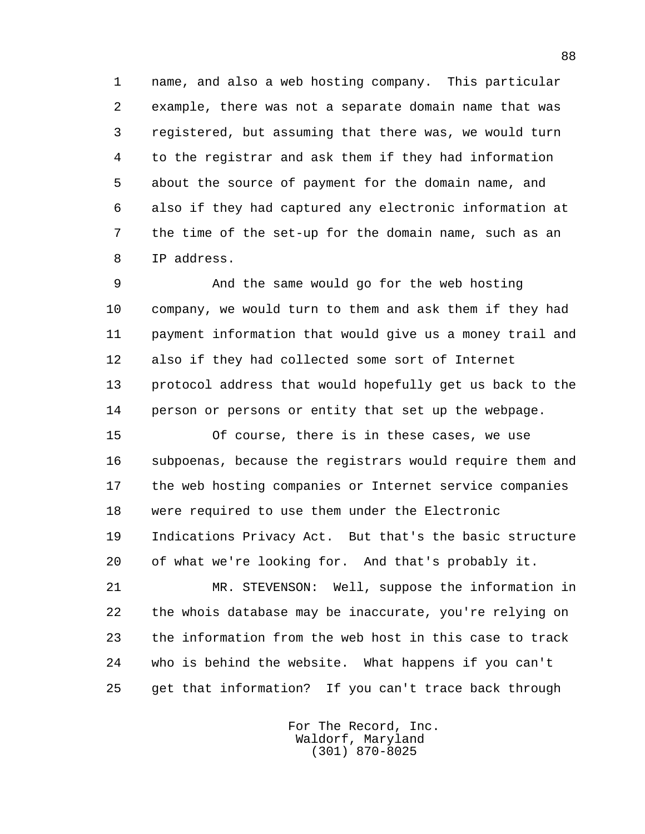1 name, and also a web hosting company. This particular 2 example, there was not a separate domain name that was 3 registered, but assuming that there was, we would turn 4 to the registrar and ask them if they had information 5 about the source of payment for the domain name, and 6 also if they had captured any electronic information at 7 the time of the set-up for the domain name, such as an 8 IP address.

 9 And the same would go for the web hosting 10 company, we would turn to them and ask them if they had 11 payment information that would give us a money trail and 12 also if they had collected some sort of Internet 13 protocol address that would hopefully get us back to the 14 person or persons or entity that set up the webpage.

 15 Of course, there is in these cases, we use 16 subpoenas, because the registrars would require them and 17 the web hosting companies or Internet service companies 18 were required to use them under the Electronic 19 Indications Privacy Act. But that's the basic structure 20 of what we're looking for. And that's probably it.

 21 MR. STEVENSON: Well, suppose the information in 22 the whois database may be inaccurate, you're relying on 23 the information from the web host in this case to track 24 who is behind the website. What happens if you can't 25 get that information? If you can't trace back through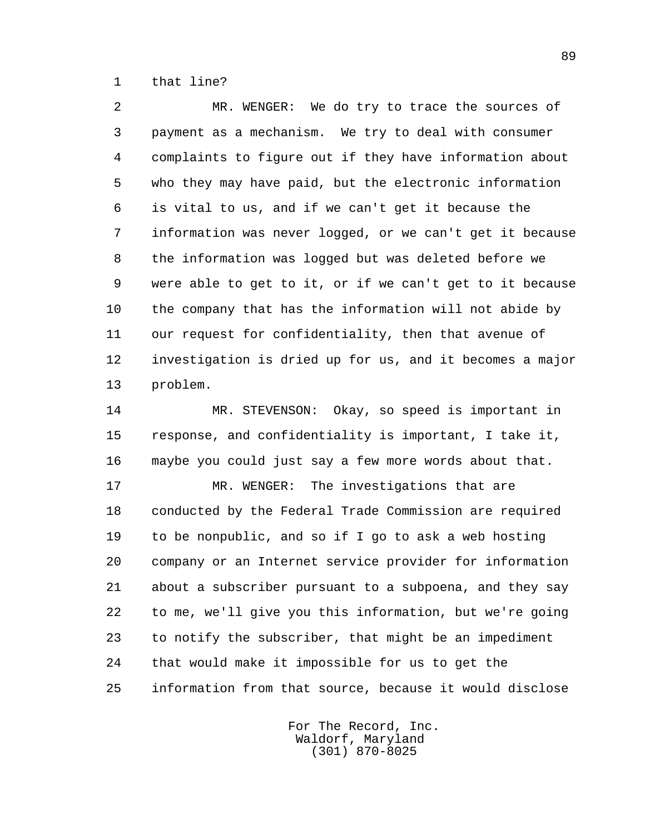1 that line?

 2 MR. WENGER: We do try to trace the sources of 3 payment as a mechanism. We try to deal with consumer 4 complaints to figure out if they have information about 5 who they may have paid, but the electronic information 6 is vital to us, and if we can't get it because the 7 information was never logged, or we can't get it because 8 the information was logged but was deleted before we 9 were able to get to it, or if we can't get to it because 10 the company that has the information will not abide by 11 our request for confidentiality, then that avenue of 12 investigation is dried up for us, and it becomes a major 13 problem.

 14 MR. STEVENSON: Okay, so speed is important in 15 response, and confidentiality is important, I take it, 16 maybe you could just say a few more words about that.

17 MR. WENGER: The investigations that are 18 conducted by the Federal Trade Commission are required 19 to be nonpublic, and so if I go to ask a web hosting 20 company or an Internet service provider for information 21 about a subscriber pursuant to a subpoena, and they say 22 to me, we'll give you this information, but we're going 23 to notify the subscriber, that might be an impediment 24 that would make it impossible for us to get the 25 information from that source, because it would disclose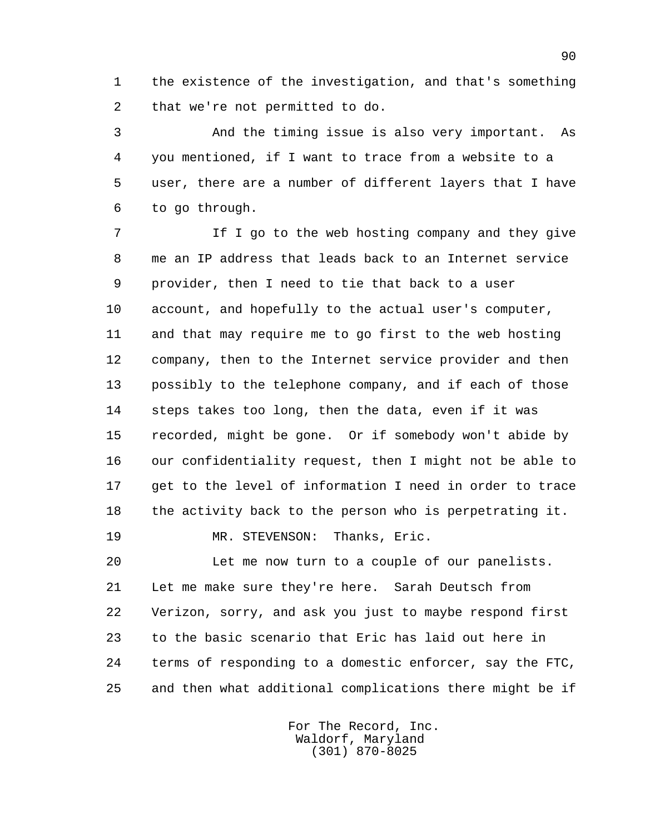1 the existence of the investigation, and that's something 2 that we're not permitted to do.

 3 And the timing issue is also very important. As 4 you mentioned, if I want to trace from a website to a 5 user, there are a number of different layers that I have 6 to go through.

 7 If I go to the web hosting company and they give 8 me an IP address that leads back to an Internet service 9 provider, then I need to tie that back to a user 10 account, and hopefully to the actual user's computer, 11 and that may require me to go first to the web hosting 12 company, then to the Internet service provider and then 13 possibly to the telephone company, and if each of those 14 steps takes too long, then the data, even if it was 15 recorded, might be gone. Or if somebody won't abide by 16 our confidentiality request, then I might not be able to 17 get to the level of information I need in order to trace 18 the activity back to the person who is perpetrating it.

19 MR. STEVENSON: Thanks, Eric.

 20 Let me now turn to a couple of our panelists. 21 Let me make sure they're here. Sarah Deutsch from 22 Verizon, sorry, and ask you just to maybe respond first 23 to the basic scenario that Eric has laid out here in 24 terms of responding to a domestic enforcer, say the FTC, 25 and then what additional complications there might be if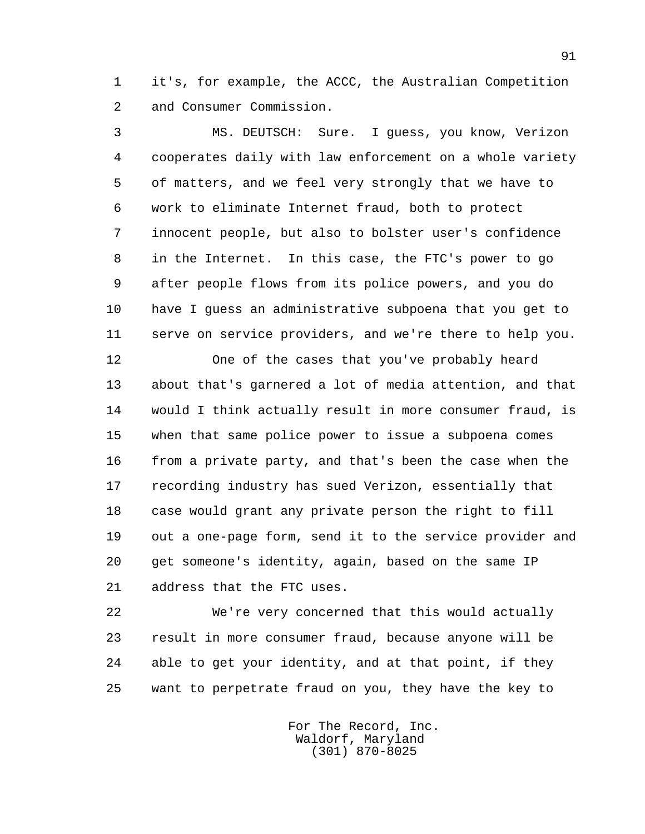1 it's, for example, the ACCC, the Australian Competition 2 and Consumer Commission.

 3 MS. DEUTSCH: Sure. I guess, you know, Verizon 4 cooperates daily with law enforcement on a whole variety 5 of matters, and we feel very strongly that we have to 6 work to eliminate Internet fraud, both to protect 7 innocent people, but also to bolster user's confidence 8 in the Internet. In this case, the FTC's power to go 9 after people flows from its police powers, and you do 10 have I guess an administrative subpoena that you get to 11 serve on service providers, and we're there to help you.

 12 One of the cases that you've probably heard 13 about that's garnered a lot of media attention, and that 14 would I think actually result in more consumer fraud, is 15 when that same police power to issue a subpoena comes 16 from a private party, and that's been the case when the 17 recording industry has sued Verizon, essentially that 18 case would grant any private person the right to fill 19 out a one-page form, send it to the service provider and 20 get someone's identity, again, based on the same IP 21 address that the FTC uses.

 22 We're very concerned that this would actually 23 result in more consumer fraud, because anyone will be 24 able to get your identity, and at that point, if they 25 want to perpetrate fraud on you, they have the key to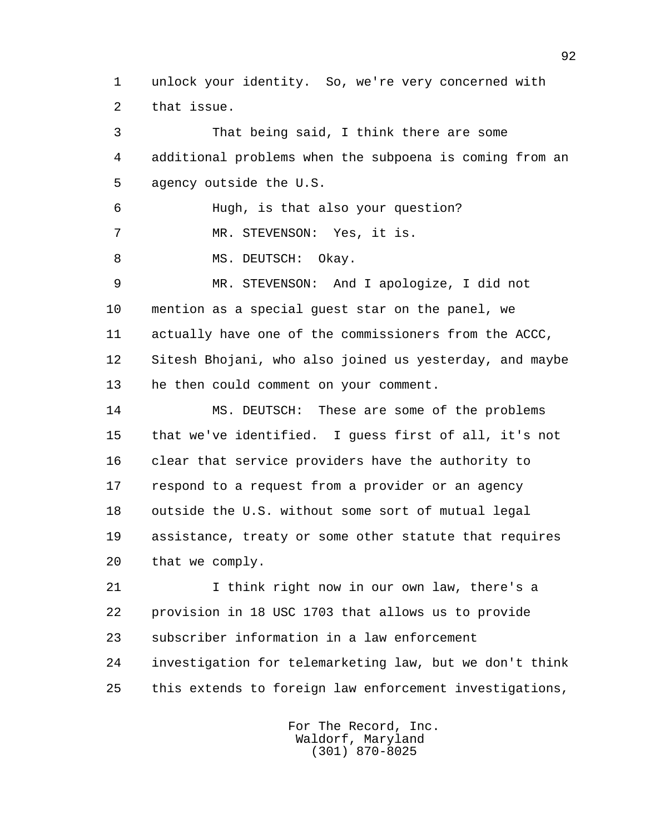1 unlock your identity. So, we're very concerned with 2 that issue.

 3 That being said, I think there are some 4 additional problems when the subpoena is coming from an 5 agency outside the U.S. 6 Hugh, is that also your question? 7 MR. STEVENSON: Yes, it is. 8 MS. DEUTSCH: Okay. 9 MR. STEVENSON: And I apologize, I did not 10 mention as a special guest star on the panel, we 11 actually have one of the commissioners from the ACCC, 12 Sitesh Bhojani, who also joined us yesterday, and maybe 13 he then could comment on your comment.

 14 MS. DEUTSCH: These are some of the problems 15 that we've identified. I guess first of all, it's not 16 clear that service providers have the authority to 17 respond to a request from a provider or an agency 18 outside the U.S. without some sort of mutual legal 19 assistance, treaty or some other statute that requires 20 that we comply.

21 I think right now in our own law, there's a 22 provision in 18 USC 1703 that allows us to provide 23 subscriber information in a law enforcement 24 investigation for telemarketing law, but we don't think 25 this extends to foreign law enforcement investigations,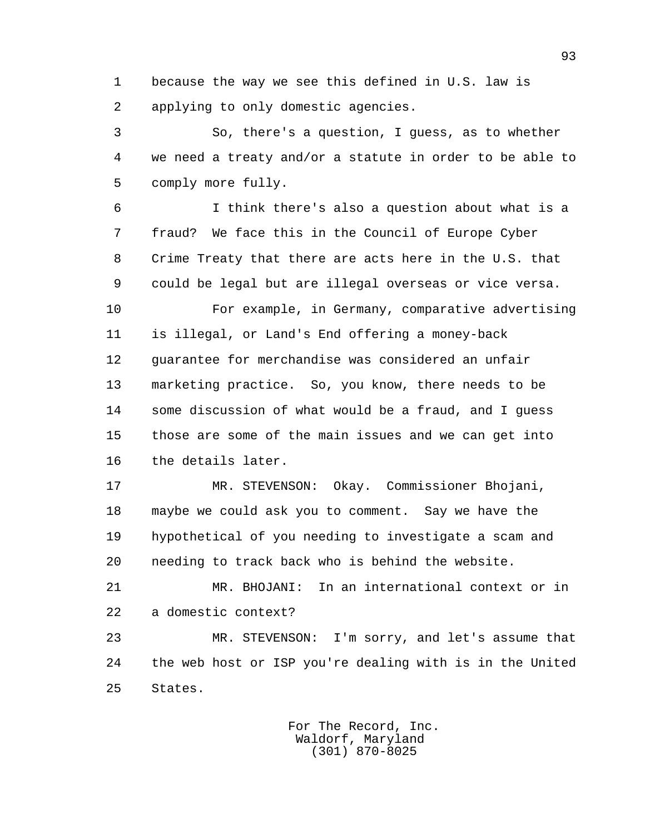1 because the way we see this defined in U.S. law is 2 applying to only domestic agencies.

 3 So, there's a question, I guess, as to whether 4 we need a treaty and/or a statute in order to be able to 5 comply more fully.

 6 I think there's also a question about what is a 7 fraud? We face this in the Council of Europe Cyber 8 Crime Treaty that there are acts here in the U.S. that 9 could be legal but are illegal overseas or vice versa.

 10 For example, in Germany, comparative advertising 11 is illegal, or Land's End offering a money-back 12 guarantee for merchandise was considered an unfair 13 marketing practice. So, you know, there needs to be 14 some discussion of what would be a fraud, and I guess 15 those are some of the main issues and we can get into 16 the details later.

 17 MR. STEVENSON: Okay. Commissioner Bhojani, 18 maybe we could ask you to comment. Say we have the 19 hypothetical of you needing to investigate a scam and 20 needing to track back who is behind the website.

 21 MR. BHOJANI: In an international context or in 22 a domestic context?

 23 MR. STEVENSON: I'm sorry, and let's assume that 24 the web host or ISP you're dealing with is in the United 25 States.

> For The Record, Inc. Waldorf, Maryland (301) 870-8025

93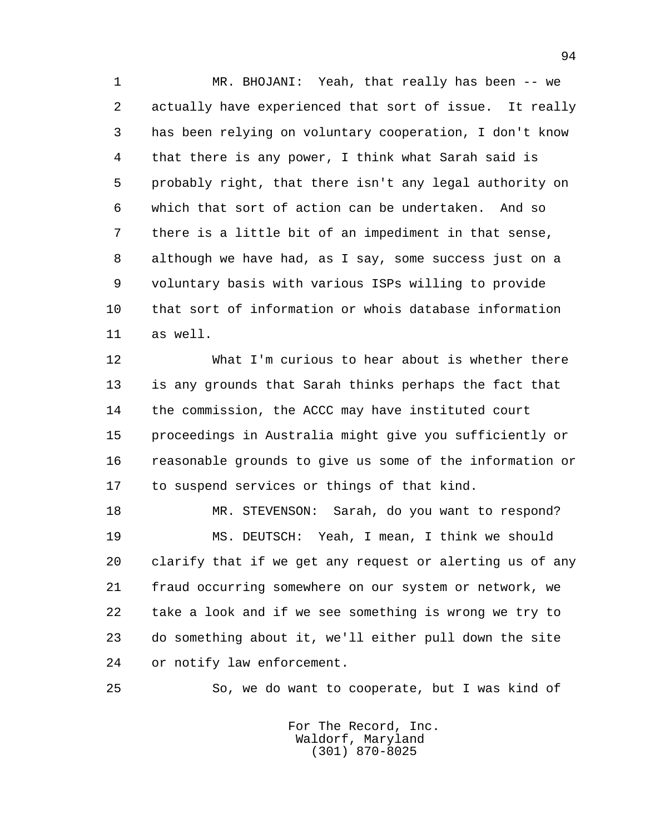1 MR. BHOJANI: Yeah, that really has been -- we 2 actually have experienced that sort of issue. It really 3 has been relying on voluntary cooperation, I don't know 4 that there is any power, I think what Sarah said is 5 probably right, that there isn't any legal authority on 6 which that sort of action can be undertaken. And so 7 there is a little bit of an impediment in that sense, 8 although we have had, as I say, some success just on a 9 voluntary basis with various ISPs willing to provide 10 that sort of information or whois database information 11 as well.

 12 What I'm curious to hear about is whether there 13 is any grounds that Sarah thinks perhaps the fact that 14 the commission, the ACCC may have instituted court 15 proceedings in Australia might give you sufficiently or 16 reasonable grounds to give us some of the information or 17 to suspend services or things of that kind.

 18 MR. STEVENSON: Sarah, do you want to respond? 19 MS. DEUTSCH: Yeah, I mean, I think we should 20 clarify that if we get any request or alerting us of any 21 fraud occurring somewhere on our system or network, we 22 take a look and if we see something is wrong we try to 23 do something about it, we'll either pull down the site 24 or notify law enforcement.

25 So, we do want to cooperate, but I was kind of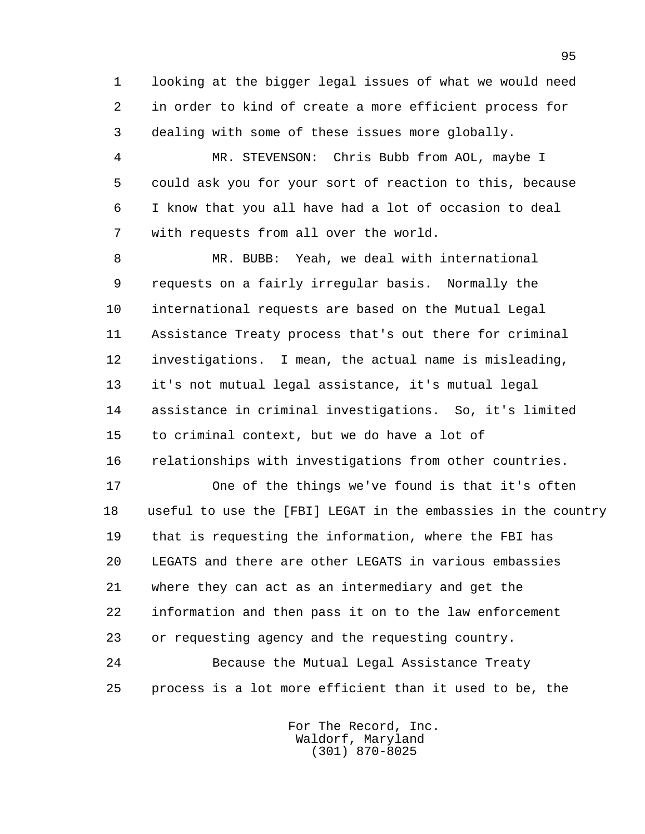1 looking at the bigger legal issues of what we would need 2 in order to kind of create a more efficient process for 3 dealing with some of these issues more globally.

 4 MR. STEVENSON: Chris Bubb from AOL, maybe I 5 could ask you for your sort of reaction to this, because 6 I know that you all have had a lot of occasion to deal 7 with requests from all over the world.

 8 MR. BUBB: Yeah, we deal with international 9 requests on a fairly irregular basis. Normally the 10 international requests are based on the Mutual Legal 11 Assistance Treaty process that's out there for criminal 12 investigations. I mean, the actual name is misleading, 13 it's not mutual legal assistance, it's mutual legal 14 assistance in criminal investigations. So, it's limited 15 to criminal context, but we do have a lot of 16 relationships with investigations from other countries.

 17 One of the things we've found is that it's often 18 useful to use the [FBI] LEGAT in the embassies in the country 19 that is requesting the information, where the FBI has 20 LEGATS and there are other LEGATS in various embassies 21 where they can act as an intermediary and get the 22 information and then pass it on to the law enforcement 23 or requesting agency and the requesting country.

 24 Because the Mutual Legal Assistance Treaty 25 process is a lot more efficient than it used to be, the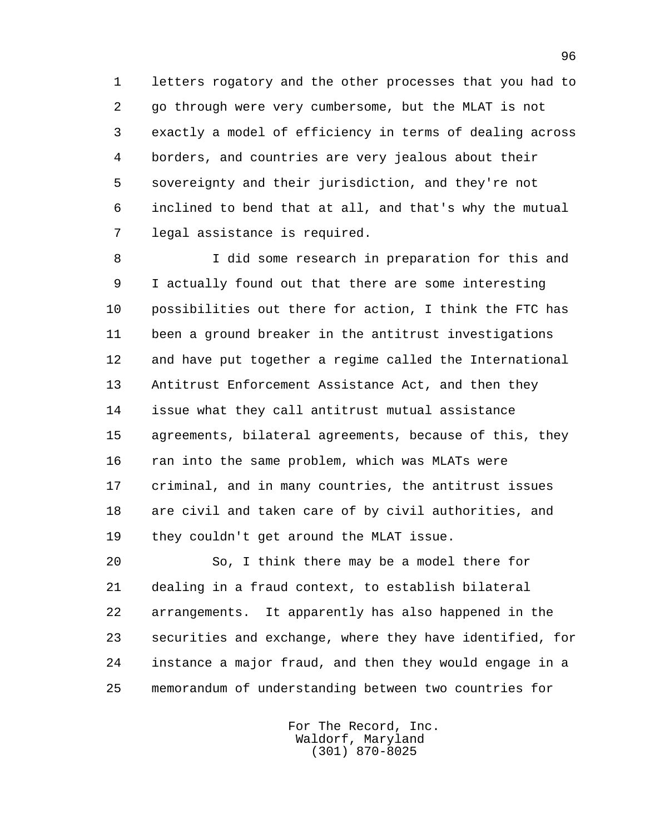1 letters rogatory and the other processes that you had to 2 go through were very cumbersome, but the MLAT is not 3 exactly a model of efficiency in terms of dealing across 4 borders, and countries are very jealous about their 5 sovereignty and their jurisdiction, and they're not 6 inclined to bend that at all, and that's why the mutual 7 legal assistance is required.

 8 I did some research in preparation for this and 9 I actually found out that there are some interesting 10 possibilities out there for action, I think the FTC has 11 been a ground breaker in the antitrust investigations 12 and have put together a regime called the International 13 Antitrust Enforcement Assistance Act, and then they 14 issue what they call antitrust mutual assistance 15 agreements, bilateral agreements, because of this, they 16 ran into the same problem, which was MLATs were 17 criminal, and in many countries, the antitrust issues 18 are civil and taken care of by civil authorities, and 19 they couldn't get around the MLAT issue.

 20 So, I think there may be a model there for 21 dealing in a fraud context, to establish bilateral 22 arrangements. It apparently has also happened in the 23 securities and exchange, where they have identified, for 24 instance a major fraud, and then they would engage in a 25 memorandum of understanding between two countries for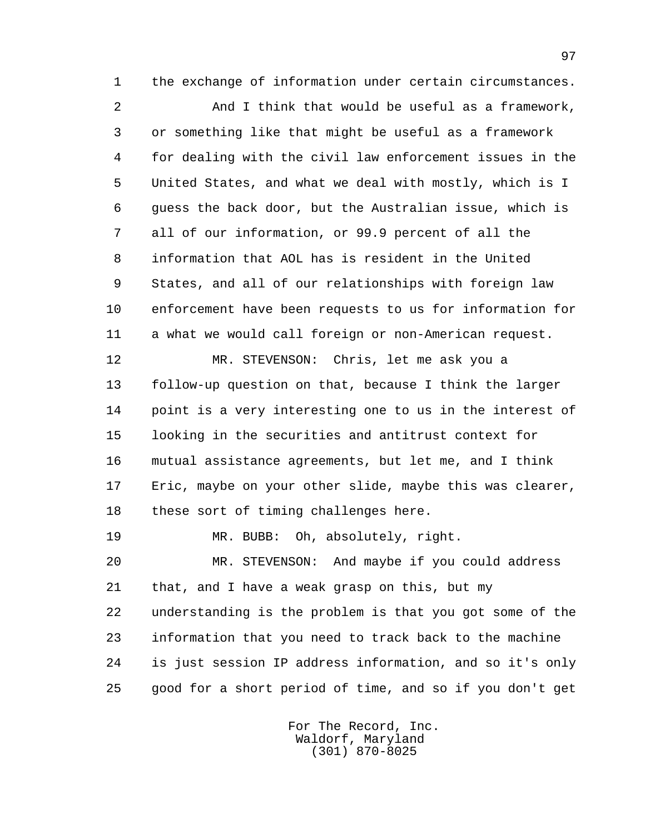1 the exchange of information under certain circumstances.

 2 And I think that would be useful as a framework, 3 or something like that might be useful as a framework 4 for dealing with the civil law enforcement issues in the 5 United States, and what we deal with mostly, which is I 6 guess the back door, but the Australian issue, which is 7 all of our information, or 99.9 percent of all the 8 information that AOL has is resident in the United 9 States, and all of our relationships with foreign law 10 enforcement have been requests to us for information for 11 a what we would call foreign or non-American request. 12 MR. STEVENSON: Chris, let me ask you a

 13 follow-up question on that, because I think the larger 14 point is a very interesting one to us in the interest of 15 looking in the securities and antitrust context for 16 mutual assistance agreements, but let me, and I think 17 Eric, maybe on your other slide, maybe this was clearer, 18 these sort of timing challenges here.

 20 MR. STEVENSON: And maybe if you could address 21 that, and I have a weak grasp on this, but my 22 understanding is the problem is that you got some of the 23 information that you need to track back to the machine 24 is just session IP address information, and so it's only 25 good for a short period of time, and so if you don't get

19 MR. BUBB: Oh, absolutely, right.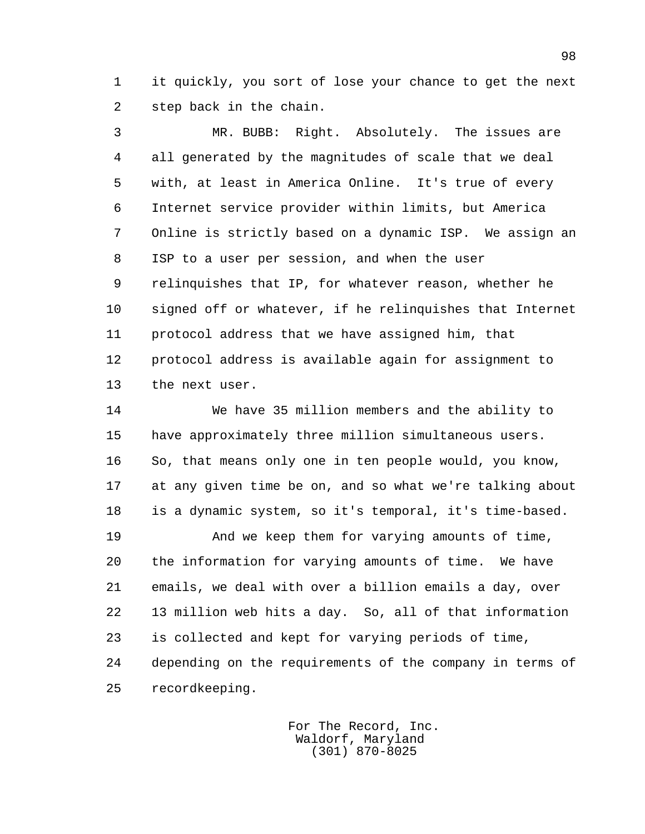1 it quickly, you sort of lose your chance to get the next 2 step back in the chain.

 3 MR. BUBB: Right. Absolutely. The issues are 4 all generated by the magnitudes of scale that we deal 5 with, at least in America Online. It's true of every 6 Internet service provider within limits, but America 7 Online is strictly based on a dynamic ISP. We assign an 8 ISP to a user per session, and when the user 9 relinquishes that IP, for whatever reason, whether he 10 signed off or whatever, if he relinquishes that Internet 11 protocol address that we have assigned him, that 12 protocol address is available again for assignment to 13 the next user.

 14 We have 35 million members and the ability to 15 have approximately three million simultaneous users. 16 So, that means only one in ten people would, you know, 17 at any given time be on, and so what we're talking about 18 is a dynamic system, so it's temporal, it's time-based.

 19 And we keep them for varying amounts of time, 20 the information for varying amounts of time. We have 21 emails, we deal with over a billion emails a day, over 22 13 million web hits a day. So, all of that information 23 is collected and kept for varying periods of time, 24 depending on the requirements of the company in terms of 25 recordkeeping.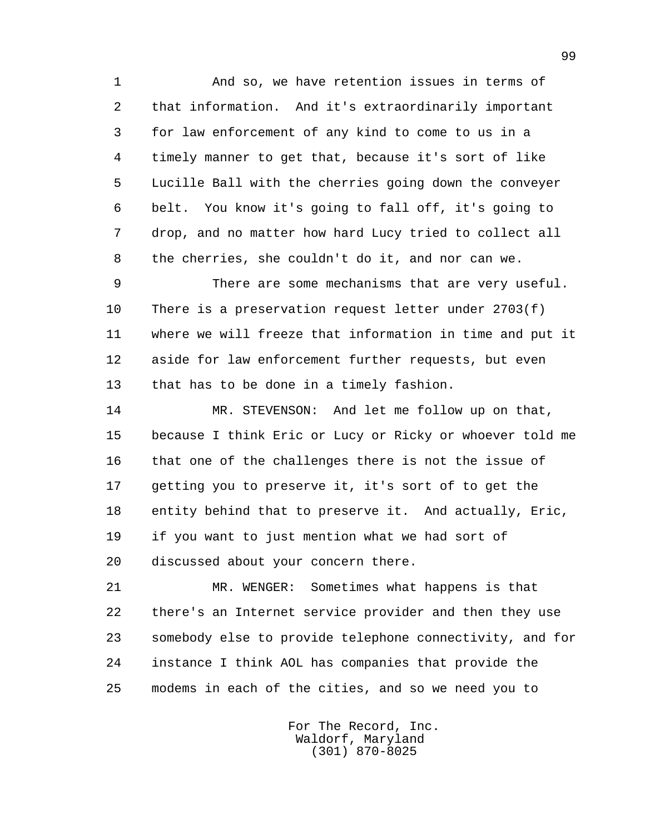1 And so, we have retention issues in terms of 2 that information. And it's extraordinarily important 3 for law enforcement of any kind to come to us in a 4 timely manner to get that, because it's sort of like 5 Lucille Ball with the cherries going down the conveyer 6 belt. You know it's going to fall off, it's going to 7 drop, and no matter how hard Lucy tried to collect all 8 the cherries, she couldn't do it, and nor can we.

 9 There are some mechanisms that are very useful. 10 There is a preservation request letter under 2703(f) 11 where we will freeze that information in time and put it 12 aside for law enforcement further requests, but even 13 that has to be done in a timely fashion.

 14 MR. STEVENSON: And let me follow up on that, 15 because I think Eric or Lucy or Ricky or whoever told me 16 that one of the challenges there is not the issue of 17 getting you to preserve it, it's sort of to get the 18 entity behind that to preserve it. And actually, Eric, 19 if you want to just mention what we had sort of 20 discussed about your concern there.

 21 MR. WENGER: Sometimes what happens is that 22 there's an Internet service provider and then they use 23 somebody else to provide telephone connectivity, and for 24 instance I think AOL has companies that provide the 25 modems in each of the cities, and so we need you to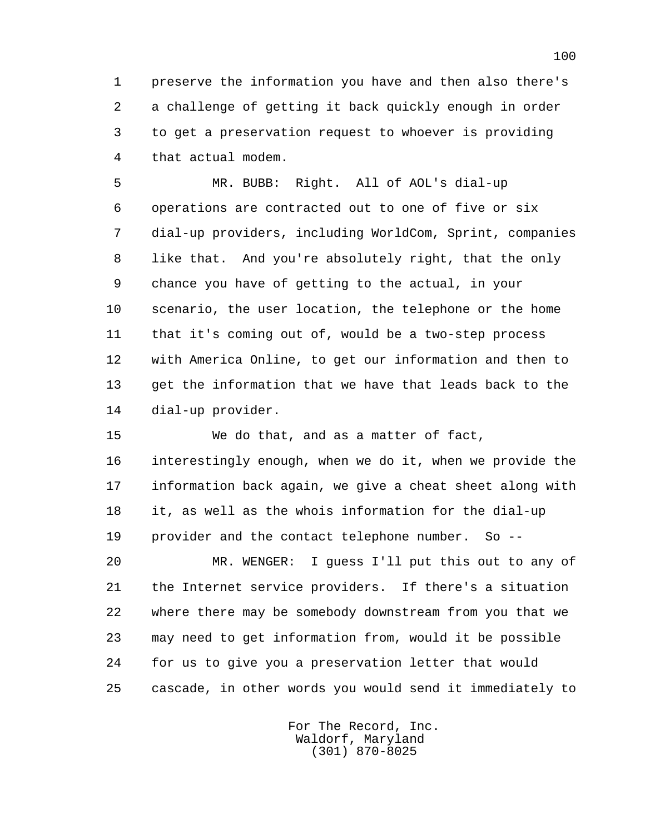1 preserve the information you have and then also there's 2 a challenge of getting it back quickly enough in order 3 to get a preservation request to whoever is providing 4 that actual modem.

 5 MR. BUBB: Right. All of AOL's dial-up 6 operations are contracted out to one of five or six 7 dial-up providers, including WorldCom, Sprint, companies 8 like that. And you're absolutely right, that the only 9 chance you have of getting to the actual, in your 10 scenario, the user location, the telephone or the home 11 that it's coming out of, would be a two-step process 12 with America Online, to get our information and then to 13 get the information that we have that leads back to the 14 dial-up provider.

 15 We do that, and as a matter of fact, 16 interestingly enough, when we do it, when we provide the 17 information back again, we give a cheat sheet along with 18 it, as well as the whois information for the dial-up 19 provider and the contact telephone number. So --

 20 MR. WENGER: I guess I'll put this out to any of 21 the Internet service providers. If there's a situation 22 where there may be somebody downstream from you that we 23 may need to get information from, would it be possible 24 for us to give you a preservation letter that would 25 cascade, in other words you would send it immediately to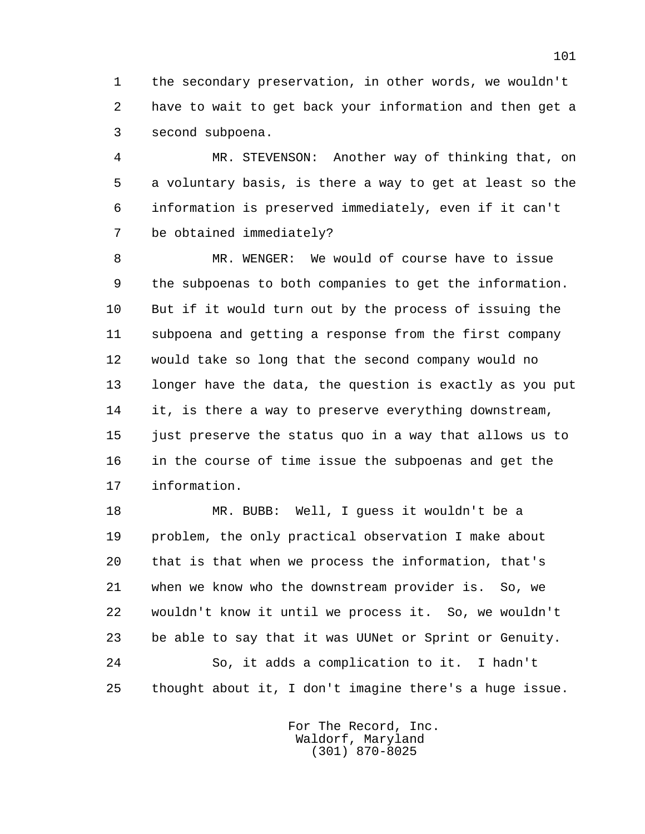1 the secondary preservation, in other words, we wouldn't 2 have to wait to get back your information and then get a 3 second subpoena.

 4 MR. STEVENSON: Another way of thinking that, on 5 a voluntary basis, is there a way to get at least so the 6 information is preserved immediately, even if it can't 7 be obtained immediately?

 8 MR. WENGER: We would of course have to issue 9 the subpoenas to both companies to get the information. 10 But if it would turn out by the process of issuing the 11 subpoena and getting a response from the first company 12 would take so long that the second company would no 13 longer have the data, the question is exactly as you put 14 it, is there a way to preserve everything downstream, 15 just preserve the status quo in a way that allows us to 16 in the course of time issue the subpoenas and get the 17 information.

 18 MR. BUBB: Well, I guess it wouldn't be a 19 problem, the only practical observation I make about 20 that is that when we process the information, that's 21 when we know who the downstream provider is. So, we 22 wouldn't know it until we process it. So, we wouldn't 23 be able to say that it was UUNet or Sprint or Genuity. 24 So, it adds a complication to it. I hadn't 25 thought about it, I don't imagine there's a huge issue.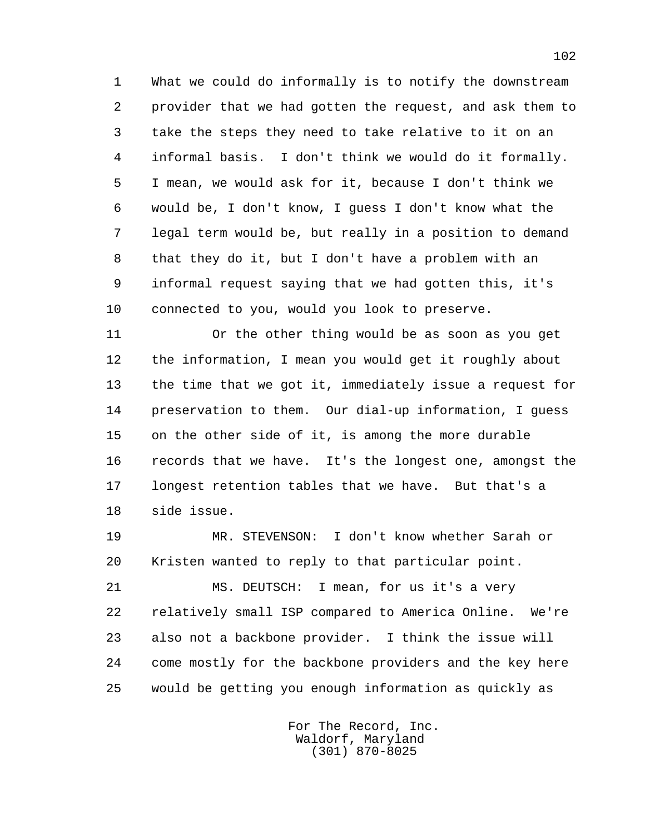1 What we could do informally is to notify the downstream 2 provider that we had gotten the request, and ask them to 3 take the steps they need to take relative to it on an 4 informal basis. I don't think we would do it formally. 5 I mean, we would ask for it, because I don't think we 6 would be, I don't know, I guess I don't know what the 7 legal term would be, but really in a position to demand 8 that they do it, but I don't have a problem with an 9 informal request saying that we had gotten this, it's 10 connected to you, would you look to preserve.

 11 Or the other thing would be as soon as you get 12 the information, I mean you would get it roughly about 13 the time that we got it, immediately issue a request for 14 preservation to them. Our dial-up information, I guess 15 on the other side of it, is among the more durable 16 records that we have. It's the longest one, amongst the 17 longest retention tables that we have. But that's a 18 side issue.

 19 MR. STEVENSON: I don't know whether Sarah or 20 Kristen wanted to reply to that particular point.

 21 MS. DEUTSCH: I mean, for us it's a very 22 relatively small ISP compared to America Online. We're 23 also not a backbone provider. I think the issue will 24 come mostly for the backbone providers and the key here 25 would be getting you enough information as quickly as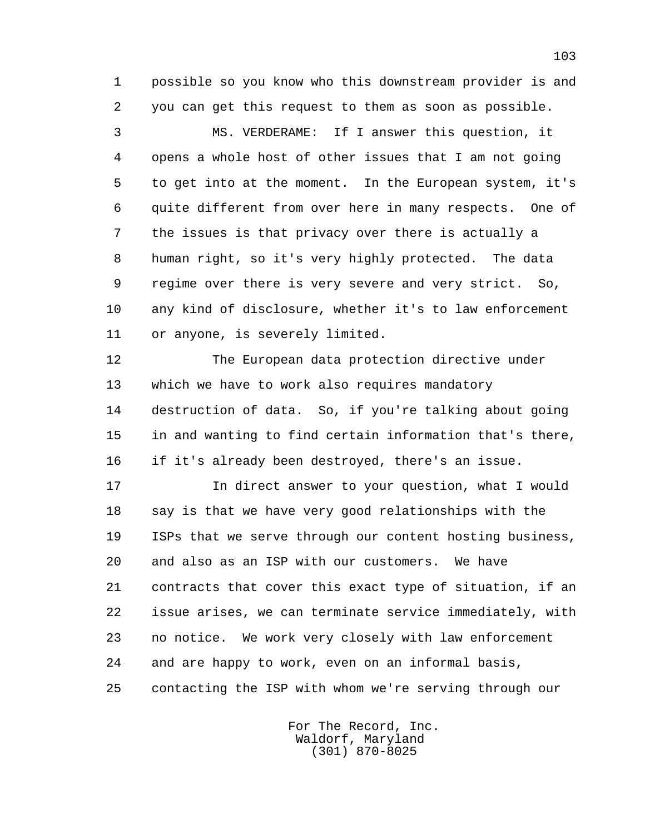1 possible so you know who this downstream provider is and 2 you can get this request to them as soon as possible.

 3 MS. VERDERAME: If I answer this question, it 4 opens a whole host of other issues that I am not going 5 to get into at the moment. In the European system, it's 6 quite different from over here in many respects. One of 7 the issues is that privacy over there is actually a 8 human right, so it's very highly protected. The data 9 regime over there is very severe and very strict. So, 10 any kind of disclosure, whether it's to law enforcement 11 or anyone, is severely limited.

 12 The European data protection directive under 13 which we have to work also requires mandatory 14 destruction of data. So, if you're talking about going 15 in and wanting to find certain information that's there, 16 if it's already been destroyed, there's an issue.

 17 In direct answer to your question, what I would 18 say is that we have very good relationships with the 19 ISPs that we serve through our content hosting business, 20 and also as an ISP with our customers. We have 21 contracts that cover this exact type of situation, if an 22 issue arises, we can terminate service immediately, with 23 no notice. We work very closely with law enforcement 24 and are happy to work, even on an informal basis, 25 contacting the ISP with whom we're serving through our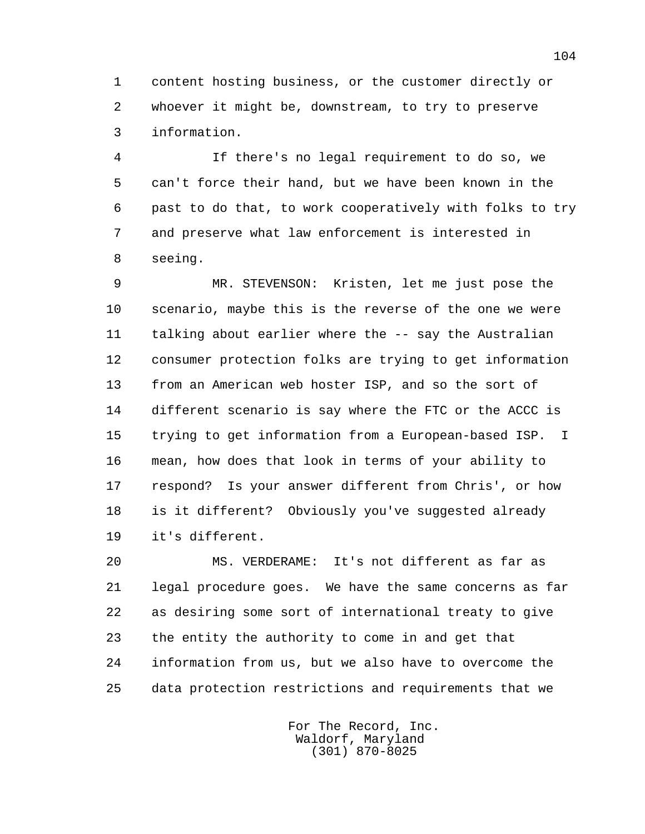1 content hosting business, or the customer directly or 2 whoever it might be, downstream, to try to preserve 3 information.

 4 If there's no legal requirement to do so, we 5 can't force their hand, but we have been known in the 6 past to do that, to work cooperatively with folks to try 7 and preserve what law enforcement is interested in 8 seeing.

 9 MR. STEVENSON: Kristen, let me just pose the 10 scenario, maybe this is the reverse of the one we were 11 talking about earlier where the -- say the Australian 12 consumer protection folks are trying to get information 13 from an American web hoster ISP, and so the sort of 14 different scenario is say where the FTC or the ACCC is 15 trying to get information from a European-based ISP. I 16 mean, how does that look in terms of your ability to 17 respond? Is your answer different from Chris', or how 18 is it different? Obviously you've suggested already 19 it's different.

 20 MS. VERDERAME: It's not different as far as 21 legal procedure goes. We have the same concerns as far 22 as desiring some sort of international treaty to give 23 the entity the authority to come in and get that 24 information from us, but we also have to overcome the 25 data protection restrictions and requirements that we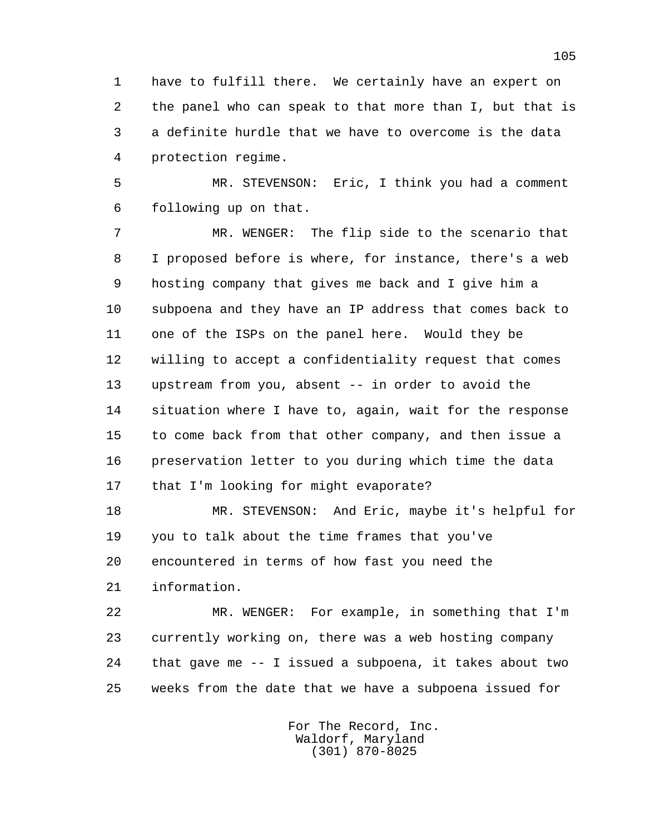1 have to fulfill there. We certainly have an expert on 2 the panel who can speak to that more than I, but that is 3 a definite hurdle that we have to overcome is the data 4 protection regime.

 5 MR. STEVENSON: Eric, I think you had a comment 6 following up on that.

 7 MR. WENGER: The flip side to the scenario that 8 I proposed before is where, for instance, there's a web 9 hosting company that gives me back and I give him a 10 subpoena and they have an IP address that comes back to 11 one of the ISPs on the panel here. Would they be 12 willing to accept a confidentiality request that comes 13 upstream from you, absent -- in order to avoid the 14 situation where I have to, again, wait for the response 15 to come back from that other company, and then issue a 16 preservation letter to you during which time the data 17 that I'm looking for might evaporate?

 18 MR. STEVENSON: And Eric, maybe it's helpful for 19 you to talk about the time frames that you've 20 encountered in terms of how fast you need the 21 information.

 22 MR. WENGER: For example, in something that I'm 23 currently working on, there was a web hosting company 24 that gave me -- I issued a subpoena, it takes about two 25 weeks from the date that we have a subpoena issued for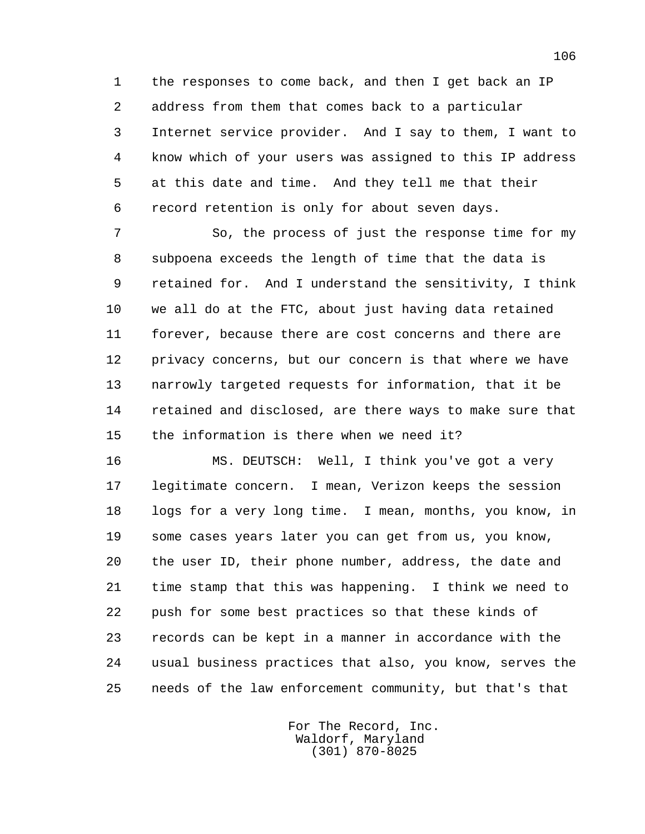1 the responses to come back, and then I get back an IP 2 address from them that comes back to a particular 3 Internet service provider. And I say to them, I want to 4 know which of your users was assigned to this IP address 5 at this date and time. And they tell me that their 6 record retention is only for about seven days.

 7 So, the process of just the response time for my 8 subpoena exceeds the length of time that the data is 9 retained for. And I understand the sensitivity, I think 10 we all do at the FTC, about just having data retained 11 forever, because there are cost concerns and there are 12 privacy concerns, but our concern is that where we have 13 narrowly targeted requests for information, that it be 14 retained and disclosed, are there ways to make sure that 15 the information is there when we need it?

 16 MS. DEUTSCH: Well, I think you've got a very 17 legitimate concern. I mean, Verizon keeps the session 18 logs for a very long time. I mean, months, you know, in 19 some cases years later you can get from us, you know, 20 the user ID, their phone number, address, the date and 21 time stamp that this was happening. I think we need to 22 push for some best practices so that these kinds of 23 records can be kept in a manner in accordance with the 24 usual business practices that also, you know, serves the 25 needs of the law enforcement community, but that's that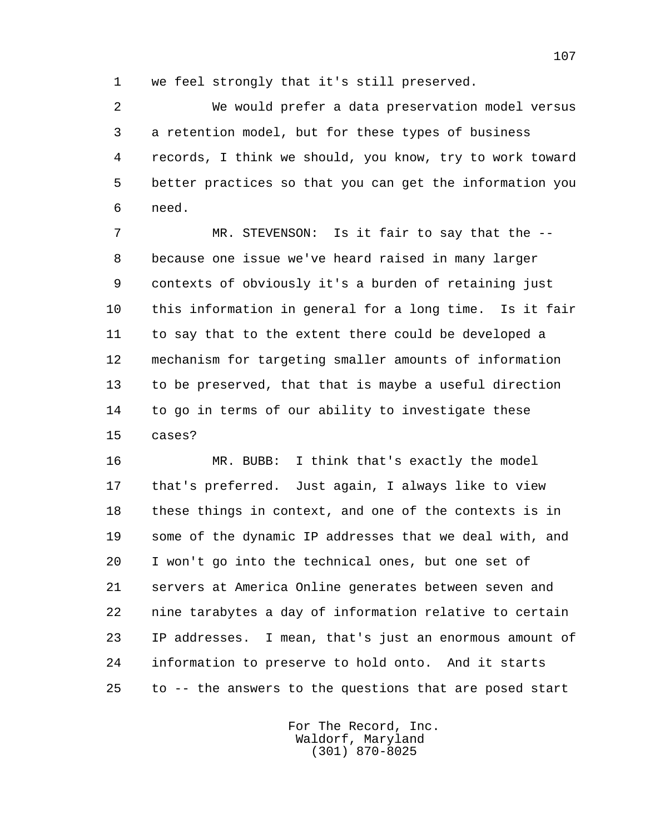1 we feel strongly that it's still preserved.

 2 We would prefer a data preservation model versus 3 a retention model, but for these types of business 4 records, I think we should, you know, try to work toward 5 better practices so that you can get the information you 6 need.

 7 MR. STEVENSON: Is it fair to say that the -- 8 because one issue we've heard raised in many larger 9 contexts of obviously it's a burden of retaining just 10 this information in general for a long time. Is it fair 11 to say that to the extent there could be developed a 12 mechanism for targeting smaller amounts of information 13 to be preserved, that that is maybe a useful direction 14 to go in terms of our ability to investigate these 15 cases?

 16 MR. BUBB: I think that's exactly the model 17 that's preferred. Just again, I always like to view 18 these things in context, and one of the contexts is in 19 some of the dynamic IP addresses that we deal with, and 20 I won't go into the technical ones, but one set of 21 servers at America Online generates between seven and 22 nine tarabytes a day of information relative to certain 23 IP addresses. I mean, that's just an enormous amount of 24 information to preserve to hold onto. And it starts 25 to -- the answers to the questions that are posed start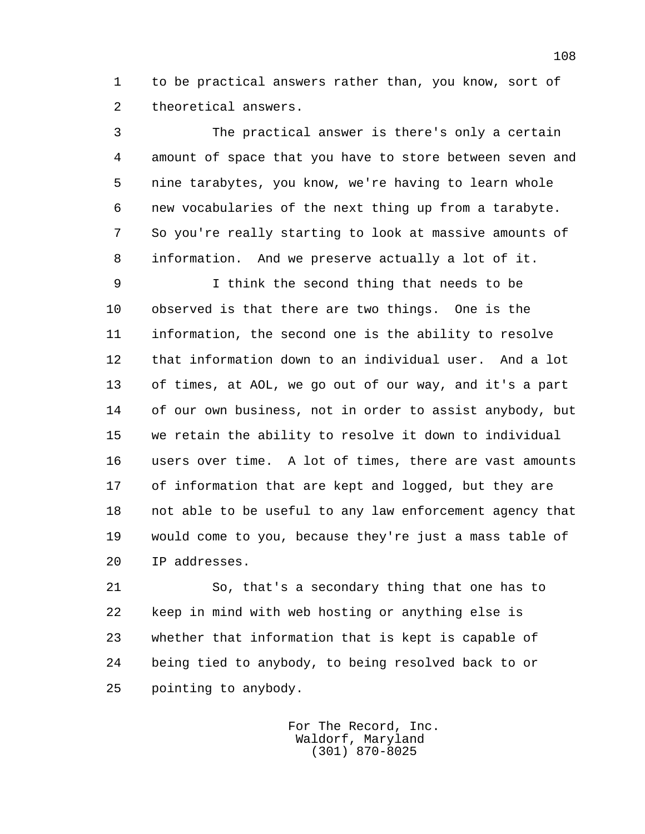1 to be practical answers rather than, you know, sort of 2 theoretical answers.

 3 The practical answer is there's only a certain 4 amount of space that you have to store between seven and 5 nine tarabytes, you know, we're having to learn whole 6 new vocabularies of the next thing up from a tarabyte. 7 So you're really starting to look at massive amounts of 8 information. And we preserve actually a lot of it.

 9 I think the second thing that needs to be 10 observed is that there are two things. One is the 11 information, the second one is the ability to resolve 12 that information down to an individual user. And a lot 13 of times, at AOL, we go out of our way, and it's a part 14 of our own business, not in order to assist anybody, but 15 we retain the ability to resolve it down to individual 16 users over time. A lot of times, there are vast amounts 17 of information that are kept and logged, but they are 18 not able to be useful to any law enforcement agency that 19 would come to you, because they're just a mass table of 20 IP addresses.

 21 So, that's a secondary thing that one has to 22 keep in mind with web hosting or anything else is 23 whether that information that is kept is capable of 24 being tied to anybody, to being resolved back to or 25 pointing to anybody.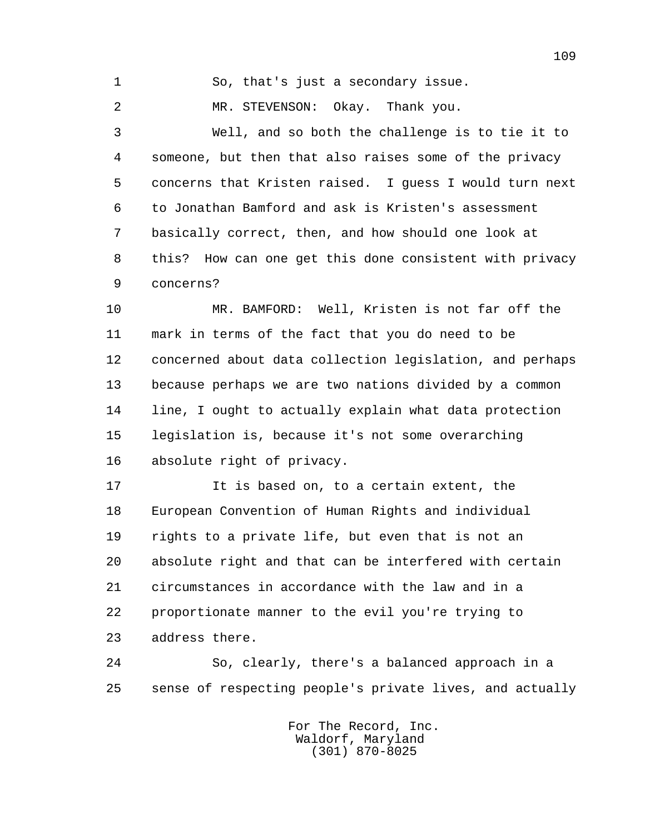1 So, that's just a secondary issue.

2 MR. STEVENSON: Okay. Thank you.

 3 Well, and so both the challenge is to tie it to 4 someone, but then that also raises some of the privacy 5 concerns that Kristen raised. I guess I would turn next 6 to Jonathan Bamford and ask is Kristen's assessment 7 basically correct, then, and how should one look at 8 this? How can one get this done consistent with privacy 9 concerns?

 10 MR. BAMFORD: Well, Kristen is not far off the 11 mark in terms of the fact that you do need to be 12 concerned about data collection legislation, and perhaps 13 because perhaps we are two nations divided by a common 14 line, I ought to actually explain what data protection 15 legislation is, because it's not some overarching 16 absolute right of privacy.

 17 It is based on, to a certain extent, the 18 European Convention of Human Rights and individual 19 rights to a private life, but even that is not an 20 absolute right and that can be interfered with certain 21 circumstances in accordance with the law and in a 22 proportionate manner to the evil you're trying to 23 address there.

 24 So, clearly, there's a balanced approach in a 25 sense of respecting people's private lives, and actually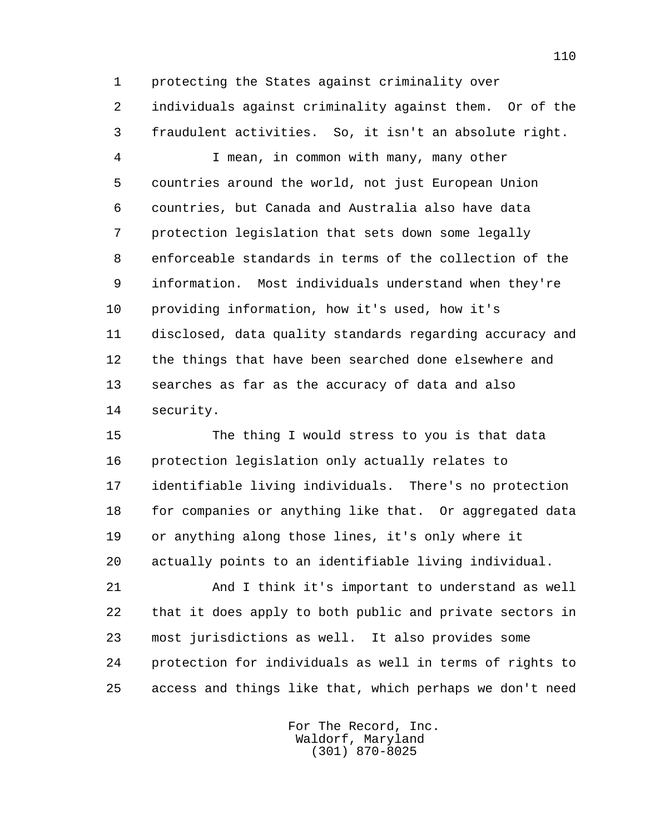1 protecting the States against criminality over 2 individuals against criminality against them. Or of the 3 fraudulent activities. So, it isn't an absolute right.

 4 I mean, in common with many, many other 5 countries around the world, not just European Union 6 countries, but Canada and Australia also have data 7 protection legislation that sets down some legally 8 enforceable standards in terms of the collection of the 9 information. Most individuals understand when they're 10 providing information, how it's used, how it's 11 disclosed, data quality standards regarding accuracy and 12 the things that have been searched done elsewhere and 13 searches as far as the accuracy of data and also 14 security.

 15 The thing I would stress to you is that data 16 protection legislation only actually relates to 17 identifiable living individuals. There's no protection 18 for companies or anything like that. Or aggregated data 19 or anything along those lines, it's only where it 20 actually points to an identifiable living individual.

 21 And I think it's important to understand as well 22 that it does apply to both public and private sectors in 23 most jurisdictions as well. It also provides some 24 protection for individuals as well in terms of rights to 25 access and things like that, which perhaps we don't need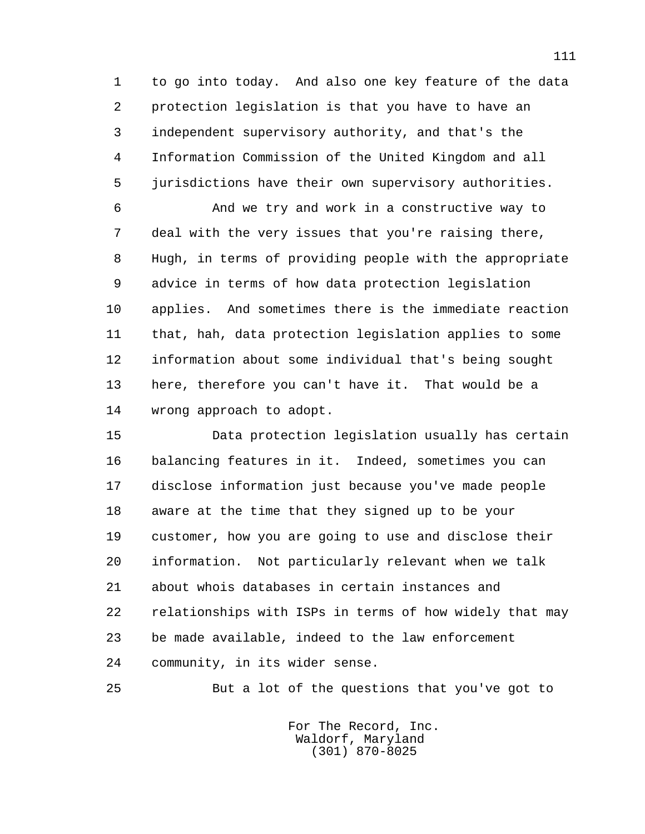1 to go into today. And also one key feature of the data 2 protection legislation is that you have to have an 3 independent supervisory authority, and that's the 4 Information Commission of the United Kingdom and all 5 jurisdictions have their own supervisory authorities.

 6 And we try and work in a constructive way to 7 deal with the very issues that you're raising there, 8 Hugh, in terms of providing people with the appropriate 9 advice in terms of how data protection legislation 10 applies. And sometimes there is the immediate reaction 11 that, hah, data protection legislation applies to some 12 information about some individual that's being sought 13 here, therefore you can't have it. That would be a 14 wrong approach to adopt.

 15 Data protection legislation usually has certain 16 balancing features in it. Indeed, sometimes you can 17 disclose information just because you've made people 18 aware at the time that they signed up to be your 19 customer, how you are going to use and disclose their 20 information. Not particularly relevant when we talk 21 about whois databases in certain instances and 22 relationships with ISPs in terms of how widely that may 23 be made available, indeed to the law enforcement 24 community, in its wider sense.

25 But a lot of the questions that you've got to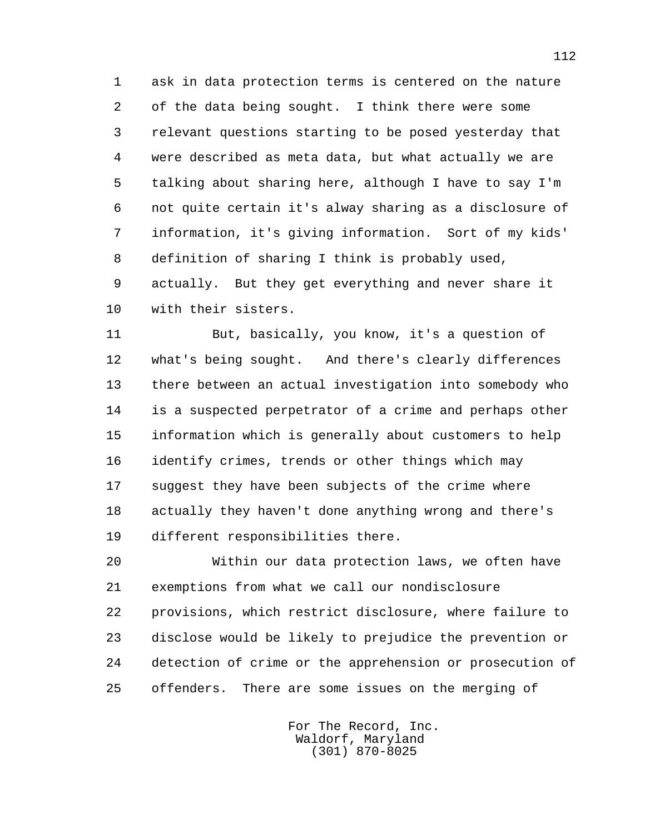1 ask in data protection terms is centered on the nature 2 of the data being sought. I think there were some 3 relevant questions starting to be posed yesterday that 4 were described as meta data, but what actually we are 5 talking about sharing here, although I have to say I'm 6 not quite certain it's alway sharing as a disclosure of 7 information, it's giving information. Sort of my kids' 8 definition of sharing I think is probably used, 9 actually. But they get everything and never share it 10 with their sisters.

 11 But, basically, you know, it's a question of 12 what's being sought. And there's clearly differences 13 there between an actual investigation into somebody who 14 is a suspected perpetrator of a crime and perhaps other 15 information which is generally about customers to help 16 identify crimes, trends or other things which may 17 suggest they have been subjects of the crime where 18 actually they haven't done anything wrong and there's 19 different responsibilities there.

 20 Within our data protection laws, we often have 21 exemptions from what we call our nondisclosure 22 provisions, which restrict disclosure, where failure to 23 disclose would be likely to prejudice the prevention or 24 detection of crime or the apprehension or prosecution of 25 offenders. There are some issues on the merging of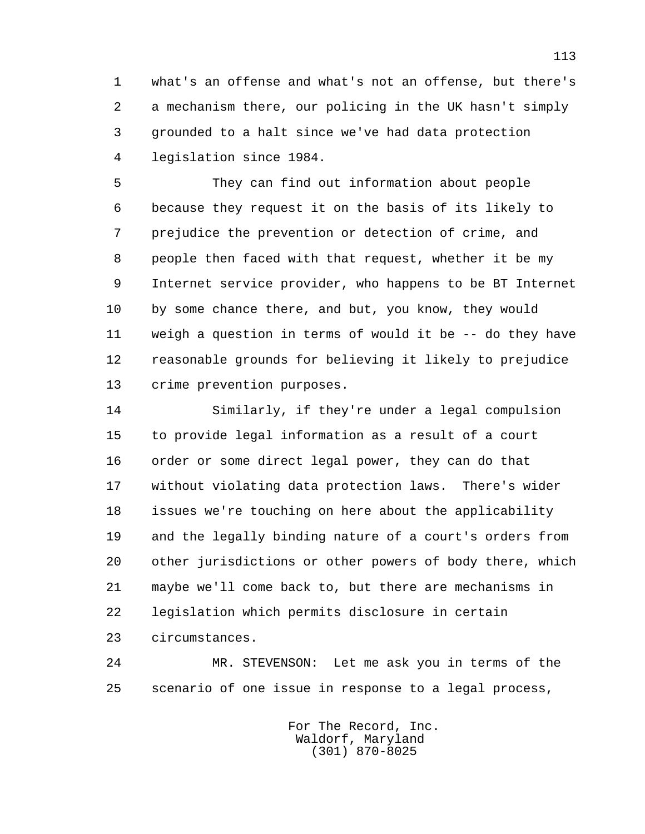1 what's an offense and what's not an offense, but there's 2 a mechanism there, our policing in the UK hasn't simply 3 grounded to a halt since we've had data protection 4 legislation since 1984.

 5 They can find out information about people 6 because they request it on the basis of its likely to 7 prejudice the prevention or detection of crime, and 8 people then faced with that request, whether it be my 9 Internet service provider, who happens to be BT Internet 10 by some chance there, and but, you know, they would 11 weigh a question in terms of would it be -- do they have 12 reasonable grounds for believing it likely to prejudice 13 crime prevention purposes.

 14 Similarly, if they're under a legal compulsion 15 to provide legal information as a result of a court 16 order or some direct legal power, they can do that 17 without violating data protection laws. There's wider 18 issues we're touching on here about the applicability 19 and the legally binding nature of a court's orders from 20 other jurisdictions or other powers of body there, which 21 maybe we'll come back to, but there are mechanisms in 22 legislation which permits disclosure in certain 23 circumstances.

 24 MR. STEVENSON: Let me ask you in terms of the 25 scenario of one issue in response to a legal process,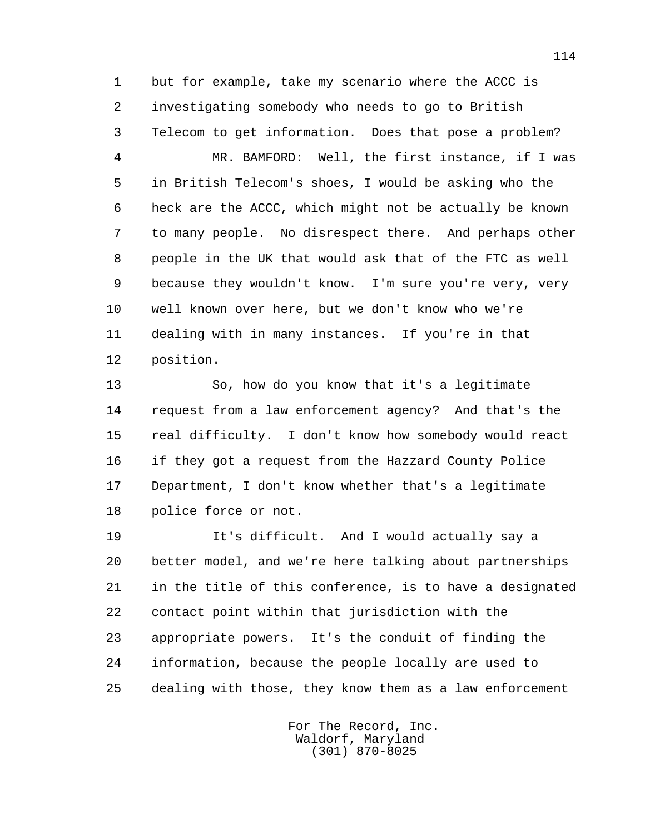1 but for example, take my scenario where the ACCC is 2 investigating somebody who needs to go to British 3 Telecom to get information. Does that pose a problem?

 4 MR. BAMFORD: Well, the first instance, if I was 5 in British Telecom's shoes, I would be asking who the 6 heck are the ACCC, which might not be actually be known 7 to many people. No disrespect there. And perhaps other 8 people in the UK that would ask that of the FTC as well 9 because they wouldn't know. I'm sure you're very, very 10 well known over here, but we don't know who we're 11 dealing with in many instances. If you're in that 12 position.

 13 So, how do you know that it's a legitimate 14 request from a law enforcement agency? And that's the 15 real difficulty. I don't know how somebody would react 16 if they got a request from the Hazzard County Police 17 Department, I don't know whether that's a legitimate 18 police force or not.

 19 It's difficult. And I would actually say a 20 better model, and we're here talking about partnerships 21 in the title of this conference, is to have a designated 22 contact point within that jurisdiction with the 23 appropriate powers. It's the conduit of finding the 24 information, because the people locally are used to 25 dealing with those, they know them as a law enforcement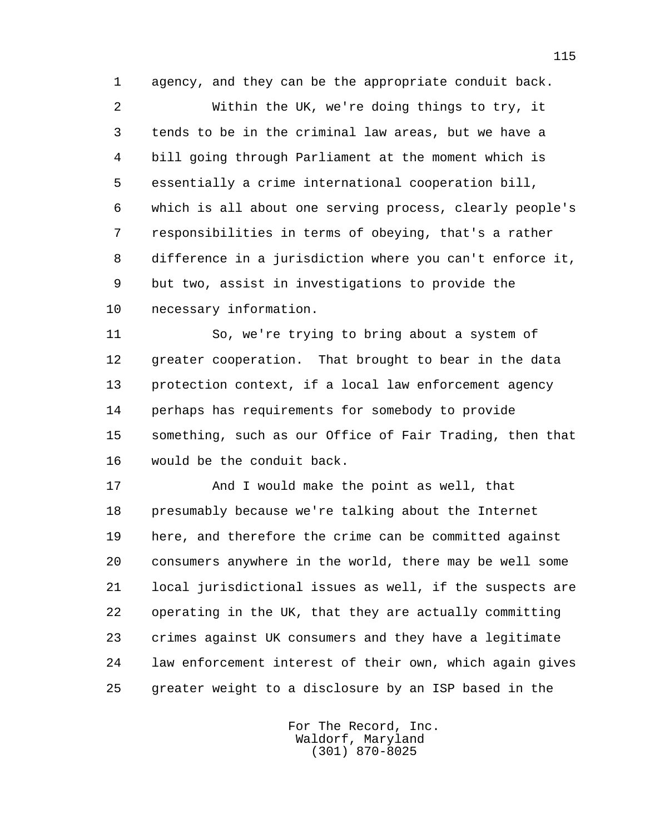1 agency, and they can be the appropriate conduit back.

 2 Within the UK, we're doing things to try, it 3 tends to be in the criminal law areas, but we have a 4 bill going through Parliament at the moment which is 5 essentially a crime international cooperation bill, 6 which is all about one serving process, clearly people's 7 responsibilities in terms of obeying, that's a rather 8 difference in a jurisdiction where you can't enforce it, 9 but two, assist in investigations to provide the 10 necessary information.

 11 So, we're trying to bring about a system of 12 greater cooperation. That brought to bear in the data 13 protection context, if a local law enforcement agency 14 perhaps has requirements for somebody to provide 15 something, such as our Office of Fair Trading, then that 16 would be the conduit back.

 17 And I would make the point as well, that 18 presumably because we're talking about the Internet 19 here, and therefore the crime can be committed against 20 consumers anywhere in the world, there may be well some 21 local jurisdictional issues as well, if the suspects are 22 operating in the UK, that they are actually committing 23 crimes against UK consumers and they have a legitimate 24 law enforcement interest of their own, which again gives 25 greater weight to a disclosure by an ISP based in the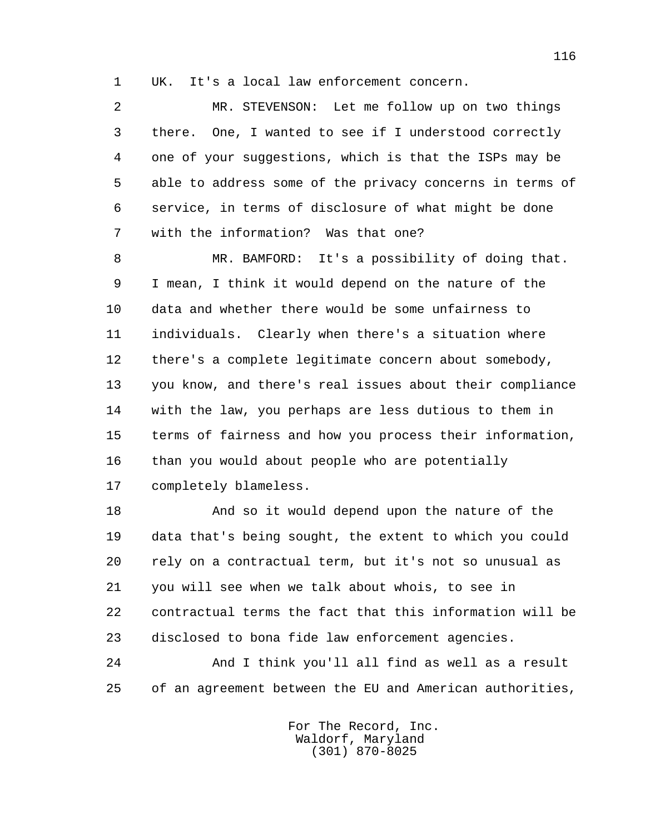1 UK. It's a local law enforcement concern.

 2 MR. STEVENSON: Let me follow up on two things 3 there. One, I wanted to see if I understood correctly 4 one of your suggestions, which is that the ISPs may be 5 able to address some of the privacy concerns in terms of 6 service, in terms of disclosure of what might be done 7 with the information? Was that one?

 8 MR. BAMFORD: It's a possibility of doing that. 9 I mean, I think it would depend on the nature of the 10 data and whether there would be some unfairness to 11 individuals. Clearly when there's a situation where 12 there's a complete legitimate concern about somebody, 13 you know, and there's real issues about their compliance 14 with the law, you perhaps are less dutious to them in 15 terms of fairness and how you process their information, 16 than you would about people who are potentially 17 completely blameless.

 18 And so it would depend upon the nature of the 19 data that's being sought, the extent to which you could 20 rely on a contractual term, but it's not so unusual as 21 you will see when we talk about whois, to see in 22 contractual terms the fact that this information will be 23 disclosed to bona fide law enforcement agencies.

 24 And I think you'll all find as well as a result 25 of an agreement between the EU and American authorities,

> For The Record, Inc. Waldorf, Maryland (301) 870-8025

116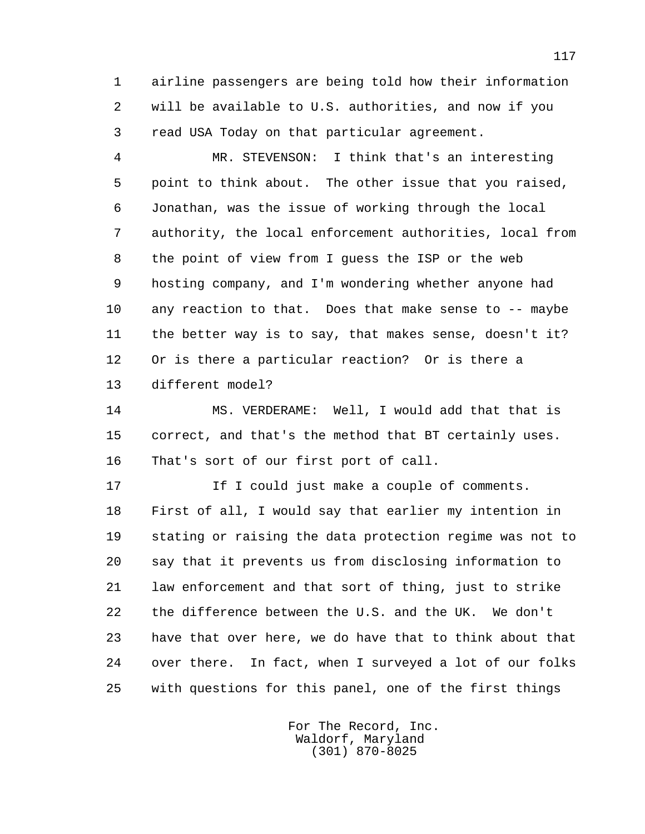1 airline passengers are being told how their information 2 will be available to U.S. authorities, and now if you 3 read USA Today on that particular agreement.

 4 MR. STEVENSON: I think that's an interesting 5 point to think about. The other issue that you raised, 6 Jonathan, was the issue of working through the local 7 authority, the local enforcement authorities, local from 8 the point of view from I guess the ISP or the web 9 hosting company, and I'm wondering whether anyone had 10 any reaction to that. Does that make sense to -- maybe 11 the better way is to say, that makes sense, doesn't it? 12 Or is there a particular reaction? Or is there a 13 different model?

 14 MS. VERDERAME: Well, I would add that that is 15 correct, and that's the method that BT certainly uses. 16 That's sort of our first port of call.

17 17 If I could just make a couple of comments. 18 First of all, I would say that earlier my intention in 19 stating or raising the data protection regime was not to 20 say that it prevents us from disclosing information to 21 law enforcement and that sort of thing, just to strike 22 the difference between the U.S. and the UK. We don't 23 have that over here, we do have that to think about that 24 over there. In fact, when I surveyed a lot of our folks 25 with questions for this panel, one of the first things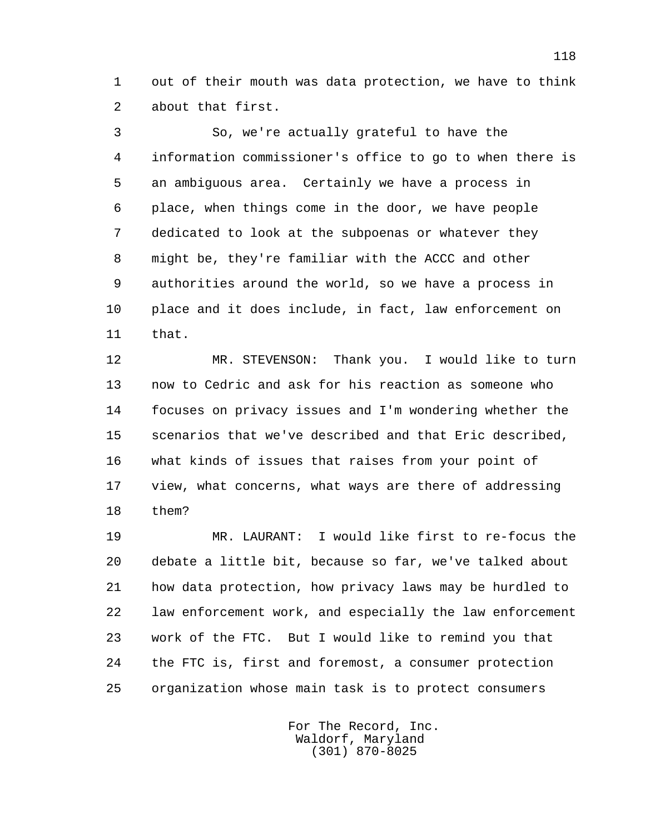1 out of their mouth was data protection, we have to think 2 about that first.

 3 So, we're actually grateful to have the 4 information commissioner's office to go to when there is 5 an ambiguous area. Certainly we have a process in 6 place, when things come in the door, we have people 7 dedicated to look at the subpoenas or whatever they 8 might be, they're familiar with the ACCC and other 9 authorities around the world, so we have a process in 10 place and it does include, in fact, law enforcement on 11 that.

 12 MR. STEVENSON: Thank you. I would like to turn 13 now to Cedric and ask for his reaction as someone who 14 focuses on privacy issues and I'm wondering whether the 15 scenarios that we've described and that Eric described, 16 what kinds of issues that raises from your point of 17 view, what concerns, what ways are there of addressing 18 them?

 19 MR. LAURANT: I would like first to re-focus the 20 debate a little bit, because so far, we've talked about 21 how data protection, how privacy laws may be hurdled to 22 law enforcement work, and especially the law enforcement 23 work of the FTC. But I would like to remind you that 24 the FTC is, first and foremost, a consumer protection 25 organization whose main task is to protect consumers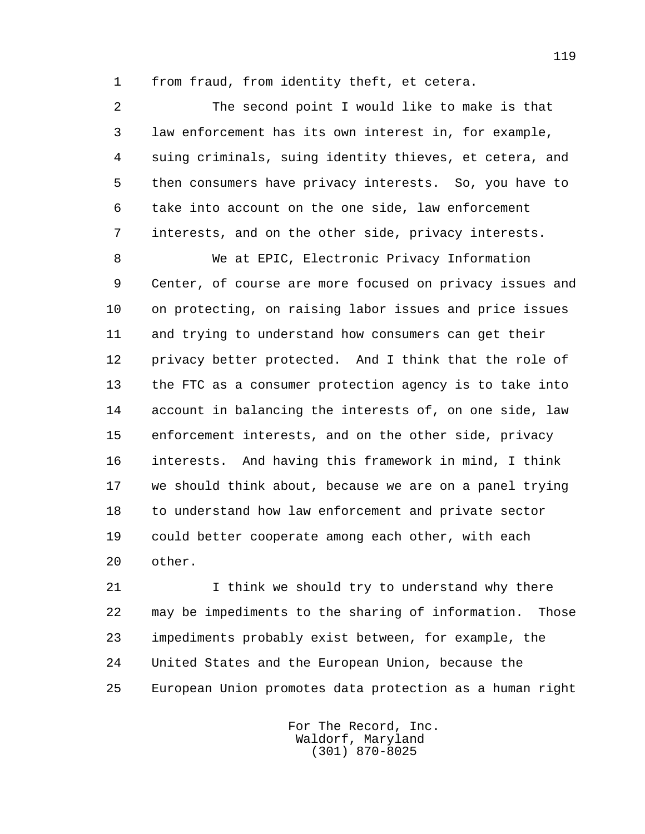1 from fraud, from identity theft, et cetera.

 2 The second point I would like to make is that 3 law enforcement has its own interest in, for example, 4 suing criminals, suing identity thieves, et cetera, and 5 then consumers have privacy interests. So, you have to 6 take into account on the one side, law enforcement 7 interests, and on the other side, privacy interests.

 8 We at EPIC, Electronic Privacy Information 9 Center, of course are more focused on privacy issues and 10 on protecting, on raising labor issues and price issues 11 and trying to understand how consumers can get their 12 privacy better protected. And I think that the role of 13 the FTC as a consumer protection agency is to take into 14 account in balancing the interests of, on one side, law 15 enforcement interests, and on the other side, privacy 16 interests. And having this framework in mind, I think 17 we should think about, because we are on a panel trying 18 to understand how law enforcement and private sector 19 could better cooperate among each other, with each 20 other.

21 I think we should try to understand why there 22 may be impediments to the sharing of information. Those 23 impediments probably exist between, for example, the 24 United States and the European Union, because the 25 European Union promotes data protection as a human right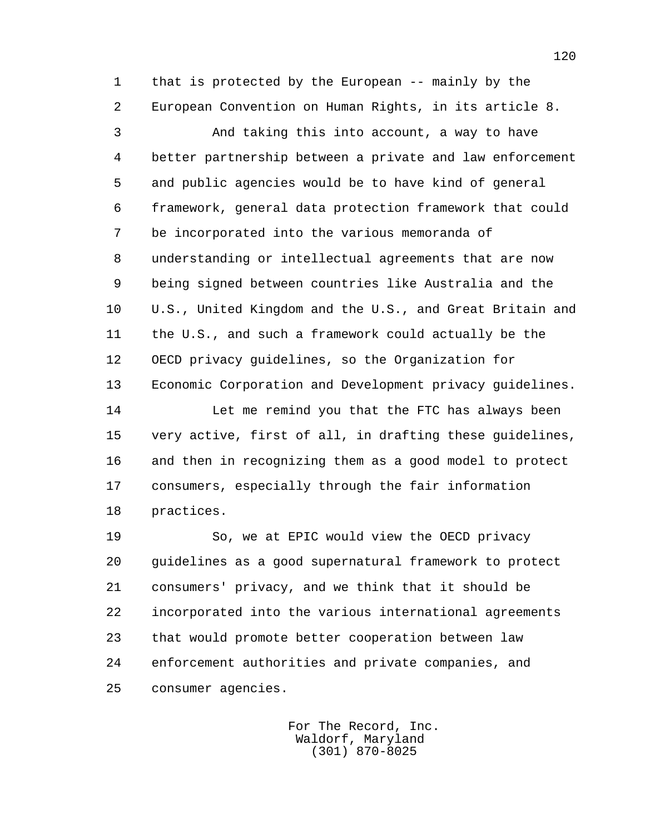1 that is protected by the European -- mainly by the 2 European Convention on Human Rights, in its article 8.

 3 And taking this into account, a way to have 4 better partnership between a private and law enforcement 5 and public agencies would be to have kind of general 6 framework, general data protection framework that could 7 be incorporated into the various memoranda of 8 understanding or intellectual agreements that are now 9 being signed between countries like Australia and the 10 U.S., United Kingdom and the U.S., and Great Britain and 11 the U.S., and such a framework could actually be the 12 OECD privacy guidelines, so the Organization for 13 Economic Corporation and Development privacy guidelines.

14 Let me remind you that the FTC has always been 15 very active, first of all, in drafting these guidelines, 16 and then in recognizing them as a good model to protect 17 consumers, especially through the fair information 18 practices.

 19 So, we at EPIC would view the OECD privacy 20 guidelines as a good supernatural framework to protect 21 consumers' privacy, and we think that it should be 22 incorporated into the various international agreements 23 that would promote better cooperation between law 24 enforcement authorities and private companies, and 25 consumer agencies.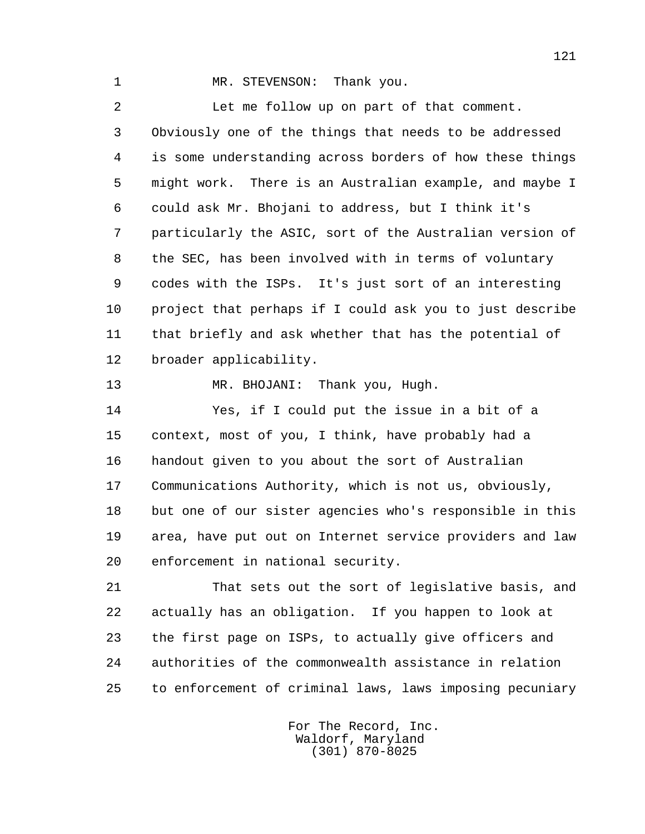1 MR. STEVENSON: Thank you.

 2 Let me follow up on part of that comment. 3 Obviously one of the things that needs to be addressed 4 is some understanding across borders of how these things 5 might work. There is an Australian example, and maybe I 6 could ask Mr. Bhojani to address, but I think it's 7 particularly the ASIC, sort of the Australian version of 8 the SEC, has been involved with in terms of voluntary 9 codes with the ISPs. It's just sort of an interesting 10 project that perhaps if I could ask you to just describe 11 that briefly and ask whether that has the potential of 12 broader applicability.

13 MR. BHOJANI: Thank you, Hugh.

 14 Yes, if I could put the issue in a bit of a 15 context, most of you, I think, have probably had a 16 handout given to you about the sort of Australian 17 Communications Authority, which is not us, obviously, 18 but one of our sister agencies who's responsible in this 19 area, have put out on Internet service providers and law 20 enforcement in national security.

 21 That sets out the sort of legislative basis, and 22 actually has an obligation. If you happen to look at 23 the first page on ISPs, to actually give officers and 24 authorities of the commonwealth assistance in relation 25 to enforcement of criminal laws, laws imposing pecuniary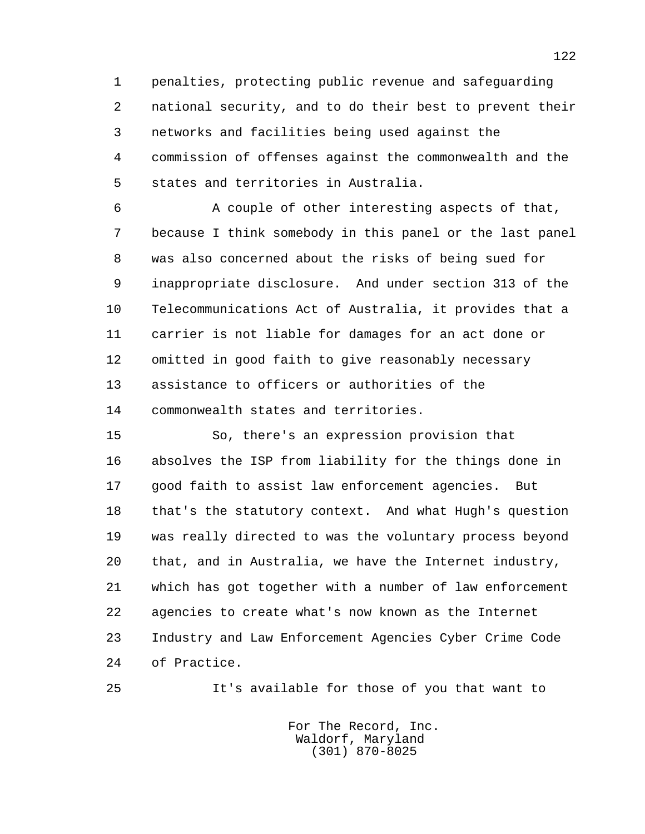1 penalties, protecting public revenue and safeguarding 2 national security, and to do their best to prevent their 3 networks and facilities being used against the 4 commission of offenses against the commonwealth and the 5 states and territories in Australia.

 6 A couple of other interesting aspects of that, 7 because I think somebody in this panel or the last panel 8 was also concerned about the risks of being sued for 9 inappropriate disclosure. And under section 313 of the 10 Telecommunications Act of Australia, it provides that a 11 carrier is not liable for damages for an act done or 12 omitted in good faith to give reasonably necessary 13 assistance to officers or authorities of the 14 commonwealth states and territories.

 15 So, there's an expression provision that 16 absolves the ISP from liability for the things done in 17 good faith to assist law enforcement agencies. But 18 that's the statutory context. And what Hugh's question 19 was really directed to was the voluntary process beyond 20 that, and in Australia, we have the Internet industry, 21 which has got together with a number of law enforcement 22 agencies to create what's now known as the Internet 23 Industry and Law Enforcement Agencies Cyber Crime Code 24 of Practice.

25 It's available for those of you that want to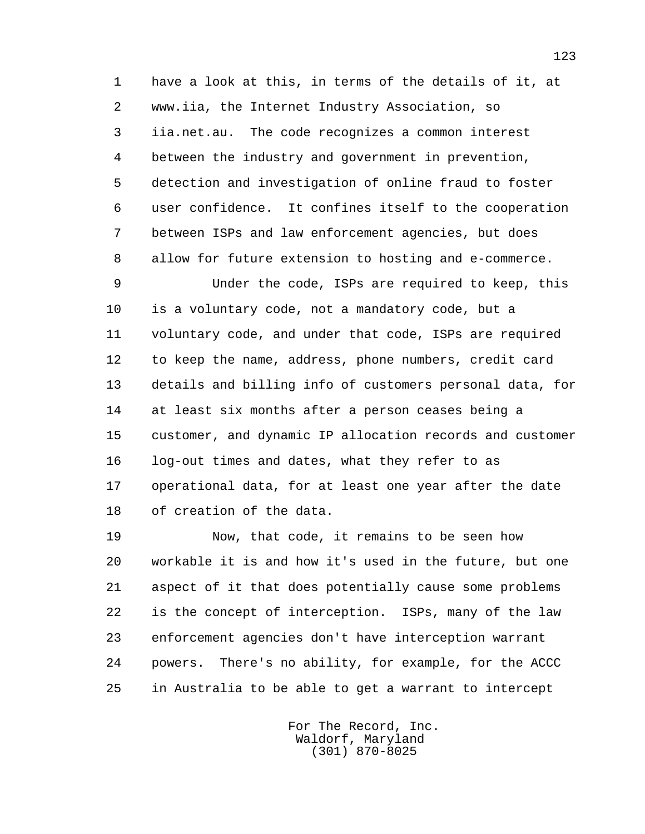1 have a look at this, in terms of the details of it, at 2 www.iia, the Internet Industry Association, so 3 iia.net.au. The code recognizes a common interest 4 between the industry and government in prevention, 5 detection and investigation of online fraud to foster 6 user confidence. It confines itself to the cooperation 7 between ISPs and law enforcement agencies, but does 8 allow for future extension to hosting and e-commerce.

 9 Under the code, ISPs are required to keep, this 10 is a voluntary code, not a mandatory code, but a 11 voluntary code, and under that code, ISPs are required 12 to keep the name, address, phone numbers, credit card 13 details and billing info of customers personal data, for 14 at least six months after a person ceases being a 15 customer, and dynamic IP allocation records and customer 16 log-out times and dates, what they refer to as 17 operational data, for at least one year after the date 18 of creation of the data.

 19 Now, that code, it remains to be seen how 20 workable it is and how it's used in the future, but one 21 aspect of it that does potentially cause some problems 22 is the concept of interception. ISPs, many of the law 23 enforcement agencies don't have interception warrant 24 powers. There's no ability, for example, for the ACCC 25 in Australia to be able to get a warrant to intercept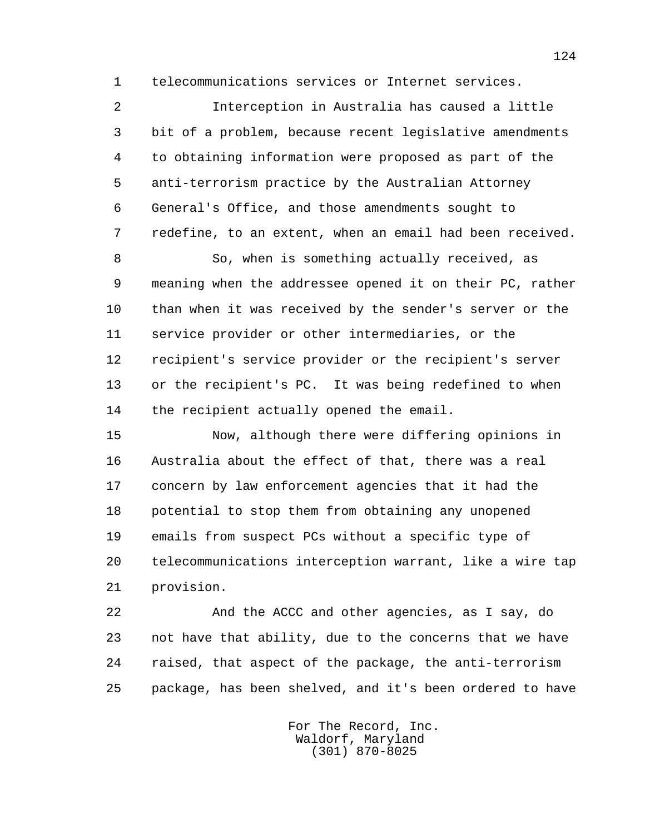1 telecommunications services or Internet services.

 2 Interception in Australia has caused a little 3 bit of a problem, because recent legislative amendments 4 to obtaining information were proposed as part of the 5 anti-terrorism practice by the Australian Attorney 6 General's Office, and those amendments sought to 7 redefine, to an extent, when an email had been received.

 8 So, when is something actually received, as 9 meaning when the addressee opened it on their PC, rather 10 than when it was received by the sender's server or the 11 service provider or other intermediaries, or the 12 recipient's service provider or the recipient's server 13 or the recipient's PC. It was being redefined to when 14 the recipient actually opened the email.

 15 Now, although there were differing opinions in 16 Australia about the effect of that, there was a real 17 concern by law enforcement agencies that it had the 18 potential to stop them from obtaining any unopened 19 emails from suspect PCs without a specific type of 20 telecommunications interception warrant, like a wire tap 21 provision.

 22 And the ACCC and other agencies, as I say, do 23 not have that ability, due to the concerns that we have 24 raised, that aspect of the package, the anti-terrorism 25 package, has been shelved, and it's been ordered to have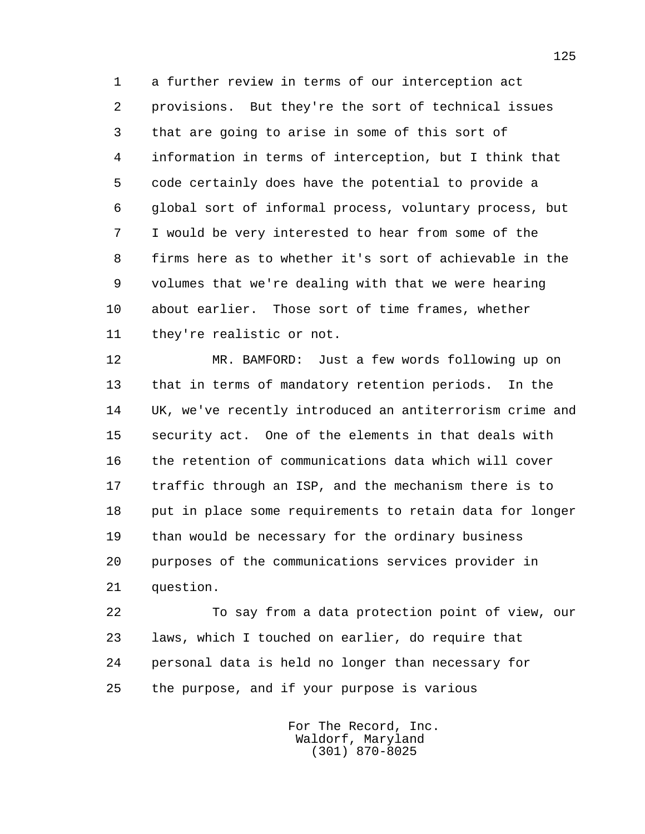1 a further review in terms of our interception act 2 provisions. But they're the sort of technical issues 3 that are going to arise in some of this sort of 4 information in terms of interception, but I think that 5 code certainly does have the potential to provide a 6 global sort of informal process, voluntary process, but 7 I would be very interested to hear from some of the 8 firms here as to whether it's sort of achievable in the 9 volumes that we're dealing with that we were hearing 10 about earlier. Those sort of time frames, whether 11 they're realistic or not.

 12 MR. BAMFORD: Just a few words following up on 13 that in terms of mandatory retention periods. In the 14 UK, we've recently introduced an antiterrorism crime and 15 security act. One of the elements in that deals with 16 the retention of communications data which will cover 17 traffic through an ISP, and the mechanism there is to 18 put in place some requirements to retain data for longer 19 than would be necessary for the ordinary business 20 purposes of the communications services provider in 21 question.

 22 To say from a data protection point of view, our 23 laws, which I touched on earlier, do require that 24 personal data is held no longer than necessary for 25 the purpose, and if your purpose is various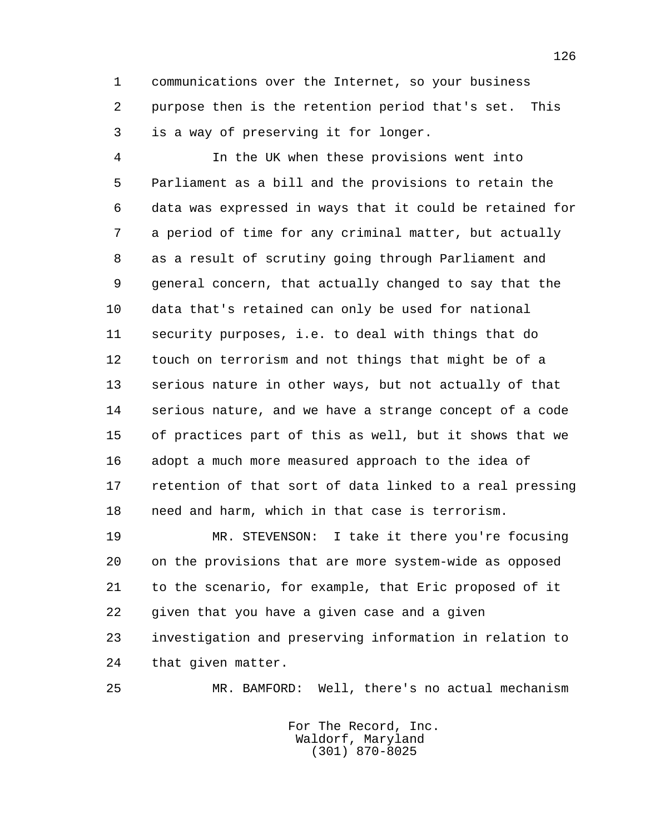1 communications over the Internet, so your business 2 purpose then is the retention period that's set. This 3 is a way of preserving it for longer.

 4 In the UK when these provisions went into 5 Parliament as a bill and the provisions to retain the 6 data was expressed in ways that it could be retained for 7 a period of time for any criminal matter, but actually 8 as a result of scrutiny going through Parliament and 9 general concern, that actually changed to say that the 10 data that's retained can only be used for national 11 security purposes, i.e. to deal with things that do 12 touch on terrorism and not things that might be of a 13 serious nature in other ways, but not actually of that 14 serious nature, and we have a strange concept of a code 15 of practices part of this as well, but it shows that we 16 adopt a much more measured approach to the idea of 17 retention of that sort of data linked to a real pressing 18 need and harm, which in that case is terrorism.

 19 MR. STEVENSON: I take it there you're focusing 20 on the provisions that are more system-wide as opposed 21 to the scenario, for example, that Eric proposed of it 22 given that you have a given case and a given 23 investigation and preserving information in relation to 24 that given matter.

25 MR. BAMFORD: Well, there's no actual mechanism

 For The Record, Inc. Waldorf, Maryland (301) 870-8025

126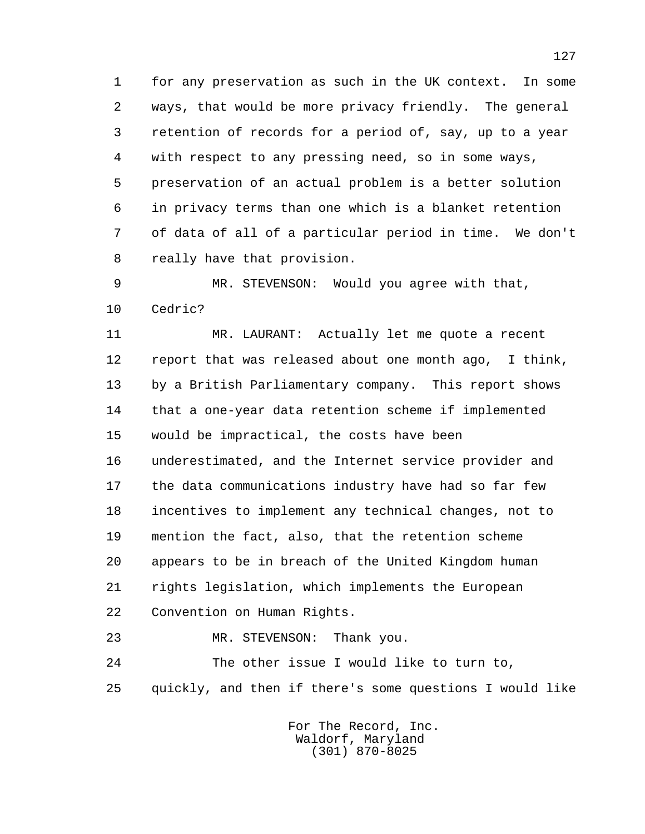1 for any preservation as such in the UK context. In some 2 ways, that would be more privacy friendly. The general 3 retention of records for a period of, say, up to a year 4 with respect to any pressing need, so in some ways, 5 preservation of an actual problem is a better solution 6 in privacy terms than one which is a blanket retention 7 of data of all of a particular period in time. We don't 8 really have that provision.

 9 MR. STEVENSON: Would you agree with that, 10 Cedric?

 11 MR. LAURANT: Actually let me quote a recent 12 report that was released about one month ago, I think, 13 by a British Parliamentary company. This report shows 14 that a one-year data retention scheme if implemented 15 would be impractical, the costs have been 16 underestimated, and the Internet service provider and 17 the data communications industry have had so far few 18 incentives to implement any technical changes, not to 19 mention the fact, also, that the retention scheme 20 appears to be in breach of the United Kingdom human 21 rights legislation, which implements the European 22 Convention on Human Rights.

 23 MR. STEVENSON: Thank you. 24 The other issue I would like to turn to, 25 quickly, and then if there's some questions I would like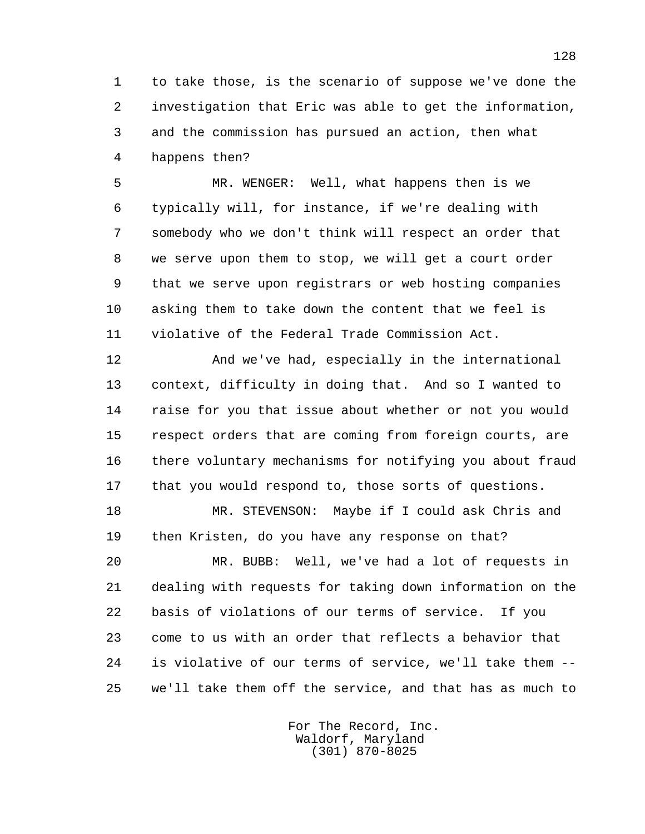1 to take those, is the scenario of suppose we've done the 2 investigation that Eric was able to get the information, 3 and the commission has pursued an action, then what 4 happens then?

 5 MR. WENGER: Well, what happens then is we 6 typically will, for instance, if we're dealing with 7 somebody who we don't think will respect an order that 8 we serve upon them to stop, we will get a court order 9 that we serve upon registrars or web hosting companies 10 asking them to take down the content that we feel is 11 violative of the Federal Trade Commission Act.

 12 And we've had, especially in the international 13 context, difficulty in doing that. And so I wanted to 14 raise for you that issue about whether or not you would 15 respect orders that are coming from foreign courts, are 16 there voluntary mechanisms for notifying you about fraud 17 that you would respond to, those sorts of questions.

 18 MR. STEVENSON: Maybe if I could ask Chris and 19 then Kristen, do you have any response on that?

 20 MR. BUBB: Well, we've had a lot of requests in 21 dealing with requests for taking down information on the 22 basis of violations of our terms of service. If you 23 come to us with an order that reflects a behavior that 24 is violative of our terms of service, we'll take them -- 25 we'll take them off the service, and that has as much to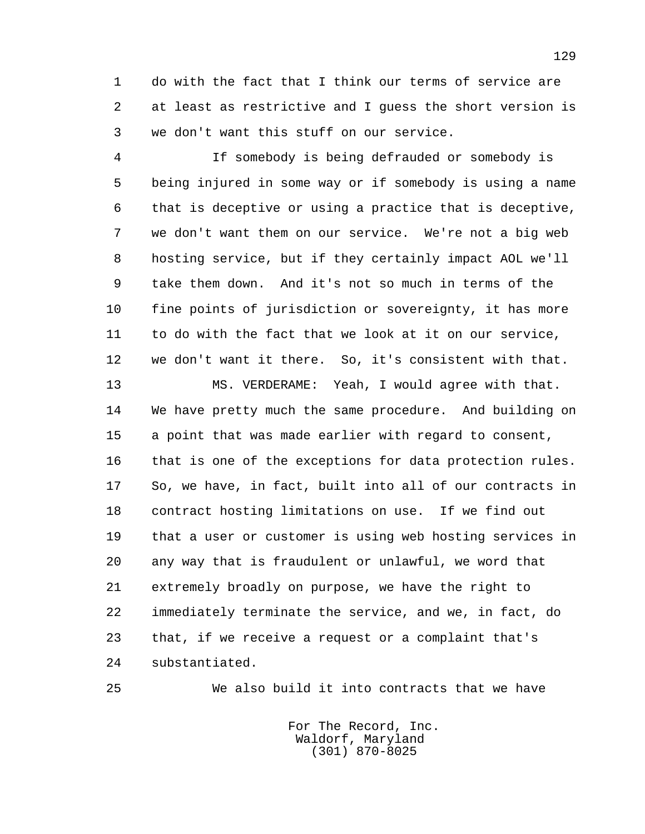1 do with the fact that I think our terms of service are 2 at least as restrictive and I guess the short version is 3 we don't want this stuff on our service.

 4 If somebody is being defrauded or somebody is 5 being injured in some way or if somebody is using a name 6 that is deceptive or using a practice that is deceptive, 7 we don't want them on our service. We're not a big web 8 hosting service, but if they certainly impact AOL we'll 9 take them down. And it's not so much in terms of the 10 fine points of jurisdiction or sovereignty, it has more 11 to do with the fact that we look at it on our service, 12 we don't want it there. So, it's consistent with that.

 13 MS. VERDERAME: Yeah, I would agree with that. 14 We have pretty much the same procedure. And building on 15 a point that was made earlier with regard to consent, 16 that is one of the exceptions for data protection rules. 17 So, we have, in fact, built into all of our contracts in 18 contract hosting limitations on use. If we find out 19 that a user or customer is using web hosting services in 20 any way that is fraudulent or unlawful, we word that 21 extremely broadly on purpose, we have the right to 22 immediately terminate the service, and we, in fact, do 23 that, if we receive a request or a complaint that's 24 substantiated.

25 We also build it into contracts that we have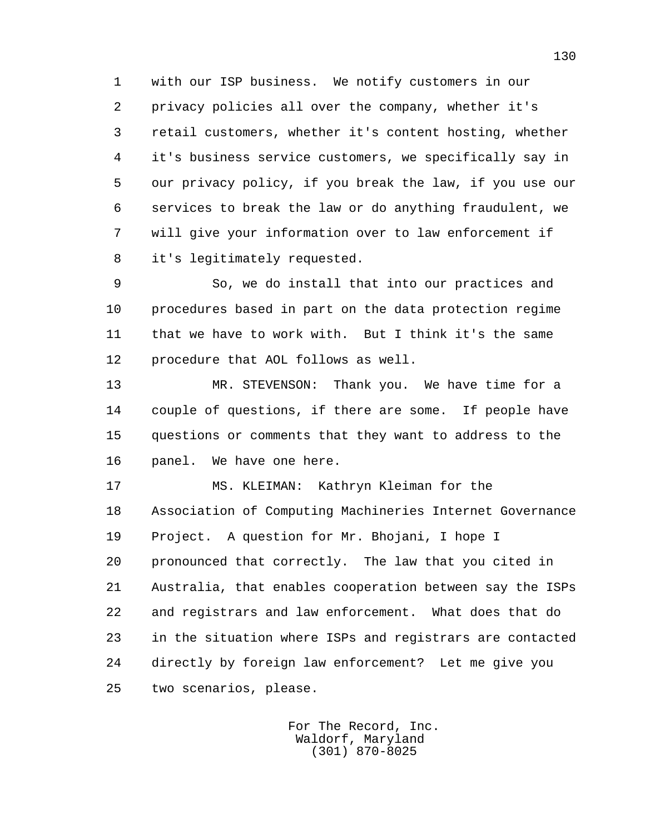1 with our ISP business. We notify customers in our 2 privacy policies all over the company, whether it's 3 retail customers, whether it's content hosting, whether 4 it's business service customers, we specifically say in 5 our privacy policy, if you break the law, if you use our 6 services to break the law or do anything fraudulent, we 7 will give your information over to law enforcement if 8 it's legitimately requested.

 9 So, we do install that into our practices and 10 procedures based in part on the data protection regime 11 that we have to work with. But I think it's the same 12 procedure that AOL follows as well.

 13 MR. STEVENSON: Thank you. We have time for a 14 couple of questions, if there are some. If people have 15 questions or comments that they want to address to the 16 panel. We have one here.

 17 MS. KLEIMAN: Kathryn Kleiman for the 18 Association of Computing Machineries Internet Governance 19 Project. A question for Mr. Bhojani, I hope I 20 pronounced that correctly. The law that you cited in 21 Australia, that enables cooperation between say the ISPs 22 and registrars and law enforcement. What does that do 23 in the situation where ISPs and registrars are contacted 24 directly by foreign law enforcement? Let me give you 25 two scenarios, please.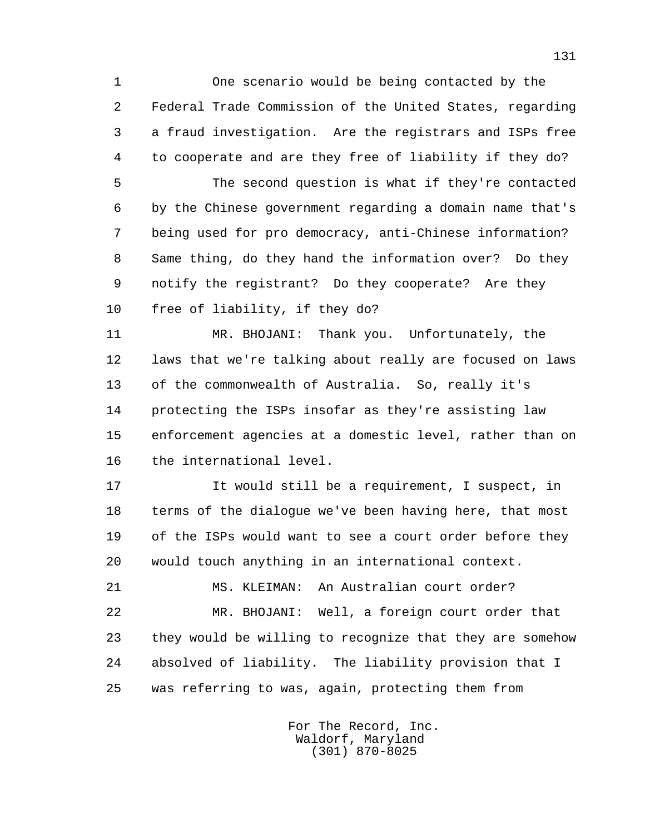1 One scenario would be being contacted by the 2 Federal Trade Commission of the United States, regarding 3 a fraud investigation. Are the registrars and ISPs free 4 to cooperate and are they free of liability if they do?

 5 The second question is what if they're contacted 6 by the Chinese government regarding a domain name that's 7 being used for pro democracy, anti-Chinese information? 8 Same thing, do they hand the information over? Do they 9 notify the registrant? Do they cooperate? Are they 10 free of liability, if they do?

 11 MR. BHOJANI: Thank you. Unfortunately, the 12 laws that we're talking about really are focused on laws 13 of the commonwealth of Australia. So, really it's 14 protecting the ISPs insofar as they're assisting law 15 enforcement agencies at a domestic level, rather than on 16 the international level.

 17 It would still be a requirement, I suspect, in 18 terms of the dialogue we've been having here, that most 19 of the ISPs would want to see a court order before they 20 would touch anything in an international context.

 21 MS. KLEIMAN: An Australian court order? 22 MR. BHOJANI: Well, a foreign court order that 23 they would be willing to recognize that they are somehow 24 absolved of liability. The liability provision that I 25 was referring to was, again, protecting them from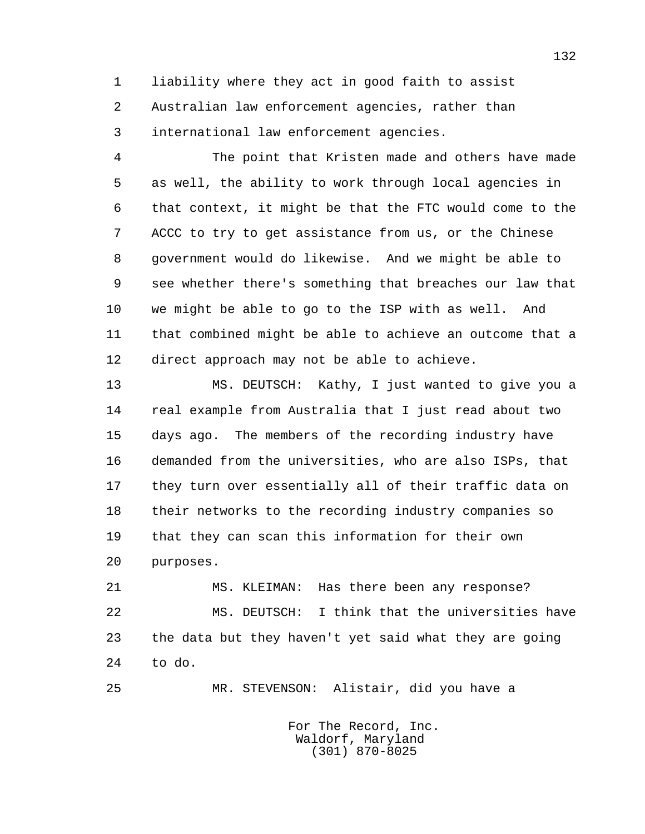1 liability where they act in good faith to assist 2 Australian law enforcement agencies, rather than 3 international law enforcement agencies.

 4 The point that Kristen made and others have made 5 as well, the ability to work through local agencies in 6 that context, it might be that the FTC would come to the 7 ACCC to try to get assistance from us, or the Chinese 8 government would do likewise. And we might be able to 9 see whether there's something that breaches our law that 10 we might be able to go to the ISP with as well. And 11 that combined might be able to achieve an outcome that a 12 direct approach may not be able to achieve.

 13 MS. DEUTSCH: Kathy, I just wanted to give you a 14 real example from Australia that I just read about two 15 days ago. The members of the recording industry have 16 demanded from the universities, who are also ISPs, that 17 they turn over essentially all of their traffic data on 18 their networks to the recording industry companies so 19 that they can scan this information for their own 20 purposes.

 21 MS. KLEIMAN: Has there been any response? 22 MS. DEUTSCH: I think that the universities have 23 the data but they haven't yet said what they are going 24 to do.

25 MR. STEVENSON: Alistair, did you have a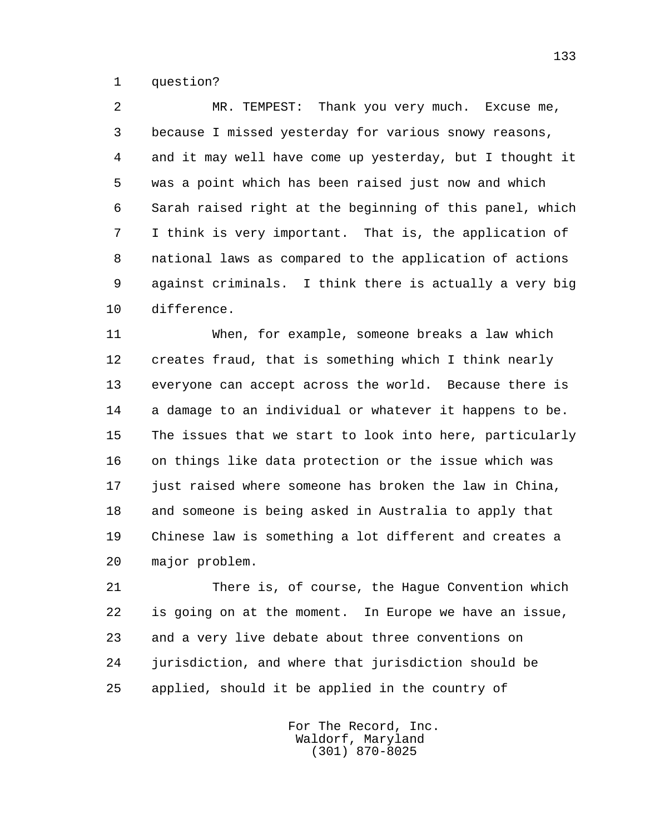1 question?

 2 MR. TEMPEST: Thank you very much. Excuse me, 3 because I missed yesterday for various snowy reasons, 4 and it may well have come up yesterday, but I thought it 5 was a point which has been raised just now and which 6 Sarah raised right at the beginning of this panel, which 7 I think is very important. That is, the application of 8 national laws as compared to the application of actions 9 against criminals. I think there is actually a very big 10 difference.

 11 When, for example, someone breaks a law which 12 creates fraud, that is something which I think nearly 13 everyone can accept across the world. Because there is 14 a damage to an individual or whatever it happens to be. 15 The issues that we start to look into here, particularly 16 on things like data protection or the issue which was 17 just raised where someone has broken the law in China, 18 and someone is being asked in Australia to apply that 19 Chinese law is something a lot different and creates a 20 major problem.

 21 There is, of course, the Hague Convention which 22 is going on at the moment. In Europe we have an issue, 23 and a very live debate about three conventions on 24 jurisdiction, and where that jurisdiction should be 25 applied, should it be applied in the country of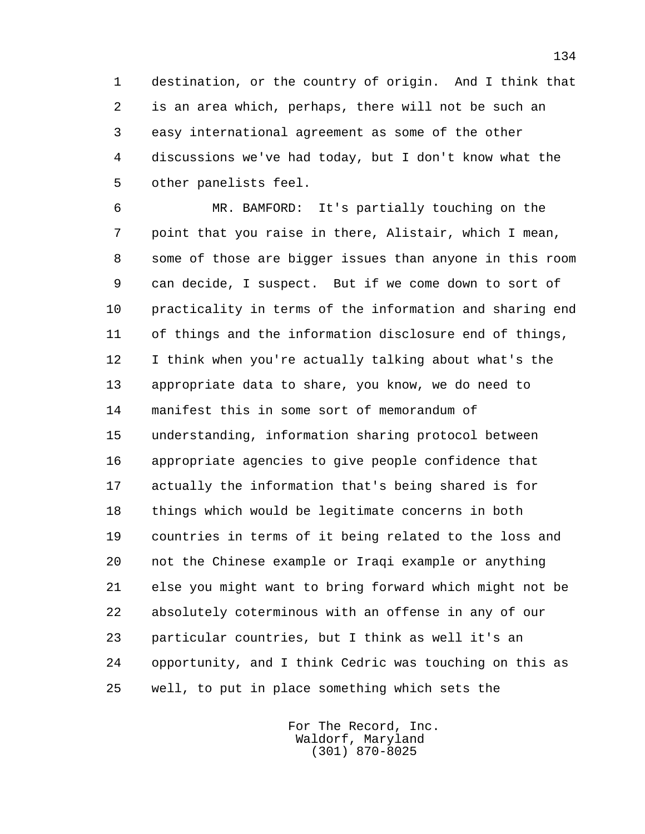1 destination, or the country of origin. And I think that 2 is an area which, perhaps, there will not be such an 3 easy international agreement as some of the other 4 discussions we've had today, but I don't know what the 5 other panelists feel.

 6 MR. BAMFORD: It's partially touching on the 7 point that you raise in there, Alistair, which I mean, 8 some of those are bigger issues than anyone in this room 9 can decide, I suspect. But if we come down to sort of 10 practicality in terms of the information and sharing end 11 of things and the information disclosure end of things, 12 I think when you're actually talking about what's the 13 appropriate data to share, you know, we do need to 14 manifest this in some sort of memorandum of 15 understanding, information sharing protocol between 16 appropriate agencies to give people confidence that 17 actually the information that's being shared is for 18 things which would be legitimate concerns in both 19 countries in terms of it being related to the loss and 20 not the Chinese example or Iraqi example or anything 21 else you might want to bring forward which might not be 22 absolutely coterminous with an offense in any of our 23 particular countries, but I think as well it's an 24 opportunity, and I think Cedric was touching on this as 25 well, to put in place something which sets the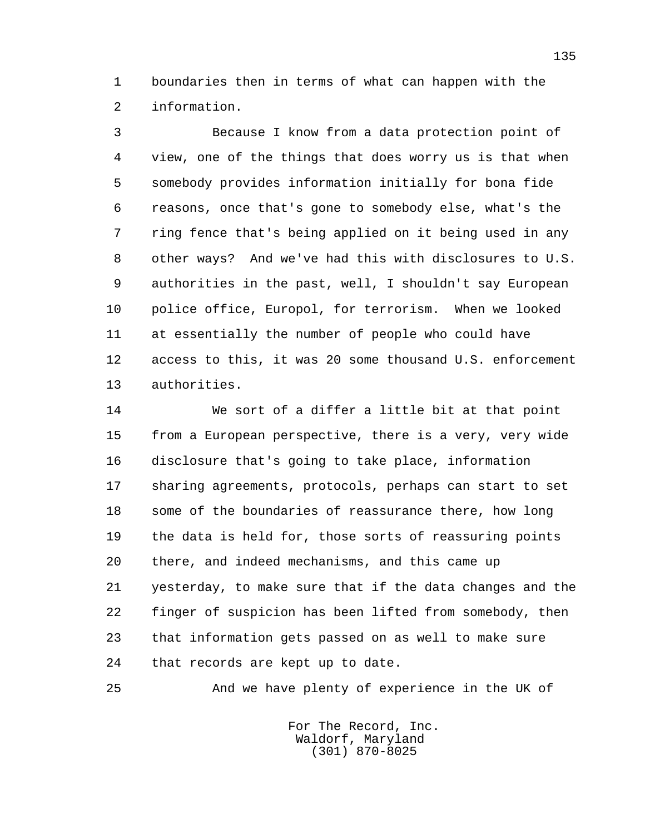1 boundaries then in terms of what can happen with the 2 information.

 3 Because I know from a data protection point of 4 view, one of the things that does worry us is that when 5 somebody provides information initially for bona fide 6 reasons, once that's gone to somebody else, what's the 7 ring fence that's being applied on it being used in any 8 other ways? And we've had this with disclosures to U.S. 9 authorities in the past, well, I shouldn't say European 10 police office, Europol, for terrorism. When we looked 11 at essentially the number of people who could have 12 access to this, it was 20 some thousand U.S. enforcement 13 authorities.

 14 We sort of a differ a little bit at that point 15 from a European perspective, there is a very, very wide 16 disclosure that's going to take place, information 17 sharing agreements, protocols, perhaps can start to set 18 some of the boundaries of reassurance there, how long 19 the data is held for, those sorts of reassuring points 20 there, and indeed mechanisms, and this came up 21 yesterday, to make sure that if the data changes and the 22 finger of suspicion has been lifted from somebody, then 23 that information gets passed on as well to make sure 24 that records are kept up to date.

25 And we have plenty of experience in the UK of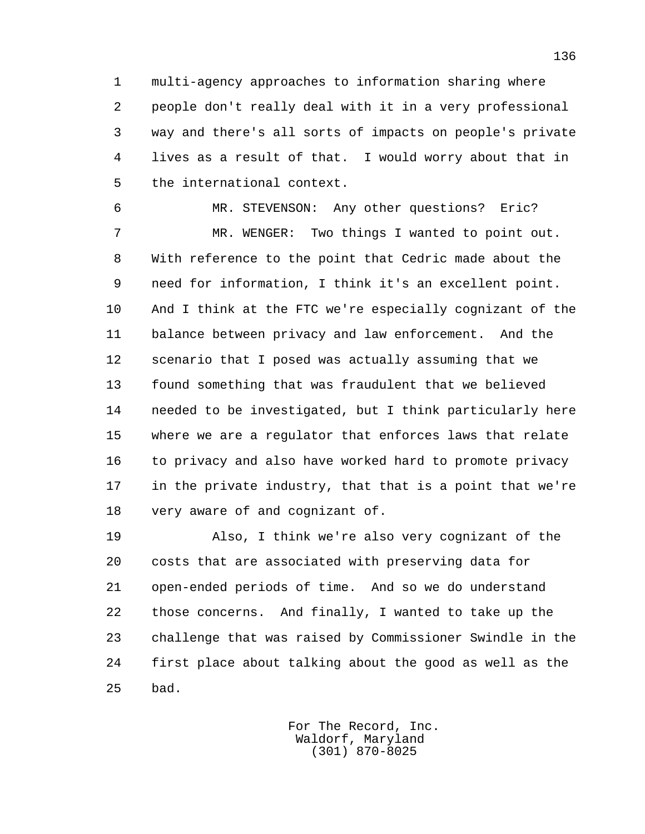1 multi-agency approaches to information sharing where 2 people don't really deal with it in a very professional 3 way and there's all sorts of impacts on people's private 4 lives as a result of that. I would worry about that in 5 the international context.

 6 MR. STEVENSON: Any other questions? Eric? 7 MR. WENGER: Two things I wanted to point out. 8 With reference to the point that Cedric made about the 9 need for information, I think it's an excellent point. 10 And I think at the FTC we're especially cognizant of the 11 balance between privacy and law enforcement. And the 12 scenario that I posed was actually assuming that we 13 found something that was fraudulent that we believed 14 needed to be investigated, but I think particularly here 15 where we are a regulator that enforces laws that relate 16 to privacy and also have worked hard to promote privacy 17 in the private industry, that that is a point that we're 18 very aware of and cognizant of.

 19 Also, I think we're also very cognizant of the 20 costs that are associated with preserving data for 21 open-ended periods of time. And so we do understand 22 those concerns. And finally, I wanted to take up the 23 challenge that was raised by Commissioner Swindle in the 24 first place about talking about the good as well as the 25 bad.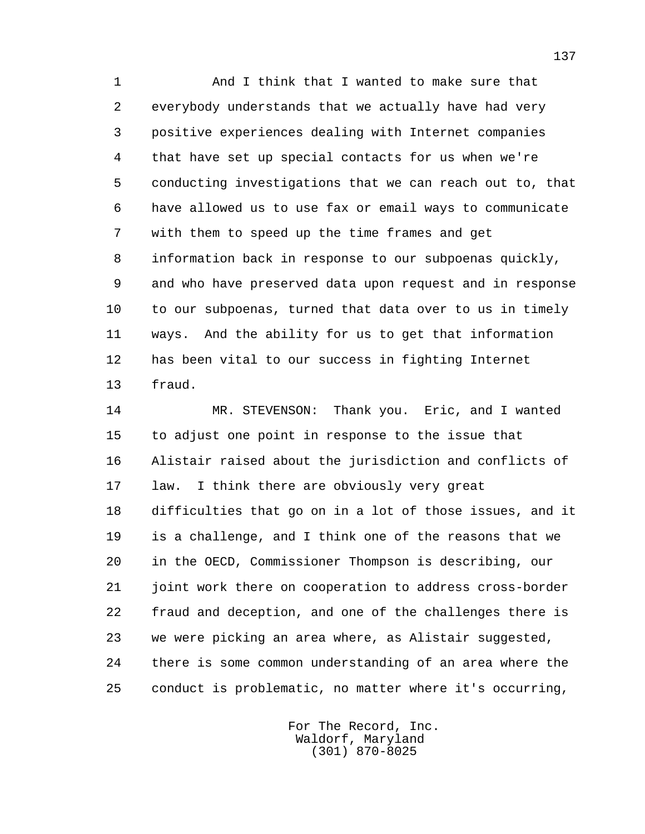1 And I think that I wanted to make sure that 2 everybody understands that we actually have had very 3 positive experiences dealing with Internet companies 4 that have set up special contacts for us when we're 5 conducting investigations that we can reach out to, that 6 have allowed us to use fax or email ways to communicate 7 with them to speed up the time frames and get 8 information back in response to our subpoenas quickly, 9 and who have preserved data upon request and in response 10 to our subpoenas, turned that data over to us in timely 11 ways. And the ability for us to get that information 12 has been vital to our success in fighting Internet 13 fraud.

 14 MR. STEVENSON: Thank you. Eric, and I wanted 15 to adjust one point in response to the issue that 16 Alistair raised about the jurisdiction and conflicts of 17 law. I think there are obviously very great 18 difficulties that go on in a lot of those issues, and it 19 is a challenge, and I think one of the reasons that we 20 in the OECD, Commissioner Thompson is describing, our 21 joint work there on cooperation to address cross-border 22 fraud and deception, and one of the challenges there is 23 we were picking an area where, as Alistair suggested, 24 there is some common understanding of an area where the 25 conduct is problematic, no matter where it's occurring,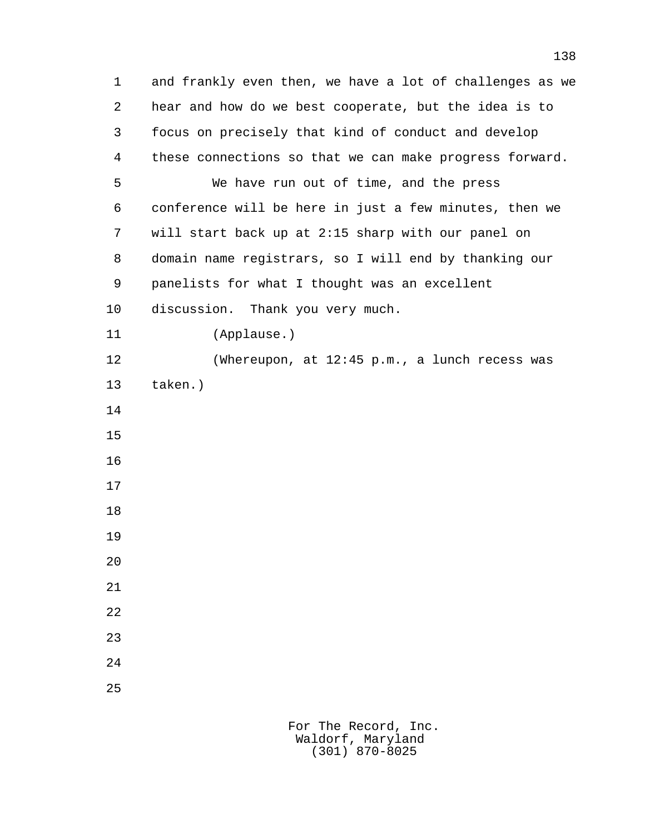1 and frankly even then, we have a lot of challenges as we 2 hear and how do we best cooperate, but the idea is to 3 focus on precisely that kind of conduct and develop 4 these connections so that we can make progress forward. 5 We have run out of time, and the press 6 conference will be here in just a few minutes, then we 7 will start back up at 2:15 sharp with our panel on 8 domain name registrars, so I will end by thanking our 9 panelists for what I thought was an excellent 10 discussion. Thank you very much. 11 (Applause.) 12 (Whereupon, at 12:45 p.m., a lunch recess was 13 taken.) 14 15 16 17 18 19 20 21 22 23 24 25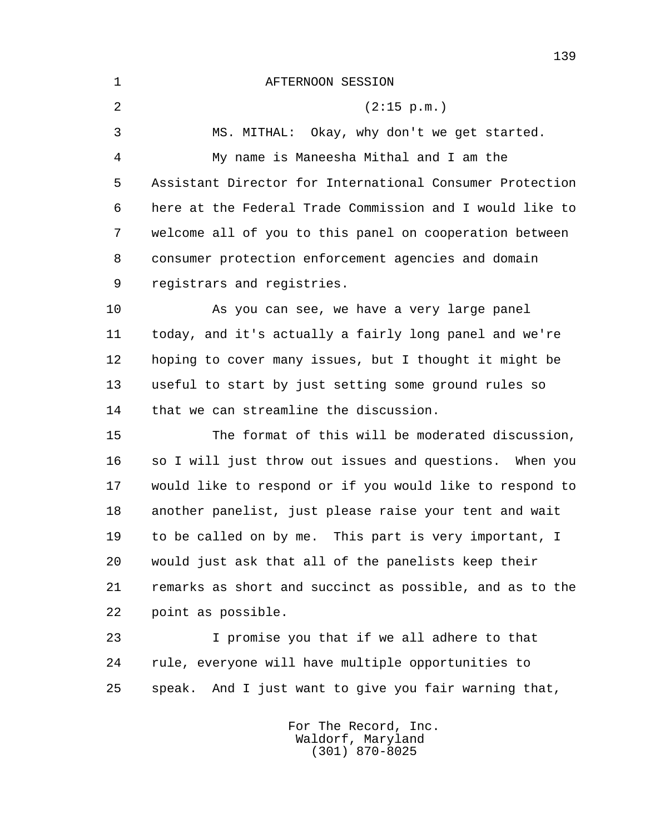1 AFTERNOON SESSION 2 (2:15 p.m.) 3 MS. MITHAL: Okay, why don't we get started. 4 My name is Maneesha Mithal and I am the 5 Assistant Director for International Consumer Protection 6 here at the Federal Trade Commission and I would like to 7 welcome all of you to this panel on cooperation between 8 consumer protection enforcement agencies and domain 9 registrars and registries. 10 As you can see, we have a very large panel 11 today, and it's actually a fairly long panel and we're 12 hoping to cover many issues, but I thought it might be 13 useful to start by just setting some ground rules so 14 that we can streamline the discussion. 15 The format of this will be moderated discussion, 16 so I will just throw out issues and questions. When you 17 would like to respond or if you would like to respond to 18 another panelist, just please raise your tent and wait 19 to be called on by me. This part is very important, I 20 would just ask that all of the panelists keep their 21 remarks as short and succinct as possible, and as to the 22 point as possible. 23 I promise you that if we all adhere to that 24 rule, everyone will have multiple opportunities to 25 speak. And I just want to give you fair warning that,

> For The Record, Inc. Waldorf, Maryland (301) 870-8025

139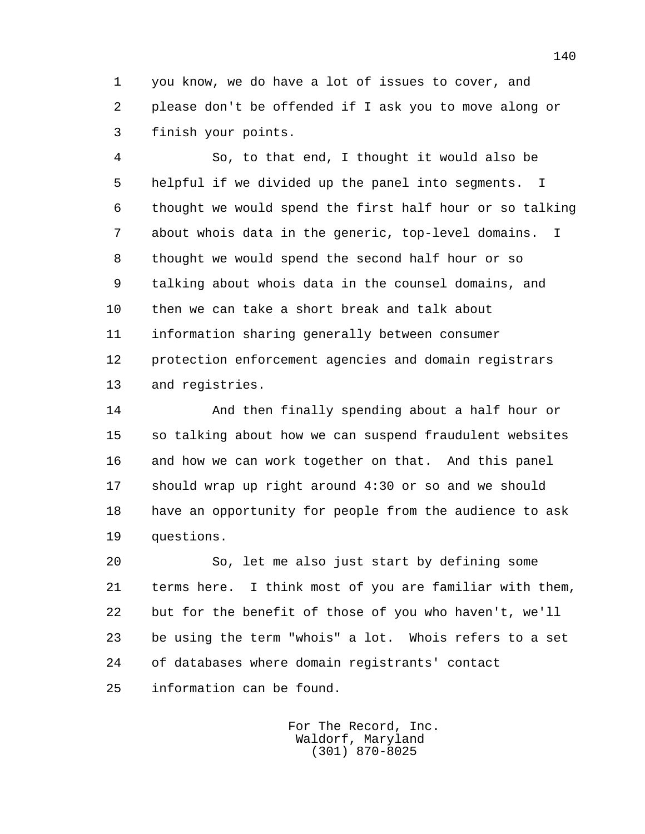1 you know, we do have a lot of issues to cover, and 2 please don't be offended if I ask you to move along or 3 finish your points.

 4 So, to that end, I thought it would also be 5 helpful if we divided up the panel into segments. I 6 thought we would spend the first half hour or so talking 7 about whois data in the generic, top-level domains. I 8 thought we would spend the second half hour or so 9 talking about whois data in the counsel domains, and 10 then we can take a short break and talk about 11 information sharing generally between consumer 12 protection enforcement agencies and domain registrars 13 and registries.

 14 And then finally spending about a half hour or 15 so talking about how we can suspend fraudulent websites 16 and how we can work together on that. And this panel 17 should wrap up right around 4:30 or so and we should 18 have an opportunity for people from the audience to ask 19 questions.

 20 So, let me also just start by defining some 21 terms here. I think most of you are familiar with them, 22 but for the benefit of those of you who haven't, we'll 23 be using the term "whois" a lot. Whois refers to a set 24 of databases where domain registrants' contact 25 information can be found.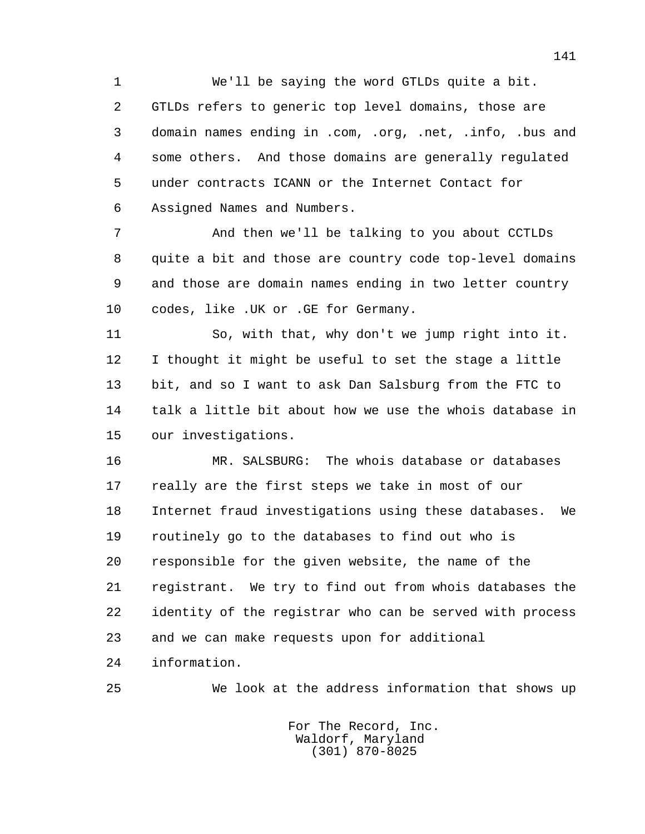1 We'll be saying the word GTLDs quite a bit. 2 GTLDs refers to generic top level domains, those are 3 domain names ending in .com, .org, .net, .info, .bus and 4 some others. And those domains are generally regulated 5 under contracts ICANN or the Internet Contact for 6 Assigned Names and Numbers.

 7 And then we'll be talking to you about CCTLDs 8 quite a bit and those are country code top-level domains 9 and those are domain names ending in two letter country 10 codes, like .UK or .GE for Germany.

 11 So, with that, why don't we jump right into it. 12 I thought it might be useful to set the stage a little 13 bit, and so I want to ask Dan Salsburg from the FTC to 14 talk a little bit about how we use the whois database in 15 our investigations.

 16 MR. SALSBURG: The whois database or databases 17 really are the first steps we take in most of our 18 Internet fraud investigations using these databases. We 19 routinely go to the databases to find out who is 20 responsible for the given website, the name of the 21 registrant. We try to find out from whois databases the 22 identity of the registrar who can be served with process 23 and we can make requests upon for additional 24 information.

25 We look at the address information that shows up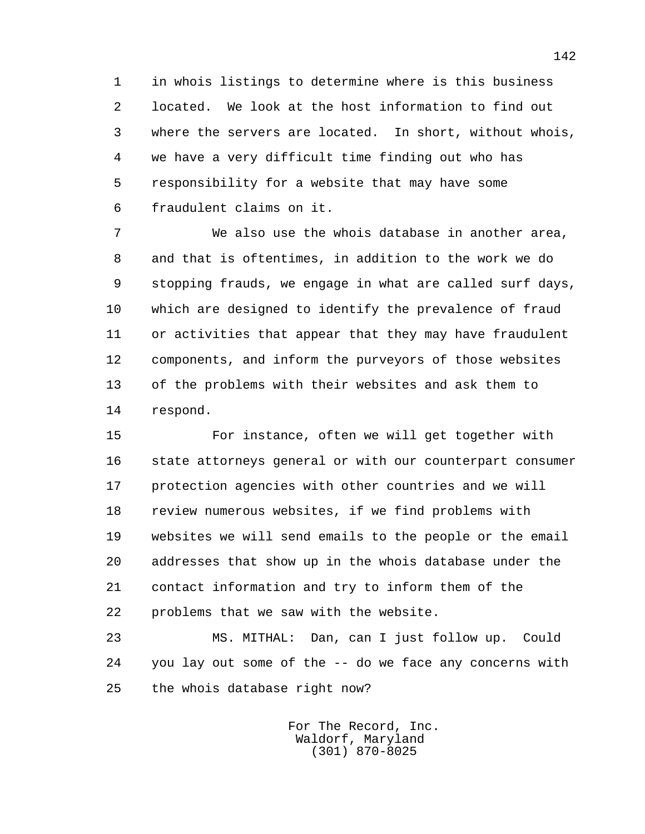1 in whois listings to determine where is this business 2 located. We look at the host information to find out 3 where the servers are located. In short, without whois, 4 we have a very difficult time finding out who has 5 responsibility for a website that may have some 6 fraudulent claims on it.

 7 We also use the whois database in another area, 8 and that is oftentimes, in addition to the work we do 9 stopping frauds, we engage in what are called surf days, 10 which are designed to identify the prevalence of fraud 11 or activities that appear that they may have fraudulent 12 components, and inform the purveyors of those websites 13 of the problems with their websites and ask them to 14 respond.

 15 For instance, often we will get together with 16 state attorneys general or with our counterpart consumer 17 protection agencies with other countries and we will 18 review numerous websites, if we find problems with 19 websites we will send emails to the people or the email 20 addresses that show up in the whois database under the 21 contact information and try to inform them of the 22 problems that we saw with the website.

 23 MS. MITHAL: Dan, can I just follow up. Could 24 you lay out some of the -- do we face any concerns with 25 the whois database right now?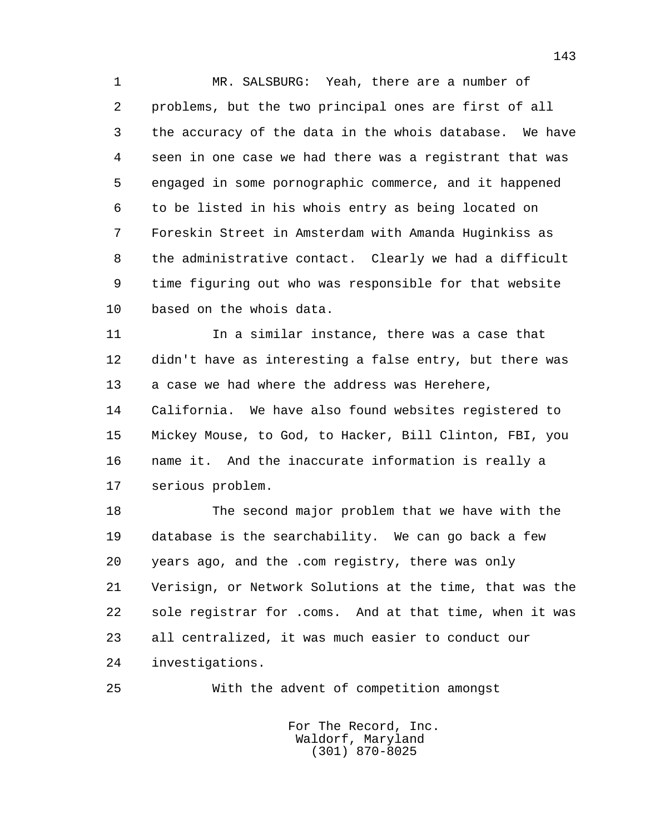1 MR. SALSBURG: Yeah, there are a number of 2 problems, but the two principal ones are first of all 3 the accuracy of the data in the whois database. We have 4 seen in one case we had there was a registrant that was 5 engaged in some pornographic commerce, and it happened 6 to be listed in his whois entry as being located on 7 Foreskin Street in Amsterdam with Amanda Huginkiss as 8 the administrative contact. Clearly we had a difficult 9 time figuring out who was responsible for that website 10 based on the whois data.

 11 In a similar instance, there was a case that 12 didn't have as interesting a false entry, but there was 13 a case we had where the address was Herehere, 14 California. We have also found websites registered to 15 Mickey Mouse, to God, to Hacker, Bill Clinton, FBI, you 16 name it. And the inaccurate information is really a 17 serious problem.

 18 The second major problem that we have with the 19 database is the searchability. We can go back a few 20 years ago, and the .com registry, there was only 21 Verisign, or Network Solutions at the time, that was the 22 sole registrar for .coms. And at that time, when it was 23 all centralized, it was much easier to conduct our 24 investigations.

25 With the advent of competition amongst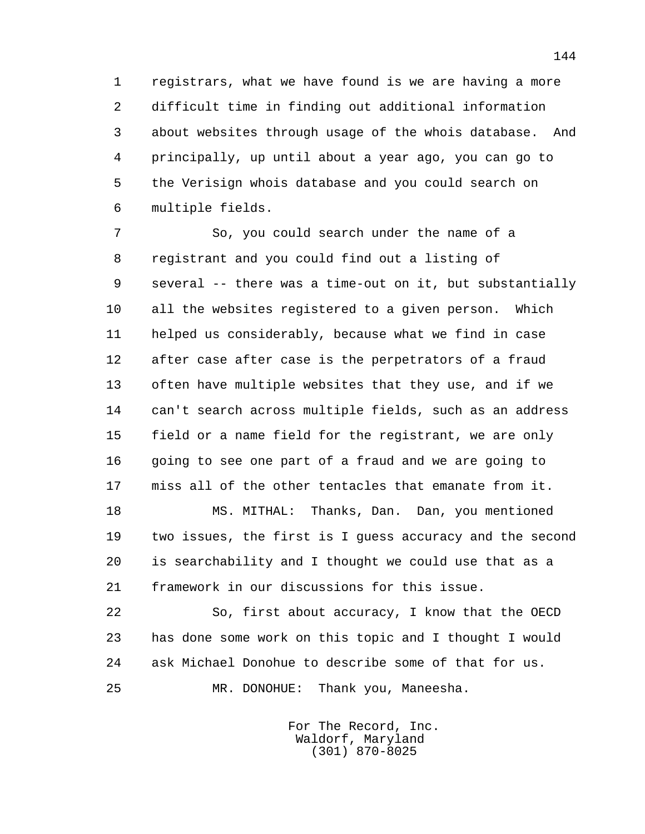1 registrars, what we have found is we are having a more 2 difficult time in finding out additional information 3 about websites through usage of the whois database. And 4 principally, up until about a year ago, you can go to 5 the Verisign whois database and you could search on 6 multiple fields.

 7 So, you could search under the name of a 8 registrant and you could find out a listing of 9 several -- there was a time-out on it, but substantially 10 all the websites registered to a given person. Which 11 helped us considerably, because what we find in case 12 after case after case is the perpetrators of a fraud 13 often have multiple websites that they use, and if we 14 can't search across multiple fields, such as an address 15 field or a name field for the registrant, we are only 16 going to see one part of a fraud and we are going to 17 miss all of the other tentacles that emanate from it.

 18 MS. MITHAL: Thanks, Dan. Dan, you mentioned 19 two issues, the first is I guess accuracy and the second 20 is searchability and I thought we could use that as a 21 framework in our discussions for this issue.

 22 So, first about accuracy, I know that the OECD 23 has done some work on this topic and I thought I would 24 ask Michael Donohue to describe some of that for us. 25 MR. DONOHUE: Thank you, Maneesha.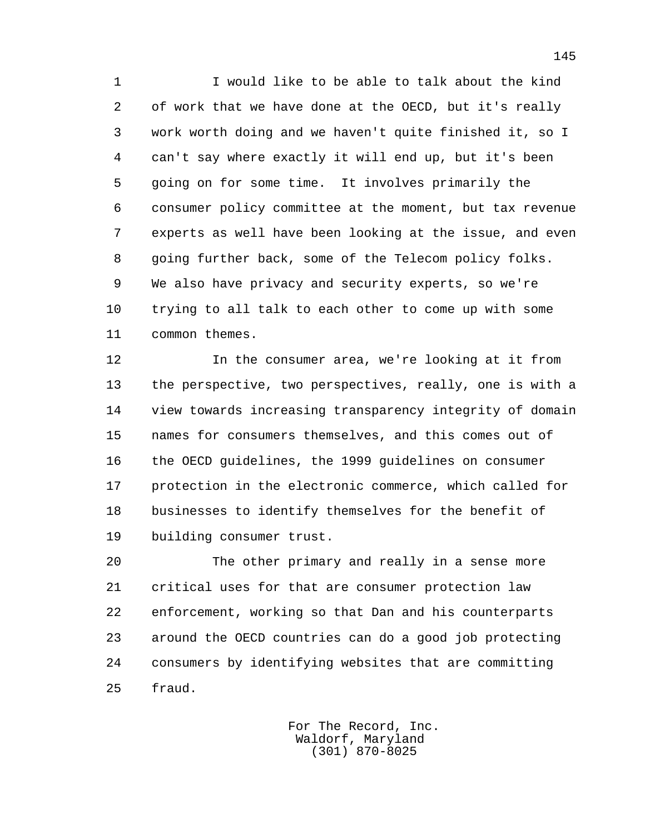1 I would like to be able to talk about the kind 2 of work that we have done at the OECD, but it's really 3 work worth doing and we haven't quite finished it, so I 4 can't say where exactly it will end up, but it's been 5 going on for some time. It involves primarily the 6 consumer policy committee at the moment, but tax revenue 7 experts as well have been looking at the issue, and even 8 going further back, some of the Telecom policy folks. 9 We also have privacy and security experts, so we're 10 trying to all talk to each other to come up with some 11 common themes.

 12 In the consumer area, we're looking at it from 13 the perspective, two perspectives, really, one is with a 14 view towards increasing transparency integrity of domain 15 names for consumers themselves, and this comes out of 16 the OECD guidelines, the 1999 guidelines on consumer 17 protection in the electronic commerce, which called for 18 businesses to identify themselves for the benefit of 19 building consumer trust.

 20 The other primary and really in a sense more 21 critical uses for that are consumer protection law 22 enforcement, working so that Dan and his counterparts 23 around the OECD countries can do a good job protecting 24 consumers by identifying websites that are committing 25 fraud.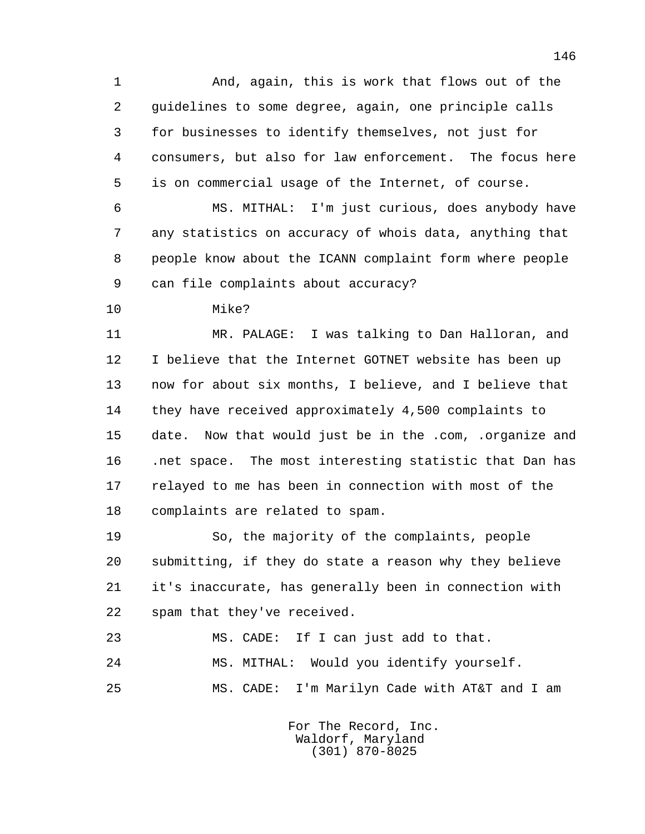1 And, again, this is work that flows out of the 2 guidelines to some degree, again, one principle calls 3 for businesses to identify themselves, not just for 4 consumers, but also for law enforcement. The focus here 5 is on commercial usage of the Internet, of course.

 6 MS. MITHAL: I'm just curious, does anybody have 7 any statistics on accuracy of whois data, anything that 8 people know about the ICANN complaint form where people 9 can file complaints about accuracy?

10 Mike?

 11 MR. PALAGE: I was talking to Dan Halloran, and 12 I believe that the Internet GOTNET website has been up 13 now for about six months, I believe, and I believe that 14 they have received approximately 4,500 complaints to 15 date. Now that would just be in the .com, .organize and 16 .net space. The most interesting statistic that Dan has 17 relayed to me has been in connection with most of the 18 complaints are related to spam.

 19 So, the majority of the complaints, people 20 submitting, if they do state a reason why they believe 21 it's inaccurate, has generally been in connection with 22 spam that they've received.

 23 MS. CADE: If I can just add to that. 24 MS. MITHAL: Would you identify yourself. 25 MS. CADE: I'm Marilyn Cade with AT&T and I am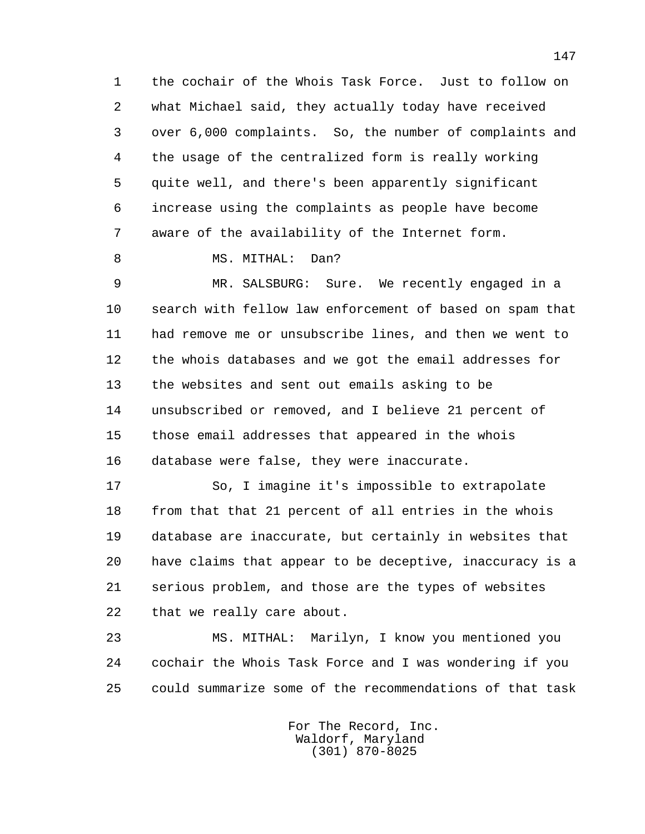1 the cochair of the Whois Task Force. Just to follow on 2 what Michael said, they actually today have received 3 over 6,000 complaints. So, the number of complaints and 4 the usage of the centralized form is really working 5 quite well, and there's been apparently significant 6 increase using the complaints as people have become 7 aware of the availability of the Internet form.

8 MS. MITHAL: Dan?

 9 MR. SALSBURG: Sure. We recently engaged in a 10 search with fellow law enforcement of based on spam that 11 had remove me or unsubscribe lines, and then we went to 12 the whois databases and we got the email addresses for 13 the websites and sent out emails asking to be 14 unsubscribed or removed, and I believe 21 percent of 15 those email addresses that appeared in the whois 16 database were false, they were inaccurate.

 17 So, I imagine it's impossible to extrapolate 18 from that that 21 percent of all entries in the whois 19 database are inaccurate, but certainly in websites that 20 have claims that appear to be deceptive, inaccuracy is a 21 serious problem, and those are the types of websites 22 that we really care about.

 23 MS. MITHAL: Marilyn, I know you mentioned you 24 cochair the Whois Task Force and I was wondering if you 25 could summarize some of the recommendations of that task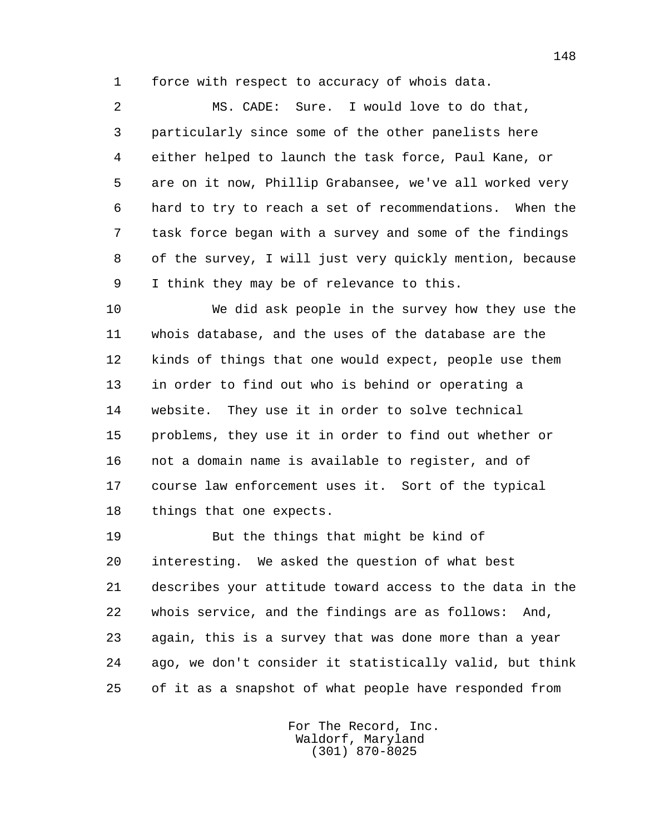1 force with respect to accuracy of whois data.

 2 MS. CADE: Sure. I would love to do that, 3 particularly since some of the other panelists here 4 either helped to launch the task force, Paul Kane, or 5 are on it now, Phillip Grabansee, we've all worked very 6 hard to try to reach a set of recommendations. When the 7 task force began with a survey and some of the findings 8 of the survey, I will just very quickly mention, because 9 I think they may be of relevance to this.

 10 We did ask people in the survey how they use the 11 whois database, and the uses of the database are the 12 kinds of things that one would expect, people use them 13 in order to find out who is behind or operating a 14 website. They use it in order to solve technical 15 problems, they use it in order to find out whether or 16 not a domain name is available to register, and of 17 course law enforcement uses it. Sort of the typical 18 things that one expects.

 19 But the things that might be kind of 20 interesting. We asked the question of what best 21 describes your attitude toward access to the data in the 22 whois service, and the findings are as follows: And, 23 again, this is a survey that was done more than a year 24 ago, we don't consider it statistically valid, but think 25 of it as a snapshot of what people have responded from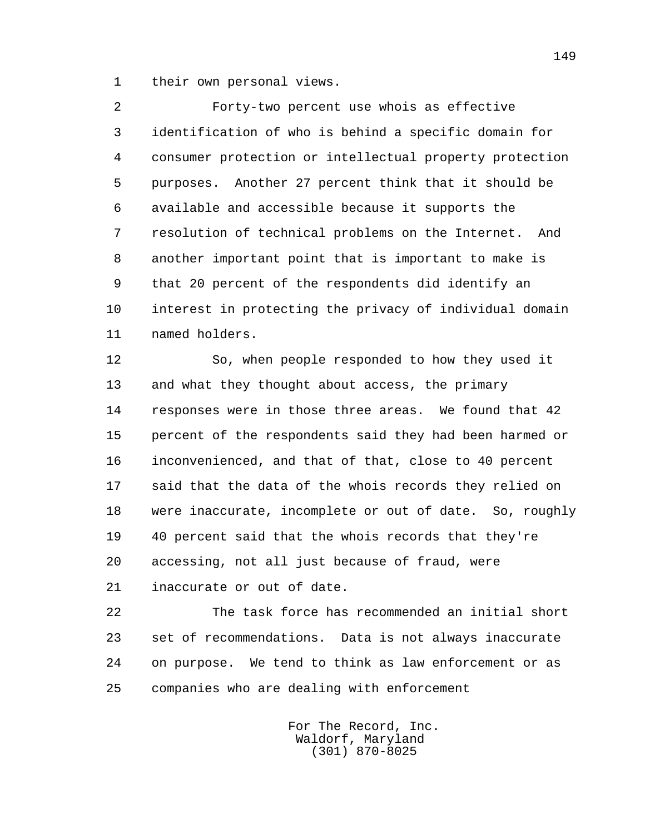1 their own personal views.

 2 Forty-two percent use whois as effective 3 identification of who is behind a specific domain for 4 consumer protection or intellectual property protection 5 purposes. Another 27 percent think that it should be 6 available and accessible because it supports the 7 resolution of technical problems on the Internet. And 8 another important point that is important to make is 9 that 20 percent of the respondents did identify an 10 interest in protecting the privacy of individual domain 11 named holders.

 12 So, when people responded to how they used it 13 and what they thought about access, the primary 14 responses were in those three areas. We found that 42 15 percent of the respondents said they had been harmed or 16 inconvenienced, and that of that, close to 40 percent 17 said that the data of the whois records they relied on 18 were inaccurate, incomplete or out of date. So, roughly 19 40 percent said that the whois records that they're 20 accessing, not all just because of fraud, were

21 inaccurate or out of date.

 22 The task force has recommended an initial short 23 set of recommendations. Data is not always inaccurate 24 on purpose. We tend to think as law enforcement or as 25 companies who are dealing with enforcement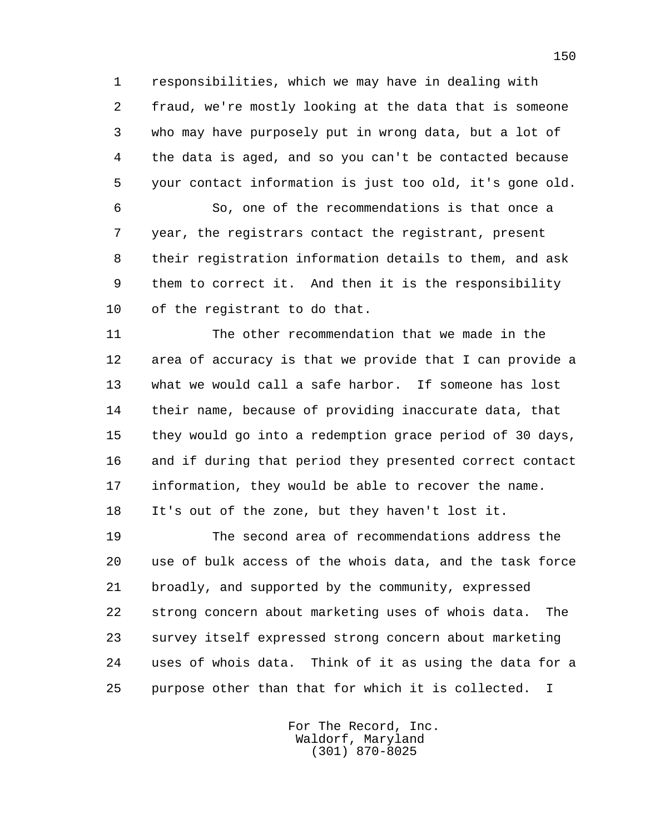1 responsibilities, which we may have in dealing with 2 fraud, we're mostly looking at the data that is someone 3 who may have purposely put in wrong data, but a lot of 4 the data is aged, and so you can't be contacted because 5 your contact information is just too old, it's gone old.

 6 So, one of the recommendations is that once a 7 year, the registrars contact the registrant, present 8 their registration information details to them, and ask 9 them to correct it. And then it is the responsibility 10 of the registrant to do that.

 11 The other recommendation that we made in the 12 area of accuracy is that we provide that I can provide a 13 what we would call a safe harbor. If someone has lost 14 their name, because of providing inaccurate data, that 15 they would go into a redemption grace period of 30 days, 16 and if during that period they presented correct contact 17 information, they would be able to recover the name. 18 It's out of the zone, but they haven't lost it.

 19 The second area of recommendations address the 20 use of bulk access of the whois data, and the task force 21 broadly, and supported by the community, expressed 22 strong concern about marketing uses of whois data. The 23 survey itself expressed strong concern about marketing 24 uses of whois data. Think of it as using the data for a 25 purpose other than that for which it is collected. I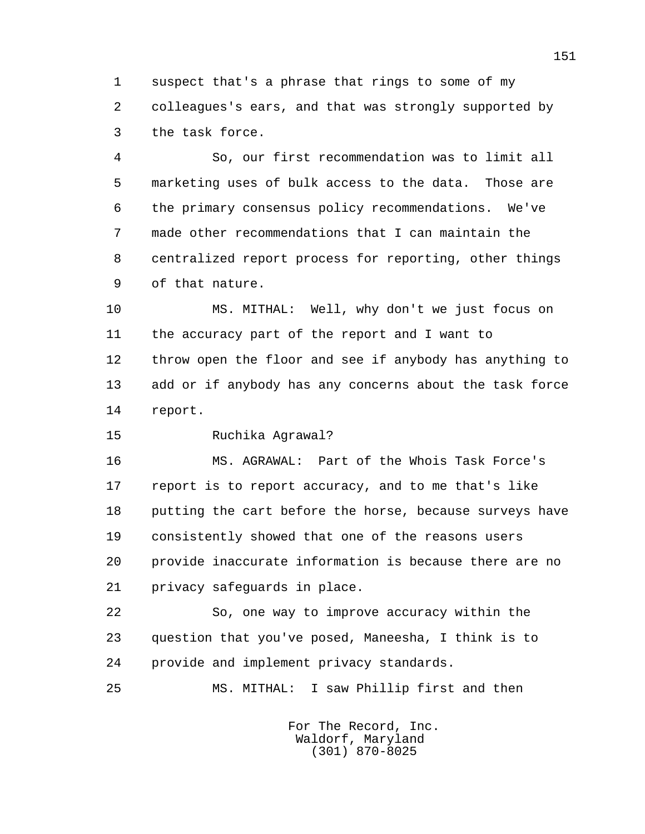1 suspect that's a phrase that rings to some of my 2 colleagues's ears, and that was strongly supported by 3 the task force.

 4 So, our first recommendation was to limit all 5 marketing uses of bulk access to the data. Those are 6 the primary consensus policy recommendations. We've 7 made other recommendations that I can maintain the 8 centralized report process for reporting, other things 9 of that nature.

 10 MS. MITHAL: Well, why don't we just focus on 11 the accuracy part of the report and I want to 12 throw open the floor and see if anybody has anything to 13 add or if anybody has any concerns about the task force 14 report.

15 Ruchika Agrawal?

 16 MS. AGRAWAL: Part of the Whois Task Force's 17 report is to report accuracy, and to me that's like 18 putting the cart before the horse, because surveys have 19 consistently showed that one of the reasons users 20 provide inaccurate information is because there are no 21 privacy safeguards in place.

 22 So, one way to improve accuracy within the 23 question that you've posed, Maneesha, I think is to 24 provide and implement privacy standards.

25 MS. MITHAL: I saw Phillip first and then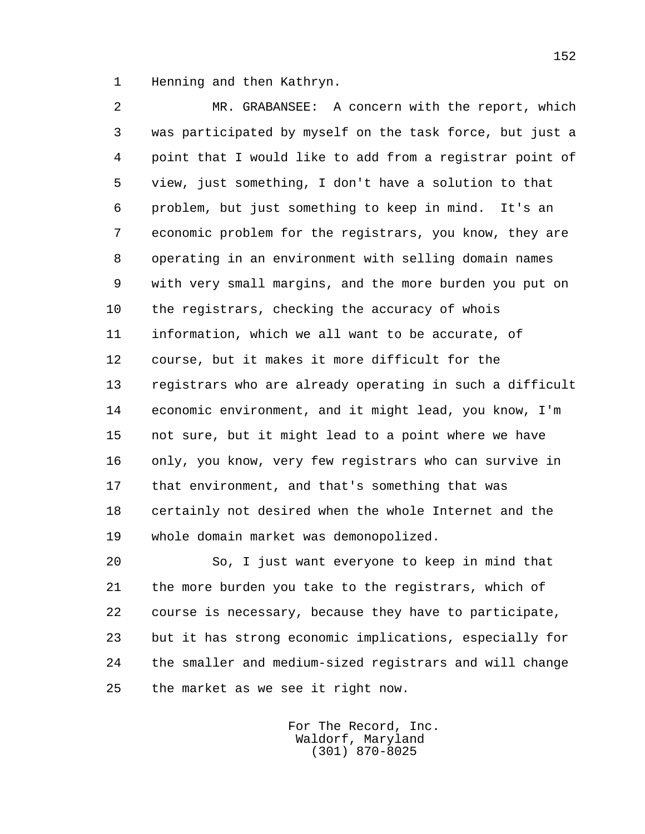1 Henning and then Kathryn.

 2 MR. GRABANSEE: A concern with the report, which 3 was participated by myself on the task force, but just a 4 point that I would like to add from a registrar point of 5 view, just something, I don't have a solution to that 6 problem, but just something to keep in mind. It's an 7 economic problem for the registrars, you know, they are 8 operating in an environment with selling domain names 9 with very small margins, and the more burden you put on 10 the registrars, checking the accuracy of whois 11 information, which we all want to be accurate, of 12 course, but it makes it more difficult for the 13 registrars who are already operating in such a difficult 14 economic environment, and it might lead, you know, I'm 15 not sure, but it might lead to a point where we have 16 only, you know, very few registrars who can survive in 17 that environment, and that's something that was 18 certainly not desired when the whole Internet and the 19 whole domain market was demonopolized.

 20 So, I just want everyone to keep in mind that 21 the more burden you take to the registrars, which of 22 course is necessary, because they have to participate, 23 but it has strong economic implications, especially for 24 the smaller and medium-sized registrars and will change 25 the market as we see it right now.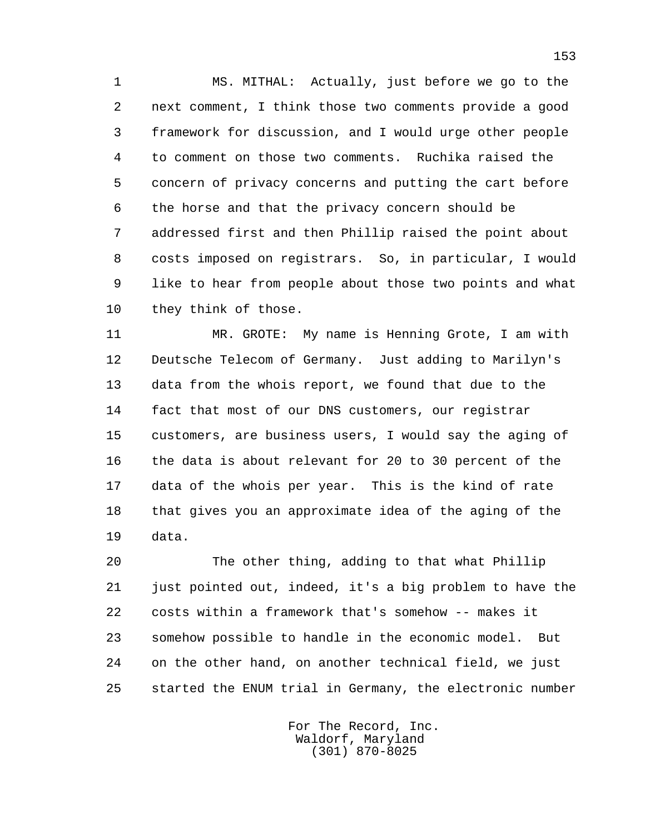1 MS. MITHAL: Actually, just before we go to the 2 next comment, I think those two comments provide a good 3 framework for discussion, and I would urge other people 4 to comment on those two comments. Ruchika raised the 5 concern of privacy concerns and putting the cart before 6 the horse and that the privacy concern should be 7 addressed first and then Phillip raised the point about 8 costs imposed on registrars. So, in particular, I would 9 like to hear from people about those two points and what 10 they think of those.

 11 MR. GROTE: My name is Henning Grote, I am with 12 Deutsche Telecom of Germany. Just adding to Marilyn's 13 data from the whois report, we found that due to the 14 fact that most of our DNS customers, our registrar 15 customers, are business users, I would say the aging of 16 the data is about relevant for 20 to 30 percent of the 17 data of the whois per year. This is the kind of rate 18 that gives you an approximate idea of the aging of the 19 data.

 20 The other thing, adding to that what Phillip 21 just pointed out, indeed, it's a big problem to have the 22 costs within a framework that's somehow -- makes it 23 somehow possible to handle in the economic model. But 24 on the other hand, on another technical field, we just 25 started the ENUM trial in Germany, the electronic number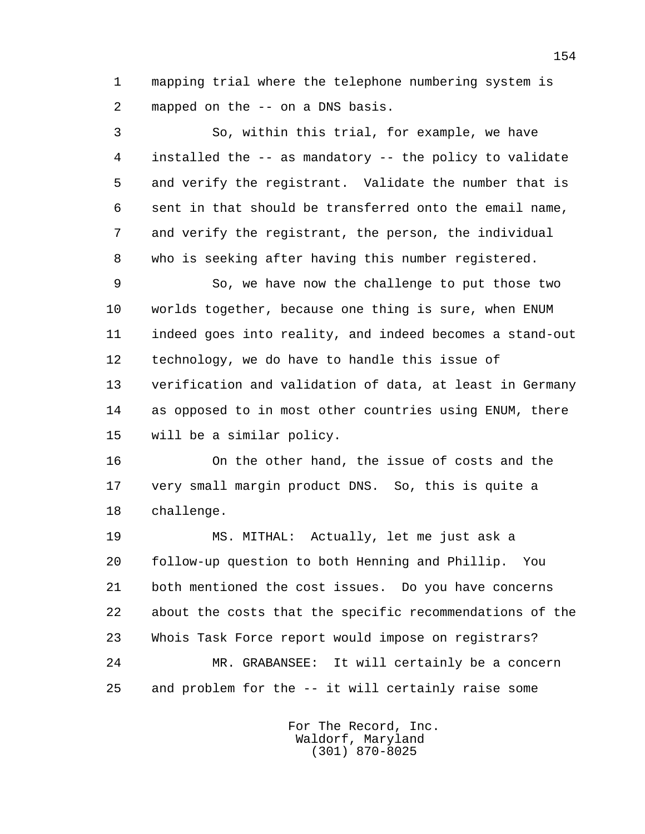1 mapping trial where the telephone numbering system is 2 mapped on the -- on a DNS basis.

 3 So, within this trial, for example, we have 4 installed the -- as mandatory -- the policy to validate 5 and verify the registrant. Validate the number that is 6 sent in that should be transferred onto the email name, 7 and verify the registrant, the person, the individual 8 who is seeking after having this number registered.

 9 So, we have now the challenge to put those two 10 worlds together, because one thing is sure, when ENUM 11 indeed goes into reality, and indeed becomes a stand-out 12 technology, we do have to handle this issue of 13 verification and validation of data, at least in Germany 14 as opposed to in most other countries using ENUM, there 15 will be a similar policy.

 16 On the other hand, the issue of costs and the 17 very small margin product DNS. So, this is quite a 18 challenge.

 19 MS. MITHAL: Actually, let me just ask a 20 follow-up question to both Henning and Phillip. You 21 both mentioned the cost issues. Do you have concerns 22 about the costs that the specific recommendations of the 23 Whois Task Force report would impose on registrars? 24 MR. GRABANSEE: It will certainly be a concern 25 and problem for the -- it will certainly raise some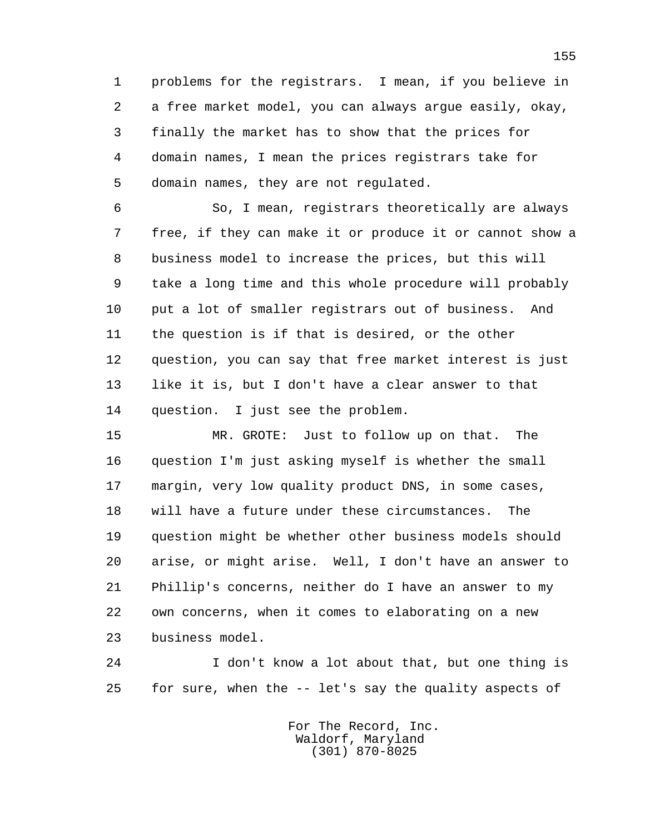1 problems for the registrars. I mean, if you believe in 2 a free market model, you can always argue easily, okay, 3 finally the market has to show that the prices for 4 domain names, I mean the prices registrars take for 5 domain names, they are not regulated.

 6 So, I mean, registrars theoretically are always 7 free, if they can make it or produce it or cannot show a 8 business model to increase the prices, but this will 9 take a long time and this whole procedure will probably 10 put a lot of smaller registrars out of business. And 11 the question is if that is desired, or the other 12 question, you can say that free market interest is just 13 like it is, but I don't have a clear answer to that 14 question. I just see the problem.

 15 MR. GROTE: Just to follow up on that. The 16 question I'm just asking myself is whether the small 17 margin, very low quality product DNS, in some cases, 18 will have a future under these circumstances. The 19 question might be whether other business models should 20 arise, or might arise. Well, I don't have an answer to 21 Phillip's concerns, neither do I have an answer to my 22 own concerns, when it comes to elaborating on a new 23 business model.

 24 I don't know a lot about that, but one thing is 25 for sure, when the -- let's say the quality aspects of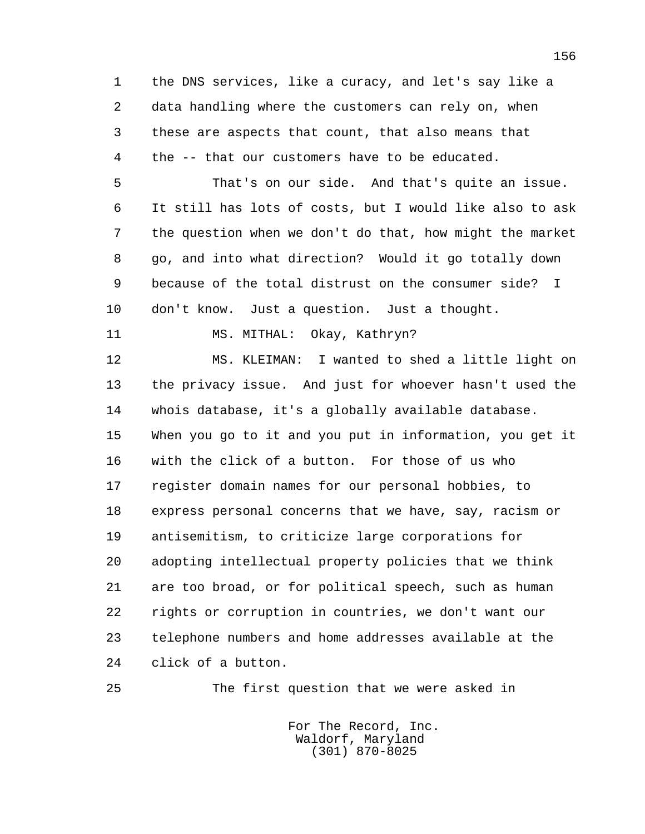1 the DNS services, like a curacy, and let's say like a 2 data handling where the customers can rely on, when 3 these are aspects that count, that also means that 4 the -- that our customers have to be educated. 5 That's on our side. And that's quite an issue. 6 It still has lots of costs, but I would like also to ask 7 the question when we don't do that, how might the market 8 go, and into what direction? Would it go totally down 9 because of the total distrust on the consumer side? I 10 don't know. Just a question. Just a thought.

11 MS. MITHAL: Okay, Kathryn?

 12 MS. KLEIMAN: I wanted to shed a little light on 13 the privacy issue. And just for whoever hasn't used the 14 whois database, it's a globally available database. 15 When you go to it and you put in information, you get it 16 with the click of a button. For those of us who 17 register domain names for our personal hobbies, to 18 express personal concerns that we have, say, racism or 19 antisemitism, to criticize large corporations for 20 adopting intellectual property policies that we think 21 are too broad, or for political speech, such as human 22 rights or corruption in countries, we don't want our 23 telephone numbers and home addresses available at the 24 click of a button.

25 The first question that we were asked in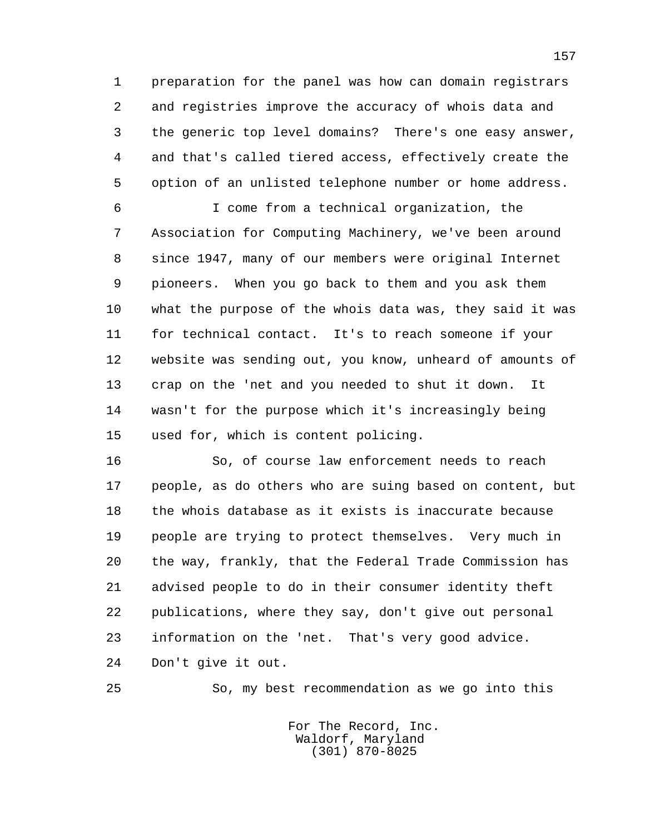1 preparation for the panel was how can domain registrars 2 and registries improve the accuracy of whois data and 3 the generic top level domains? There's one easy answer, 4 and that's called tiered access, effectively create the 5 option of an unlisted telephone number or home address.

 6 I come from a technical organization, the 7 Association for Computing Machinery, we've been around 8 since 1947, many of our members were original Internet 9 pioneers. When you go back to them and you ask them 10 what the purpose of the whois data was, they said it was 11 for technical contact. It's to reach someone if your 12 website was sending out, you know, unheard of amounts of 13 crap on the 'net and you needed to shut it down. It 14 wasn't for the purpose which it's increasingly being 15 used for, which is content policing.

 16 So, of course law enforcement needs to reach 17 people, as do others who are suing based on content, but 18 the whois database as it exists is inaccurate because 19 people are trying to protect themselves. Very much in 20 the way, frankly, that the Federal Trade Commission has 21 advised people to do in their consumer identity theft 22 publications, where they say, don't give out personal 23 information on the 'net. That's very good advice. 24 Don't give it out.

25 So, my best recommendation as we go into this

 For The Record, Inc. Waldorf, Maryland (301) 870-8025

157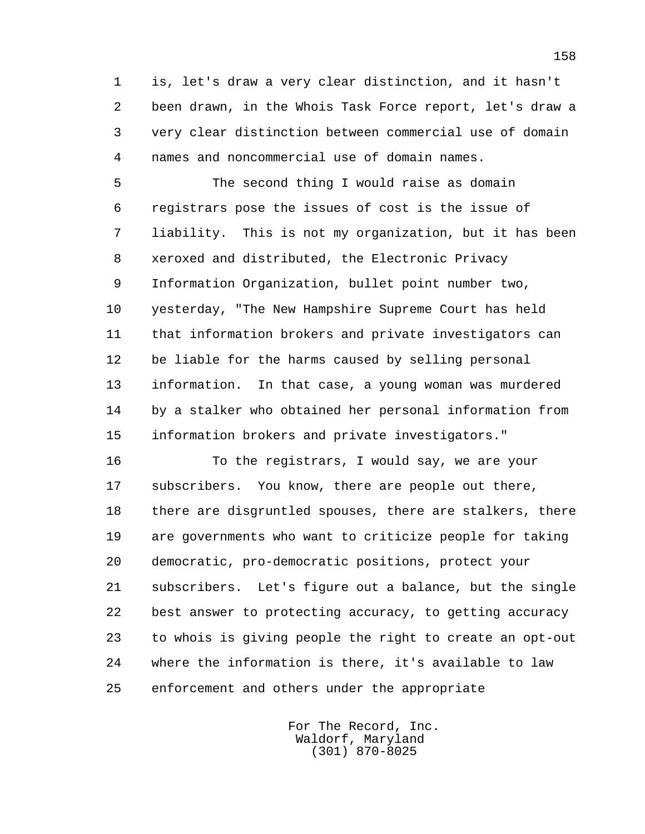1 is, let's draw a very clear distinction, and it hasn't 2 been drawn, in the Whois Task Force report, let's draw a 3 very clear distinction between commercial use of domain 4 names and noncommercial use of domain names.

 5 The second thing I would raise as domain 6 registrars pose the issues of cost is the issue of 7 liability. This is not my organization, but it has been 8 xeroxed and distributed, the Electronic Privacy 9 Information Organization, bullet point number two, 10 yesterday, "The New Hampshire Supreme Court has held 11 that information brokers and private investigators can 12 be liable for the harms caused by selling personal 13 information. In that case, a young woman was murdered 14 by a stalker who obtained her personal information from 15 information brokers and private investigators."

 16 To the registrars, I would say, we are your 17 subscribers. You know, there are people out there, 18 there are disgruntled spouses, there are stalkers, there 19 are governments who want to criticize people for taking 20 democratic, pro-democratic positions, protect your 21 subscribers. Let's figure out a balance, but the single 22 best answer to protecting accuracy, to getting accuracy 23 to whois is giving people the right to create an opt-out 24 where the information is there, it's available to law 25 enforcement and others under the appropriate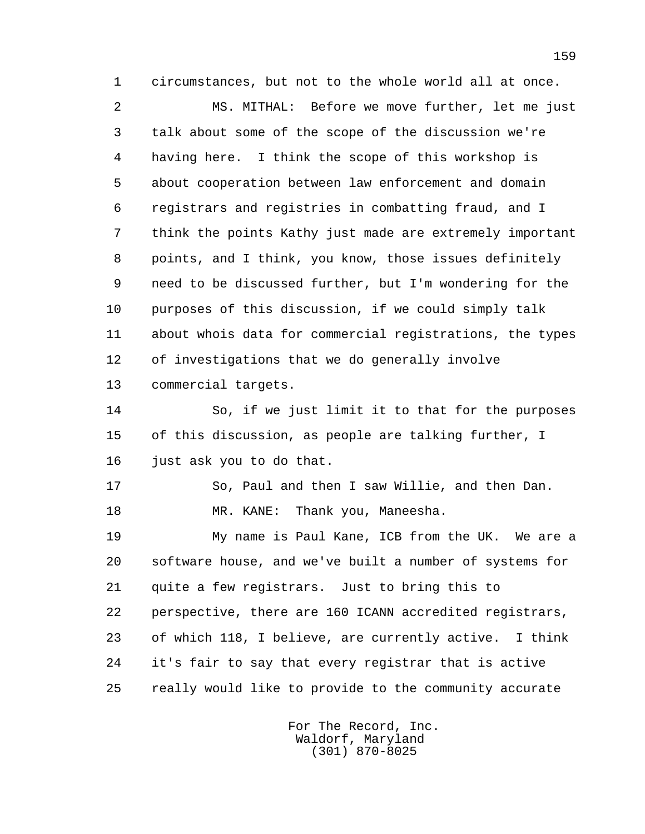1 circumstances, but not to the whole world all at once.

 2 MS. MITHAL: Before we move further, let me just 3 talk about some of the scope of the discussion we're 4 having here. I think the scope of this workshop is 5 about cooperation between law enforcement and domain 6 registrars and registries in combatting fraud, and I 7 think the points Kathy just made are extremely important 8 points, and I think, you know, those issues definitely 9 need to be discussed further, but I'm wondering for the 10 purposes of this discussion, if we could simply talk 11 about whois data for commercial registrations, the types 12 of investigations that we do generally involve 13 commercial targets.

 14 So, if we just limit it to that for the purposes 15 of this discussion, as people are talking further, I 16 just ask you to do that.

 17 So, Paul and then I saw Willie, and then Dan. 18 MR. KANE: Thank you, Maneesha.

 19 My name is Paul Kane, ICB from the UK. We are a 20 software house, and we've built a number of systems for 21 quite a few registrars. Just to bring this to 22 perspective, there are 160 ICANN accredited registrars, 23 of which 118, I believe, are currently active. I think 24 it's fair to say that every registrar that is active 25 really would like to provide to the community accurate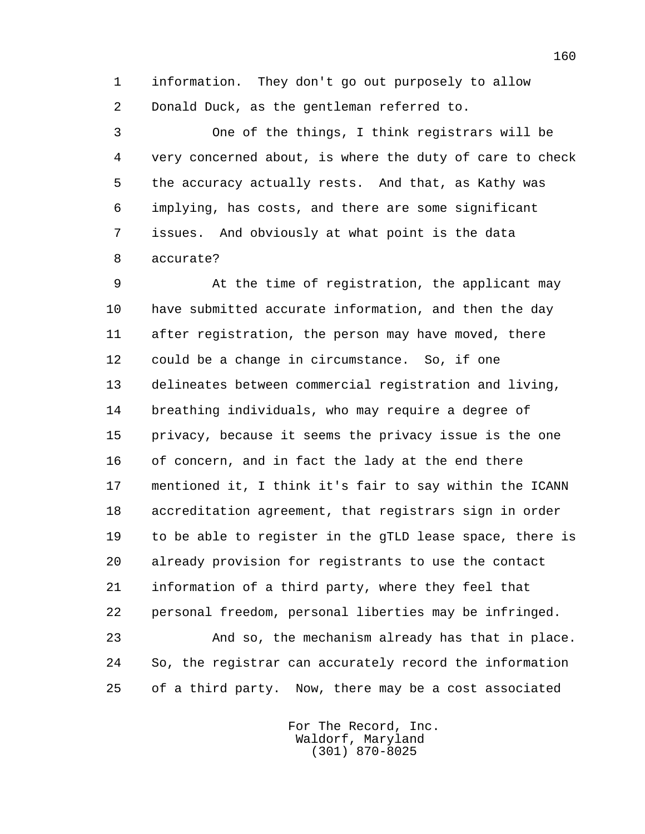1 information. They don't go out purposely to allow 2 Donald Duck, as the gentleman referred to.

 3 One of the things, I think registrars will be 4 very concerned about, is where the duty of care to check 5 the accuracy actually rests. And that, as Kathy was 6 implying, has costs, and there are some significant 7 issues. And obviously at what point is the data 8 accurate?

 9 At the time of registration, the applicant may 10 have submitted accurate information, and then the day 11 after registration, the person may have moved, there 12 could be a change in circumstance. So, if one 13 delineates between commercial registration and living, 14 breathing individuals, who may require a degree of 15 privacy, because it seems the privacy issue is the one 16 of concern, and in fact the lady at the end there 17 mentioned it, I think it's fair to say within the ICANN 18 accreditation agreement, that registrars sign in order 19 to be able to register in the gTLD lease space, there is 20 already provision for registrants to use the contact 21 information of a third party, where they feel that 22 personal freedom, personal liberties may be infringed. 23 And so, the mechanism already has that in place. 24 So, the registrar can accurately record the information 25 of a third party. Now, there may be a cost associated

> For The Record, Inc. Waldorf, Maryland (301) 870-8025

160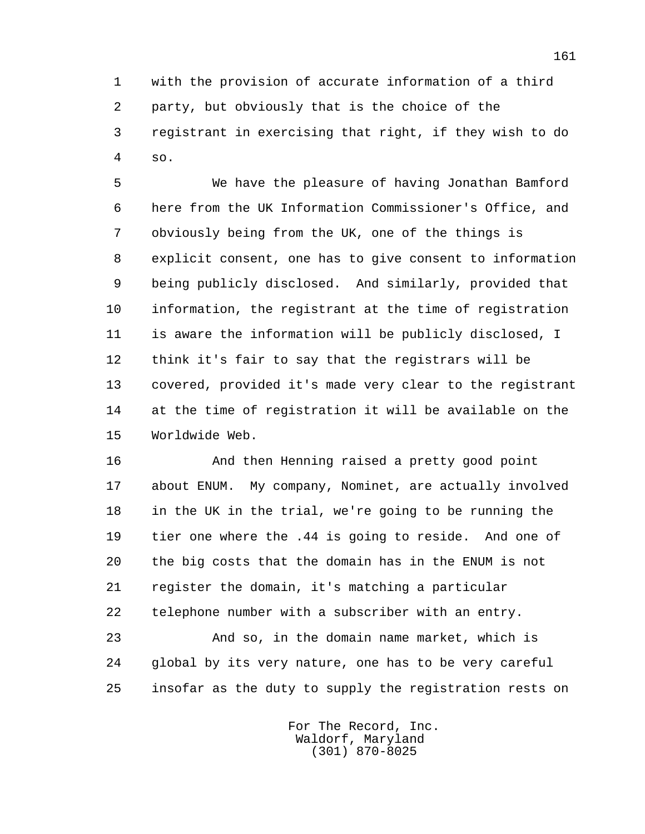1 with the provision of accurate information of a third 2 party, but obviously that is the choice of the 3 registrant in exercising that right, if they wish to do 4 so.

 5 We have the pleasure of having Jonathan Bamford 6 here from the UK Information Commissioner's Office, and 7 obviously being from the UK, one of the things is 8 explicit consent, one has to give consent to information 9 being publicly disclosed. And similarly, provided that 10 information, the registrant at the time of registration 11 is aware the information will be publicly disclosed, I 12 think it's fair to say that the registrars will be 13 covered, provided it's made very clear to the registrant 14 at the time of registration it will be available on the 15 Worldwide Web.

 16 And then Henning raised a pretty good point 17 about ENUM. My company, Nominet, are actually involved 18 in the UK in the trial, we're going to be running the 19 tier one where the .44 is going to reside. And one of 20 the big costs that the domain has in the ENUM is not 21 register the domain, it's matching a particular 22 telephone number with a subscriber with an entry.

 23 And so, in the domain name market, which is 24 global by its very nature, one has to be very careful 25 insofar as the duty to supply the registration rests on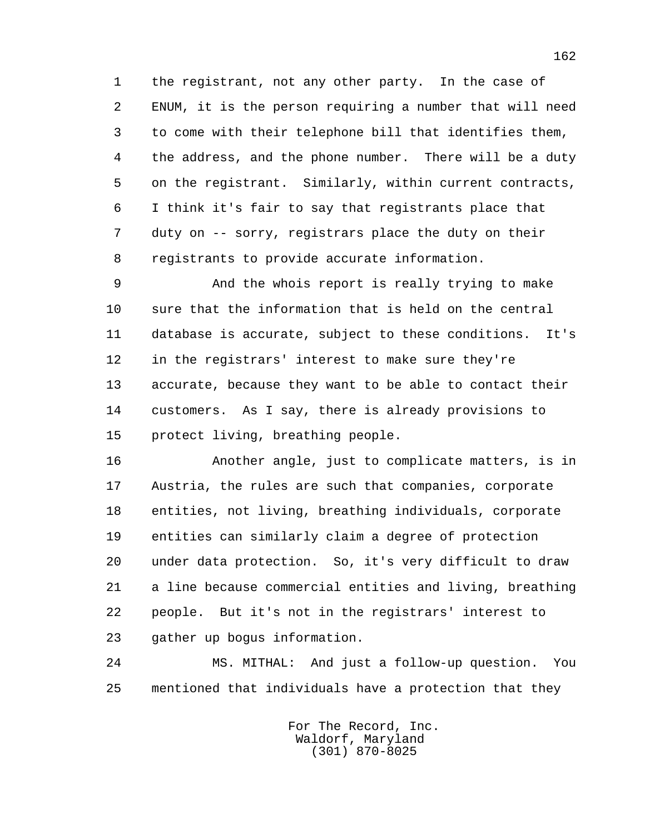1 the registrant, not any other party. In the case of 2 ENUM, it is the person requiring a number that will need 3 to come with their telephone bill that identifies them, 4 the address, and the phone number. There will be a duty 5 on the registrant. Similarly, within current contracts, 6 I think it's fair to say that registrants place that 7 duty on -- sorry, registrars place the duty on their 8 registrants to provide accurate information.

 9 And the whois report is really trying to make 10 sure that the information that is held on the central 11 database is accurate, subject to these conditions. It's 12 in the registrars' interest to make sure they're 13 accurate, because they want to be able to contact their 14 customers. As I say, there is already provisions to 15 protect living, breathing people.

 16 Another angle, just to complicate matters, is in 17 Austria, the rules are such that companies, corporate 18 entities, not living, breathing individuals, corporate 19 entities can similarly claim a degree of protection 20 under data protection. So, it's very difficult to draw 21 a line because commercial entities and living, breathing 22 people. But it's not in the registrars' interest to 23 gather up bogus information.

 24 MS. MITHAL: And just a follow-up question. You 25 mentioned that individuals have a protection that they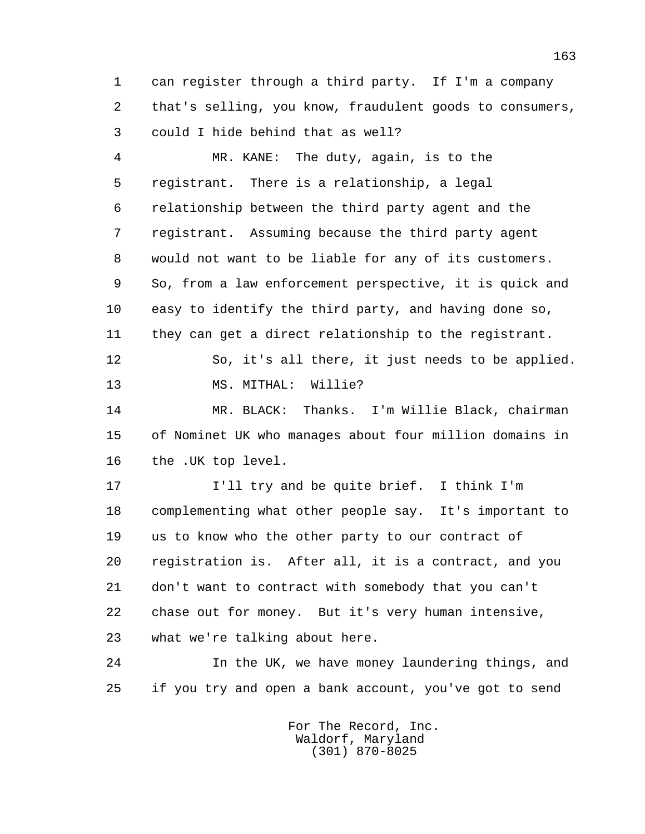1 can register through a third party. If I'm a company 2 that's selling, you know, fraudulent goods to consumers, 3 could I hide behind that as well?

 4 MR. KANE: The duty, again, is to the 5 registrant. There is a relationship, a legal 6 relationship between the third party agent and the 7 registrant. Assuming because the third party agent 8 would not want to be liable for any of its customers. 9 So, from a law enforcement perspective, it is quick and 10 easy to identify the third party, and having done so, 11 they can get a direct relationship to the registrant.

 12 So, it's all there, it just needs to be applied. 13 MS. MITHAL: Willie?

 14 MR. BLACK: Thanks. I'm Willie Black, chairman 15 of Nominet UK who manages about four million domains in 16 the .UK top level.

 17 I'll try and be quite brief. I think I'm 18 complementing what other people say. It's important to 19 us to know who the other party to our contract of 20 registration is. After all, it is a contract, and you 21 don't want to contract with somebody that you can't 22 chase out for money. But it's very human intensive, 23 what we're talking about here.

 24 In the UK, we have money laundering things, and 25 if you try and open a bank account, you've got to send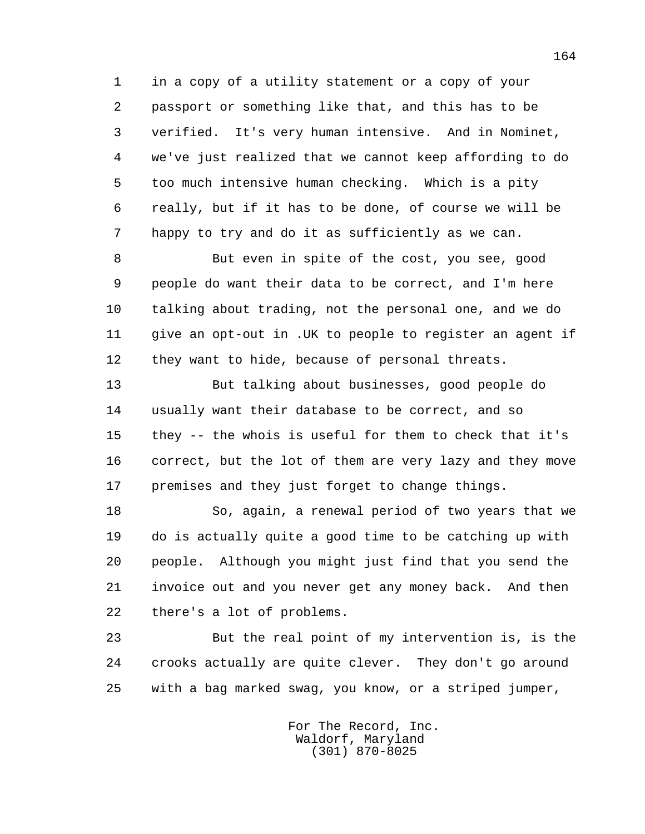1 in a copy of a utility statement or a copy of your 2 passport or something like that, and this has to be 3 verified. It's very human intensive. And in Nominet, 4 we've just realized that we cannot keep affording to do 5 too much intensive human checking. Which is a pity 6 really, but if it has to be done, of course we will be 7 happy to try and do it as sufficiently as we can.

 8 But even in spite of the cost, you see, good 9 people do want their data to be correct, and I'm here 10 talking about trading, not the personal one, and we do 11 give an opt-out in .UK to people to register an agent if 12 they want to hide, because of personal threats.

 13 But talking about businesses, good people do 14 usually want their database to be correct, and so 15 they -- the whois is useful for them to check that it's 16 correct, but the lot of them are very lazy and they move 17 premises and they just forget to change things.

 18 So, again, a renewal period of two years that we 19 do is actually quite a good time to be catching up with 20 people. Although you might just find that you send the 21 invoice out and you never get any money back. And then 22 there's a lot of problems.

 23 But the real point of my intervention is, is the 24 crooks actually are quite clever. They don't go around 25 with a bag marked swag, you know, or a striped jumper,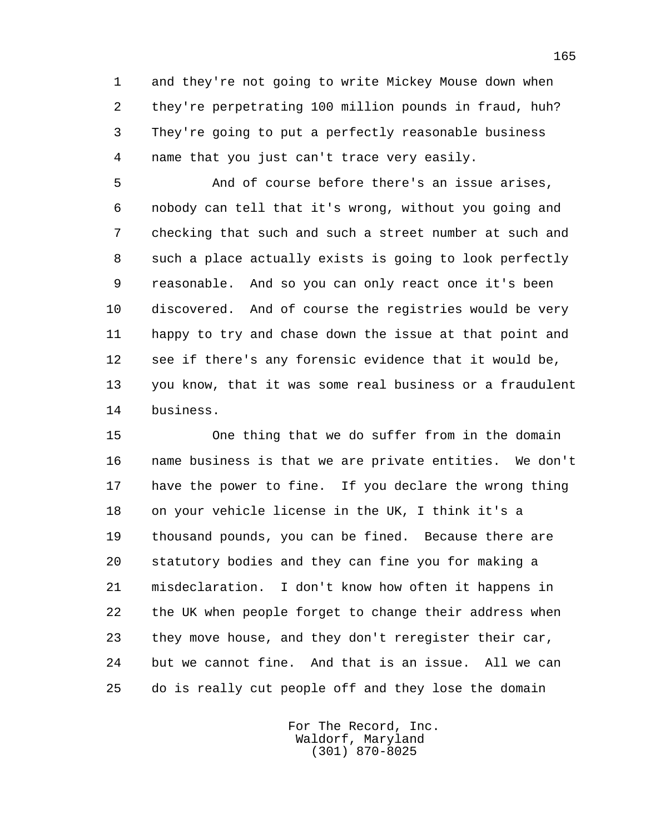1 and they're not going to write Mickey Mouse down when 2 they're perpetrating 100 million pounds in fraud, huh? 3 They're going to put a perfectly reasonable business 4 name that you just can't trace very easily.

 5 And of course before there's an issue arises, 6 nobody can tell that it's wrong, without you going and 7 checking that such and such a street number at such and 8 such a place actually exists is going to look perfectly 9 reasonable. And so you can only react once it's been 10 discovered. And of course the registries would be very 11 happy to try and chase down the issue at that point and 12 see if there's any forensic evidence that it would be, 13 you know, that it was some real business or a fraudulent 14 business.

 15 One thing that we do suffer from in the domain 16 name business is that we are private entities. We don't 17 have the power to fine. If you declare the wrong thing 18 on your vehicle license in the UK, I think it's a 19 thousand pounds, you can be fined. Because there are 20 statutory bodies and they can fine you for making a 21 misdeclaration. I don't know how often it happens in 22 the UK when people forget to change their address when 23 they move house, and they don't reregister their car, 24 but we cannot fine. And that is an issue. All we can 25 do is really cut people off and they lose the domain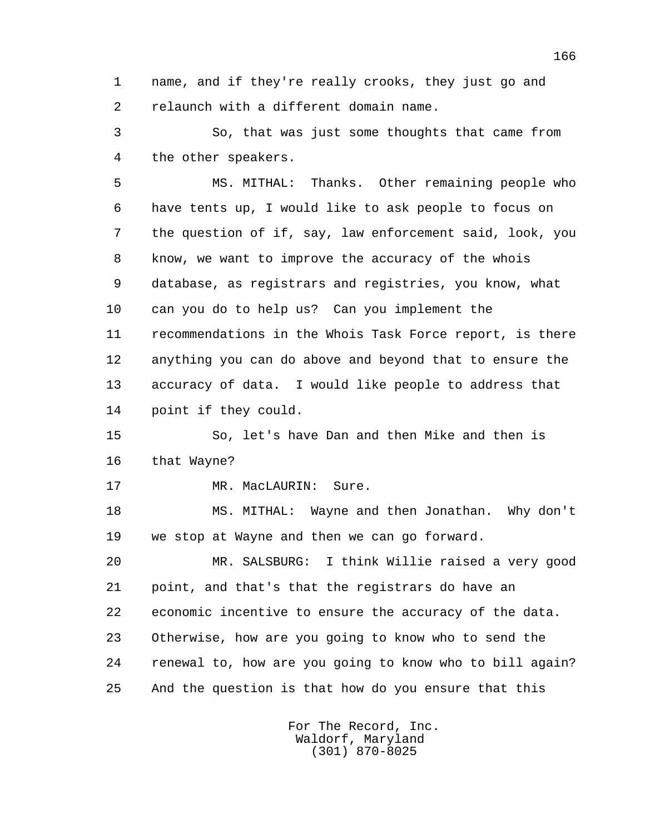1 name, and if they're really crooks, they just go and 2 relaunch with a different domain name.

 3 So, that was just some thoughts that came from 4 the other speakers.

 5 MS. MITHAL: Thanks. Other remaining people who 6 have tents up, I would like to ask people to focus on 7 the question of if, say, law enforcement said, look, you 8 know, we want to improve the accuracy of the whois 9 database, as registrars and registries, you know, what 10 can you do to help us? Can you implement the 11 recommendations in the Whois Task Force report, is there 12 anything you can do above and beyond that to ensure the 13 accuracy of data. I would like people to address that 14 point if they could.

 15 So, let's have Dan and then Mike and then is 16 that Wayne?

17 MR. MacLAURIN: Sure.

 18 MS. MITHAL: Wayne and then Jonathan. Why don't 19 we stop at Wayne and then we can go forward.

 20 MR. SALSBURG: I think Willie raised a very good 21 point, and that's that the registrars do have an 22 economic incentive to ensure the accuracy of the data. 23 Otherwise, how are you going to know who to send the 24 renewal to, how are you going to know who to bill again? 25 And the question is that how do you ensure that this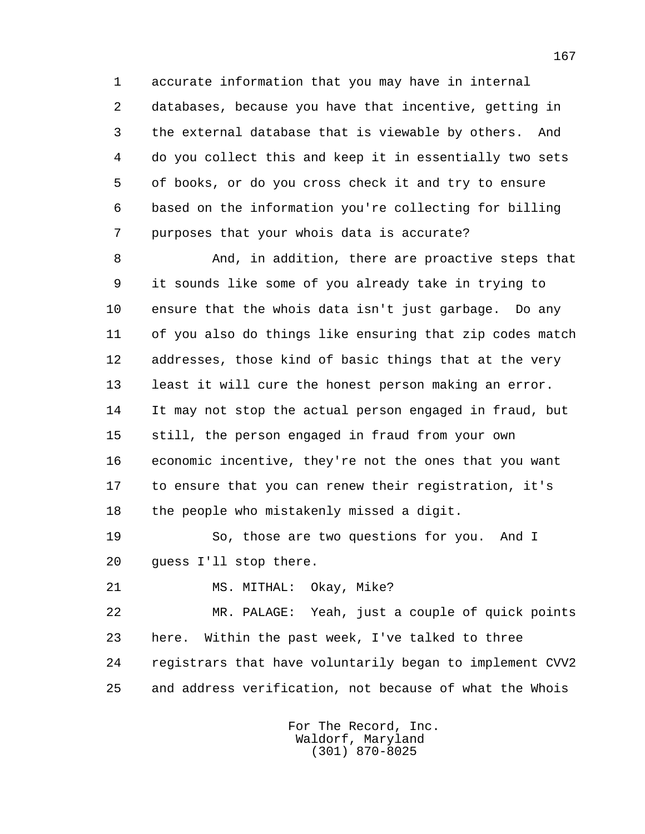1 accurate information that you may have in internal 2 databases, because you have that incentive, getting in 3 the external database that is viewable by others. And 4 do you collect this and keep it in essentially two sets 5 of books, or do you cross check it and try to ensure 6 based on the information you're collecting for billing 7 purposes that your whois data is accurate?

 8 And, in addition, there are proactive steps that 9 it sounds like some of you already take in trying to 10 ensure that the whois data isn't just garbage. Do any 11 of you also do things like ensuring that zip codes match 12 addresses, those kind of basic things that at the very 13 least it will cure the honest person making an error. 14 It may not stop the actual person engaged in fraud, but 15 still, the person engaged in fraud from your own 16 economic incentive, they're not the ones that you want 17 to ensure that you can renew their registration, it's 18 the people who mistakenly missed a digit.

 19 So, those are two questions for you. And I 20 guess I'll stop there.

21 MS. MITHAL: Okay, Mike?

 22 MR. PALAGE: Yeah, just a couple of quick points 23 here. Within the past week, I've talked to three 24 registrars that have voluntarily began to implement CVV2 25 and address verification, not because of what the Whois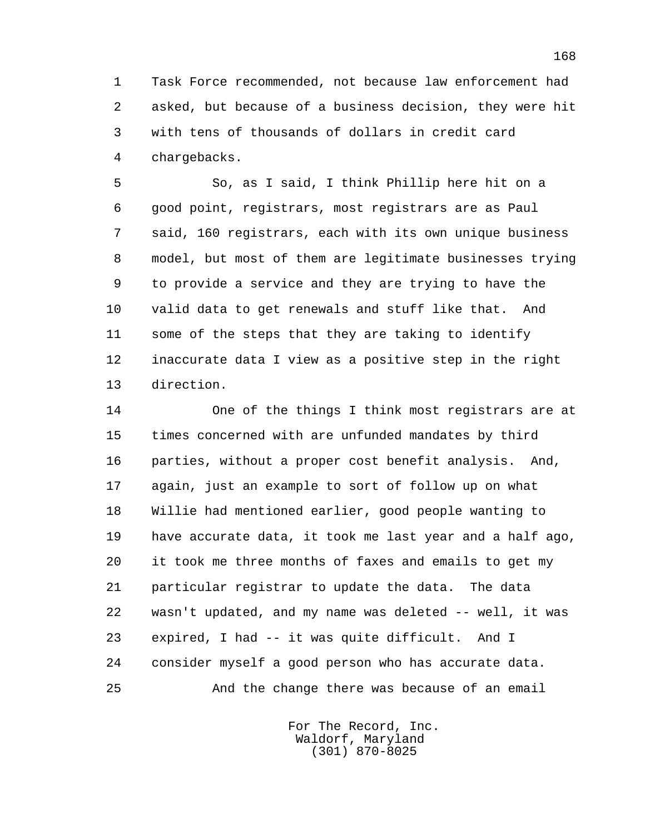1 Task Force recommended, not because law enforcement had 2 asked, but because of a business decision, they were hit 3 with tens of thousands of dollars in credit card 4 chargebacks.

 5 So, as I said, I think Phillip here hit on a 6 good point, registrars, most registrars are as Paul 7 said, 160 registrars, each with its own unique business 8 model, but most of them are legitimate businesses trying 9 to provide a service and they are trying to have the 10 valid data to get renewals and stuff like that. And 11 some of the steps that they are taking to identify 12 inaccurate data I view as a positive step in the right 13 direction.

 14 One of the things I think most registrars are at 15 times concerned with are unfunded mandates by third 16 parties, without a proper cost benefit analysis. And, 17 again, just an example to sort of follow up on what 18 Willie had mentioned earlier, good people wanting to 19 have accurate data, it took me last year and a half ago, 20 it took me three months of faxes and emails to get my 21 particular registrar to update the data. The data 22 wasn't updated, and my name was deleted -- well, it was 23 expired, I had -- it was quite difficult. And I 24 consider myself a good person who has accurate data. 25 And the change there was because of an email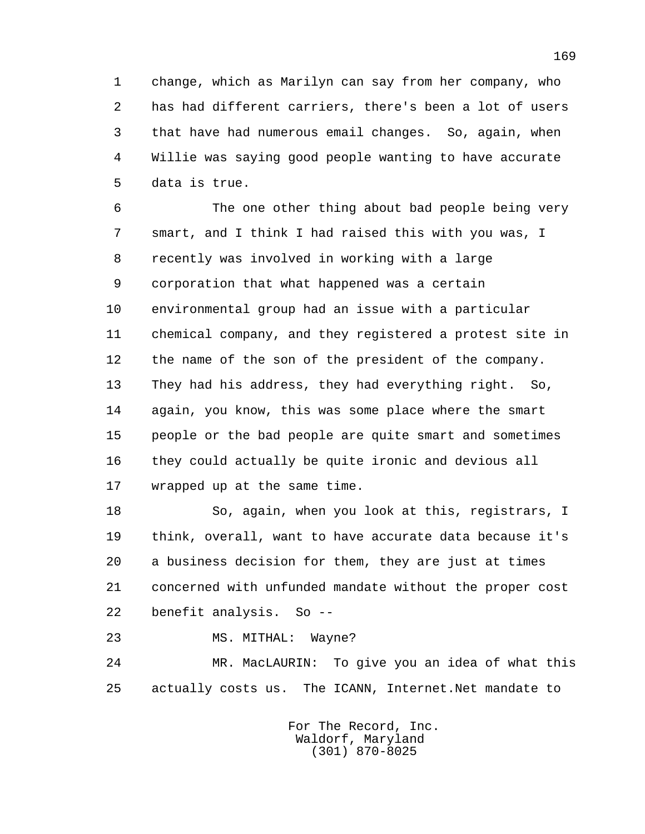1 change, which as Marilyn can say from her company, who 2 has had different carriers, there's been a lot of users 3 that have had numerous email changes. So, again, when 4 Willie was saying good people wanting to have accurate 5 data is true.

 6 The one other thing about bad people being very 7 smart, and I think I had raised this with you was, I 8 recently was involved in working with a large 9 corporation that what happened was a certain 10 environmental group had an issue with a particular 11 chemical company, and they registered a protest site in 12 the name of the son of the president of the company. 13 They had his address, they had everything right. So, 14 again, you know, this was some place where the smart 15 people or the bad people are quite smart and sometimes 16 they could actually be quite ironic and devious all 17 wrapped up at the same time.

 18 So, again, when you look at this, registrars, I 19 think, overall, want to have accurate data because it's 20 a business decision for them, they are just at times 21 concerned with unfunded mandate without the proper cost 22 benefit analysis. So --

23 MS. MITHAL: Wayne?

 24 MR. MacLAURIN: To give you an idea of what this 25 actually costs us. The ICANN, Internet.Net mandate to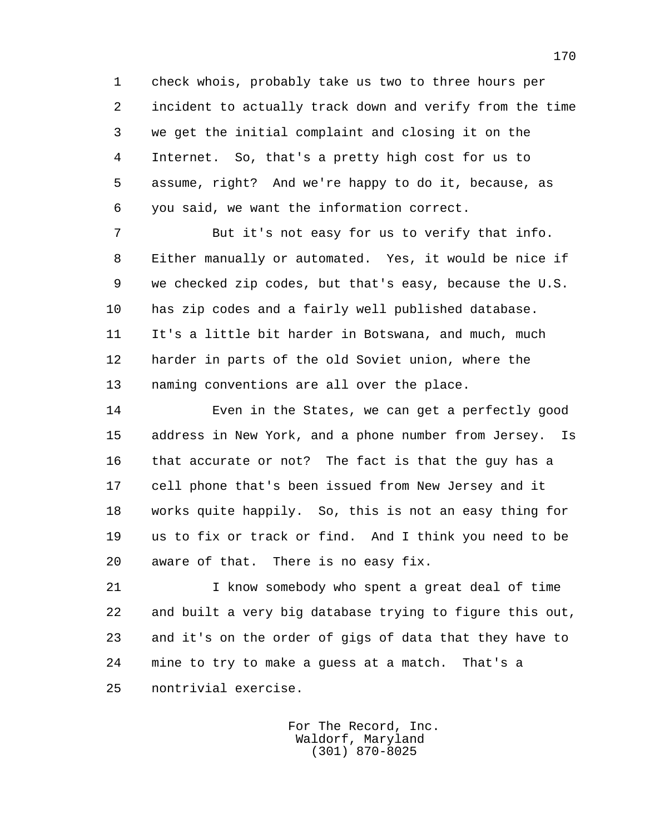1 check whois, probably take us two to three hours per 2 incident to actually track down and verify from the time 3 we get the initial complaint and closing it on the 4 Internet. So, that's a pretty high cost for us to 5 assume, right? And we're happy to do it, because, as 6 you said, we want the information correct.

 7 But it's not easy for us to verify that info. 8 Either manually or automated. Yes, it would be nice if 9 we checked zip codes, but that's easy, because the U.S. 10 has zip codes and a fairly well published database. 11 It's a little bit harder in Botswana, and much, much 12 harder in parts of the old Soviet union, where the 13 naming conventions are all over the place.

 14 Even in the States, we can get a perfectly good 15 address in New York, and a phone number from Jersey. Is 16 that accurate or not? The fact is that the guy has a 17 cell phone that's been issued from New Jersey and it 18 works quite happily. So, this is not an easy thing for 19 us to fix or track or find. And I think you need to be 20 aware of that. There is no easy fix.

 21 I know somebody who spent a great deal of time 22 and built a very big database trying to figure this out, 23 and it's on the order of gigs of data that they have to 24 mine to try to make a guess at a match. That's a 25 nontrivial exercise.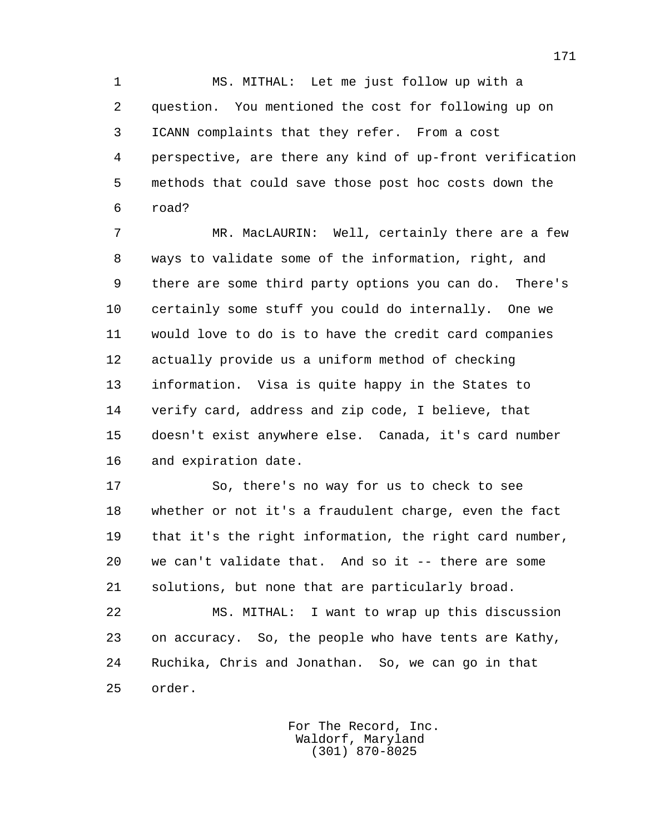1 MS. MITHAL: Let me just follow up with a 2 question. You mentioned the cost for following up on 3 ICANN complaints that they refer. From a cost 4 perspective, are there any kind of up-front verification 5 methods that could save those post hoc costs down the 6 road?

 7 MR. MacLAURIN: Well, certainly there are a few 8 ways to validate some of the information, right, and 9 there are some third party options you can do. There's 10 certainly some stuff you could do internally. One we 11 would love to do is to have the credit card companies 12 actually provide us a uniform method of checking 13 information. Visa is quite happy in the States to 14 verify card, address and zip code, I believe, that 15 doesn't exist anywhere else. Canada, it's card number 16 and expiration date.

 17 So, there's no way for us to check to see 18 whether or not it's a fraudulent charge, even the fact 19 that it's the right information, the right card number, 20 we can't validate that. And so it -- there are some 21 solutions, but none that are particularly broad.

 22 MS. MITHAL: I want to wrap up this discussion 23 on accuracy. So, the people who have tents are Kathy, 24 Ruchika, Chris and Jonathan. So, we can go in that 25 order.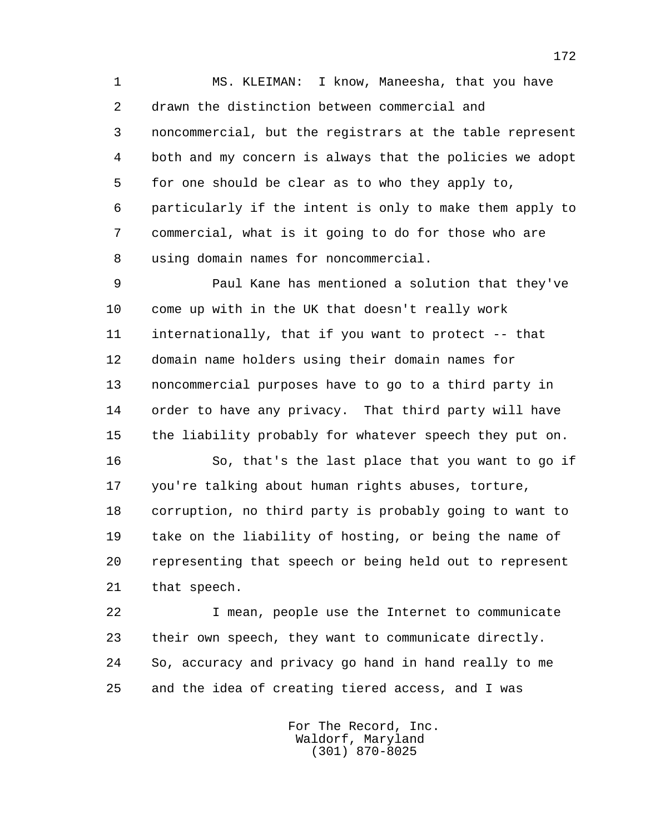1 MS. KLEIMAN: I know, Maneesha, that you have 2 drawn the distinction between commercial and 3 noncommercial, but the registrars at the table represent 4 both and my concern is always that the policies we adopt 5 for one should be clear as to who they apply to, 6 particularly if the intent is only to make them apply to 7 commercial, what is it going to do for those who are 8 using domain names for noncommercial.

 9 Paul Kane has mentioned a solution that they've 10 come up with in the UK that doesn't really work 11 internationally, that if you want to protect -- that 12 domain name holders using their domain names for 13 noncommercial purposes have to go to a third party in 14 order to have any privacy. That third party will have 15 the liability probably for whatever speech they put on.

 16 So, that's the last place that you want to go if 17 you're talking about human rights abuses, torture, 18 corruption, no third party is probably going to want to 19 take on the liability of hosting, or being the name of 20 representing that speech or being held out to represent 21 that speech.

 22 I mean, people use the Internet to communicate 23 their own speech, they want to communicate directly. 24 So, accuracy and privacy go hand in hand really to me 25 and the idea of creating tiered access, and I was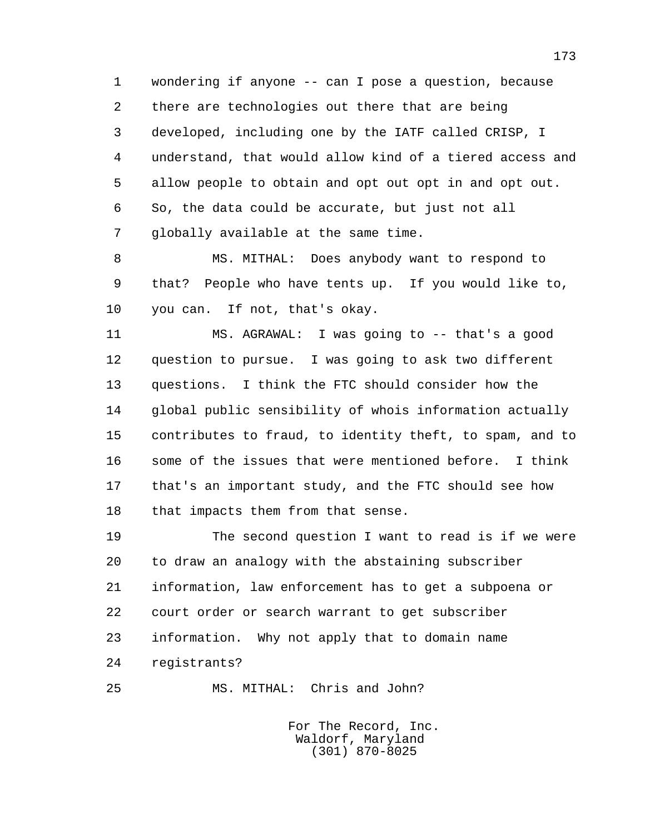1 wondering if anyone -- can I pose a question, because 2 there are technologies out there that are being 3 developed, including one by the IATF called CRISP, I 4 understand, that would allow kind of a tiered access and 5 allow people to obtain and opt out opt in and opt out. 6 So, the data could be accurate, but just not all 7 globally available at the same time.

 8 MS. MITHAL: Does anybody want to respond to 9 that? People who have tents up. If you would like to, 10 you can. If not, that's okay.

 11 MS. AGRAWAL: I was going to -- that's a good 12 question to pursue. I was going to ask two different 13 questions. I think the FTC should consider how the 14 global public sensibility of whois information actually 15 contributes to fraud, to identity theft, to spam, and to 16 some of the issues that were mentioned before. I think 17 that's an important study, and the FTC should see how 18 that impacts them from that sense.

 19 The second question I want to read is if we were 20 to draw an analogy with the abstaining subscriber 21 information, law enforcement has to get a subpoena or 22 court order or search warrant to get subscriber 23 information. Why not apply that to domain name 24 registrants?

25 MS. MITHAL: Chris and John?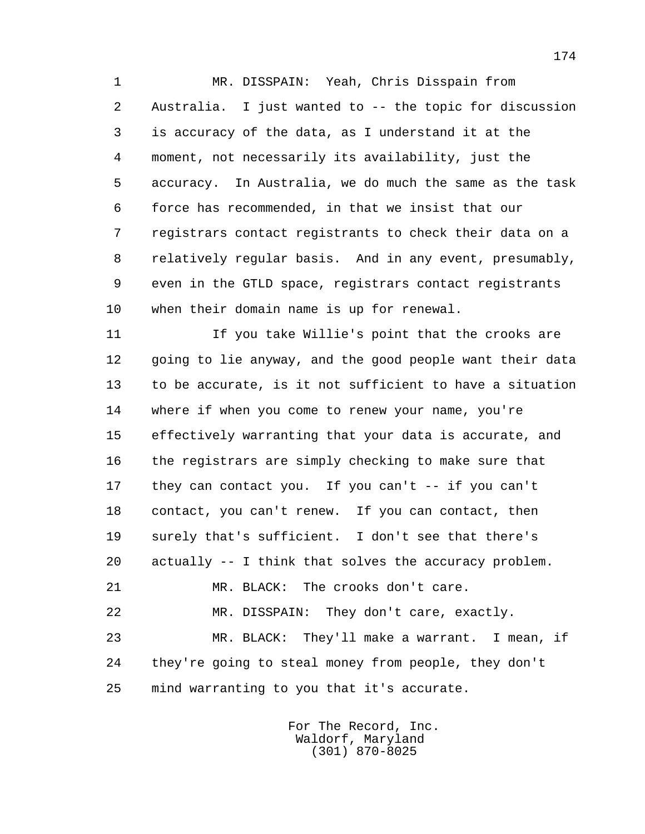1 MR. DISSPAIN: Yeah, Chris Disspain from 2 Australia. I just wanted to -- the topic for discussion 3 is accuracy of the data, as I understand it at the 4 moment, not necessarily its availability, just the 5 accuracy. In Australia, we do much the same as the task 6 force has recommended, in that we insist that our 7 registrars contact registrants to check their data on a 8 relatively regular basis. And in any event, presumably, 9 even in the GTLD space, registrars contact registrants 10 when their domain name is up for renewal.

 11 If you take Willie's point that the crooks are 12 going to lie anyway, and the good people want their data 13 to be accurate, is it not sufficient to have a situation 14 where if when you come to renew your name, you're 15 effectively warranting that your data is accurate, and 16 the registrars are simply checking to make sure that 17 they can contact you. If you can't -- if you can't 18 contact, you can't renew. If you can contact, then 19 surely that's sufficient. I don't see that there's 20 actually -- I think that solves the accuracy problem. 21 MR. BLACK: The crooks don't care. 22 MR. DISSPAIN: They don't care, exactly. 23 MR. BLACK: They'll make a warrant. I mean, if 24 they're going to steal money from people, they don't

25 mind warranting to you that it's accurate.

 For The Record, Inc. Waldorf, Maryland (301) 870-8025

174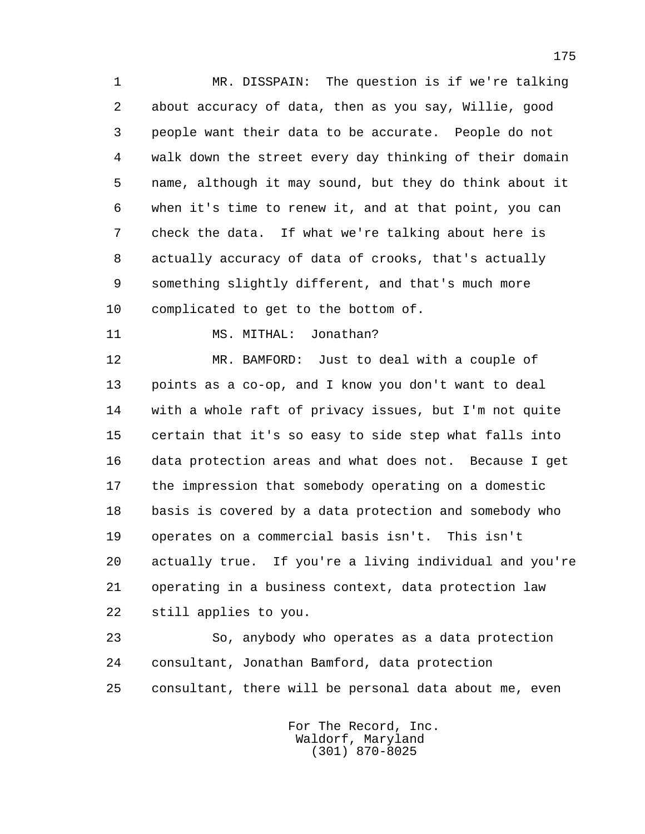1 MR. DISSPAIN: The question is if we're talking 2 about accuracy of data, then as you say, Willie, good 3 people want their data to be accurate. People do not 4 walk down the street every day thinking of their domain 5 name, although it may sound, but they do think about it 6 when it's time to renew it, and at that point, you can 7 check the data. If what we're talking about here is 8 actually accuracy of data of crooks, that's actually 9 something slightly different, and that's much more 10 complicated to get to the bottom of.

11 MS. MITHAL: Jonathan?

 12 MR. BAMFORD: Just to deal with a couple of 13 points as a co-op, and I know you don't want to deal 14 with a whole raft of privacy issues, but I'm not quite 15 certain that it's so easy to side step what falls into 16 data protection areas and what does not. Because I get 17 the impression that somebody operating on a domestic 18 basis is covered by a data protection and somebody who 19 operates on a commercial basis isn't. This isn't 20 actually true. If you're a living individual and you're 21 operating in a business context, data protection law 22 still applies to you.

 23 So, anybody who operates as a data protection 24 consultant, Jonathan Bamford, data protection 25 consultant, there will be personal data about me, even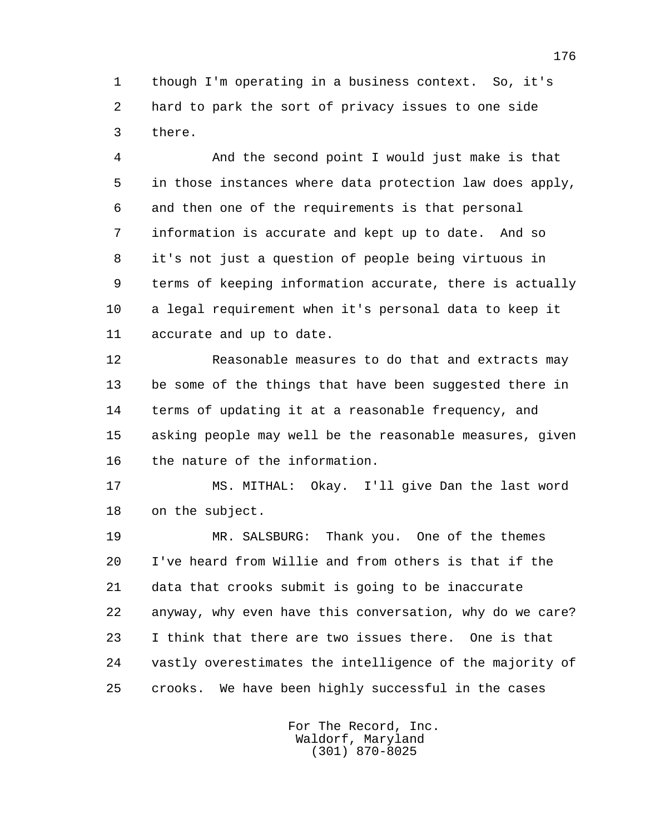1 though I'm operating in a business context. So, it's 2 hard to park the sort of privacy issues to one side 3 there.

 4 And the second point I would just make is that 5 in those instances where data protection law does apply, 6 and then one of the requirements is that personal 7 information is accurate and kept up to date. And so 8 it's not just a question of people being virtuous in 9 terms of keeping information accurate, there is actually 10 a legal requirement when it's personal data to keep it 11 accurate and up to date.

 12 Reasonable measures to do that and extracts may 13 be some of the things that have been suggested there in 14 terms of updating it at a reasonable frequency, and 15 asking people may well be the reasonable measures, given 16 the nature of the information.

 17 MS. MITHAL: Okay. I'll give Dan the last word 18 on the subject.

 19 MR. SALSBURG: Thank you. One of the themes 20 I've heard from Willie and from others is that if the 21 data that crooks submit is going to be inaccurate 22 anyway, why even have this conversation, why do we care? 23 I think that there are two issues there. One is that 24 vastly overestimates the intelligence of the majority of 25 crooks. We have been highly successful in the cases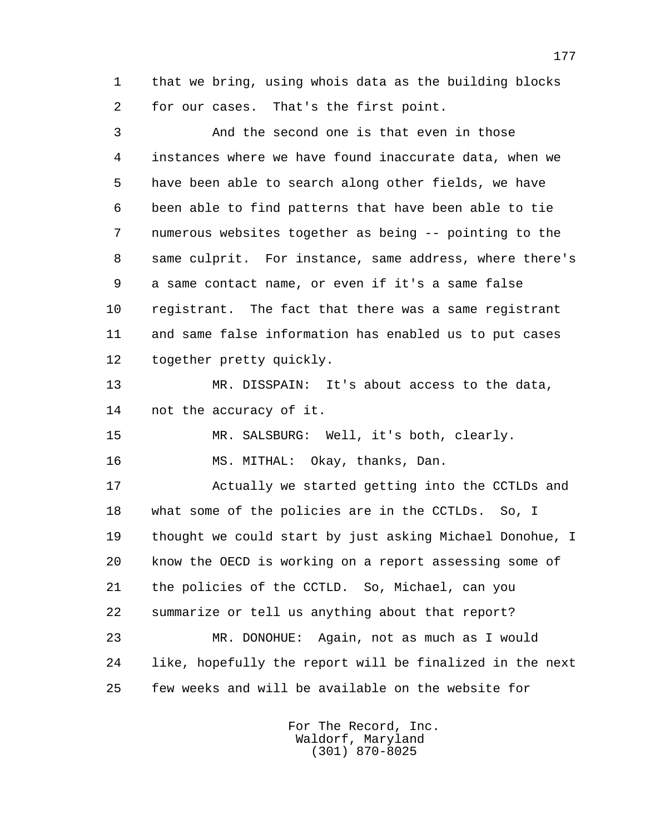1 that we bring, using whois data as the building blocks 2 for our cases. That's the first point.

 3 And the second one is that even in those 4 instances where we have found inaccurate data, when we 5 have been able to search along other fields, we have 6 been able to find patterns that have been able to tie 7 numerous websites together as being -- pointing to the 8 same culprit. For instance, same address, where there's 9 a same contact name, or even if it's a same false 10 registrant. The fact that there was a same registrant 11 and same false information has enabled us to put cases 12 together pretty quickly.

 13 MR. DISSPAIN: It's about access to the data, 14 not the accuracy of it.

15 MR. SALSBURG: Well, it's both, clearly.

16 MS. MITHAL: Okay, thanks, Dan.

 17 Actually we started getting into the CCTLDs and 18 what some of the policies are in the CCTLDs. So, I 19 thought we could start by just asking Michael Donohue, I 20 know the OECD is working on a report assessing some of 21 the policies of the CCTLD. So, Michael, can you 22 summarize or tell us anything about that report? 23 MR. DONOHUE: Again, not as much as I would

 24 like, hopefully the report will be finalized in the next 25 few weeks and will be available on the website for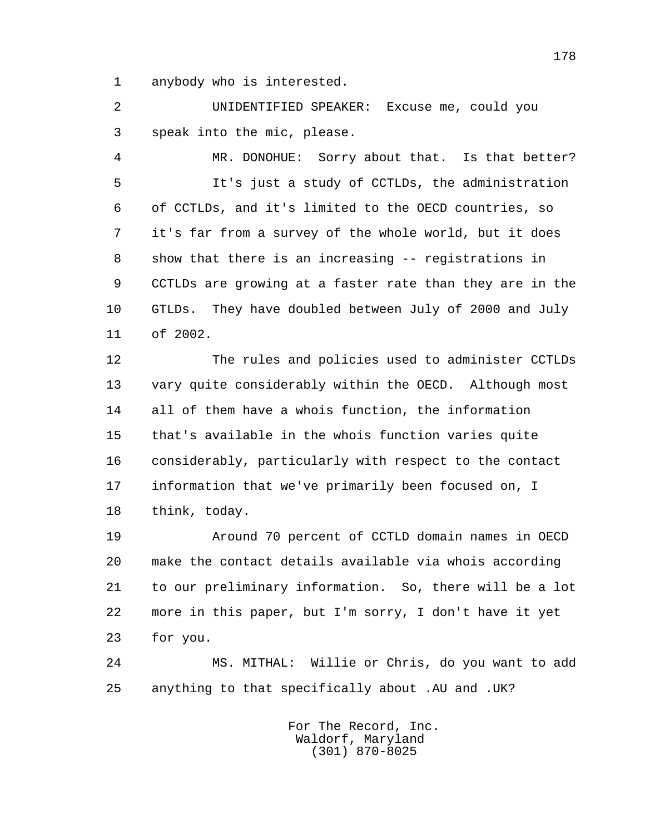1 anybody who is interested.

 2 UNIDENTIFIED SPEAKER: Excuse me, could you 3 speak into the mic, please.

 4 MR. DONOHUE: Sorry about that. Is that better? 5 It's just a study of CCTLDs, the administration 6 of CCTLDs, and it's limited to the OECD countries, so 7 it's far from a survey of the whole world, but it does 8 show that there is an increasing -- registrations in 9 CCTLDs are growing at a faster rate than they are in the 10 GTLDs. They have doubled between July of 2000 and July 11 of 2002.

 12 The rules and policies used to administer CCTLDs 13 vary quite considerably within the OECD. Although most 14 all of them have a whois function, the information 15 that's available in the whois function varies quite 16 considerably, particularly with respect to the contact 17 information that we've primarily been focused on, I 18 think, today.

 19 Around 70 percent of CCTLD domain names in OECD 20 make the contact details available via whois according 21 to our preliminary information. So, there will be a lot 22 more in this paper, but I'm sorry, I don't have it yet 23 for you.

 24 MS. MITHAL: Willie or Chris, do you want to add 25 anything to that specifically about .AU and .UK?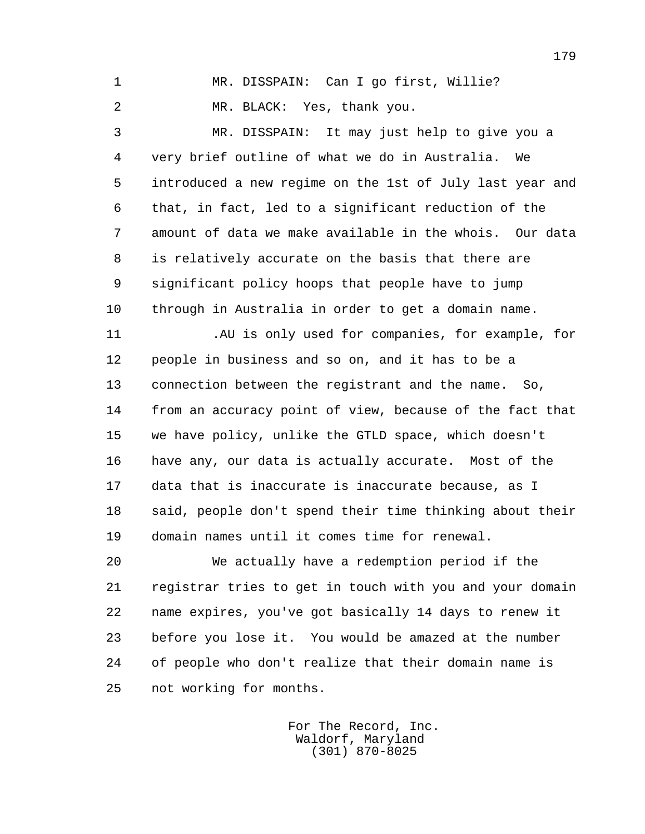1 MR. DISSPAIN: Can I go first, Willie?

2 MR. BLACK: Yes, thank you.

 3 MR. DISSPAIN: It may just help to give you a 4 very brief outline of what we do in Australia. We 5 introduced a new regime on the 1st of July last year and 6 that, in fact, led to a significant reduction of the 7 amount of data we make available in the whois. Our data 8 is relatively accurate on the basis that there are 9 significant policy hoops that people have to jump 10 through in Australia in order to get a domain name.

 11 .AU is only used for companies, for example, for 12 people in business and so on, and it has to be a 13 connection between the registrant and the name. So, 14 from an accuracy point of view, because of the fact that 15 we have policy, unlike the GTLD space, which doesn't 16 have any, our data is actually accurate. Most of the 17 data that is inaccurate is inaccurate because, as I 18 said, people don't spend their time thinking about their 19 domain names until it comes time for renewal.

 20 We actually have a redemption period if the 21 registrar tries to get in touch with you and your domain 22 name expires, you've got basically 14 days to renew it 23 before you lose it. You would be amazed at the number 24 of people who don't realize that their domain name is 25 not working for months.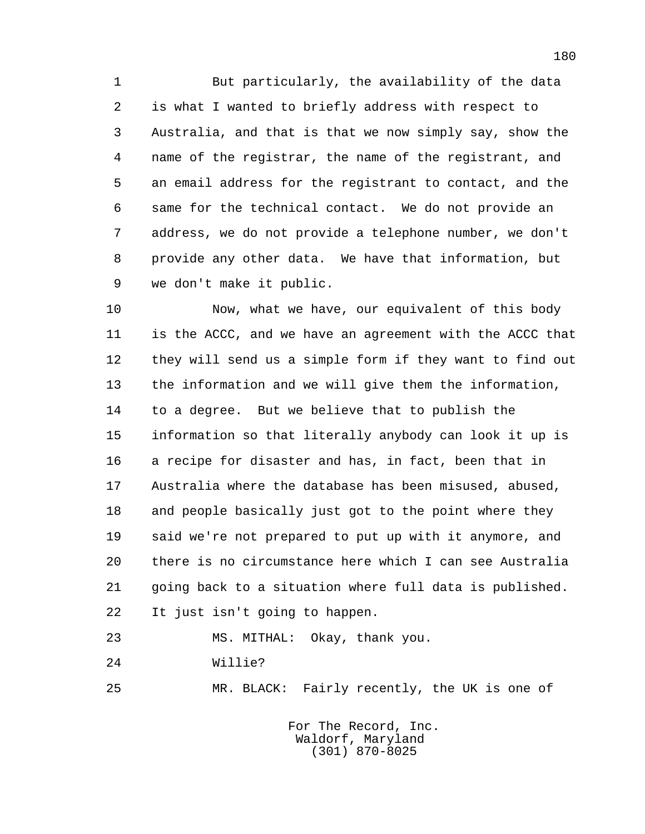1 But particularly, the availability of the data 2 is what I wanted to briefly address with respect to 3 Australia, and that is that we now simply say, show the 4 name of the registrar, the name of the registrant, and 5 an email address for the registrant to contact, and the 6 same for the technical contact. We do not provide an 7 address, we do not provide a telephone number, we don't 8 provide any other data. We have that information, but 9 we don't make it public.

 10 Now, what we have, our equivalent of this body 11 is the ACCC, and we have an agreement with the ACCC that 12 they will send us a simple form if they want to find out 13 the information and we will give them the information, 14 to a degree. But we believe that to publish the 15 information so that literally anybody can look it up is 16 a recipe for disaster and has, in fact, been that in 17 Australia where the database has been misused, abused, 18 and people basically just got to the point where they 19 said we're not prepared to put up with it anymore, and 20 there is no circumstance here which I can see Australia 21 going back to a situation where full data is published. 22 It just isn't going to happen.

23 MS. MITHAL: Okay, thank you.

24 Willie?

25 MR. BLACK: Fairly recently, the UK is one of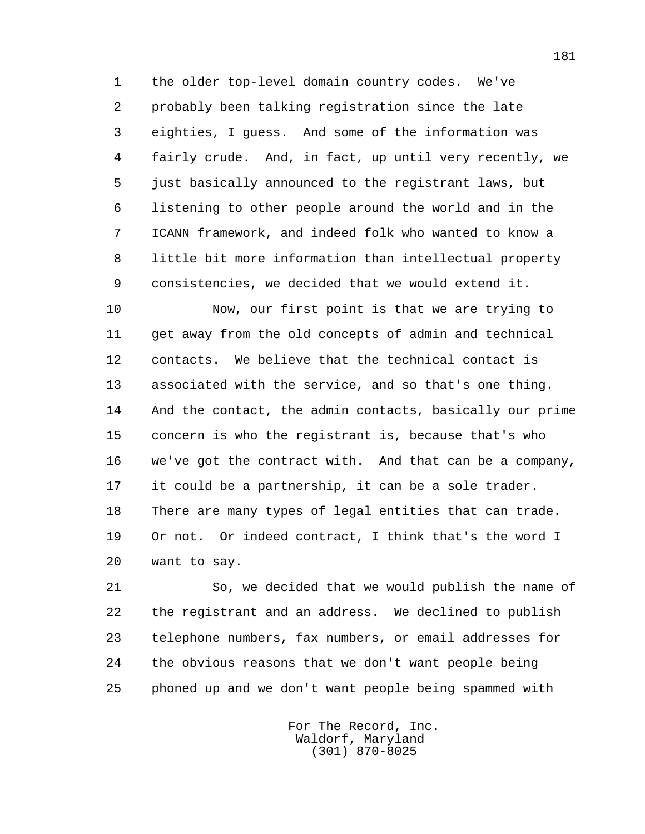1 the older top-level domain country codes. We've 2 probably been talking registration since the late 3 eighties, I guess. And some of the information was 4 fairly crude. And, in fact, up until very recently, we 5 just basically announced to the registrant laws, but 6 listening to other people around the world and in the 7 ICANN framework, and indeed folk who wanted to know a 8 little bit more information than intellectual property 9 consistencies, we decided that we would extend it.

 10 Now, our first point is that we are trying to 11 get away from the old concepts of admin and technical 12 contacts. We believe that the technical contact is 13 associated with the service, and so that's one thing. 14 And the contact, the admin contacts, basically our prime 15 concern is who the registrant is, because that's who 16 we've got the contract with. And that can be a company, 17 it could be a partnership, it can be a sole trader. 18 There are many types of legal entities that can trade. 19 Or not. Or indeed contract, I think that's the word I 20 want to say.

 21 So, we decided that we would publish the name of 22 the registrant and an address. We declined to publish 23 telephone numbers, fax numbers, or email addresses for 24 the obvious reasons that we don't want people being 25 phoned up and we don't want people being spammed with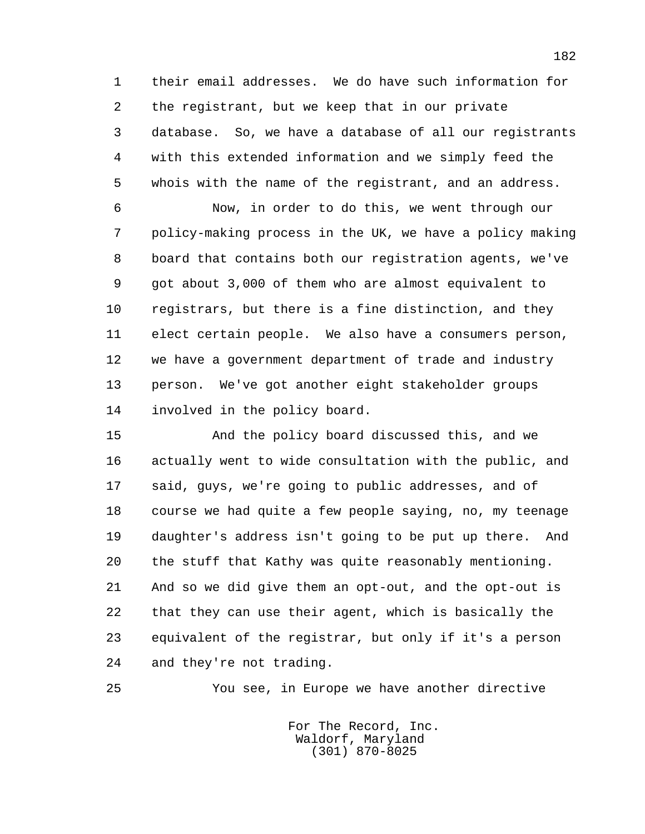1 their email addresses. We do have such information for 2 the registrant, but we keep that in our private 3 database. So, we have a database of all our registrants 4 with this extended information and we simply feed the 5 whois with the name of the registrant, and an address.

 6 Now, in order to do this, we went through our 7 policy-making process in the UK, we have a policy making 8 board that contains both our registration agents, we've 9 got about 3,000 of them who are almost equivalent to 10 registrars, but there is a fine distinction, and they 11 elect certain people. We also have a consumers person, 12 we have a government department of trade and industry 13 person. We've got another eight stakeholder groups 14 involved in the policy board.

 15 And the policy board discussed this, and we 16 actually went to wide consultation with the public, and 17 said, guys, we're going to public addresses, and of 18 course we had quite a few people saying, no, my teenage 19 daughter's address isn't going to be put up there. And 20 the stuff that Kathy was quite reasonably mentioning. 21 And so we did give them an opt-out, and the opt-out is 22 that they can use their agent, which is basically the 23 equivalent of the registrar, but only if it's a person 24 and they're not trading.

25 You see, in Europe we have another directive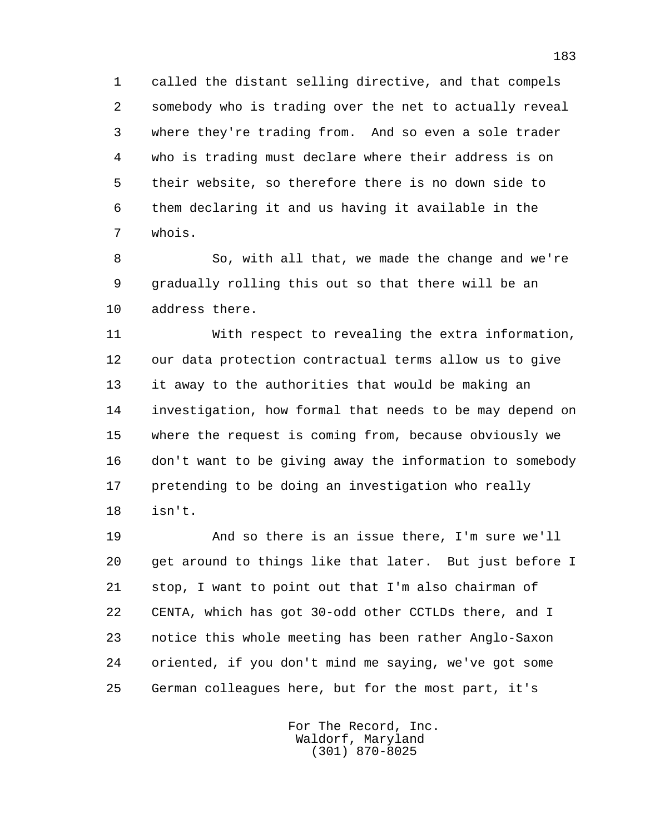1 called the distant selling directive, and that compels 2 somebody who is trading over the net to actually reveal 3 where they're trading from. And so even a sole trader 4 who is trading must declare where their address is on 5 their website, so therefore there is no down side to 6 them declaring it and us having it available in the 7 whois.

 8 So, with all that, we made the change and we're 9 gradually rolling this out so that there will be an 10 address there.

 11 With respect to revealing the extra information, 12 our data protection contractual terms allow us to give 13 it away to the authorities that would be making an 14 investigation, how formal that needs to be may depend on 15 where the request is coming from, because obviously we 16 don't want to be giving away the information to somebody 17 pretending to be doing an investigation who really 18 isn't.

 19 And so there is an issue there, I'm sure we'll 20 get around to things like that later. But just before I 21 stop, I want to point out that I'm also chairman of 22 CENTA, which has got 30-odd other CCTLDs there, and I 23 notice this whole meeting has been rather Anglo-Saxon 24 oriented, if you don't mind me saying, we've got some 25 German colleagues here, but for the most part, it's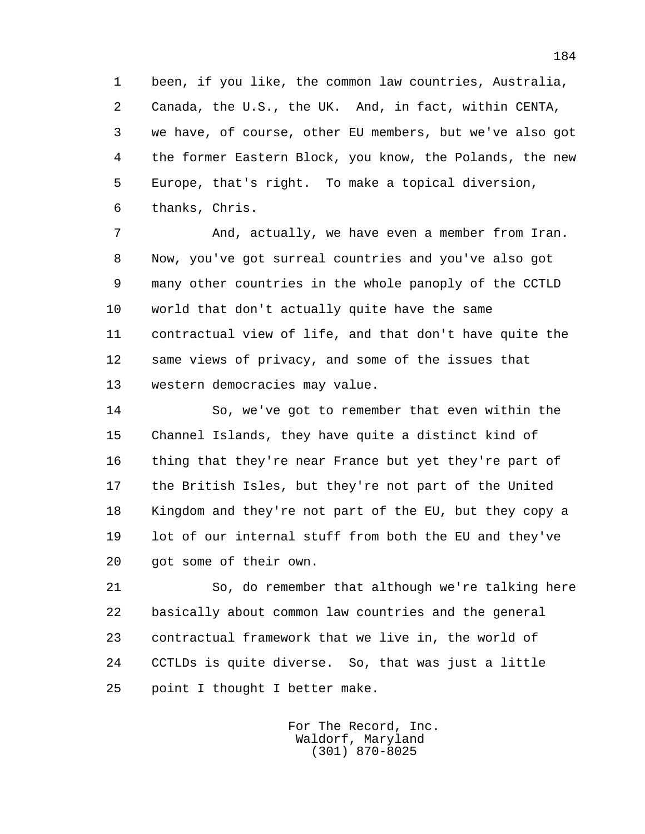1 been, if you like, the common law countries, Australia, 2 Canada, the U.S., the UK. And, in fact, within CENTA, 3 we have, of course, other EU members, but we've also got 4 the former Eastern Block, you know, the Polands, the new 5 Europe, that's right. To make a topical diversion, 6 thanks, Chris.

 7 And, actually, we have even a member from Iran. 8 Now, you've got surreal countries and you've also got 9 many other countries in the whole panoply of the CCTLD 10 world that don't actually quite have the same 11 contractual view of life, and that don't have quite the 12 same views of privacy, and some of the issues that 13 western democracies may value.

 14 So, we've got to remember that even within the 15 Channel Islands, they have quite a distinct kind of 16 thing that they're near France but yet they're part of 17 the British Isles, but they're not part of the United 18 Kingdom and they're not part of the EU, but they copy a 19 lot of our internal stuff from both the EU and they've 20 got some of their own.

 21 So, do remember that although we're talking here 22 basically about common law countries and the general 23 contractual framework that we live in, the world of 24 CCTLDs is quite diverse. So, that was just a little 25 point I thought I better make.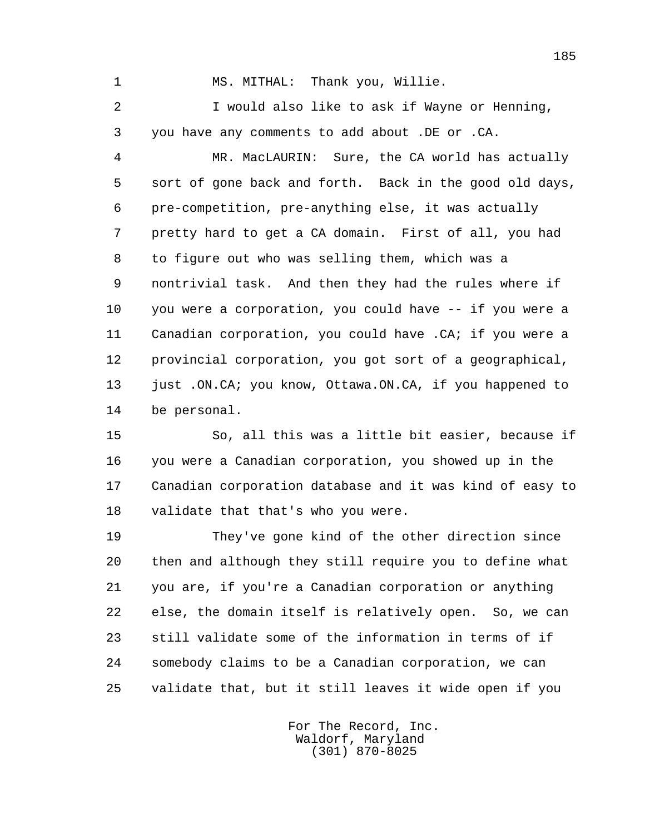1 MS. MITHAL: Thank you, Willie.

 2 I would also like to ask if Wayne or Henning, 3 you have any comments to add about .DE or .CA.

 4 MR. MacLAURIN: Sure, the CA world has actually 5 sort of gone back and forth. Back in the good old days, 6 pre-competition, pre-anything else, it was actually 7 pretty hard to get a CA domain. First of all, you had 8 to figure out who was selling them, which was a 9 nontrivial task. And then they had the rules where if 10 you were a corporation, you could have -- if you were a 11 Canadian corporation, you could have .CA; if you were a 12 provincial corporation, you got sort of a geographical, 13 just .ON.CA; you know, Ottawa.ON.CA, if you happened to 14 be personal.

 15 So, all this was a little bit easier, because if 16 you were a Canadian corporation, you showed up in the 17 Canadian corporation database and it was kind of easy to 18 validate that that's who you were.

 19 They've gone kind of the other direction since 20 then and although they still require you to define what 21 you are, if you're a Canadian corporation or anything 22 else, the domain itself is relatively open. So, we can 23 still validate some of the information in terms of if 24 somebody claims to be a Canadian corporation, we can 25 validate that, but it still leaves it wide open if you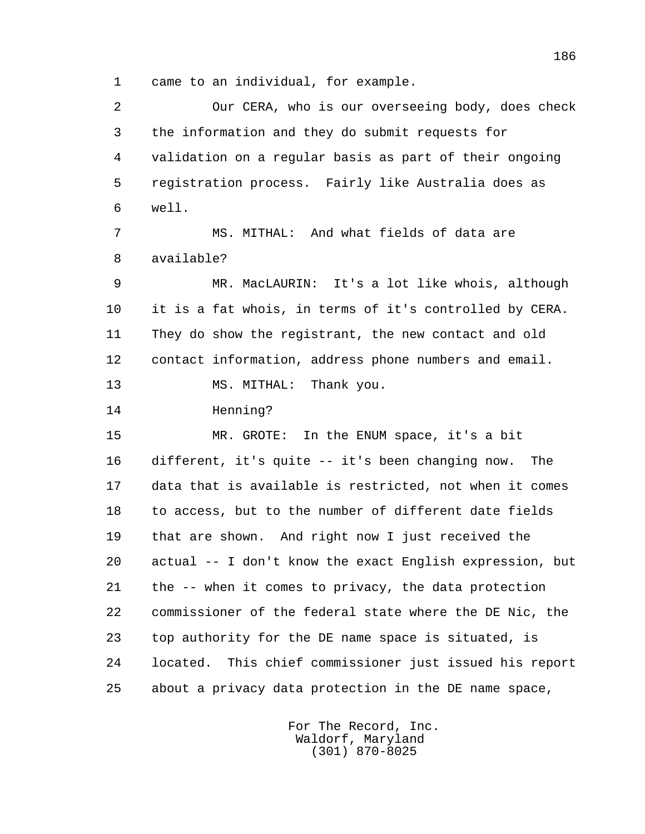1 came to an individual, for example.

 2 Our CERA, who is our overseeing body, does check 3 the information and they do submit requests for 4 validation on a regular basis as part of their ongoing 5 registration process. Fairly like Australia does as 6 well. 7 MS. MITHAL: And what fields of data are 8 available? 9 MR. MacLAURIN: It's a lot like whois, although 10 it is a fat whois, in terms of it's controlled by CERA. 11 They do show the registrant, the new contact and old 12 contact information, address phone numbers and email. 13 MS. MITHAL: Thank you. 14 Henning? 15 MR. GROTE: In the ENUM space, it's a bit 16 different, it's quite -- it's been changing now. The 17 data that is available is restricted, not when it comes 18 to access, but to the number of different date fields 19 that are shown. And right now I just received the 20 actual -- I don't know the exact English expression, but 21 the -- when it comes to privacy, the data protection 22 commissioner of the federal state where the DE Nic, the 23 top authority for the DE name space is situated, is 24 located. This chief commissioner just issued his report 25 about a privacy data protection in the DE name space,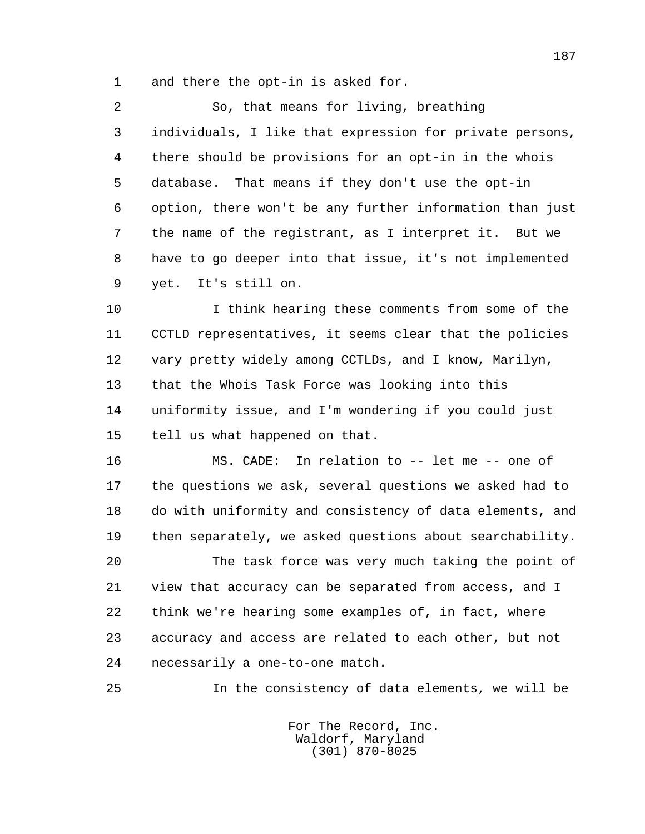1 and there the opt-in is asked for.

 2 So, that means for living, breathing 3 individuals, I like that expression for private persons, 4 there should be provisions for an opt-in in the whois 5 database. That means if they don't use the opt-in 6 option, there won't be any further information than just 7 the name of the registrant, as I interpret it. But we 8 have to go deeper into that issue, it's not implemented 9 yet. It's still on.

 10 I think hearing these comments from some of the 11 CCTLD representatives, it seems clear that the policies 12 vary pretty widely among CCTLDs, and I know, Marilyn, 13 that the Whois Task Force was looking into this 14 uniformity issue, and I'm wondering if you could just 15 tell us what happened on that.

 16 MS. CADE: In relation to -- let me -- one of 17 the questions we ask, several questions we asked had to 18 do with uniformity and consistency of data elements, and 19 then separately, we asked questions about searchability.

 20 The task force was very much taking the point of 21 view that accuracy can be separated from access, and I 22 think we're hearing some examples of, in fact, where 23 accuracy and access are related to each other, but not 24 necessarily a one-to-one match.

25 In the consistency of data elements, we will be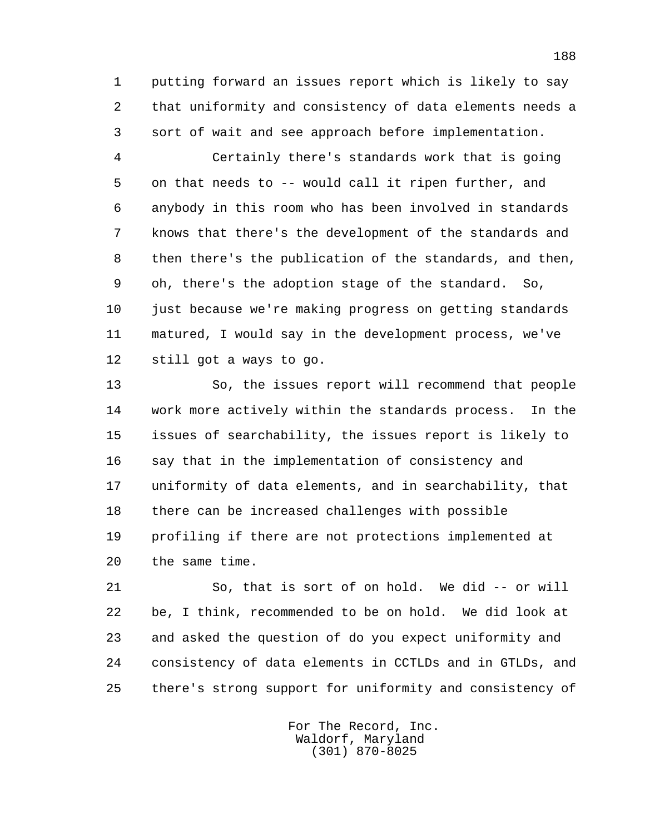1 putting forward an issues report which is likely to say 2 that uniformity and consistency of data elements needs a 3 sort of wait and see approach before implementation.

 4 Certainly there's standards work that is going 5 on that needs to -- would call it ripen further, and 6 anybody in this room who has been involved in standards 7 knows that there's the development of the standards and 8 then there's the publication of the standards, and then, 9 oh, there's the adoption stage of the standard. So, 10 just because we're making progress on getting standards 11 matured, I would say in the development process, we've 12 still got a ways to go.

 13 So, the issues report will recommend that people 14 work more actively within the standards process. In the 15 issues of searchability, the issues report is likely to 16 say that in the implementation of consistency and 17 uniformity of data elements, and in searchability, that 18 there can be increased challenges with possible 19 profiling if there are not protections implemented at 20 the same time.

 21 So, that is sort of on hold. We did -- or will 22 be, I think, recommended to be on hold. We did look at 23 and asked the question of do you expect uniformity and 24 consistency of data elements in CCTLDs and in GTLDs, and 25 there's strong support for uniformity and consistency of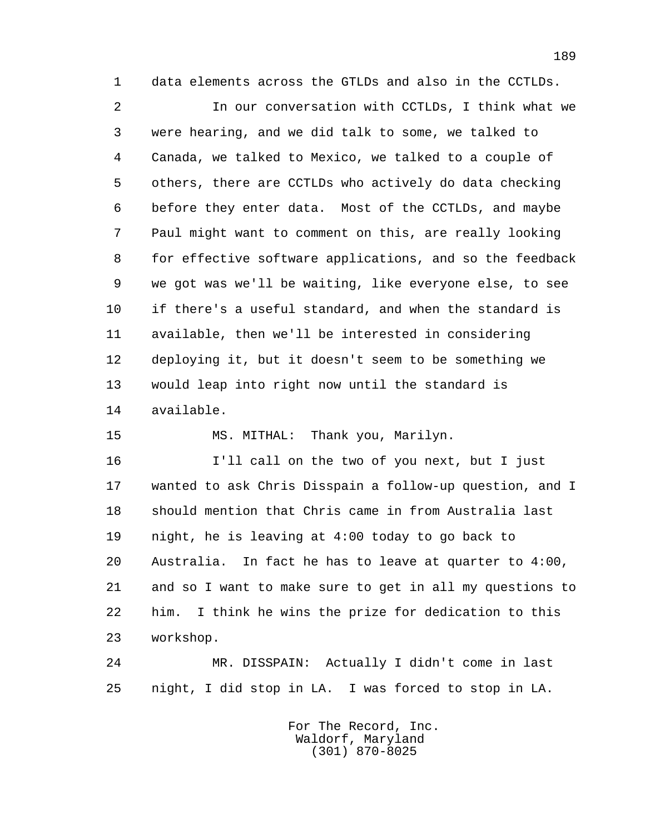1 data elements across the GTLDs and also in the CCTLDs.

 2 In our conversation with CCTLDs, I think what we 3 were hearing, and we did talk to some, we talked to 4 Canada, we talked to Mexico, we talked to a couple of 5 others, there are CCTLDs who actively do data checking 6 before they enter data. Most of the CCTLDs, and maybe 7 Paul might want to comment on this, are really looking 8 for effective software applications, and so the feedback 9 we got was we'll be waiting, like everyone else, to see 10 if there's a useful standard, and when the standard is 11 available, then we'll be interested in considering 12 deploying it, but it doesn't seem to be something we 13 would leap into right now until the standard is 14 available.

15 MS. MITHAL: Thank you, Marilyn.

 16 I'll call on the two of you next, but I just 17 wanted to ask Chris Disspain a follow-up question, and I 18 should mention that Chris came in from Australia last 19 night, he is leaving at 4:00 today to go back to 20 Australia. In fact he has to leave at quarter to 4:00, 21 and so I want to make sure to get in all my questions to 22 him. I think he wins the prize for dedication to this 23 workshop.

 24 MR. DISSPAIN: Actually I didn't come in last 25 night, I did stop in LA. I was forced to stop in LA.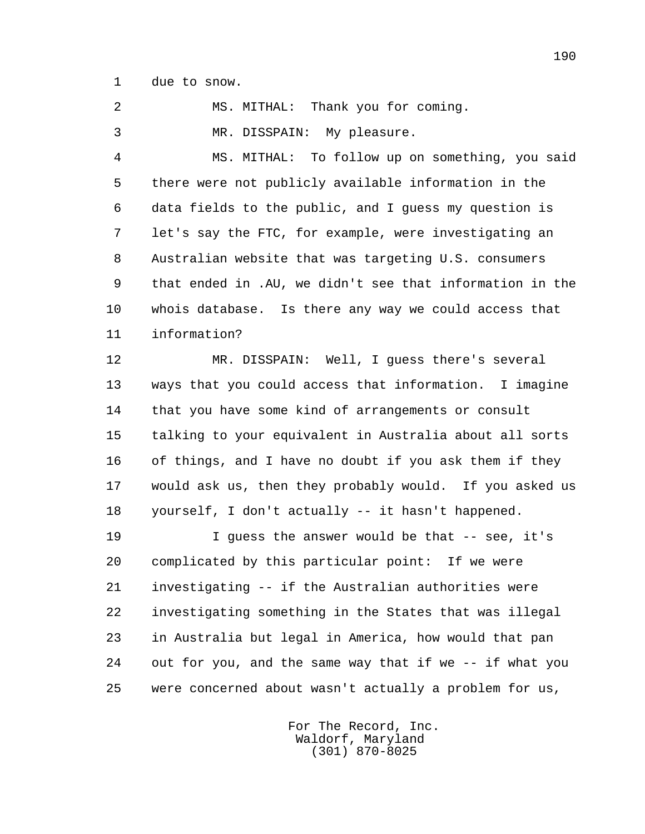1 due to snow.

2 MS. MITHAL: Thank you for coming.

3 MR. DISSPAIN: My pleasure.

 4 MS. MITHAL: To follow up on something, you said 5 there were not publicly available information in the 6 data fields to the public, and I guess my question is 7 let's say the FTC, for example, were investigating an 8 Australian website that was targeting U.S. consumers 9 that ended in .AU, we didn't see that information in the 10 whois database. Is there any way we could access that 11 information?

 12 MR. DISSPAIN: Well, I guess there's several 13 ways that you could access that information. I imagine 14 that you have some kind of arrangements or consult 15 talking to your equivalent in Australia about all sorts 16 of things, and I have no doubt if you ask them if they 17 would ask us, then they probably would. If you asked us 18 yourself, I don't actually -- it hasn't happened.

 19 I guess the answer would be that -- see, it's 20 complicated by this particular point: If we were 21 investigating -- if the Australian authorities were 22 investigating something in the States that was illegal 23 in Australia but legal in America, how would that pan 24 out for you, and the same way that if we -- if what you 25 were concerned about wasn't actually a problem for us,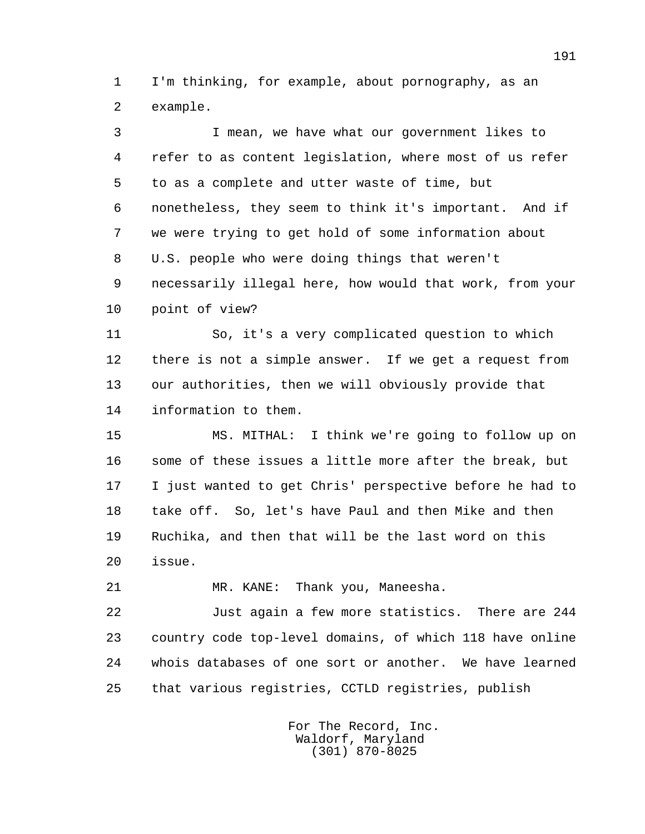1 I'm thinking, for example, about pornography, as an 2 example.

 3 I mean, we have what our government likes to 4 refer to as content legislation, where most of us refer 5 to as a complete and utter waste of time, but 6 nonetheless, they seem to think it's important. And if 7 we were trying to get hold of some information about 8 U.S. people who were doing things that weren't 9 necessarily illegal here, how would that work, from your 10 point of view?

 11 So, it's a very complicated question to which 12 there is not a simple answer. If we get a request from 13 our authorities, then we will obviously provide that 14 information to them.

 15 MS. MITHAL: I think we're going to follow up on 16 some of these issues a little more after the break, but 17 I just wanted to get Chris' perspective before he had to 18 take off. So, let's have Paul and then Mike and then 19 Ruchika, and then that will be the last word on this 20 issue.

21 MR. KANE: Thank you, Maneesha.

 22 Just again a few more statistics. There are 244 23 country code top-level domains, of which 118 have online 24 whois databases of one sort or another. We have learned 25 that various registries, CCTLD registries, publish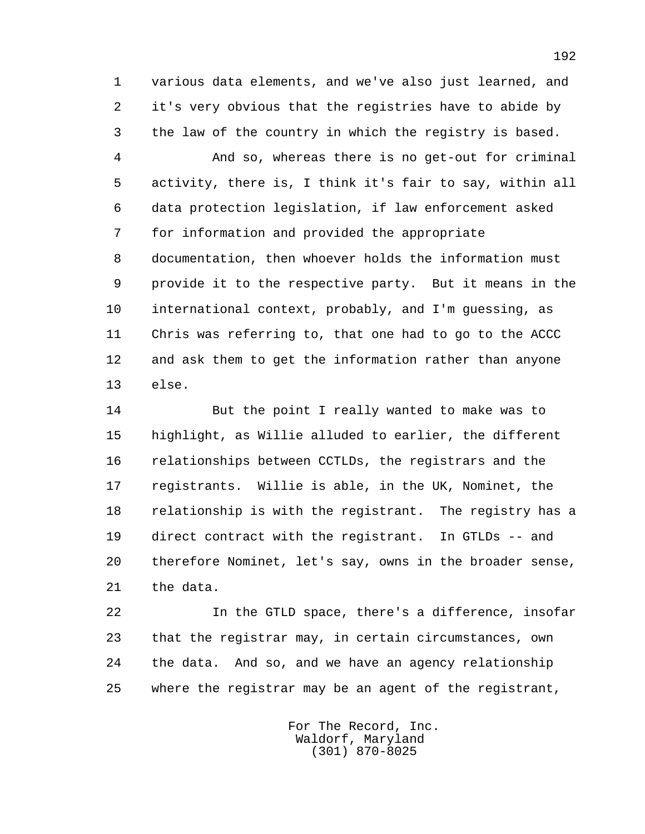1 various data elements, and we've also just learned, and 2 it's very obvious that the registries have to abide by 3 the law of the country in which the registry is based.

 4 And so, whereas there is no get-out for criminal 5 activity, there is, I think it's fair to say, within all 6 data protection legislation, if law enforcement asked 7 for information and provided the appropriate 8 documentation, then whoever holds the information must 9 provide it to the respective party. But it means in the 10 international context, probably, and I'm guessing, as 11 Chris was referring to, that one had to go to the ACCC 12 and ask them to get the information rather than anyone 13 else.

 14 But the point I really wanted to make was to 15 highlight, as Willie alluded to earlier, the different 16 relationships between CCTLDs, the registrars and the 17 registrants. Willie is able, in the UK, Nominet, the 18 relationship is with the registrant. The registry has a 19 direct contract with the registrant. In GTLDs -- and 20 therefore Nominet, let's say, owns in the broader sense, 21 the data.

 22 In the GTLD space, there's a difference, insofar 23 that the registrar may, in certain circumstances, own 24 the data. And so, and we have an agency relationship 25 where the registrar may be an agent of the registrant,

> For The Record, Inc. Waldorf, Maryland (301) 870-8025

192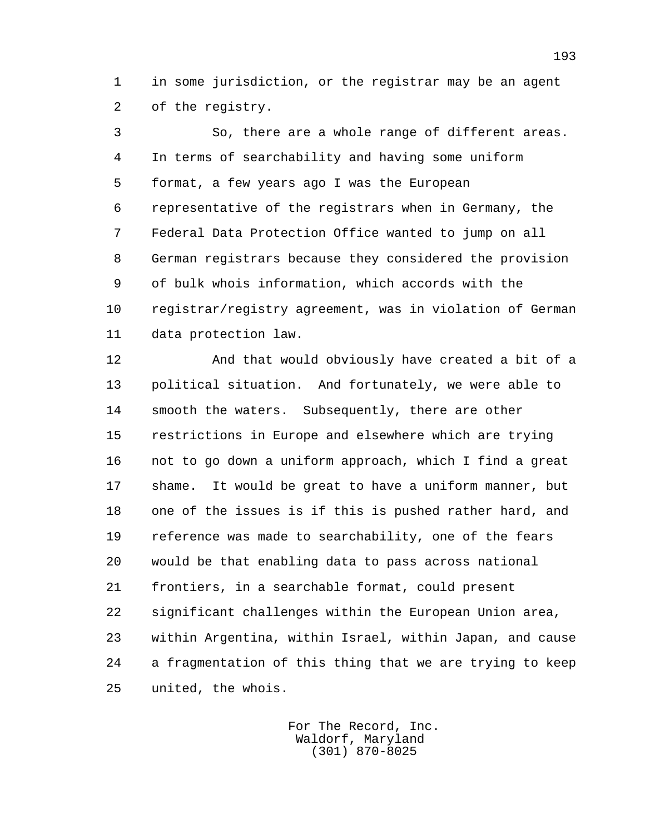1 in some jurisdiction, or the registrar may be an agent 2 of the registry.

 3 So, there are a whole range of different areas. 4 In terms of searchability and having some uniform 5 format, a few years ago I was the European 6 representative of the registrars when in Germany, the 7 Federal Data Protection Office wanted to jump on all 8 German registrars because they considered the provision 9 of bulk whois information, which accords with the 10 registrar/registry agreement, was in violation of German 11 data protection law.

 12 And that would obviously have created a bit of a 13 political situation. And fortunately, we were able to 14 smooth the waters. Subsequently, there are other 15 restrictions in Europe and elsewhere which are trying 16 not to go down a uniform approach, which I find a great 17 shame. It would be great to have a uniform manner, but 18 one of the issues is if this is pushed rather hard, and 19 reference was made to searchability, one of the fears 20 would be that enabling data to pass across national 21 frontiers, in a searchable format, could present 22 significant challenges within the European Union area, 23 within Argentina, within Israel, within Japan, and cause 24 a fragmentation of this thing that we are trying to keep 25 united, the whois.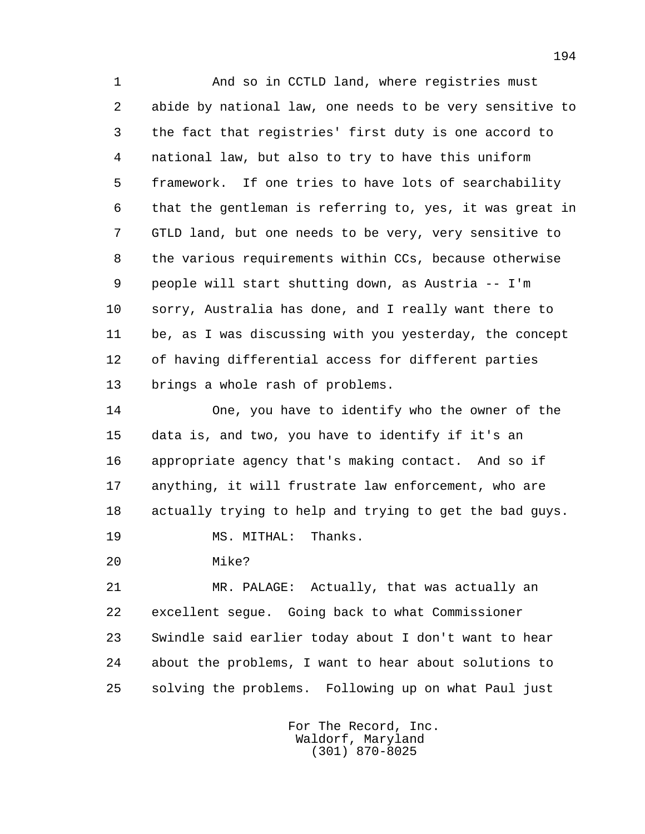1 And so in CCTLD land, where registries must 2 abide by national law, one needs to be very sensitive to 3 the fact that registries' first duty is one accord to 4 national law, but also to try to have this uniform 5 framework. If one tries to have lots of searchability 6 that the gentleman is referring to, yes, it was great in 7 GTLD land, but one needs to be very, very sensitive to 8 the various requirements within CCs, because otherwise 9 people will start shutting down, as Austria -- I'm 10 sorry, Australia has done, and I really want there to 11 be, as I was discussing with you yesterday, the concept 12 of having differential access for different parties 13 brings a whole rash of problems.

 14 One, you have to identify who the owner of the 15 data is, and two, you have to identify if it's an 16 appropriate agency that's making contact. And so if 17 anything, it will frustrate law enforcement, who are 18 actually trying to help and trying to get the bad guys. 19 MS. MITHAL: Thanks.

20 Mike?

 21 MR. PALAGE: Actually, that was actually an 22 excellent segue. Going back to what Commissioner 23 Swindle said earlier today about I don't want to hear 24 about the problems, I want to hear about solutions to 25 solving the problems. Following up on what Paul just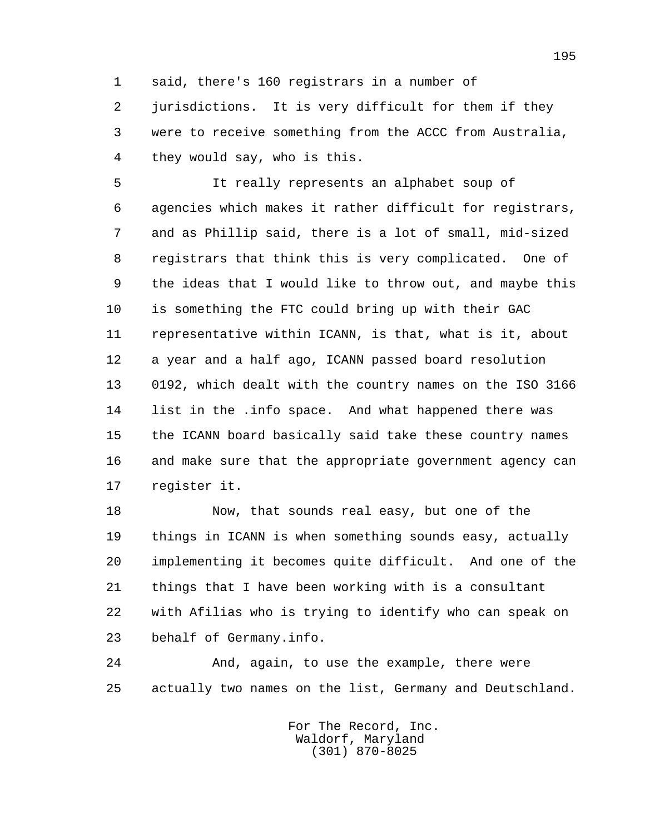1 said, there's 160 registrars in a number of

 2 jurisdictions. It is very difficult for them if they 3 were to receive something from the ACCC from Australia, 4 they would say, who is this.

 5 It really represents an alphabet soup of 6 agencies which makes it rather difficult for registrars, 7 and as Phillip said, there is a lot of small, mid-sized 8 registrars that think this is very complicated. One of 9 the ideas that I would like to throw out, and maybe this 10 is something the FTC could bring up with their GAC 11 representative within ICANN, is that, what is it, about 12 a year and a half ago, ICANN passed board resolution 13 0192, which dealt with the country names on the ISO 3166 14 list in the .info space. And what happened there was 15 the ICANN board basically said take these country names 16 and make sure that the appropriate government agency can 17 register it.

 18 Now, that sounds real easy, but one of the 19 things in ICANN is when something sounds easy, actually 20 implementing it becomes quite difficult. And one of the 21 things that I have been working with is a consultant 22 with Afilias who is trying to identify who can speak on 23 behalf of Germany.info.

 24 And, again, to use the example, there were 25 actually two names on the list, Germany and Deutschland.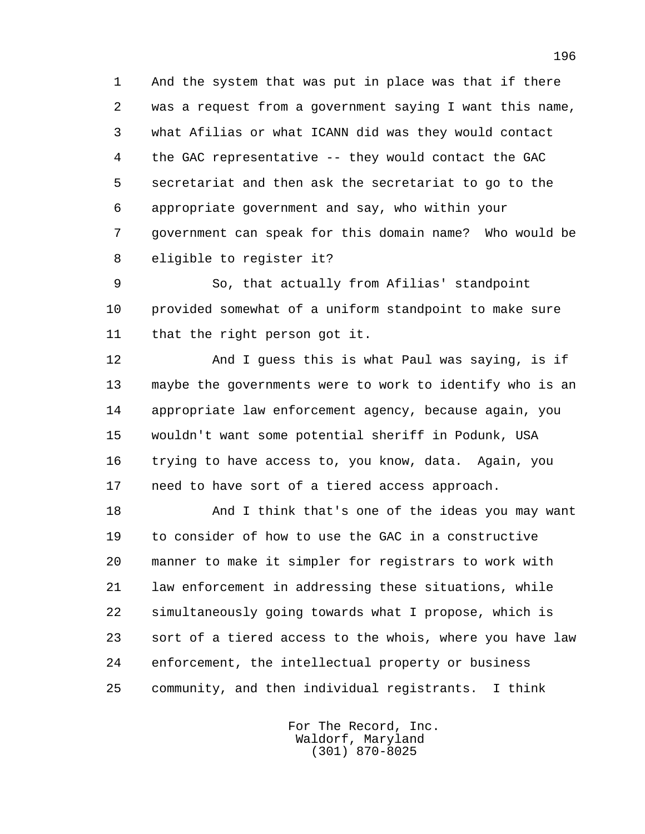1 And the system that was put in place was that if there 2 was a request from a government saying I want this name, 3 what Afilias or what ICANN did was they would contact 4 the GAC representative -- they would contact the GAC 5 secretariat and then ask the secretariat to go to the 6 appropriate government and say, who within your 7 government can speak for this domain name? Who would be 8 eligible to register it?

 9 So, that actually from Afilias' standpoint 10 provided somewhat of a uniform standpoint to make sure 11 that the right person got it.

 12 And I guess this is what Paul was saying, is if 13 maybe the governments were to work to identify who is an 14 appropriate law enforcement agency, because again, you 15 wouldn't want some potential sheriff in Podunk, USA 16 trying to have access to, you know, data. Again, you 17 need to have sort of a tiered access approach.

 18 And I think that's one of the ideas you may want 19 to consider of how to use the GAC in a constructive 20 manner to make it simpler for registrars to work with 21 law enforcement in addressing these situations, while 22 simultaneously going towards what I propose, which is 23 sort of a tiered access to the whois, where you have law 24 enforcement, the intellectual property or business 25 community, and then individual registrants. I think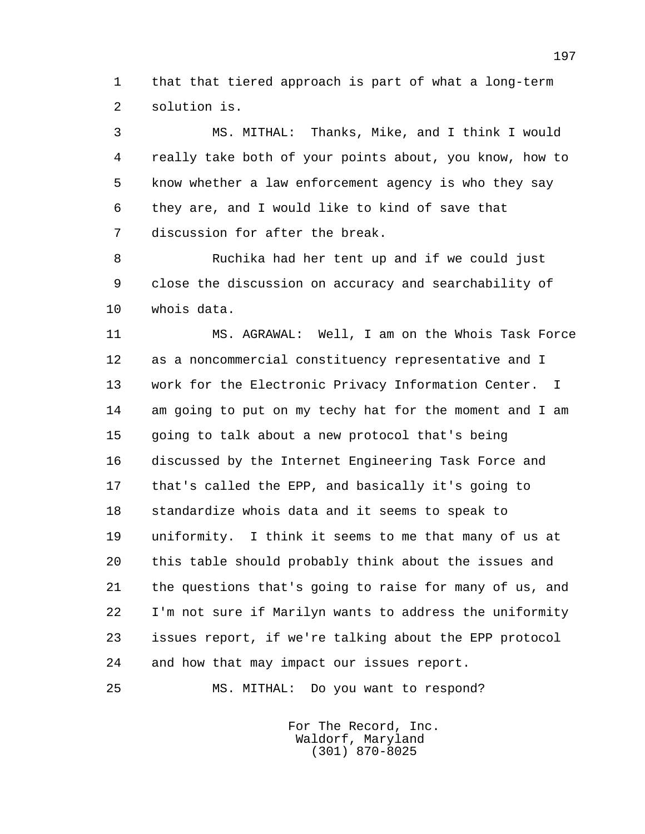1 that that tiered approach is part of what a long-term 2 solution is.

 3 MS. MITHAL: Thanks, Mike, and I think I would 4 really take both of your points about, you know, how to 5 know whether a law enforcement agency is who they say 6 they are, and I would like to kind of save that 7 discussion for after the break.

 8 Ruchika had her tent up and if we could just 9 close the discussion on accuracy and searchability of 10 whois data.

 11 MS. AGRAWAL: Well, I am on the Whois Task Force 12 as a noncommercial constituency representative and I 13 work for the Electronic Privacy Information Center. I 14 am going to put on my techy hat for the moment and I am 15 going to talk about a new protocol that's being 16 discussed by the Internet Engineering Task Force and 17 that's called the EPP, and basically it's going to 18 standardize whois data and it seems to speak to 19 uniformity. I think it seems to me that many of us at 20 this table should probably think about the issues and 21 the questions that's going to raise for many of us, and 22 I'm not sure if Marilyn wants to address the uniformity 23 issues report, if we're talking about the EPP protocol 24 and how that may impact our issues report.

25 MS. MITHAL: Do you want to respond?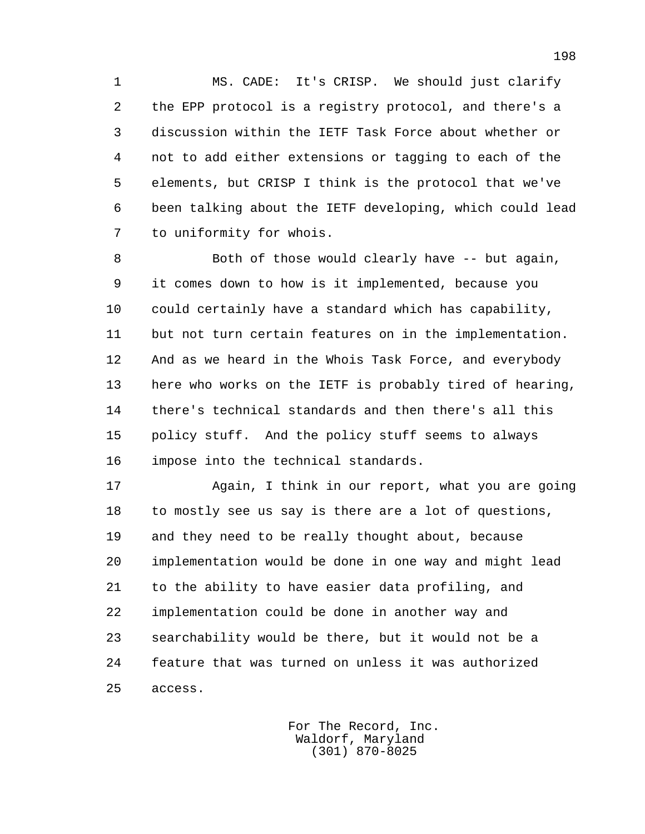1 MS. CADE: It's CRISP. We should just clarify 2 the EPP protocol is a registry protocol, and there's a 3 discussion within the IETF Task Force about whether or 4 not to add either extensions or tagging to each of the 5 elements, but CRISP I think is the protocol that we've 6 been talking about the IETF developing, which could lead 7 to uniformity for whois.

 8 Both of those would clearly have -- but again, 9 it comes down to how is it implemented, because you 10 could certainly have a standard which has capability, 11 but not turn certain features on in the implementation. 12 And as we heard in the Whois Task Force, and everybody 13 here who works on the IETF is probably tired of hearing, 14 there's technical standards and then there's all this 15 policy stuff. And the policy stuff seems to always 16 impose into the technical standards.

 17 Again, I think in our report, what you are going 18 to mostly see us say is there are a lot of questions, 19 and they need to be really thought about, because 20 implementation would be done in one way and might lead 21 to the ability to have easier data profiling, and 22 implementation could be done in another way and 23 searchability would be there, but it would not be a 24 feature that was turned on unless it was authorized 25 access.

> For The Record, Inc. Waldorf, Maryland (301) 870-8025

198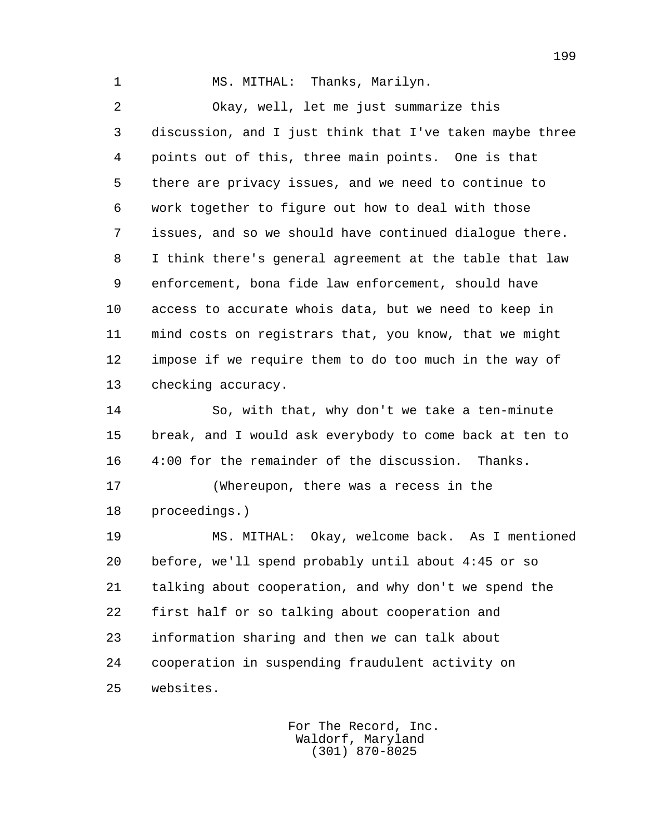1 MS. MITHAL: Thanks, Marilyn.

 2 Okay, well, let me just summarize this 3 discussion, and I just think that I've taken maybe three 4 points out of this, three main points. One is that 5 there are privacy issues, and we need to continue to 6 work together to figure out how to deal with those 7 issues, and so we should have continued dialogue there. 8 I think there's general agreement at the table that law 9 enforcement, bona fide law enforcement, should have 10 access to accurate whois data, but we need to keep in 11 mind costs on registrars that, you know, that we might 12 impose if we require them to do too much in the way of 13 checking accuracy.

 14 So, with that, why don't we take a ten-minute 15 break, and I would ask everybody to come back at ten to 16 4:00 for the remainder of the discussion. Thanks.

 17 (Whereupon, there was a recess in the 18 proceedings.)

 19 MS. MITHAL: Okay, welcome back. As I mentioned 20 before, we'll spend probably until about 4:45 or so 21 talking about cooperation, and why don't we spend the 22 first half or so talking about cooperation and 23 information sharing and then we can talk about 24 cooperation in suspending fraudulent activity on 25 websites.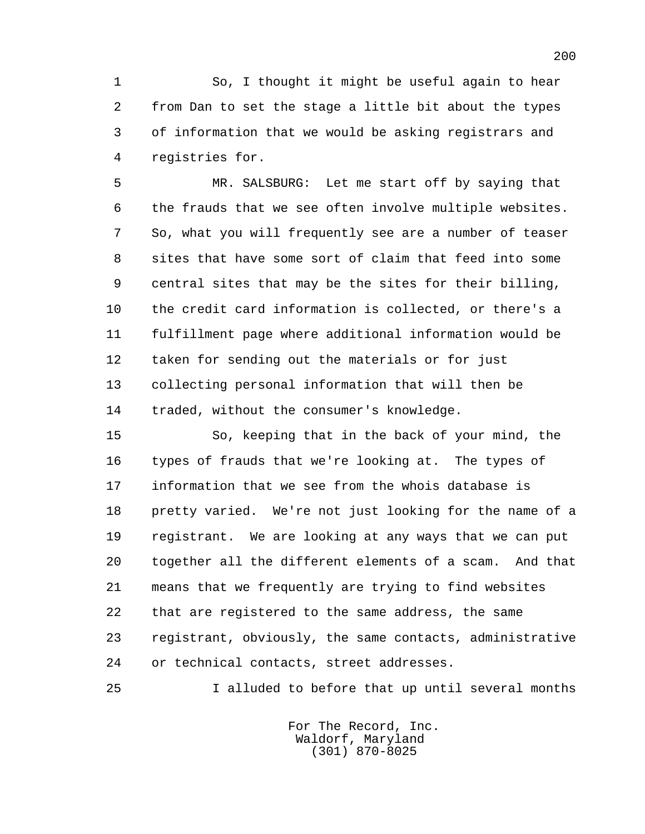1 So, I thought it might be useful again to hear 2 from Dan to set the stage a little bit about the types 3 of information that we would be asking registrars and 4 registries for.

 5 MR. SALSBURG: Let me start off by saying that 6 the frauds that we see often involve multiple websites. 7 So, what you will frequently see are a number of teaser 8 sites that have some sort of claim that feed into some 9 central sites that may be the sites for their billing, 10 the credit card information is collected, or there's a 11 fulfillment page where additional information would be 12 taken for sending out the materials or for just 13 collecting personal information that will then be 14 traded, without the consumer's knowledge.

 15 So, keeping that in the back of your mind, the 16 types of frauds that we're looking at. The types of 17 information that we see from the whois database is 18 pretty varied. We're not just looking for the name of a 19 registrant. We are looking at any ways that we can put 20 together all the different elements of a scam. And that 21 means that we frequently are trying to find websites 22 that are registered to the same address, the same 23 registrant, obviously, the same contacts, administrative 24 or technical contacts, street addresses.

25 I alluded to before that up until several months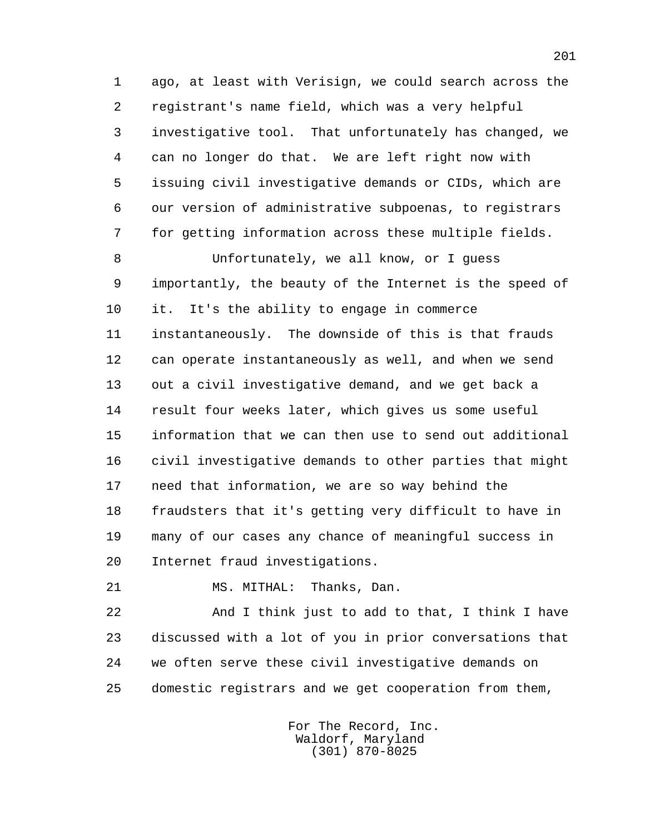1 ago, at least with Verisign, we could search across the 2 registrant's name field, which was a very helpful 3 investigative tool. That unfortunately has changed, we 4 can no longer do that. We are left right now with 5 issuing civil investigative demands or CIDs, which are 6 our version of administrative subpoenas, to registrars 7 for getting information across these multiple fields.

 8 Unfortunately, we all know, or I guess 9 importantly, the beauty of the Internet is the speed of 10 it. It's the ability to engage in commerce 11 instantaneously. The downside of this is that frauds 12 can operate instantaneously as well, and when we send 13 out a civil investigative demand, and we get back a 14 result four weeks later, which gives us some useful 15 information that we can then use to send out additional 16 civil investigative demands to other parties that might 17 need that information, we are so way behind the 18 fraudsters that it's getting very difficult to have in 19 many of our cases any chance of meaningful success in 20 Internet fraud investigations.

21 MS. MITHAL: Thanks, Dan.

 22 And I think just to add to that, I think I have 23 discussed with a lot of you in prior conversations that 24 we often serve these civil investigative demands on 25 domestic registrars and we get cooperation from them,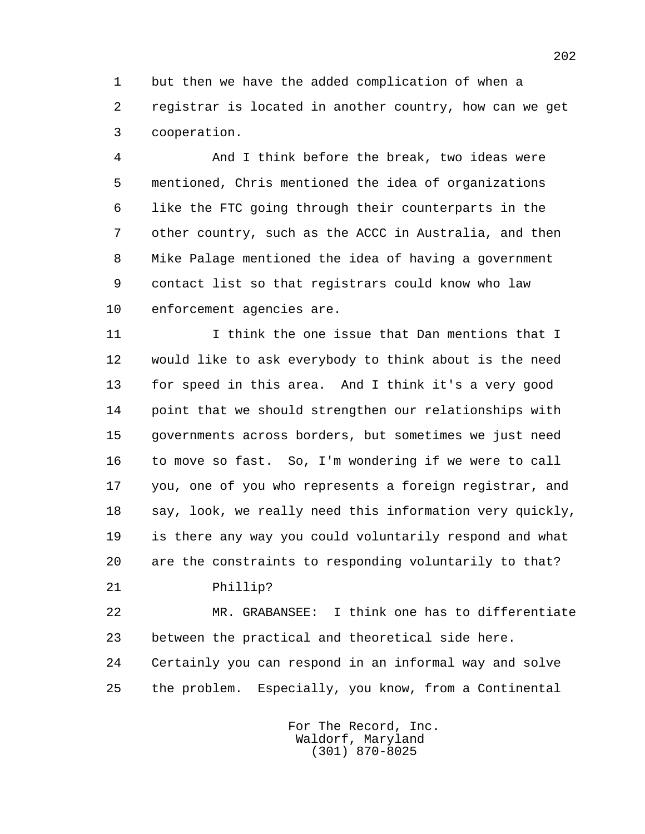1 but then we have the added complication of when a 2 registrar is located in another country, how can we get 3 cooperation.

 4 And I think before the break, two ideas were 5 mentioned, Chris mentioned the idea of organizations 6 like the FTC going through their counterparts in the 7 other country, such as the ACCC in Australia, and then 8 Mike Palage mentioned the idea of having a government 9 contact list so that registrars could know who law 10 enforcement agencies are.

 11 I think the one issue that Dan mentions that I 12 would like to ask everybody to think about is the need 13 for speed in this area. And I think it's a very good 14 point that we should strengthen our relationships with 15 governments across borders, but sometimes we just need 16 to move so fast. So, I'm wondering if we were to call 17 you, one of you who represents a foreign registrar, and 18 say, look, we really need this information very quickly, 19 is there any way you could voluntarily respond and what 20 are the constraints to responding voluntarily to that?

21 Phillip?

 22 MR. GRABANSEE: I think one has to differentiate 23 between the practical and theoretical side here. 24 Certainly you can respond in an informal way and solve 25 the problem. Especially, you know, from a Continental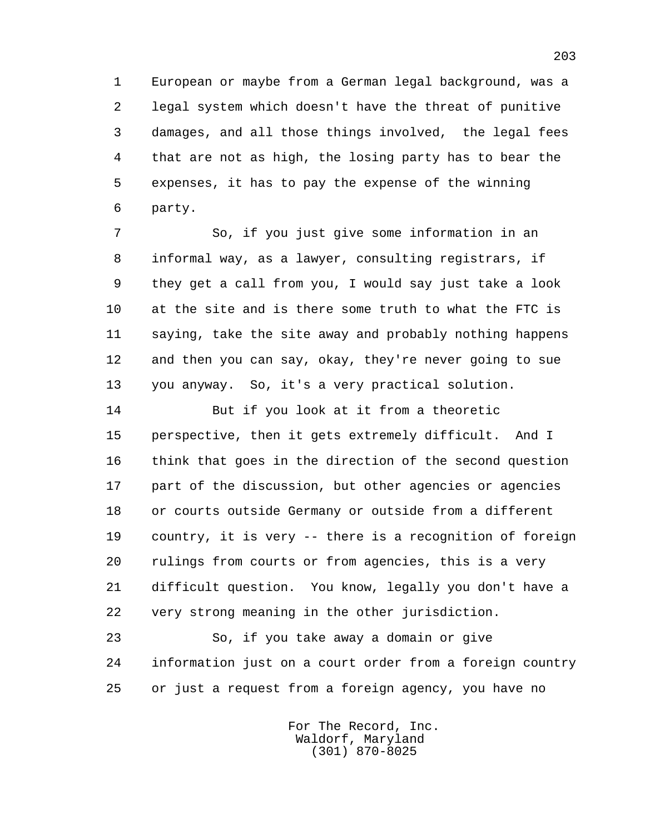1 European or maybe from a German legal background, was a 2 legal system which doesn't have the threat of punitive 3 damages, and all those things involved, the legal fees 4 that are not as high, the losing party has to bear the 5 expenses, it has to pay the expense of the winning 6 party.

 7 So, if you just give some information in an 8 informal way, as a lawyer, consulting registrars, if 9 they get a call from you, I would say just take a look 10 at the site and is there some truth to what the FTC is 11 saying, take the site away and probably nothing happens 12 and then you can say, okay, they're never going to sue 13 you anyway. So, it's a very practical solution.

 14 But if you look at it from a theoretic 15 perspective, then it gets extremely difficult. And I 16 think that goes in the direction of the second question 17 part of the discussion, but other agencies or agencies 18 or courts outside Germany or outside from a different 19 country, it is very -- there is a recognition of foreign 20 rulings from courts or from agencies, this is a very 21 difficult question. You know, legally you don't have a 22 very strong meaning in the other jurisdiction.

 23 So, if you take away a domain or give 24 information just on a court order from a foreign country 25 or just a request from a foreign agency, you have no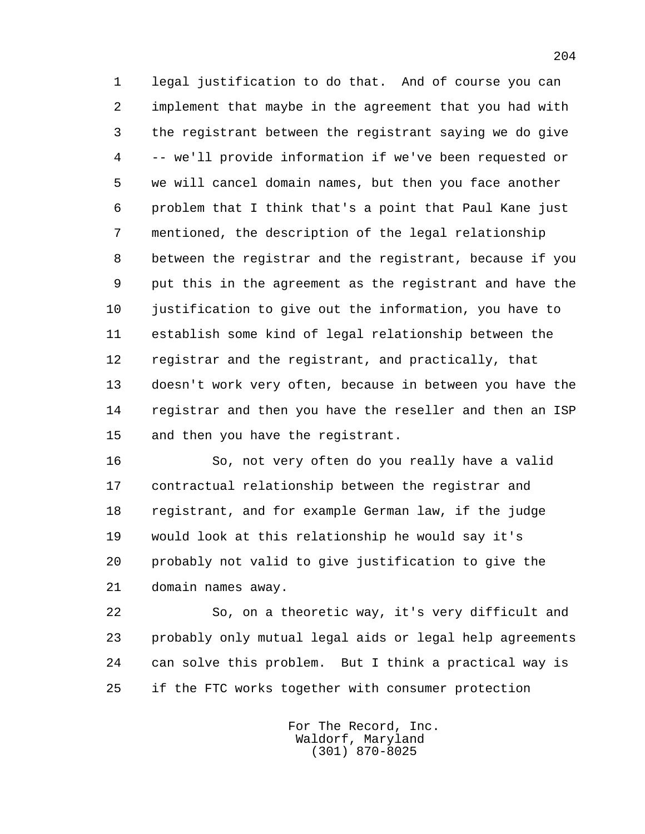1 legal justification to do that. And of course you can 2 implement that maybe in the agreement that you had with 3 the registrant between the registrant saying we do give 4 -- we'll provide information if we've been requested or 5 we will cancel domain names, but then you face another 6 problem that I think that's a point that Paul Kane just 7 mentioned, the description of the legal relationship 8 between the registrar and the registrant, because if you 9 put this in the agreement as the registrant and have the 10 justification to give out the information, you have to 11 establish some kind of legal relationship between the 12 registrar and the registrant, and practically, that 13 doesn't work very often, because in between you have the 14 registrar and then you have the reseller and then an ISP 15 and then you have the registrant.

 16 So, not very often do you really have a valid 17 contractual relationship between the registrar and 18 registrant, and for example German law, if the judge 19 would look at this relationship he would say it's 20 probably not valid to give justification to give the 21 domain names away.

 22 So, on a theoretic way, it's very difficult and 23 probably only mutual legal aids or legal help agreements 24 can solve this problem. But I think a practical way is 25 if the FTC works together with consumer protection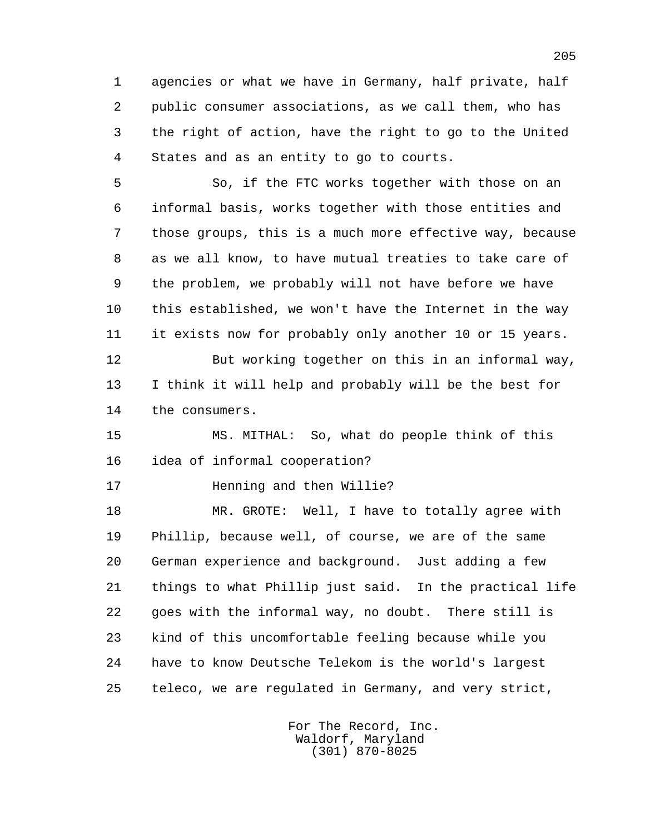1 agencies or what we have in Germany, half private, half 2 public consumer associations, as we call them, who has 3 the right of action, have the right to go to the United 4 States and as an entity to go to courts.

 5 So, if the FTC works together with those on an 6 informal basis, works together with those entities and 7 those groups, this is a much more effective way, because 8 as we all know, to have mutual treaties to take care of 9 the problem, we probably will not have before we have 10 this established, we won't have the Internet in the way 11 it exists now for probably only another 10 or 15 years. 12 But working together on this in an informal way,

 13 I think it will help and probably will be the best for 14 the consumers.

 15 MS. MITHAL: So, what do people think of this 16 idea of informal cooperation?

17 **Henning and then Willie?** 

 18 MR. GROTE: Well, I have to totally agree with 19 Phillip, because well, of course, we are of the same 20 German experience and background. Just adding a few 21 things to what Phillip just said. In the practical life 22 goes with the informal way, no doubt. There still is 23 kind of this uncomfortable feeling because while you 24 have to know Deutsche Telekom is the world's largest 25 teleco, we are regulated in Germany, and very strict,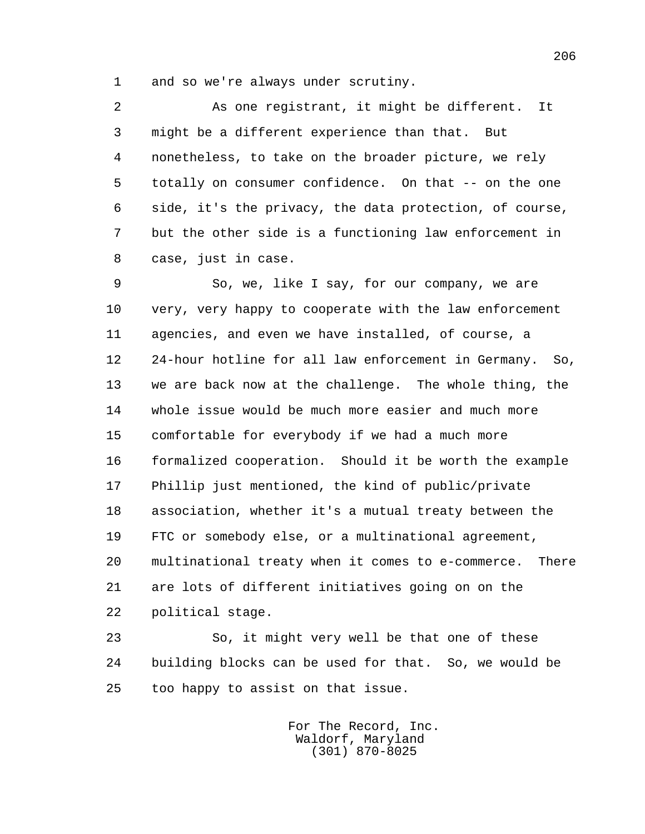1 and so we're always under scrutiny.

 2 As one registrant, it might be different. It 3 might be a different experience than that. But 4 nonetheless, to take on the broader picture, we rely 5 totally on consumer confidence. On that -- on the one 6 side, it's the privacy, the data protection, of course, 7 but the other side is a functioning law enforcement in 8 case, just in case.

 9 So, we, like I say, for our company, we are 10 very, very happy to cooperate with the law enforcement 11 agencies, and even we have installed, of course, a 12 24-hour hotline for all law enforcement in Germany. So, 13 we are back now at the challenge. The whole thing, the 14 whole issue would be much more easier and much more 15 comfortable for everybody if we had a much more 16 formalized cooperation. Should it be worth the example 17 Phillip just mentioned, the kind of public/private 18 association, whether it's a mutual treaty between the 19 FTC or somebody else, or a multinational agreement, 20 multinational treaty when it comes to e-commerce. There 21 are lots of different initiatives going on on the 22 political stage.

 23 So, it might very well be that one of these 24 building blocks can be used for that. So, we would be 25 too happy to assist on that issue.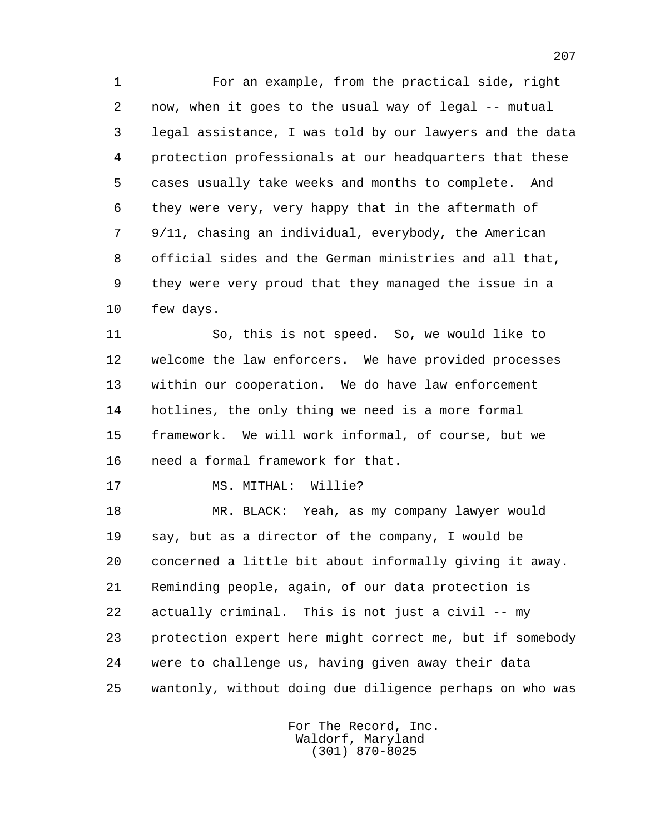1 For an example, from the practical side, right 2 now, when it goes to the usual way of legal -- mutual 3 legal assistance, I was told by our lawyers and the data 4 protection professionals at our headquarters that these 5 cases usually take weeks and months to complete. And 6 they were very, very happy that in the aftermath of 7 9/11, chasing an individual, everybody, the American 8 official sides and the German ministries and all that, 9 they were very proud that they managed the issue in a 10 few days.

 11 So, this is not speed. So, we would like to 12 welcome the law enforcers. We have provided processes 13 within our cooperation. We do have law enforcement 14 hotlines, the only thing we need is a more formal 15 framework. We will work informal, of course, but we 16 need a formal framework for that.

17 MS. MITHAL: Willie?

 18 MR. BLACK: Yeah, as my company lawyer would 19 say, but as a director of the company, I would be 20 concerned a little bit about informally giving it away. 21 Reminding people, again, of our data protection is 22 actually criminal. This is not just a civil -- my 23 protection expert here might correct me, but if somebody 24 were to challenge us, having given away their data 25 wantonly, without doing due diligence perhaps on who was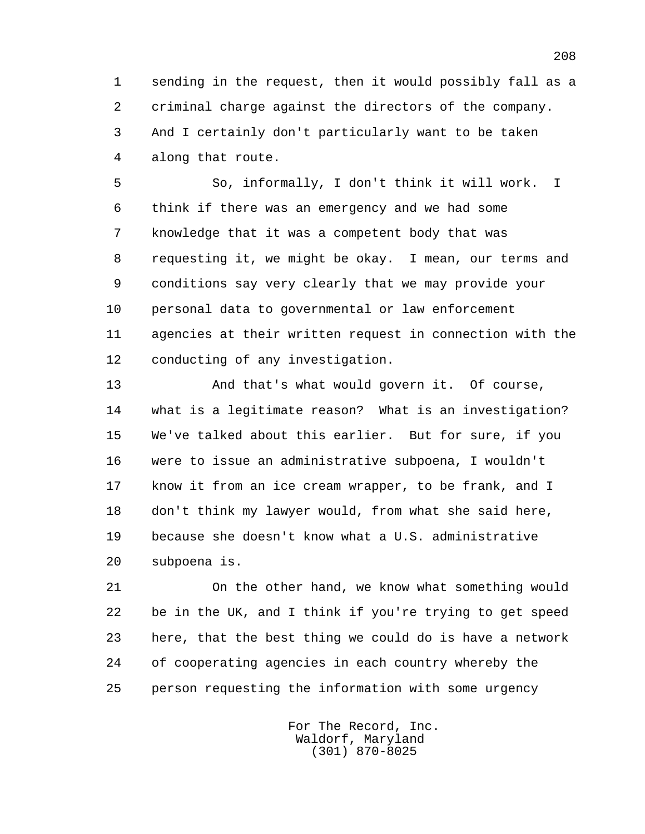1 sending in the request, then it would possibly fall as a 2 criminal charge against the directors of the company. 3 And I certainly don't particularly want to be taken 4 along that route.

 5 So, informally, I don't think it will work. I 6 think if there was an emergency and we had some 7 knowledge that it was a competent body that was 8 requesting it, we might be okay. I mean, our terms and 9 conditions say very clearly that we may provide your 10 personal data to governmental or law enforcement 11 agencies at their written request in connection with the 12 conducting of any investigation.

 13 And that's what would govern it. Of course, 14 what is a legitimate reason? What is an investigation? 15 We've talked about this earlier. But for sure, if you 16 were to issue an administrative subpoena, I wouldn't 17 know it from an ice cream wrapper, to be frank, and I 18 don't think my lawyer would, from what she said here, 19 because she doesn't know what a U.S. administrative 20 subpoena is.

 21 On the other hand, we know what something would 22 be in the UK, and I think if you're trying to get speed 23 here, that the best thing we could do is have a network 24 of cooperating agencies in each country whereby the 25 person requesting the information with some urgency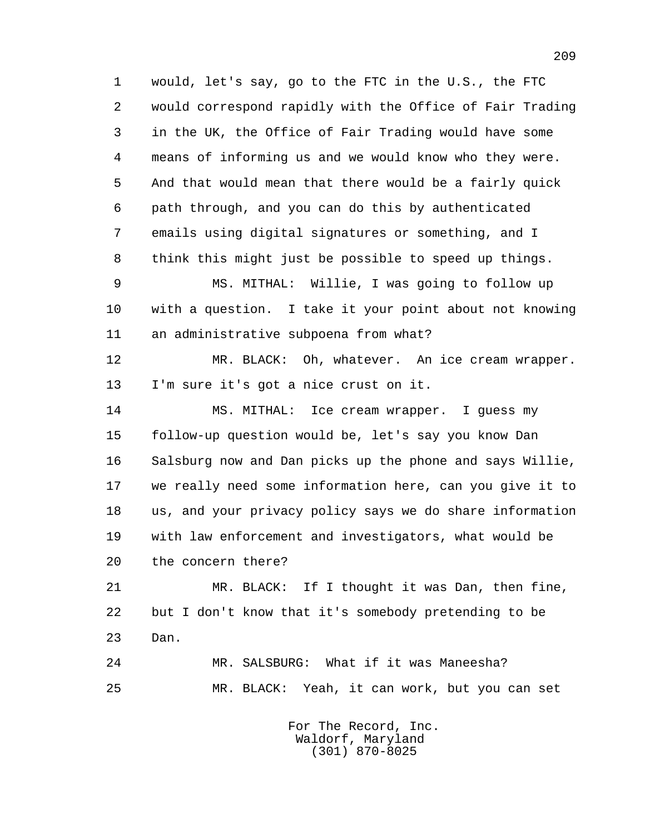1 would, let's say, go to the FTC in the U.S., the FTC 2 would correspond rapidly with the Office of Fair Trading 3 in the UK, the Office of Fair Trading would have some 4 means of informing us and we would know who they were. 5 And that would mean that there would be a fairly quick 6 path through, and you can do this by authenticated 7 emails using digital signatures or something, and I 8 think this might just be possible to speed up things.

 9 MS. MITHAL: Willie, I was going to follow up 10 with a question. I take it your point about not knowing 11 an administrative subpoena from what?

 12 MR. BLACK: Oh, whatever. An ice cream wrapper. 13 I'm sure it's got a nice crust on it.

 14 MS. MITHAL: Ice cream wrapper. I guess my 15 follow-up question would be, let's say you know Dan 16 Salsburg now and Dan picks up the phone and says Willie, 17 we really need some information here, can you give it to 18 us, and your privacy policy says we do share information 19 with law enforcement and investigators, what would be 20 the concern there?

 21 MR. BLACK: If I thought it was Dan, then fine, 22 but I don't know that it's somebody pretending to be 23 Dan.

 24 MR. SALSBURG: What if it was Maneesha? 25 MR. BLACK: Yeah, it can work, but you can set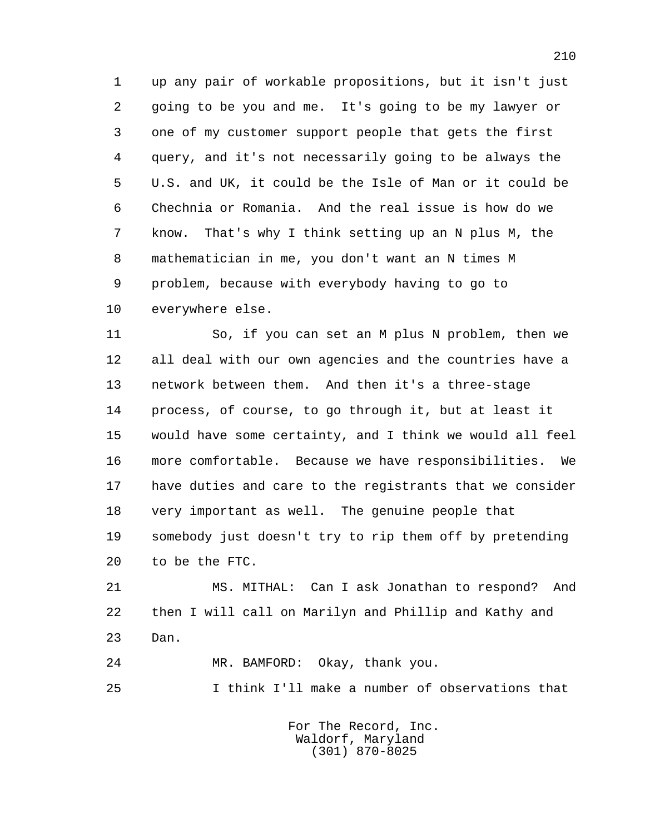1 up any pair of workable propositions, but it isn't just 2 going to be you and me. It's going to be my lawyer or 3 one of my customer support people that gets the first 4 query, and it's not necessarily going to be always the 5 U.S. and UK, it could be the Isle of Man or it could be 6 Chechnia or Romania. And the real issue is how do we 7 know. That's why I think setting up an N plus M, the 8 mathematician in me, you don't want an N times M 9 problem, because with everybody having to go to 10 everywhere else.

 11 So, if you can set an M plus N problem, then we 12 all deal with our own agencies and the countries have a 13 network between them. And then it's a three-stage 14 process, of course, to go through it, but at least it 15 would have some certainty, and I think we would all feel 16 more comfortable. Because we have responsibilities. We 17 have duties and care to the registrants that we consider 18 very important as well. The genuine people that 19 somebody just doesn't try to rip them off by pretending 20 to be the FTC.

 21 MS. MITHAL: Can I ask Jonathan to respond? And 22 then I will call on Marilyn and Phillip and Kathy and 23 Dan.

24 MR. BAMFORD: Okay, thank you.

25 I think I'll make a number of observations that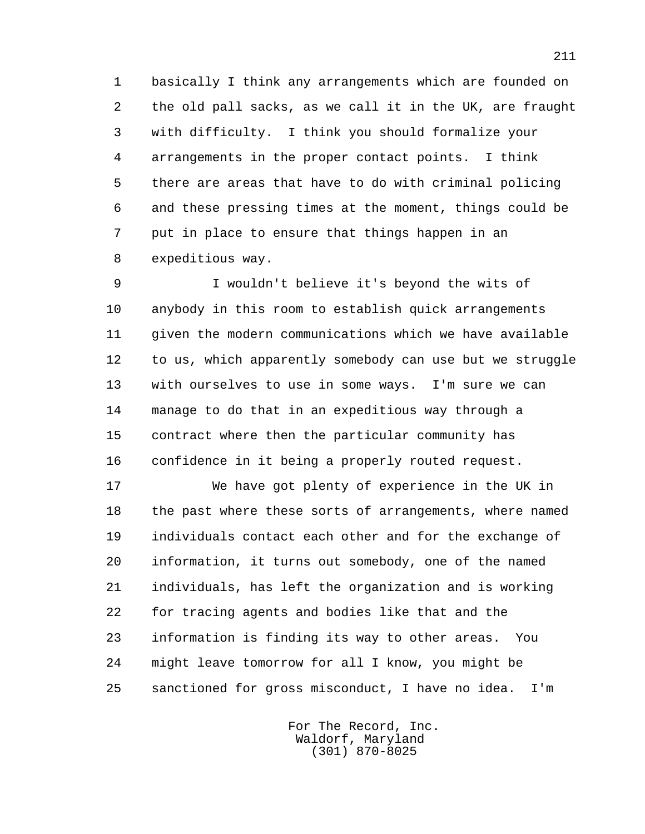1 basically I think any arrangements which are founded on 2 the old pall sacks, as we call it in the UK, are fraught 3 with difficulty. I think you should formalize your 4 arrangements in the proper contact points. I think 5 there are areas that have to do with criminal policing 6 and these pressing times at the moment, things could be 7 put in place to ensure that things happen in an 8 expeditious way.

 9 I wouldn't believe it's beyond the wits of 10 anybody in this room to establish quick arrangements 11 given the modern communications which we have available 12 to us, which apparently somebody can use but we struggle 13 with ourselves to use in some ways. I'm sure we can 14 manage to do that in an expeditious way through a 15 contract where then the particular community has 16 confidence in it being a properly routed request.

 17 We have got plenty of experience in the UK in 18 the past where these sorts of arrangements, where named 19 individuals contact each other and for the exchange of 20 information, it turns out somebody, one of the named 21 individuals, has left the organization and is working 22 for tracing agents and bodies like that and the 23 information is finding its way to other areas. You 24 might leave tomorrow for all I know, you might be 25 sanctioned for gross misconduct, I have no idea. I'm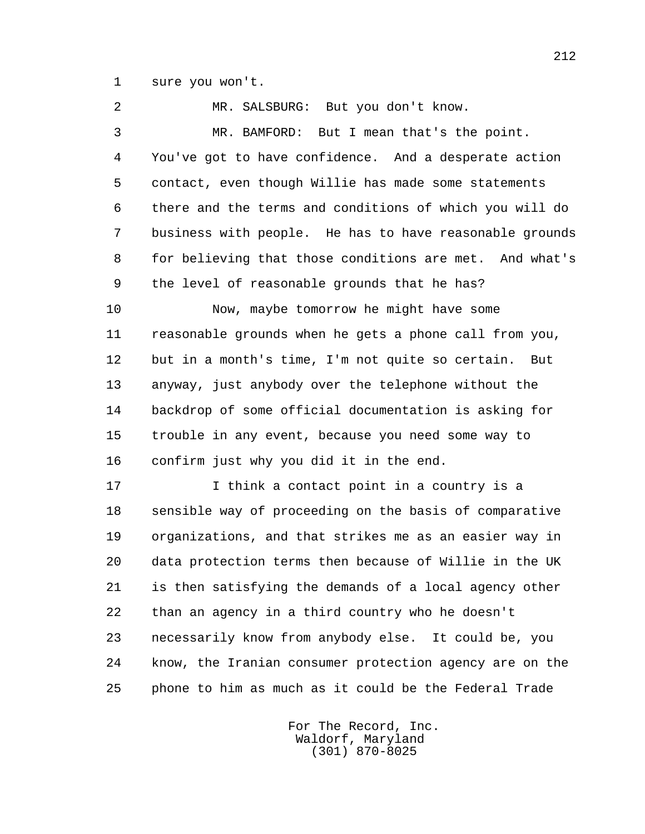1 sure you won't.

 2 MR. SALSBURG: But you don't know. 3 MR. BAMFORD: But I mean that's the point. 4 You've got to have confidence. And a desperate action 5 contact, even though Willie has made some statements 6 there and the terms and conditions of which you will do 7 business with people. He has to have reasonable grounds 8 for believing that those conditions are met. And what's 9 the level of reasonable grounds that he has? 10 Now, maybe tomorrow he might have some 11 reasonable grounds when he gets a phone call from you, 12 but in a month's time, I'm not quite so certain. But 13 anyway, just anybody over the telephone without the 14 backdrop of some official documentation is asking for 15 trouble in any event, because you need some way to 16 confirm just why you did it in the end. 17 10 I think a contact point in a country is a 18 sensible way of proceeding on the basis of comparative 19 organizations, and that strikes me as an easier way in 20 data protection terms then because of Willie in the UK 21 is then satisfying the demands of a local agency other 22 than an agency in a third country who he doesn't 23 necessarily know from anybody else. It could be, you 24 know, the Iranian consumer protection agency are on the

> For The Record, Inc. Waldorf, Maryland (301) 870-8025

25 phone to him as much as it could be the Federal Trade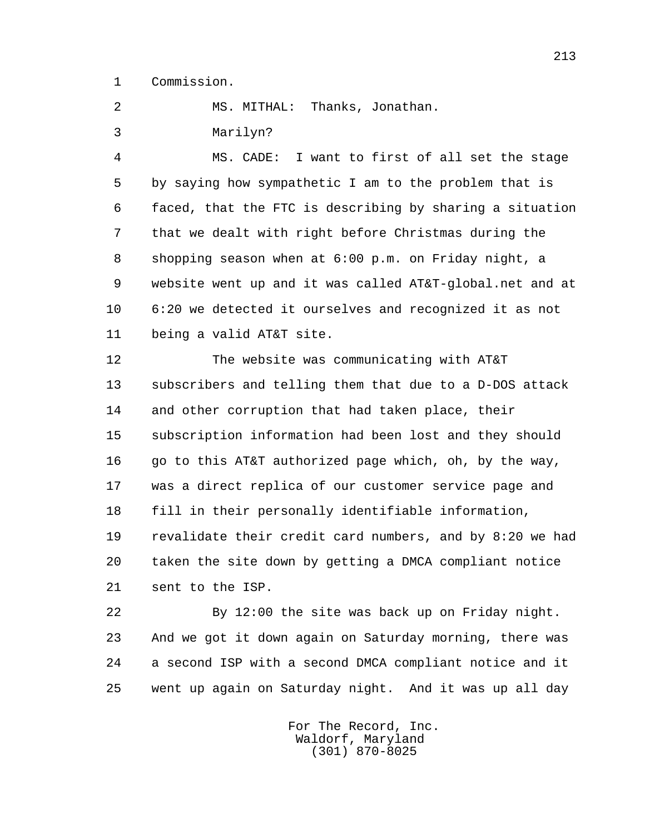1 Commission.

2 MS. MITHAL: Thanks, Jonathan.

3 Marilyn?

 4 MS. CADE: I want to first of all set the stage 5 by saying how sympathetic I am to the problem that is 6 faced, that the FTC is describing by sharing a situation 7 that we dealt with right before Christmas during the 8 shopping season when at 6:00 p.m. on Friday night, a 9 website went up and it was called AT&T-global.net and at 10 6:20 we detected it ourselves and recognized it as not 11 being a valid AT&T site.

 12 The website was communicating with AT&T 13 subscribers and telling them that due to a D-DOS attack 14 and other corruption that had taken place, their 15 subscription information had been lost and they should 16 go to this AT&T authorized page which, oh, by the way, 17 was a direct replica of our customer service page and 18 fill in their personally identifiable information, 19 revalidate their credit card numbers, and by 8:20 we had 20 taken the site down by getting a DMCA compliant notice 21 sent to the ISP.

 22 By 12:00 the site was back up on Friday night. 23 And we got it down again on Saturday morning, there was 24 a second ISP with a second DMCA compliant notice and it 25 went up again on Saturday night. And it was up all day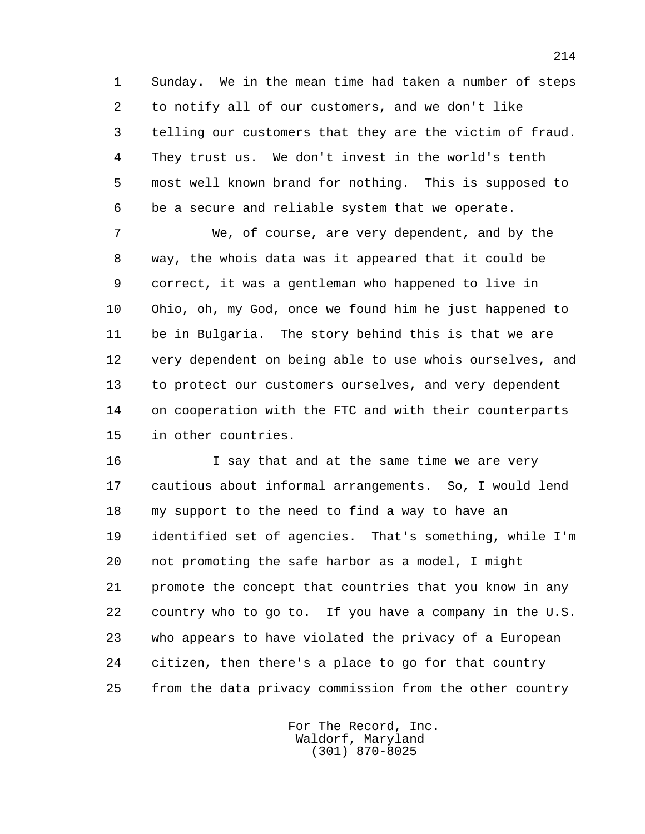1 Sunday. We in the mean time had taken a number of steps 2 to notify all of our customers, and we don't like 3 telling our customers that they are the victim of fraud. 4 They trust us. We don't invest in the world's tenth 5 most well known brand for nothing. This is supposed to 6 be a secure and reliable system that we operate.

 7 We, of course, are very dependent, and by the 8 way, the whois data was it appeared that it could be 9 correct, it was a gentleman who happened to live in 10 Ohio, oh, my God, once we found him he just happened to 11 be in Bulgaria. The story behind this is that we are 12 very dependent on being able to use whois ourselves, and 13 to protect our customers ourselves, and very dependent 14 on cooperation with the FTC and with their counterparts 15 in other countries.

16 16 I say that and at the same time we are very 17 cautious about informal arrangements. So, I would lend 18 my support to the need to find a way to have an 19 identified set of agencies. That's something, while I'm 20 not promoting the safe harbor as a model, I might 21 promote the concept that countries that you know in any 22 country who to go to. If you have a company in the U.S. 23 who appears to have violated the privacy of a European 24 citizen, then there's a place to go for that country 25 from the data privacy commission from the other country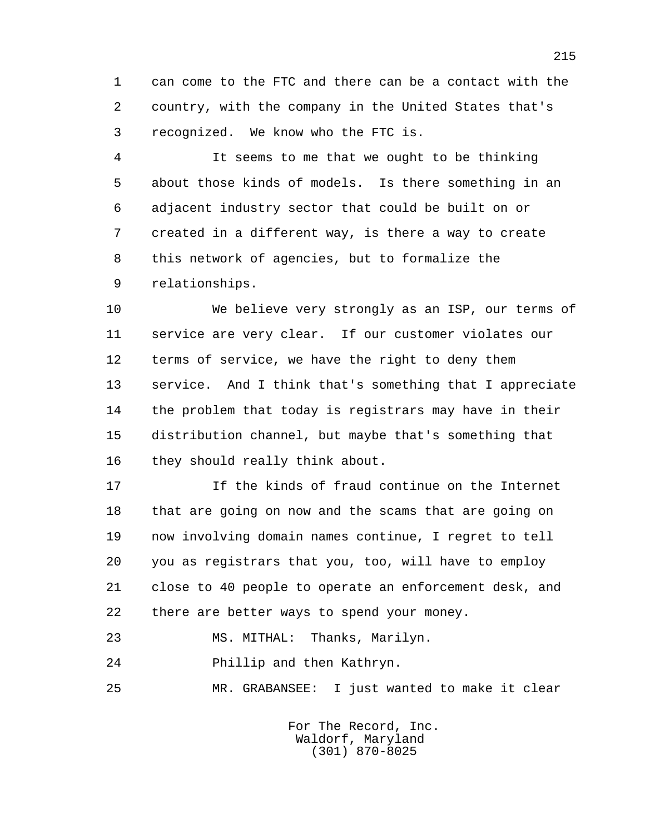1 can come to the FTC and there can be a contact with the 2 country, with the company in the United States that's 3 recognized. We know who the FTC is.

 4 It seems to me that we ought to be thinking 5 about those kinds of models. Is there something in an 6 adjacent industry sector that could be built on or 7 created in a different way, is there a way to create 8 this network of agencies, but to formalize the 9 relationships.

 10 We believe very strongly as an ISP, our terms of 11 service are very clear. If our customer violates our 12 terms of service, we have the right to deny them 13 service. And I think that's something that I appreciate 14 the problem that today is registrars may have in their 15 distribution channel, but maybe that's something that 16 they should really think about.

 17 If the kinds of fraud continue on the Internet 18 that are going on now and the scams that are going on 19 now involving domain names continue, I regret to tell 20 you as registrars that you, too, will have to employ 21 close to 40 people to operate an enforcement desk, and 22 there are better ways to spend your money.

23 MS. MITHAL: Thanks, Marilyn.

24 Phillip and then Kathryn.

25 MR. GRABANSEE: I just wanted to make it clear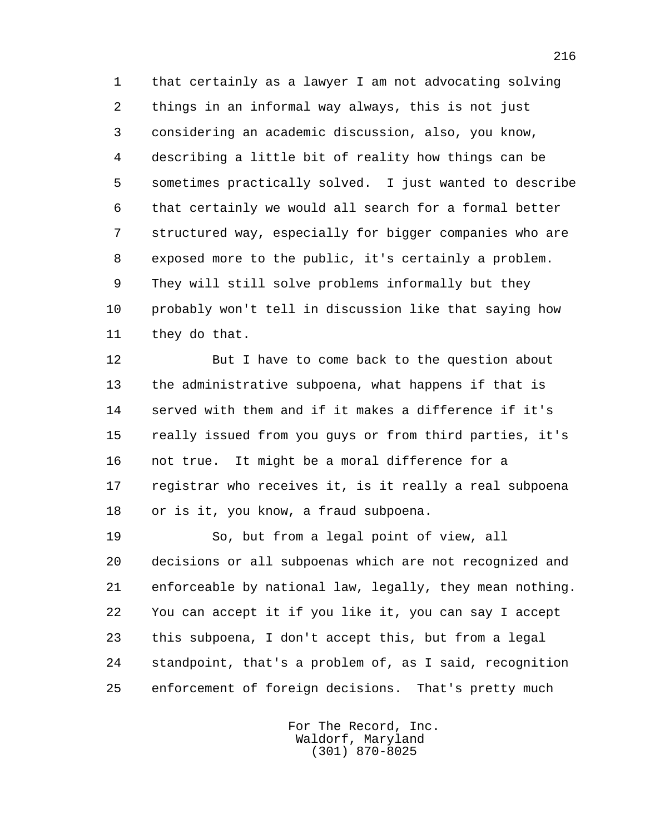1 that certainly as a lawyer I am not advocating solving 2 things in an informal way always, this is not just 3 considering an academic discussion, also, you know, 4 describing a little bit of reality how things can be 5 sometimes practically solved. I just wanted to describe 6 that certainly we would all search for a formal better 7 structured way, especially for bigger companies who are 8 exposed more to the public, it's certainly a problem. 9 They will still solve problems informally but they 10 probably won't tell in discussion like that saying how 11 they do that.

 12 But I have to come back to the question about 13 the administrative subpoena, what happens if that is 14 served with them and if it makes a difference if it's 15 really issued from you guys or from third parties, it's 16 not true. It might be a moral difference for a 17 registrar who receives it, is it really a real subpoena 18 or is it, you know, a fraud subpoena.

 19 So, but from a legal point of view, all 20 decisions or all subpoenas which are not recognized and 21 enforceable by national law, legally, they mean nothing. 22 You can accept it if you like it, you can say I accept 23 this subpoena, I don't accept this, but from a legal 24 standpoint, that's a problem of, as I said, recognition 25 enforcement of foreign decisions. That's pretty much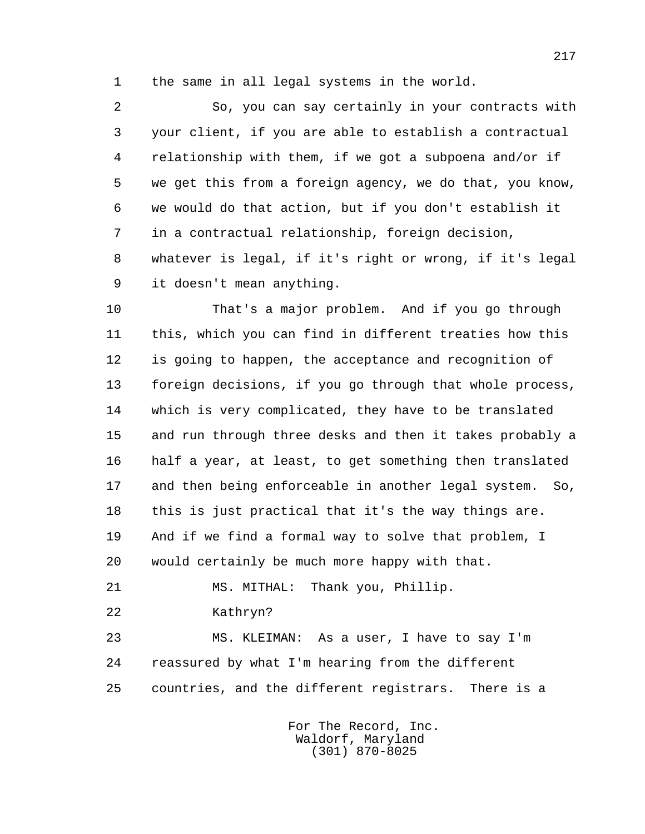1 the same in all legal systems in the world.

 2 So, you can say certainly in your contracts with 3 your client, if you are able to establish a contractual 4 relationship with them, if we got a subpoena and/or if 5 we get this from a foreign agency, we do that, you know, 6 we would do that action, but if you don't establish it 7 in a contractual relationship, foreign decision, 8 whatever is legal, if it's right or wrong, if it's legal 9 it doesn't mean anything.

 10 That's a major problem. And if you go through 11 this, which you can find in different treaties how this 12 is going to happen, the acceptance and recognition of 13 foreign decisions, if you go through that whole process, 14 which is very complicated, they have to be translated 15 and run through three desks and then it takes probably a 16 half a year, at least, to get something then translated 17 and then being enforceable in another legal system. So, 18 this is just practical that it's the way things are. 19 And if we find a formal way to solve that problem, I 20 would certainly be much more happy with that.

21 MS. MITHAL: Thank you, Phillip.

22 Kathryn?

 23 MS. KLEIMAN: As a user, I have to say I'm 24 reassured by what I'm hearing from the different 25 countries, and the different registrars. There is a

> For The Record, Inc. Waldorf, Maryland (301) 870-8025

217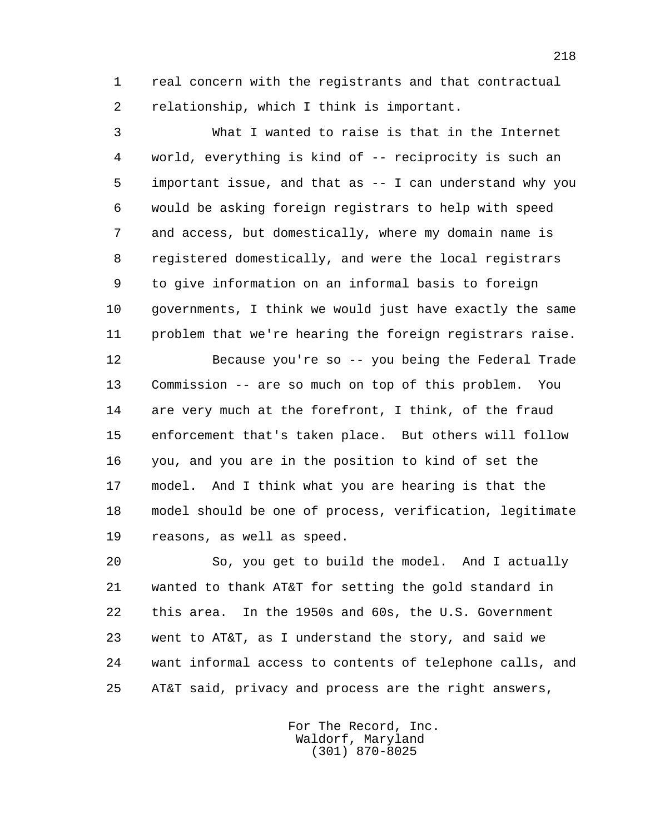1 real concern with the registrants and that contractual 2 relationship, which I think is important.

 3 What I wanted to raise is that in the Internet 4 world, everything is kind of -- reciprocity is such an 5 important issue, and that as -- I can understand why you 6 would be asking foreign registrars to help with speed 7 and access, but domestically, where my domain name is 8 registered domestically, and were the local registrars 9 to give information on an informal basis to foreign 10 governments, I think we would just have exactly the same 11 problem that we're hearing the foreign registrars raise.

 12 Because you're so -- you being the Federal Trade 13 Commission -- are so much on top of this problem. You 14 are very much at the forefront, I think, of the fraud 15 enforcement that's taken place. But others will follow 16 you, and you are in the position to kind of set the 17 model. And I think what you are hearing is that the 18 model should be one of process, verification, legitimate 19 reasons, as well as speed.

 20 So, you get to build the model. And I actually 21 wanted to thank AT&T for setting the gold standard in 22 this area. In the 1950s and 60s, the U.S. Government 23 went to AT&T, as I understand the story, and said we 24 want informal access to contents of telephone calls, and 25 AT&T said, privacy and process are the right answers,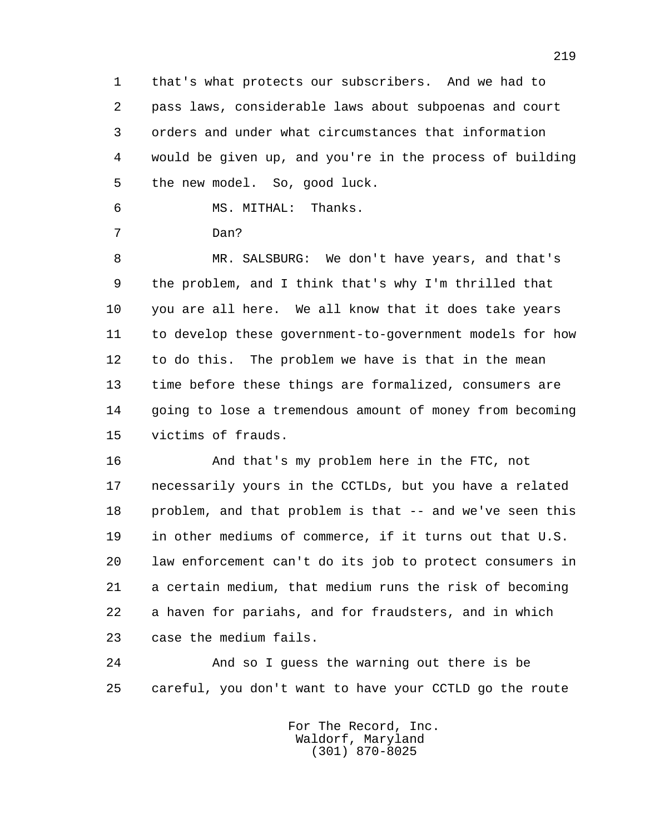1 that's what protects our subscribers. And we had to 2 pass laws, considerable laws about subpoenas and court 3 orders and under what circumstances that information 4 would be given up, and you're in the process of building 5 the new model. So, good luck.

6 MS. MITHAL: Thanks.

7 Dan?

 8 MR. SALSBURG: We don't have years, and that's 9 the problem, and I think that's why I'm thrilled that 10 you are all here. We all know that it does take years 11 to develop these government-to-government models for how 12 to do this. The problem we have is that in the mean 13 time before these things are formalized, consumers are 14 going to lose a tremendous amount of money from becoming 15 victims of frauds.

 16 And that's my problem here in the FTC, not 17 necessarily yours in the CCTLDs, but you have a related 18 problem, and that problem is that -- and we've seen this 19 in other mediums of commerce, if it turns out that U.S. 20 law enforcement can't do its job to protect consumers in 21 a certain medium, that medium runs the risk of becoming 22 a haven for pariahs, and for fraudsters, and in which 23 case the medium fails.

 24 And so I guess the warning out there is be 25 careful, you don't want to have your CCTLD go the route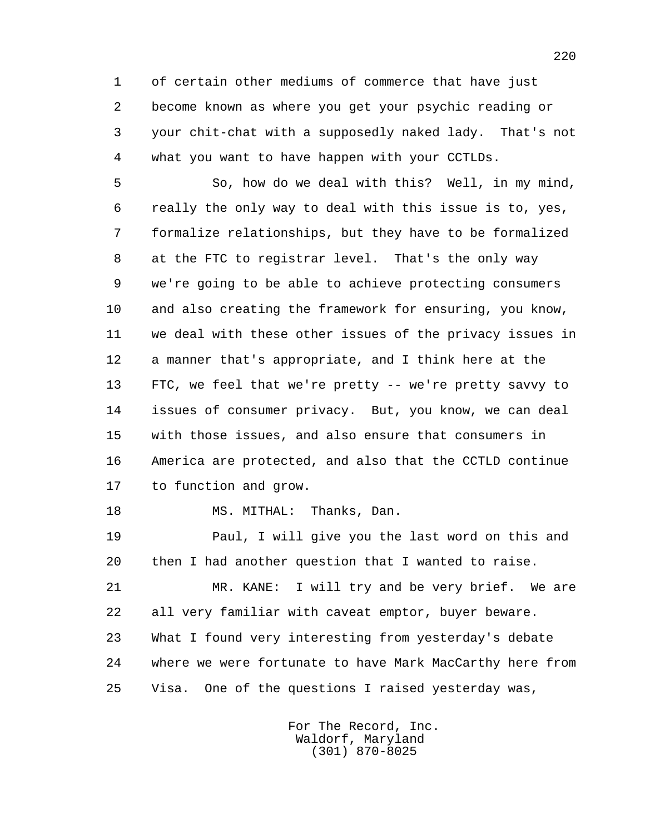1 of certain other mediums of commerce that have just 2 become known as where you get your psychic reading or 3 your chit-chat with a supposedly naked lady. That's not 4 what you want to have happen with your CCTLDs.

 5 So, how do we deal with this? Well, in my mind, 6 really the only way to deal with this issue is to, yes, 7 formalize relationships, but they have to be formalized 8 at the FTC to registrar level. That's the only way 9 we're going to be able to achieve protecting consumers 10 and also creating the framework for ensuring, you know, 11 we deal with these other issues of the privacy issues in 12 a manner that's appropriate, and I think here at the 13 FTC, we feel that we're pretty -- we're pretty savvy to 14 issues of consumer privacy. But, you know, we can deal 15 with those issues, and also ensure that consumers in 16 America are protected, and also that the CCTLD continue 17 to function and grow.

18 MS. MITHAL: Thanks, Dan.

 19 Paul, I will give you the last word on this and 20 then I had another question that I wanted to raise.

 21 MR. KANE: I will try and be very brief. We are 22 all very familiar with caveat emptor, buyer beware. 23 What I found very interesting from yesterday's debate 24 where we were fortunate to have Mark MacCarthy here from 25 Visa. One of the questions I raised yesterday was,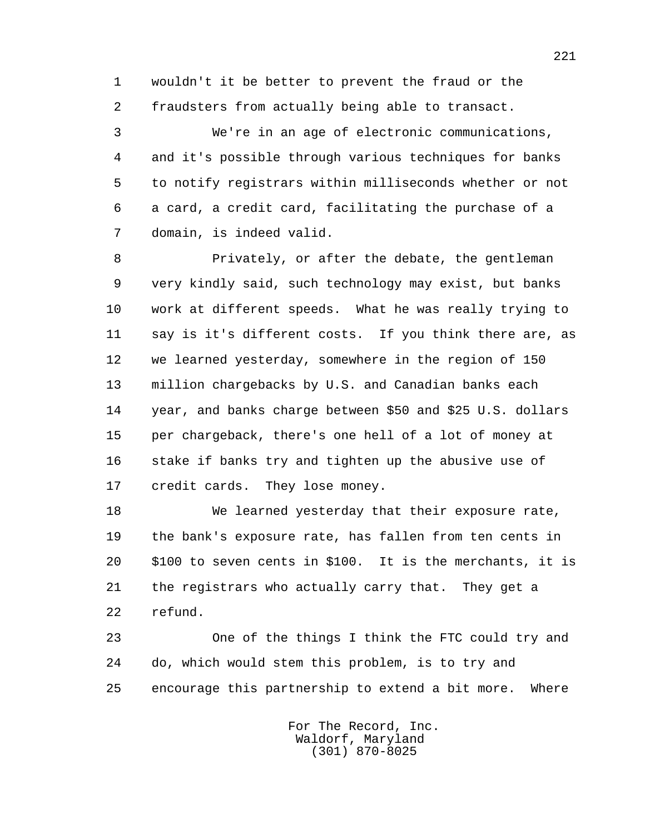1 wouldn't it be better to prevent the fraud or the 2 fraudsters from actually being able to transact.

 3 We're in an age of electronic communications, 4 and it's possible through various techniques for banks 5 to notify registrars within milliseconds whether or not 6 a card, a credit card, facilitating the purchase of a 7 domain, is indeed valid.

 8 Privately, or after the debate, the gentleman 9 very kindly said, such technology may exist, but banks 10 work at different speeds. What he was really trying to 11 say is it's different costs. If you think there are, as 12 we learned yesterday, somewhere in the region of 150 13 million chargebacks by U.S. and Canadian banks each 14 year, and banks charge between \$50 and \$25 U.S. dollars 15 per chargeback, there's one hell of a lot of money at 16 stake if banks try and tighten up the abusive use of 17 credit cards. They lose money.

 18 We learned yesterday that their exposure rate, 19 the bank's exposure rate, has fallen from ten cents in 20 \$100 to seven cents in \$100. It is the merchants, it is 21 the registrars who actually carry that. They get a 22 refund.

 23 One of the things I think the FTC could try and 24 do, which would stem this problem, is to try and 25 encourage this partnership to extend a bit more. Where

> For The Record, Inc. Waldorf, Maryland (301) 870-8025

221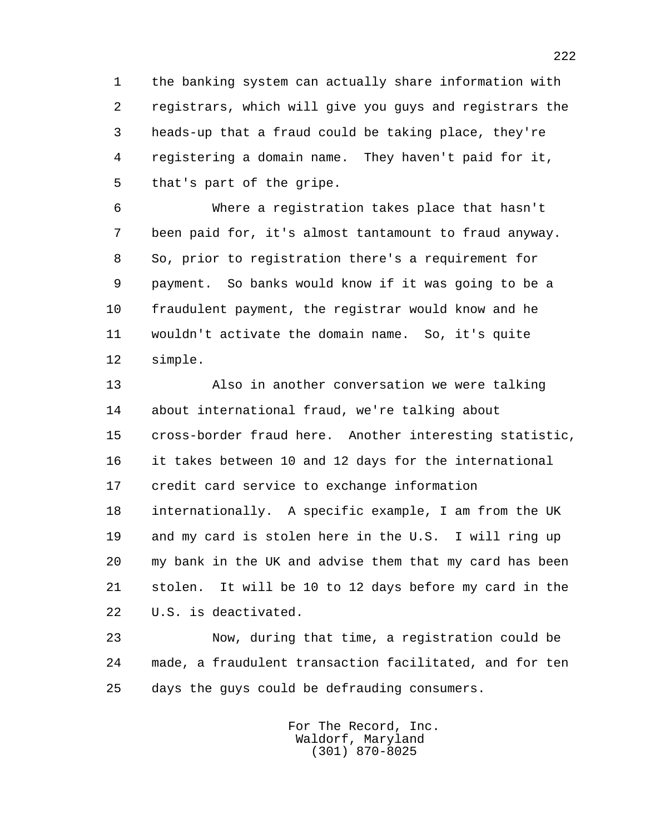1 the banking system can actually share information with 2 registrars, which will give you guys and registrars the 3 heads-up that a fraud could be taking place, they're 4 registering a domain name. They haven't paid for it, 5 that's part of the gripe.

 6 Where a registration takes place that hasn't 7 been paid for, it's almost tantamount to fraud anyway. 8 So, prior to registration there's a requirement for 9 payment. So banks would know if it was going to be a 10 fraudulent payment, the registrar would know and he 11 wouldn't activate the domain name. So, it's quite 12 simple.

 13 Also in another conversation we were talking 14 about international fraud, we're talking about 15 cross-border fraud here. Another interesting statistic, 16 it takes between 10 and 12 days for the international 17 credit card service to exchange information 18 internationally. A specific example, I am from the UK 19 and my card is stolen here in the U.S. I will ring up 20 my bank in the UK and advise them that my card has been 21 stolen. It will be 10 to 12 days before my card in the 22 U.S. is deactivated.

 23 Now, during that time, a registration could be 24 made, a fraudulent transaction facilitated, and for ten 25 days the guys could be defrauding consumers.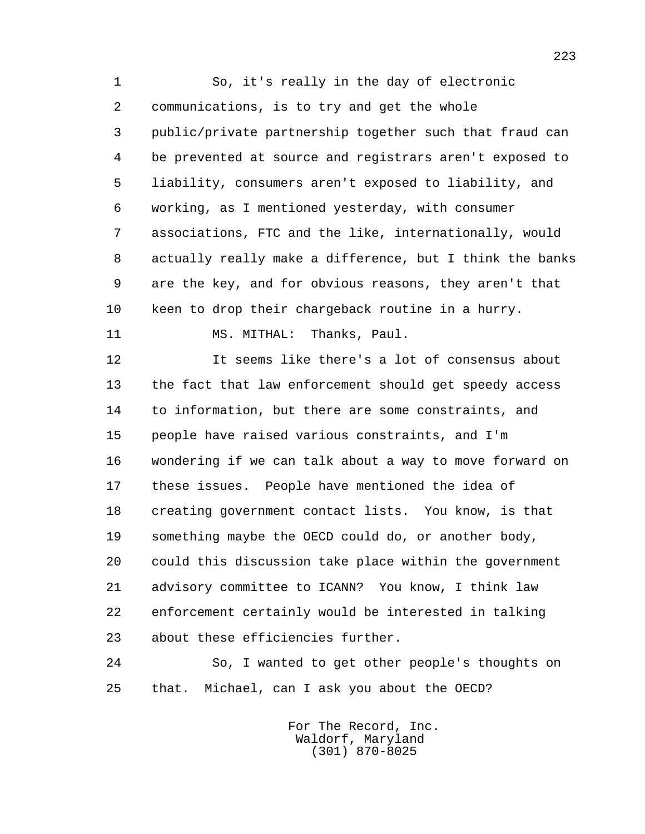1 So, it's really in the day of electronic 2 communications, is to try and get the whole 3 public/private partnership together such that fraud can 4 be prevented at source and registrars aren't exposed to 5 liability, consumers aren't exposed to liability, and 6 working, as I mentioned yesterday, with consumer 7 associations, FTC and the like, internationally, would 8 actually really make a difference, but I think the banks 9 are the key, and for obvious reasons, they aren't that 10 keen to drop their chargeback routine in a hurry. 11 MS. MITHAL: Thanks, Paul. 12 It seems like there's a lot of consensus about

 13 the fact that law enforcement should get speedy access 14 to information, but there are some constraints, and 15 people have raised various constraints, and I'm 16 wondering if we can talk about a way to move forward on 17 these issues. People have mentioned the idea of 18 creating government contact lists. You know, is that 19 something maybe the OECD could do, or another body, 20 could this discussion take place within the government 21 advisory committee to ICANN? You know, I think law 22 enforcement certainly would be interested in talking 23 about these efficiencies further.

 24 So, I wanted to get other people's thoughts on 25 that. Michael, can I ask you about the OECD?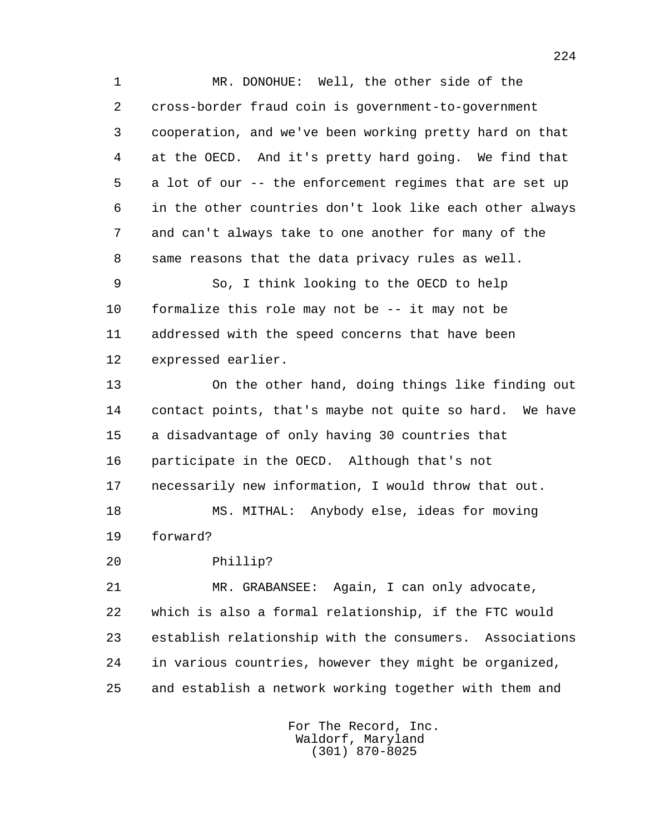1 MR. DONOHUE: Well, the other side of the 2 cross-border fraud coin is government-to-government 3 cooperation, and we've been working pretty hard on that 4 at the OECD. And it's pretty hard going. We find that 5 a lot of our -- the enforcement regimes that are set up 6 in the other countries don't look like each other always 7 and can't always take to one another for many of the 8 same reasons that the data privacy rules as well.

 9 So, I think looking to the OECD to help 10 formalize this role may not be -- it may not be 11 addressed with the speed concerns that have been 12 expressed earlier.

 13 On the other hand, doing things like finding out 14 contact points, that's maybe not quite so hard. We have 15 a disadvantage of only having 30 countries that 16 participate in the OECD. Although that's not 17 necessarily new information, I would throw that out.

 18 MS. MITHAL: Anybody else, ideas for moving 19 forward?

20 Phillip?

 21 MR. GRABANSEE: Again, I can only advocate, 22 which is also a formal relationship, if the FTC would 23 establish relationship with the consumers. Associations 24 in various countries, however they might be organized, 25 and establish a network working together with them and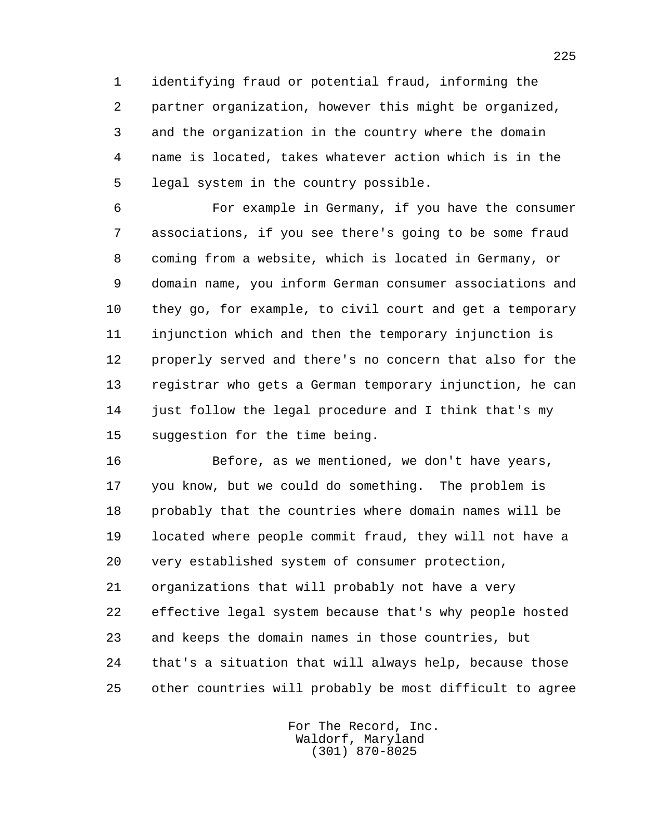1 identifying fraud or potential fraud, informing the 2 partner organization, however this might be organized, 3 and the organization in the country where the domain 4 name is located, takes whatever action which is in the 5 legal system in the country possible.

 6 For example in Germany, if you have the consumer 7 associations, if you see there's going to be some fraud 8 coming from a website, which is located in Germany, or 9 domain name, you inform German consumer associations and 10 they go, for example, to civil court and get a temporary 11 injunction which and then the temporary injunction is 12 properly served and there's no concern that also for the 13 registrar who gets a German temporary injunction, he can 14 just follow the legal procedure and I think that's my 15 suggestion for the time being.

 16 Before, as we mentioned, we don't have years, 17 you know, but we could do something. The problem is 18 probably that the countries where domain names will be 19 located where people commit fraud, they will not have a 20 very established system of consumer protection, 21 organizations that will probably not have a very 22 effective legal system because that's why people hosted 23 and keeps the domain names in those countries, but 24 that's a situation that will always help, because those 25 other countries will probably be most difficult to agree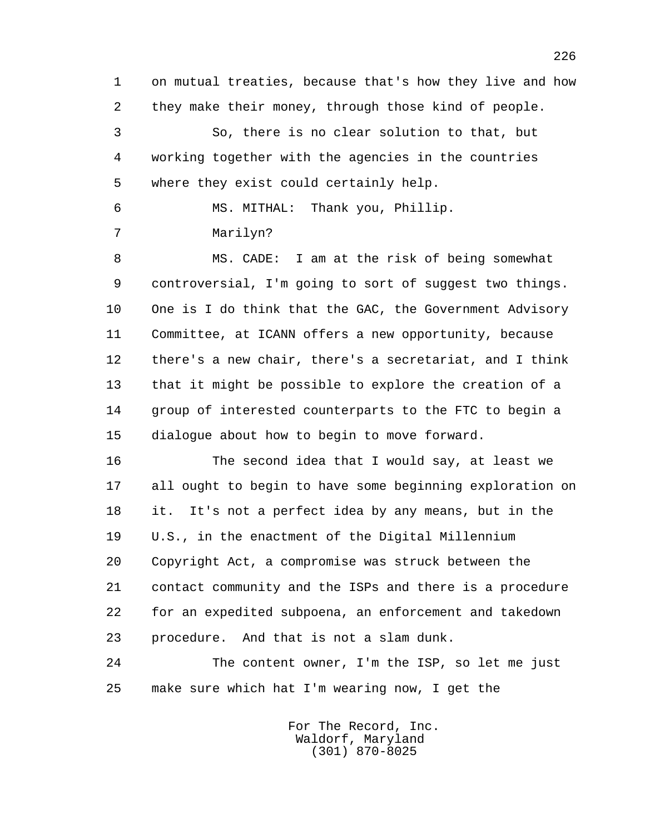1 on mutual treaties, because that's how they live and how 2 they make their money, through those kind of people. 3 So, there is no clear solution to that, but 4 working together with the agencies in the countries 5 where they exist could certainly help.

6 MS. MITHAL: Thank you, Phillip.

7 Marilyn?

 8 MS. CADE: I am at the risk of being somewhat 9 controversial, I'm going to sort of suggest two things. 10 One is I do think that the GAC, the Government Advisory 11 Committee, at ICANN offers a new opportunity, because 12 there's a new chair, there's a secretariat, and I think 13 that it might be possible to explore the creation of a 14 group of interested counterparts to the FTC to begin a 15 dialogue about how to begin to move forward.

 16 The second idea that I would say, at least we 17 all ought to begin to have some beginning exploration on 18 it. It's not a perfect idea by any means, but in the 19 U.S., in the enactment of the Digital Millennium 20 Copyright Act, a compromise was struck between the 21 contact community and the ISPs and there is a procedure 22 for an expedited subpoena, an enforcement and takedown 23 procedure. And that is not a slam dunk.

 24 The content owner, I'm the ISP, so let me just 25 make sure which hat I'm wearing now, I get the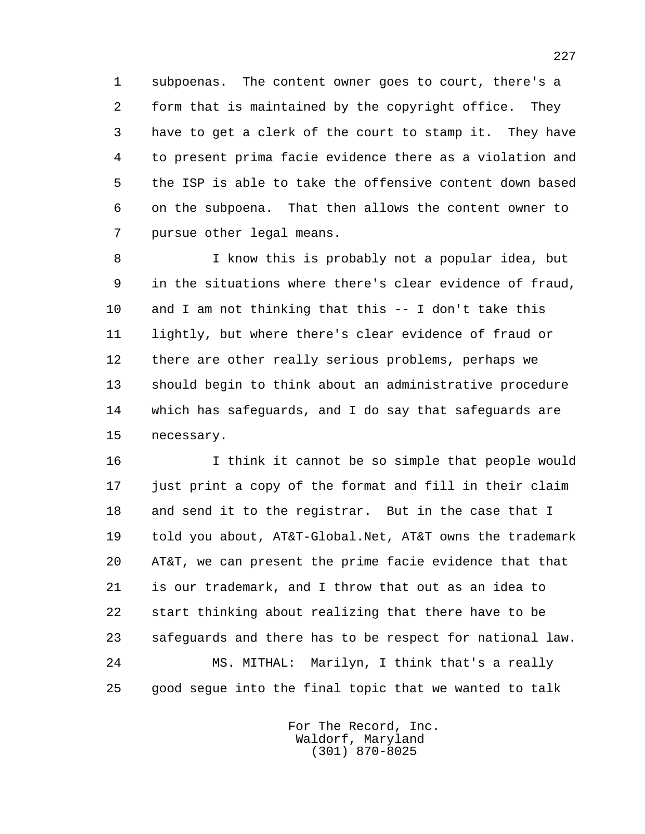1 subpoenas. The content owner goes to court, there's a 2 form that is maintained by the copyright office. They 3 have to get a clerk of the court to stamp it. They have 4 to present prima facie evidence there as a violation and 5 the ISP is able to take the offensive content down based 6 on the subpoena. That then allows the content owner to 7 pursue other legal means.

 8 I know this is probably not a popular idea, but 9 in the situations where there's clear evidence of fraud, 10 and I am not thinking that this -- I don't take this 11 lightly, but where there's clear evidence of fraud or 12 there are other really serious problems, perhaps we 13 should begin to think about an administrative procedure 14 which has safeguards, and I do say that safeguards are 15 necessary.

 16 I think it cannot be so simple that people would 17 just print a copy of the format and fill in their claim 18 and send it to the registrar. But in the case that I 19 told you about, AT&T-Global.Net, AT&T owns the trademark 20 AT&T, we can present the prime facie evidence that that 21 is our trademark, and I throw that out as an idea to 22 start thinking about realizing that there have to be 23 safeguards and there has to be respect for national law. 24 MS. MITHAL: Marilyn, I think that's a really 25 good segue into the final topic that we wanted to talk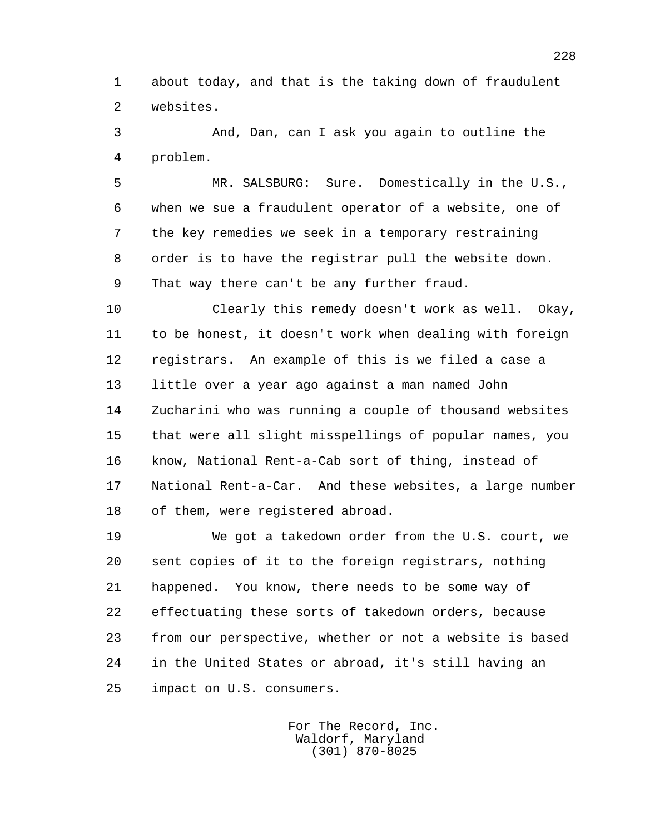1 about today, and that is the taking down of fraudulent 2 websites.

 3 And, Dan, can I ask you again to outline the 4 problem.

 5 MR. SALSBURG: Sure. Domestically in the U.S., 6 when we sue a fraudulent operator of a website, one of 7 the key remedies we seek in a temporary restraining 8 order is to have the registrar pull the website down. 9 That way there can't be any further fraud.

 10 Clearly this remedy doesn't work as well. Okay, 11 to be honest, it doesn't work when dealing with foreign 12 registrars. An example of this is we filed a case a 13 little over a year ago against a man named John 14 Zucharini who was running a couple of thousand websites 15 that were all slight misspellings of popular names, you 16 know, National Rent-a-Cab sort of thing, instead of 17 National Rent-a-Car. And these websites, a large number 18 of them, were registered abroad.

 19 We got a takedown order from the U.S. court, we 20 sent copies of it to the foreign registrars, nothing 21 happened. You know, there needs to be some way of 22 effectuating these sorts of takedown orders, because 23 from our perspective, whether or not a website is based 24 in the United States or abroad, it's still having an 25 impact on U.S. consumers.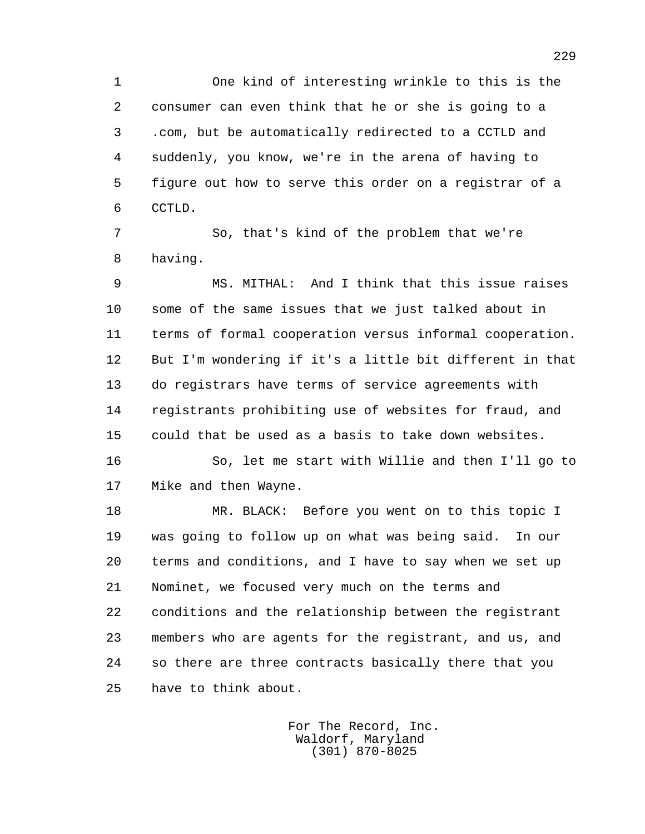1 One kind of interesting wrinkle to this is the 2 consumer can even think that he or she is going to a 3 .com, but be automatically redirected to a CCTLD and 4 suddenly, you know, we're in the arena of having to 5 figure out how to serve this order on a registrar of a 6 CCTLD.

 7 So, that's kind of the problem that we're 8 having.

 9 MS. MITHAL: And I think that this issue raises 10 some of the same issues that we just talked about in 11 terms of formal cooperation versus informal cooperation. 12 But I'm wondering if it's a little bit different in that 13 do registrars have terms of service agreements with 14 registrants prohibiting use of websites for fraud, and 15 could that be used as a basis to take down websites.

 16 So, let me start with Willie and then I'll go to 17 Mike and then Wayne.

 18 MR. BLACK: Before you went on to this topic I 19 was going to follow up on what was being said. In our 20 terms and conditions, and I have to say when we set up 21 Nominet, we focused very much on the terms and 22 conditions and the relationship between the registrant 23 members who are agents for the registrant, and us, and 24 so there are three contracts basically there that you 25 have to think about.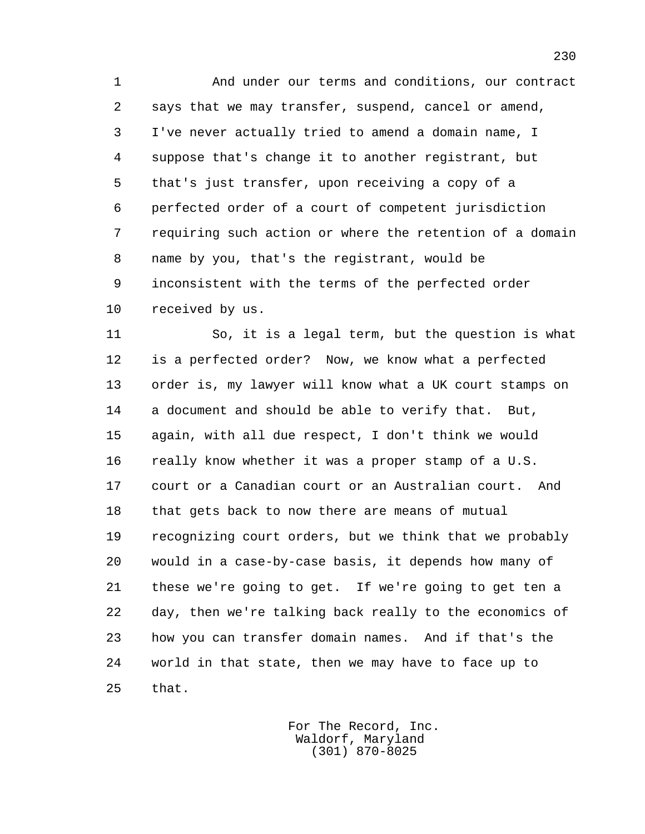1 And under our terms and conditions, our contract 2 says that we may transfer, suspend, cancel or amend, 3 I've never actually tried to amend a domain name, I 4 suppose that's change it to another registrant, but 5 that's just transfer, upon receiving a copy of a 6 perfected order of a court of competent jurisdiction 7 requiring such action or where the retention of a domain 8 name by you, that's the registrant, would be 9 inconsistent with the terms of the perfected order 10 received by us.

 11 So, it is a legal term, but the question is what 12 is a perfected order? Now, we know what a perfected 13 order is, my lawyer will know what a UK court stamps on 14 a document and should be able to verify that. But, 15 again, with all due respect, I don't think we would 16 really know whether it was a proper stamp of a U.S. 17 court or a Canadian court or an Australian court. And 18 that gets back to now there are means of mutual 19 recognizing court orders, but we think that we probably 20 would in a case-by-case basis, it depends how many of 21 these we're going to get. If we're going to get ten a 22 day, then we're talking back really to the economics of 23 how you can transfer domain names. And if that's the 24 world in that state, then we may have to face up to 25 that.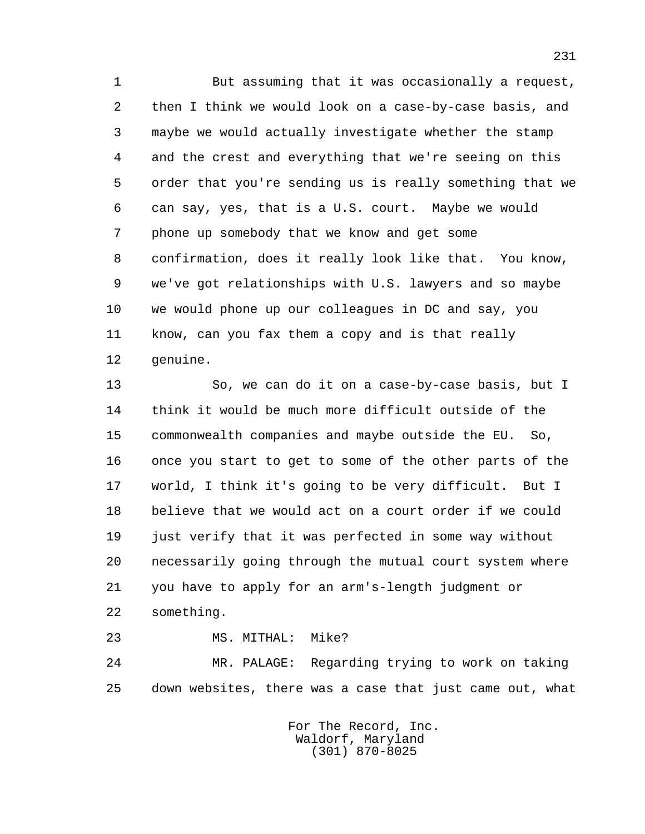1 But assuming that it was occasionally a request, 2 then I think we would look on a case-by-case basis, and 3 maybe we would actually investigate whether the stamp 4 and the crest and everything that we're seeing on this 5 order that you're sending us is really something that we 6 can say, yes, that is a U.S. court. Maybe we would 7 phone up somebody that we know and get some 8 confirmation, does it really look like that. You know, 9 we've got relationships with U.S. lawyers and so maybe 10 we would phone up our colleagues in DC and say, you 11 know, can you fax them a copy and is that really 12 genuine.

 13 So, we can do it on a case-by-case basis, but I 14 think it would be much more difficult outside of the 15 commonwealth companies and maybe outside the EU. So, 16 once you start to get to some of the other parts of the 17 world, I think it's going to be very difficult. But I 18 believe that we would act on a court order if we could 19 just verify that it was perfected in some way without 20 necessarily going through the mutual court system where 21 you have to apply for an arm's-length judgment or 22 something.

 23 MS. MITHAL: Mike? 24 MR. PALAGE: Regarding trying to work on taking

> For The Record, Inc. Waldorf, Maryland (301) 870-8025

25 down websites, there was a case that just came out, what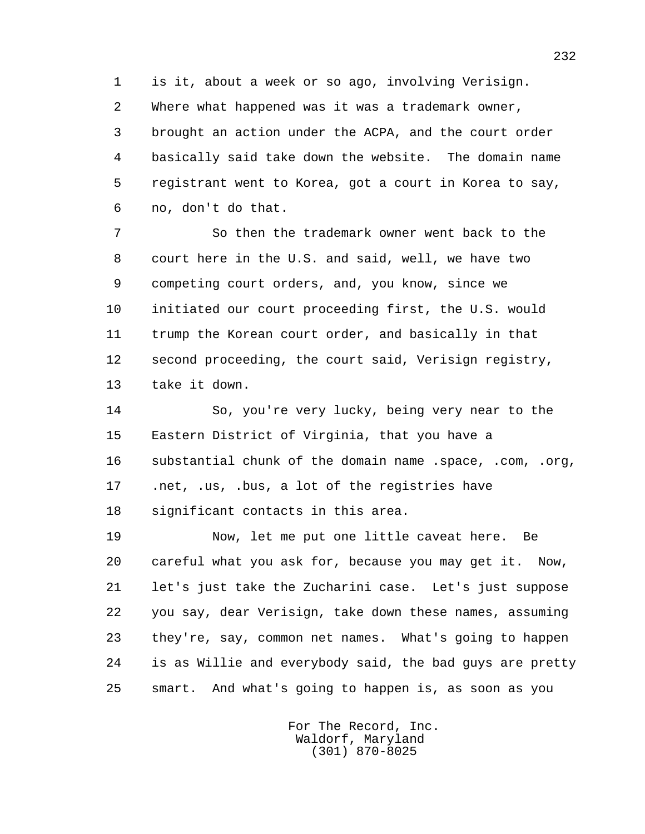1 is it, about a week or so ago, involving Verisign.

 2 Where what happened was it was a trademark owner, 3 brought an action under the ACPA, and the court order 4 basically said take down the website. The domain name 5 registrant went to Korea, got a court in Korea to say, 6 no, don't do that.

 7 So then the trademark owner went back to the 8 court here in the U.S. and said, well, we have two 9 competing court orders, and, you know, since we 10 initiated our court proceeding first, the U.S. would 11 trump the Korean court order, and basically in that 12 second proceeding, the court said, Verisign registry, 13 take it down.

 14 So, you're very lucky, being very near to the 15 Eastern District of Virginia, that you have a 16 substantial chunk of the domain name .space, .com, .org, 17 .net, .us, .bus, a lot of the registries have 18 significant contacts in this area.

 19 Now, let me put one little caveat here. Be 20 careful what you ask for, because you may get it. Now, 21 let's just take the Zucharini case. Let's just suppose 22 you say, dear Verisign, take down these names, assuming 23 they're, say, common net names. What's going to happen 24 is as Willie and everybody said, the bad guys are pretty 25 smart. And what's going to happen is, as soon as you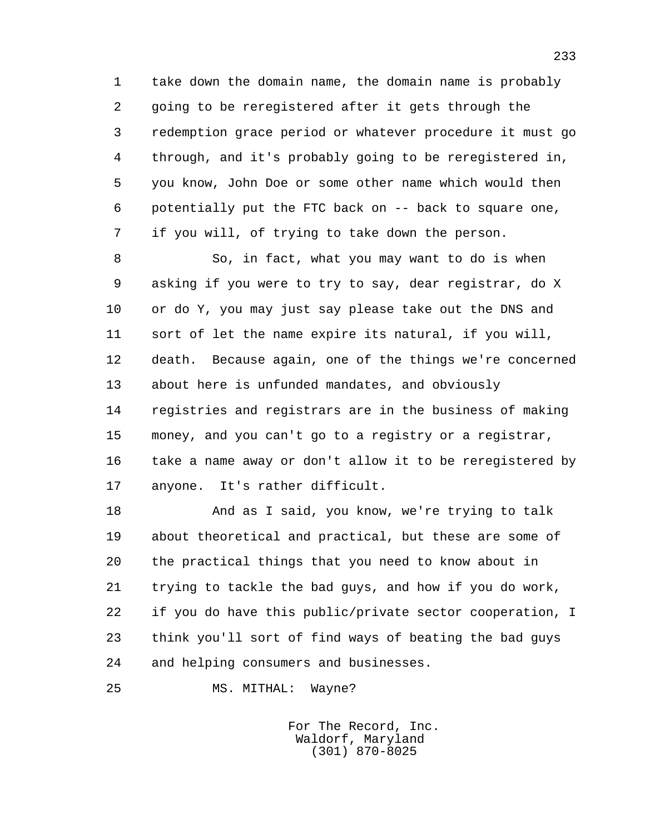1 take down the domain name, the domain name is probably 2 going to be reregistered after it gets through the 3 redemption grace period or whatever procedure it must go 4 through, and it's probably going to be reregistered in, 5 you know, John Doe or some other name which would then 6 potentially put the FTC back on -- back to square one, 7 if you will, of trying to take down the person.

 8 So, in fact, what you may want to do is when 9 asking if you were to try to say, dear registrar, do X 10 or do Y, you may just say please take out the DNS and 11 sort of let the name expire its natural, if you will, 12 death. Because again, one of the things we're concerned 13 about here is unfunded mandates, and obviously 14 registries and registrars are in the business of making 15 money, and you can't go to a registry or a registrar, 16 take a name away or don't allow it to be reregistered by 17 anyone. It's rather difficult.

 18 And as I said, you know, we're trying to talk 19 about theoretical and practical, but these are some of 20 the practical things that you need to know about in 21 trying to tackle the bad guys, and how if you do work, 22 if you do have this public/private sector cooperation, I 23 think you'll sort of find ways of beating the bad guys 24 and helping consumers and businesses.

25 MS. MITHAL: Wayne?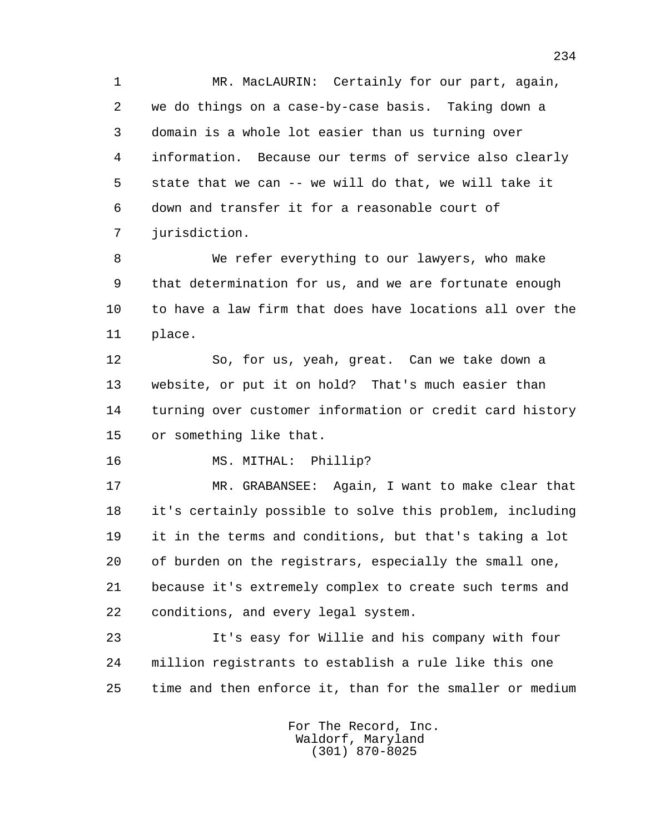1 MR. MacLAURIN: Certainly for our part, again, 2 we do things on a case-by-case basis. Taking down a 3 domain is a whole lot easier than us turning over 4 information. Because our terms of service also clearly 5 state that we can -- we will do that, we will take it 6 down and transfer it for a reasonable court of 7 jurisdiction.

 8 We refer everything to our lawyers, who make 9 that determination for us, and we are fortunate enough 10 to have a law firm that does have locations all over the 11 place.

 12 So, for us, yeah, great. Can we take down a 13 website, or put it on hold? That's much easier than 14 turning over customer information or credit card history 15 or something like that.

16 MS. MITHAL: Phillip?

 17 MR. GRABANSEE: Again, I want to make clear that 18 it's certainly possible to solve this problem, including 19 it in the terms and conditions, but that's taking a lot 20 of burden on the registrars, especially the small one, 21 because it's extremely complex to create such terms and 22 conditions, and every legal system.

 23 It's easy for Willie and his company with four 24 million registrants to establish a rule like this one 25 time and then enforce it, than for the smaller or medium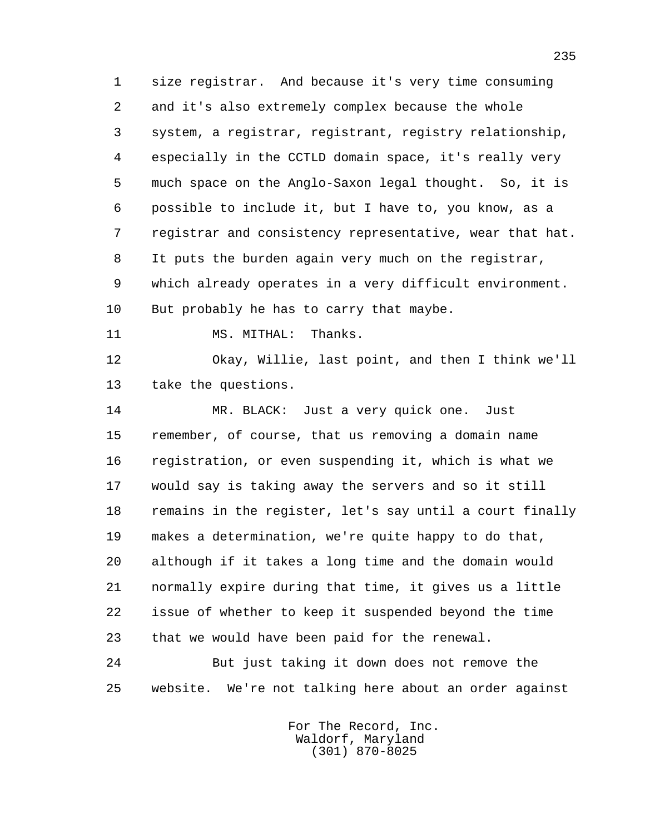1 size registrar. And because it's very time consuming 2 and it's also extremely complex because the whole 3 system, a registrar, registrant, registry relationship, 4 especially in the CCTLD domain space, it's really very 5 much space on the Anglo-Saxon legal thought. So, it is 6 possible to include it, but I have to, you know, as a 7 registrar and consistency representative, wear that hat. 8 It puts the burden again very much on the registrar, 9 which already operates in a very difficult environment. 10 But probably he has to carry that maybe. 11 MS. MITHAL: Thanks.

 12 Okay, Willie, last point, and then I think we'll 13 take the questions.

 14 MR. BLACK: Just a very quick one. Just 15 remember, of course, that us removing a domain name 16 registration, or even suspending it, which is what we 17 would say is taking away the servers and so it still 18 remains in the register, let's say until a court finally 19 makes a determination, we're quite happy to do that, 20 although if it takes a long time and the domain would 21 normally expire during that time, it gives us a little 22 issue of whether to keep it suspended beyond the time 23 that we would have been paid for the renewal.

 24 But just taking it down does not remove the 25 website. We're not talking here about an order against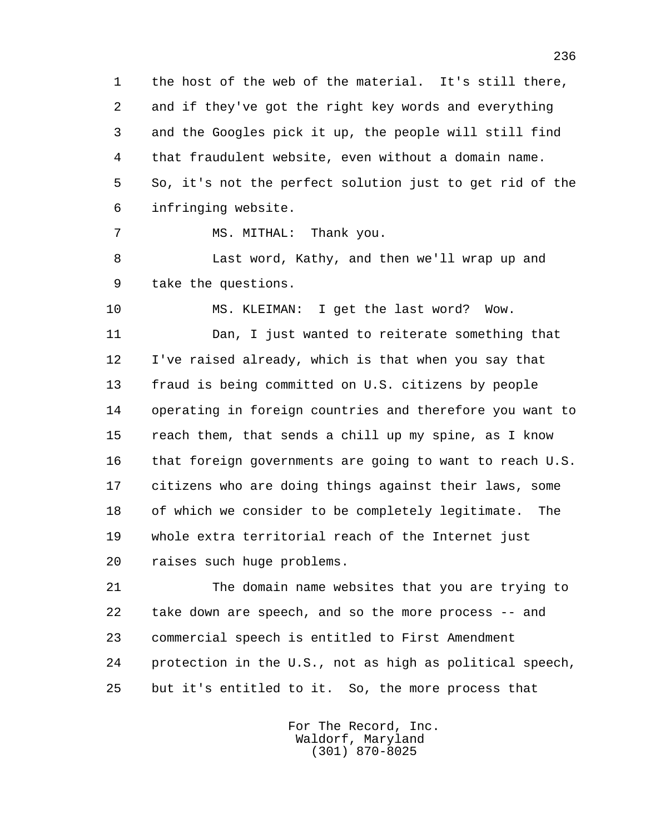1 the host of the web of the material. It's still there, 2 and if they've got the right key words and everything 3 and the Googles pick it up, the people will still find 4 that fraudulent website, even without a domain name. 5 So, it's not the perfect solution just to get rid of the 6 infringing website.

7 MS. MITHAL: Thank you.

 8 Last word, Kathy, and then we'll wrap up and 9 take the questions.

10 MS. KLEIMAN: I get the last word? Wow.

 11 Dan, I just wanted to reiterate something that 12 I've raised already, which is that when you say that 13 fraud is being committed on U.S. citizens by people 14 operating in foreign countries and therefore you want to 15 reach them, that sends a chill up my spine, as I know 16 that foreign governments are going to want to reach U.S. 17 citizens who are doing things against their laws, some 18 of which we consider to be completely legitimate. The 19 whole extra territorial reach of the Internet just 20 raises such huge problems.

 21 The domain name websites that you are trying to 22 take down are speech, and so the more process -- and 23 commercial speech is entitled to First Amendment 24 protection in the U.S., not as high as political speech, 25 but it's entitled to it. So, the more process that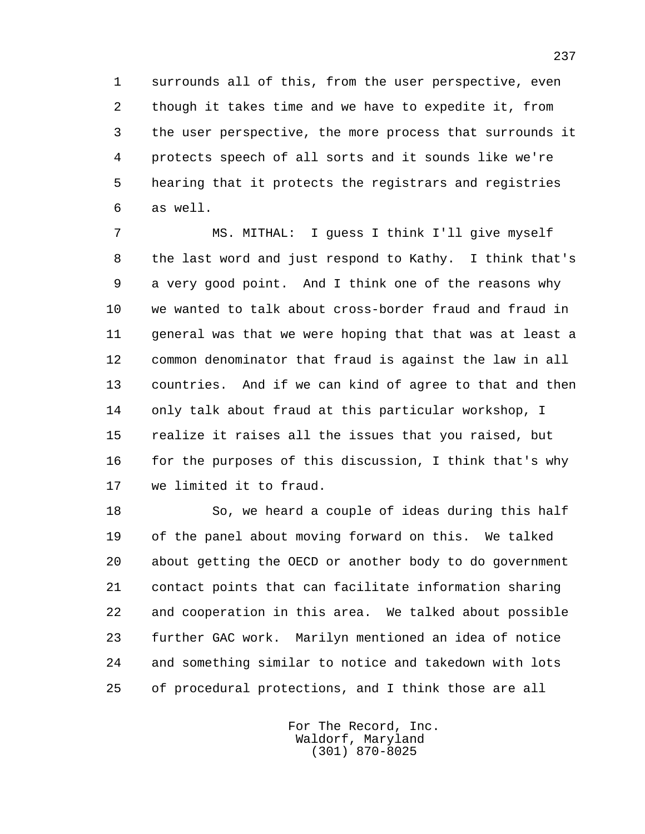1 surrounds all of this, from the user perspective, even 2 though it takes time and we have to expedite it, from 3 the user perspective, the more process that surrounds it 4 protects speech of all sorts and it sounds like we're 5 hearing that it protects the registrars and registries 6 as well.

 7 MS. MITHAL: I guess I think I'll give myself 8 the last word and just respond to Kathy. I think that's 9 a very good point. And I think one of the reasons why 10 we wanted to talk about cross-border fraud and fraud in 11 general was that we were hoping that that was at least a 12 common denominator that fraud is against the law in all 13 countries. And if we can kind of agree to that and then 14 only talk about fraud at this particular workshop, I 15 realize it raises all the issues that you raised, but 16 for the purposes of this discussion, I think that's why 17 we limited it to fraud.

 18 So, we heard a couple of ideas during this half 19 of the panel about moving forward on this. We talked 20 about getting the OECD or another body to do government 21 contact points that can facilitate information sharing 22 and cooperation in this area. We talked about possible 23 further GAC work. Marilyn mentioned an idea of notice 24 and something similar to notice and takedown with lots 25 of procedural protections, and I think those are all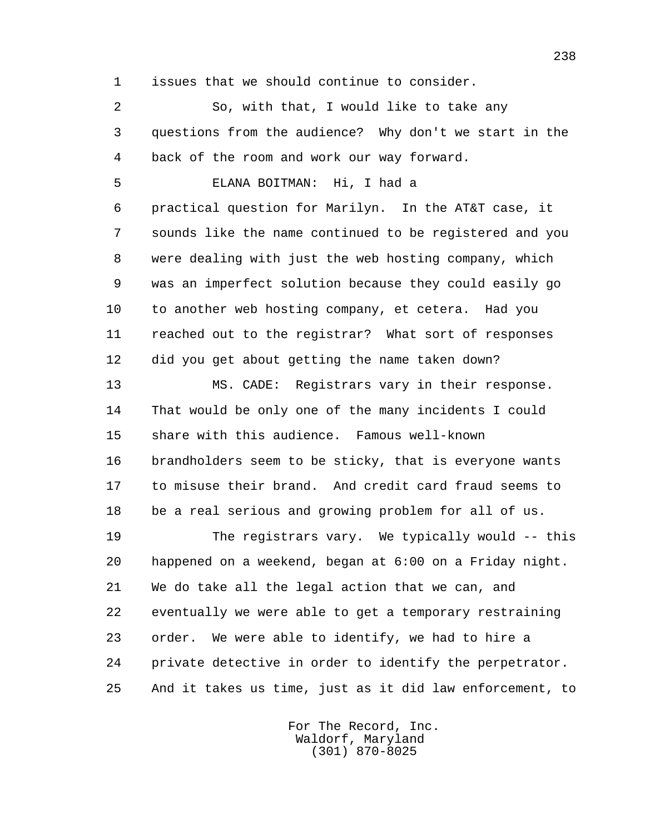1 issues that we should continue to consider.

 2 So, with that, I would like to take any 3 questions from the audience? Why don't we start in the 4 back of the room and work our way forward.

5 ELANA BOITMAN: Hi, I had a

 6 practical question for Marilyn. In the AT&T case, it 7 sounds like the name continued to be registered and you 8 were dealing with just the web hosting company, which 9 was an imperfect solution because they could easily go 10 to another web hosting company, et cetera. Had you 11 reached out to the registrar? What sort of responses 12 did you get about getting the name taken down?

 13 MS. CADE: Registrars vary in their response. 14 That would be only one of the many incidents I could 15 share with this audience. Famous well-known 16 brandholders seem to be sticky, that is everyone wants 17 to misuse their brand. And credit card fraud seems to 18 be a real serious and growing problem for all of us.

 19 The registrars vary. We typically would -- this 20 happened on a weekend, began at 6:00 on a Friday night. 21 We do take all the legal action that we can, and 22 eventually we were able to get a temporary restraining 23 order. We were able to identify, we had to hire a 24 private detective in order to identify the perpetrator. 25 And it takes us time, just as it did law enforcement, to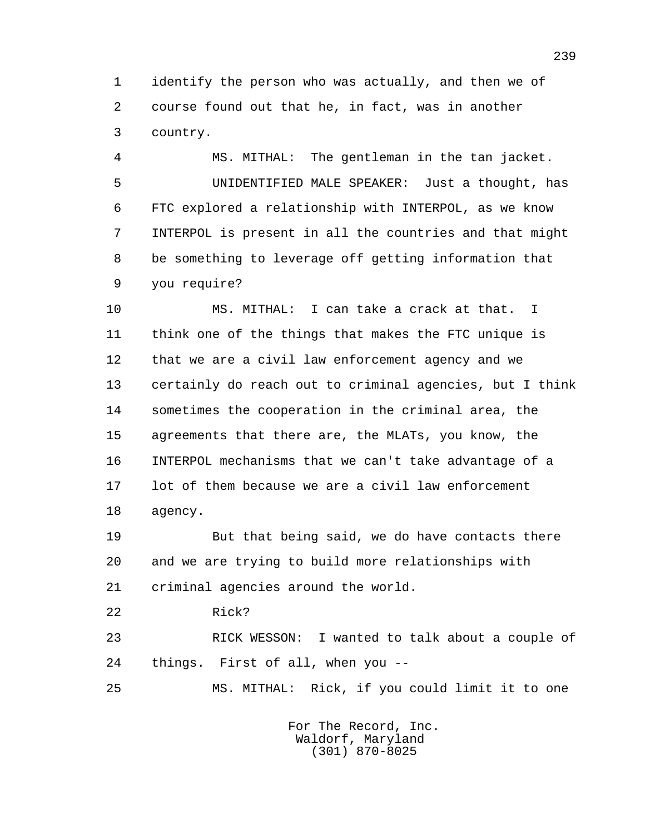1 identify the person who was actually, and then we of 2 course found out that he, in fact, was in another 3 country.

 4 MS. MITHAL: The gentleman in the tan jacket. 5 UNIDENTIFIED MALE SPEAKER: Just a thought, has 6 FTC explored a relationship with INTERPOL, as we know 7 INTERPOL is present in all the countries and that might 8 be something to leverage off getting information that 9 you require?

 10 MS. MITHAL: I can take a crack at that. I 11 think one of the things that makes the FTC unique is 12 that we are a civil law enforcement agency and we 13 certainly do reach out to criminal agencies, but I think 14 sometimes the cooperation in the criminal area, the 15 agreements that there are, the MLATs, you know, the 16 INTERPOL mechanisms that we can't take advantage of a 17 lot of them because we are a civil law enforcement 18 agency.

 19 But that being said, we do have contacts there 20 and we are trying to build more relationships with 21 criminal agencies around the world.

22 Rick?

 23 RICK WESSON: I wanted to talk about a couple of 24 things. First of all, when you --

25 MS. MITHAL: Rick, if you could limit it to one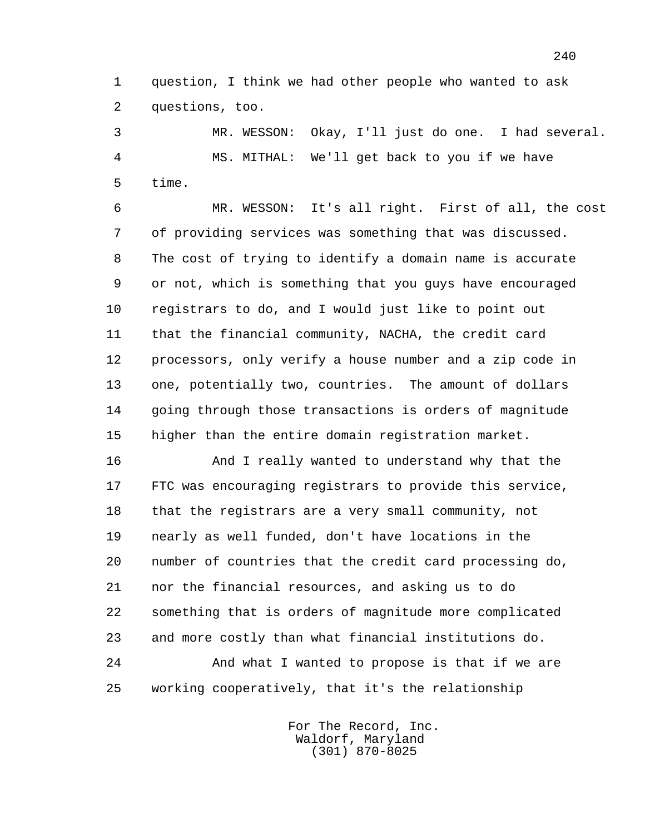1 question, I think we had other people who wanted to ask 2 questions, too.

 3 MR. WESSON: Okay, I'll just do one. I had several. 4 MS. MITHAL: We'll get back to you if we have 5 time.

 6 MR. WESSON: It's all right. First of all, the cost 7 of providing services was something that was discussed. 8 The cost of trying to identify a domain name is accurate 9 or not, which is something that you guys have encouraged 10 registrars to do, and I would just like to point out 11 that the financial community, NACHA, the credit card 12 processors, only verify a house number and a zip code in 13 one, potentially two, countries. The amount of dollars 14 going through those transactions is orders of magnitude 15 higher than the entire domain registration market.

 16 And I really wanted to understand why that the 17 FTC was encouraging registrars to provide this service, 18 that the registrars are a very small community, not 19 nearly as well funded, don't have locations in the 20 number of countries that the credit card processing do, 21 nor the financial resources, and asking us to do 22 something that is orders of magnitude more complicated 23 and more costly than what financial institutions do.

 24 And what I wanted to propose is that if we are 25 working cooperatively, that it's the relationship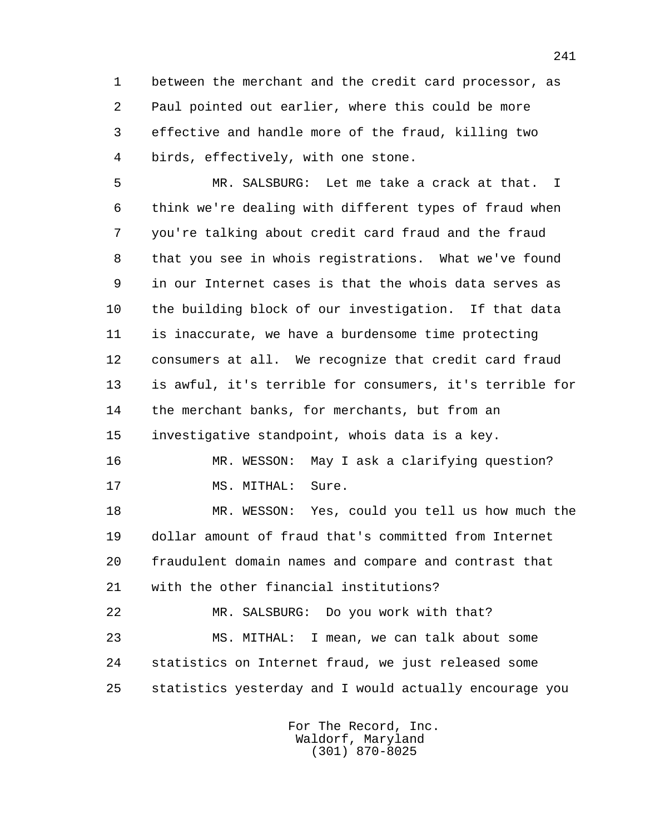1 between the merchant and the credit card processor, as 2 Paul pointed out earlier, where this could be more 3 effective and handle more of the fraud, killing two 4 birds, effectively, with one stone.

 5 MR. SALSBURG: Let me take a crack at that. I 6 think we're dealing with different types of fraud when 7 you're talking about credit card fraud and the fraud 8 that you see in whois registrations. What we've found 9 in our Internet cases is that the whois data serves as 10 the building block of our investigation. If that data 11 is inaccurate, we have a burdensome time protecting 12 consumers at all. We recognize that credit card fraud 13 is awful, it's terrible for consumers, it's terrible for 14 the merchant banks, for merchants, but from an 15 investigative standpoint, whois data is a key.

 16 MR. WESSON: May I ask a clarifying question? 17 MS. MITHAL: Sure.

 18 MR. WESSON: Yes, could you tell us how much the 19 dollar amount of fraud that's committed from Internet 20 fraudulent domain names and compare and contrast that 21 with the other financial institutions?

 22 MR. SALSBURG: Do you work with that? 23 MS. MITHAL: I mean, we can talk about some 24 statistics on Internet fraud, we just released some 25 statistics yesterday and I would actually encourage you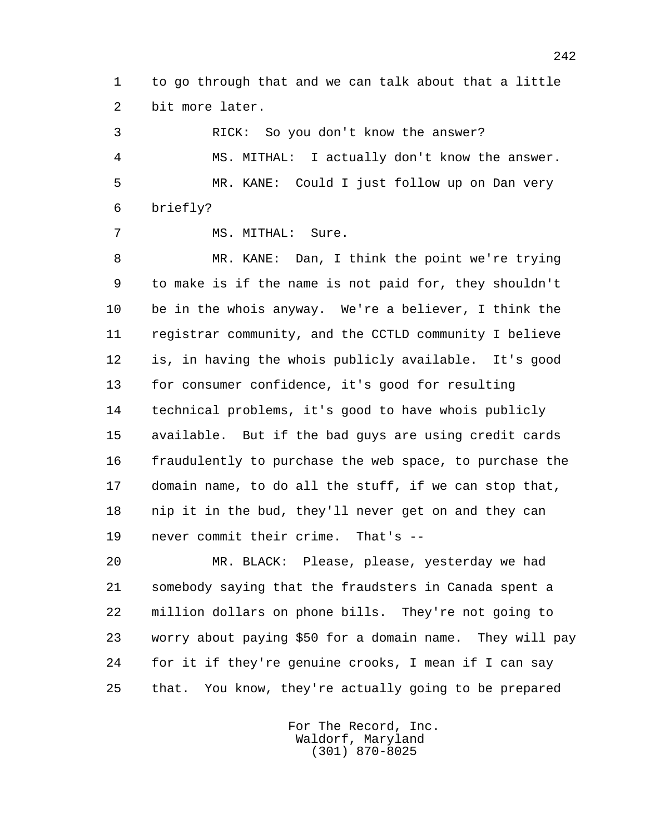1 to go through that and we can talk about that a little 2 bit more later.

 3 RICK: So you don't know the answer? 4 MS. MITHAL: I actually don't know the answer. 5 MR. KANE: Could I just follow up on Dan very 6 briefly?

7 MS. MITHAL: Sure.

 8 MR. KANE: Dan, I think the point we're trying 9 to make is if the name is not paid for, they shouldn't 10 be in the whois anyway. We're a believer, I think the 11 registrar community, and the CCTLD community I believe 12 is, in having the whois publicly available. It's good 13 for consumer confidence, it's good for resulting 14 technical problems, it's good to have whois publicly 15 available. But if the bad guys are using credit cards 16 fraudulently to purchase the web space, to purchase the 17 domain name, to do all the stuff, if we can stop that, 18 nip it in the bud, they'll never get on and they can 19 never commit their crime. That's --

 20 MR. BLACK: Please, please, yesterday we had 21 somebody saying that the fraudsters in Canada spent a 22 million dollars on phone bills. They're not going to 23 worry about paying \$50 for a domain name. They will pay 24 for it if they're genuine crooks, I mean if I can say 25 that. You know, they're actually going to be prepared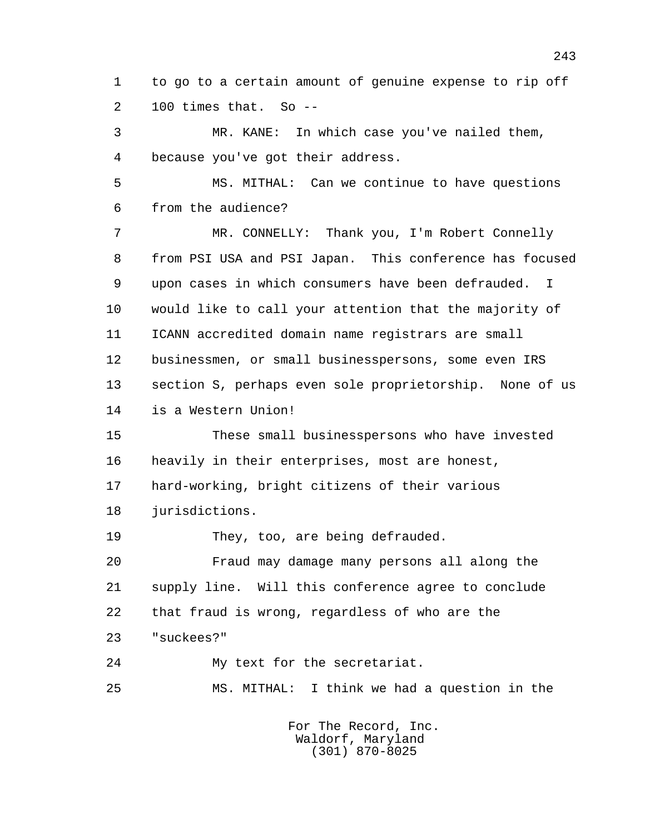1 to go to a certain amount of genuine expense to rip off 2 100 times that. So --

 3 MR. KANE: In which case you've nailed them, 4 because you've got their address.

 5 MS. MITHAL: Can we continue to have questions 6 from the audience?

 7 MR. CONNELLY: Thank you, I'm Robert Connelly 8 from PSI USA and PSI Japan. This conference has focused 9 upon cases in which consumers have been defrauded. I 10 would like to call your attention that the majority of 11 ICANN accredited domain name registrars are small 12 businessmen, or small businesspersons, some even IRS 13 section S, perhaps even sole proprietorship. None of us 14 is a Western Union!

 15 These small businesspersons who have invested 16 heavily in their enterprises, most are honest, 17 hard-working, bright citizens of their various 18 jurisdictions.

19 They, too, are being defrauded.

 20 Fraud may damage many persons all along the 21 supply line. Will this conference agree to conclude 22 that fraud is wrong, regardless of who are the 23 "suckees?"

24 My text for the secretariat.

25 MS. MITHAL: I think we had a question in the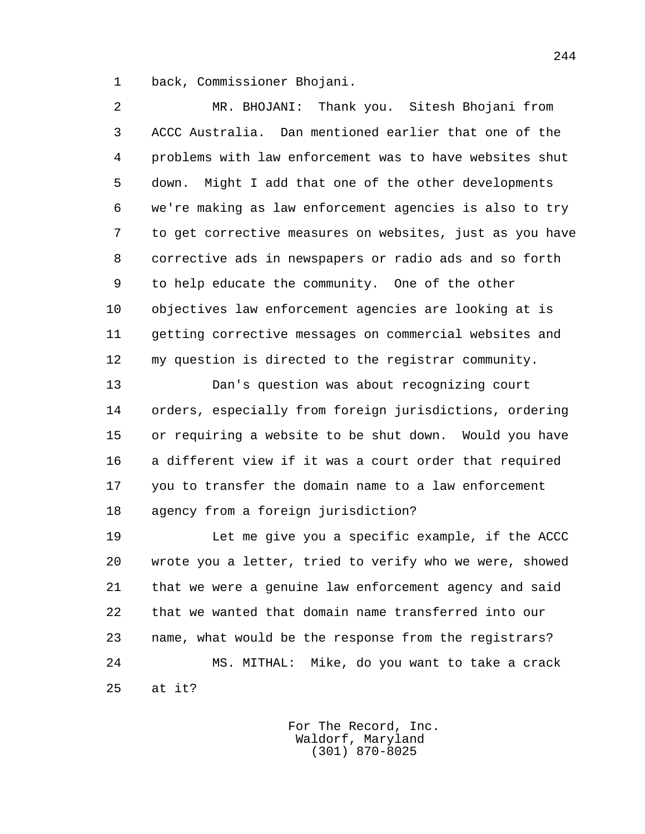1 back, Commissioner Bhojani.

 2 MR. BHOJANI: Thank you. Sitesh Bhojani from 3 ACCC Australia. Dan mentioned earlier that one of the 4 problems with law enforcement was to have websites shut 5 down. Might I add that one of the other developments 6 we're making as law enforcement agencies is also to try 7 to get corrective measures on websites, just as you have 8 corrective ads in newspapers or radio ads and so forth 9 to help educate the community. One of the other 10 objectives law enforcement agencies are looking at is 11 getting corrective messages on commercial websites and 12 my question is directed to the registrar community.

 13 Dan's question was about recognizing court 14 orders, especially from foreign jurisdictions, ordering 15 or requiring a website to be shut down. Would you have 16 a different view if it was a court order that required 17 you to transfer the domain name to a law enforcement 18 agency from a foreign jurisdiction?

 19 Let me give you a specific example, if the ACCC 20 wrote you a letter, tried to verify who we were, showed 21 that we were a genuine law enforcement agency and said 22 that we wanted that domain name transferred into our 23 name, what would be the response from the registrars? 24 MS. MITHAL: Mike, do you want to take a crack 25 at it?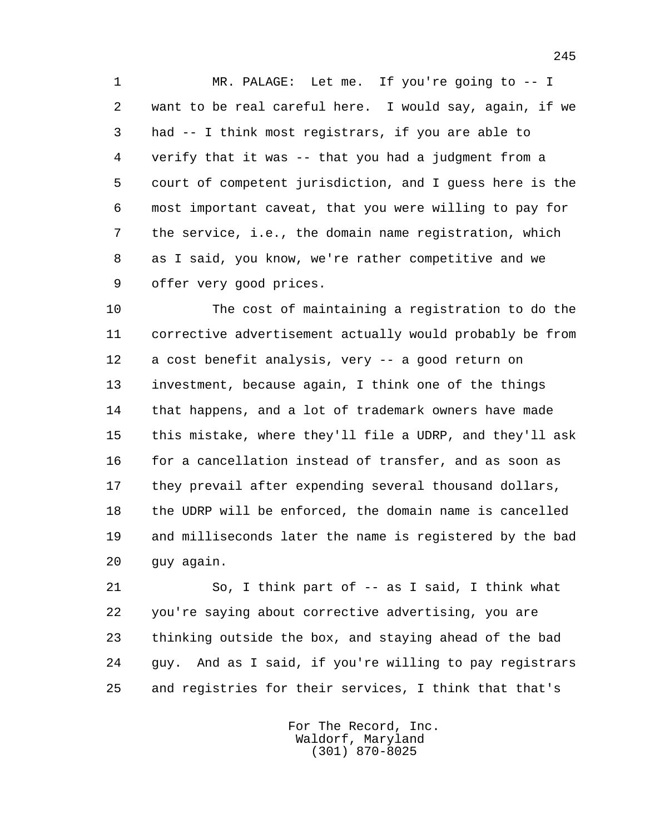1 MR. PALAGE: Let me. If you're going to -- I 2 want to be real careful here. I would say, again, if we 3 had -- I think most registrars, if you are able to 4 verify that it was -- that you had a judgment from a 5 court of competent jurisdiction, and I guess here is the 6 most important caveat, that you were willing to pay for 7 the service, i.e., the domain name registration, which 8 as I said, you know, we're rather competitive and we 9 offer very good prices.

 10 The cost of maintaining a registration to do the 11 corrective advertisement actually would probably be from 12 a cost benefit analysis, very -- a good return on 13 investment, because again, I think one of the things 14 that happens, and a lot of trademark owners have made 15 this mistake, where they'll file a UDRP, and they'll ask 16 for a cancellation instead of transfer, and as soon as 17 they prevail after expending several thousand dollars, 18 the UDRP will be enforced, the domain name is cancelled 19 and milliseconds later the name is registered by the bad 20 guy again.

 21 So, I think part of -- as I said, I think what 22 you're saying about corrective advertising, you are 23 thinking outside the box, and staying ahead of the bad 24 guy. And as I said, if you're willing to pay registrars 25 and registries for their services, I think that that's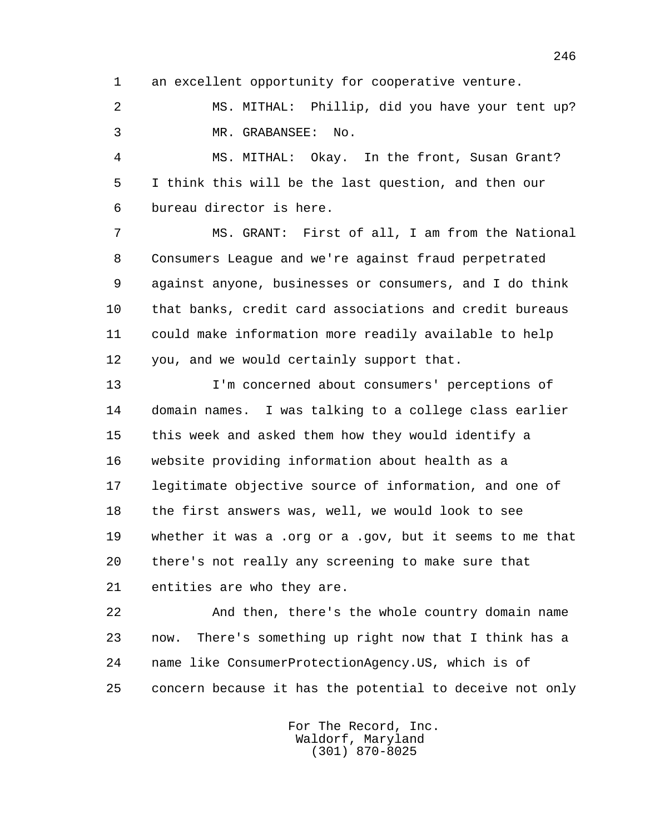1 an excellent opportunity for cooperative venture.

 2 MS. MITHAL: Phillip, did you have your tent up? 3 MR. GRABANSEE: No.

 4 MS. MITHAL: Okay. In the front, Susan Grant? 5 I think this will be the last question, and then our 6 bureau director is here.

 7 MS. GRANT: First of all, I am from the National 8 Consumers League and we're against fraud perpetrated 9 against anyone, businesses or consumers, and I do think 10 that banks, credit card associations and credit bureaus 11 could make information more readily available to help 12 you, and we would certainly support that.

 13 I'm concerned about consumers' perceptions of 14 domain names. I was talking to a college class earlier 15 this week and asked them how they would identify a 16 website providing information about health as a 17 legitimate objective source of information, and one of 18 the first answers was, well, we would look to see 19 whether it was a .org or a .gov, but it seems to me that 20 there's not really any screening to make sure that 21 entities are who they are.

 22 And then, there's the whole country domain name 23 now. There's something up right now that I think has a 24 name like ConsumerProtectionAgency.US, which is of 25 concern because it has the potential to deceive not only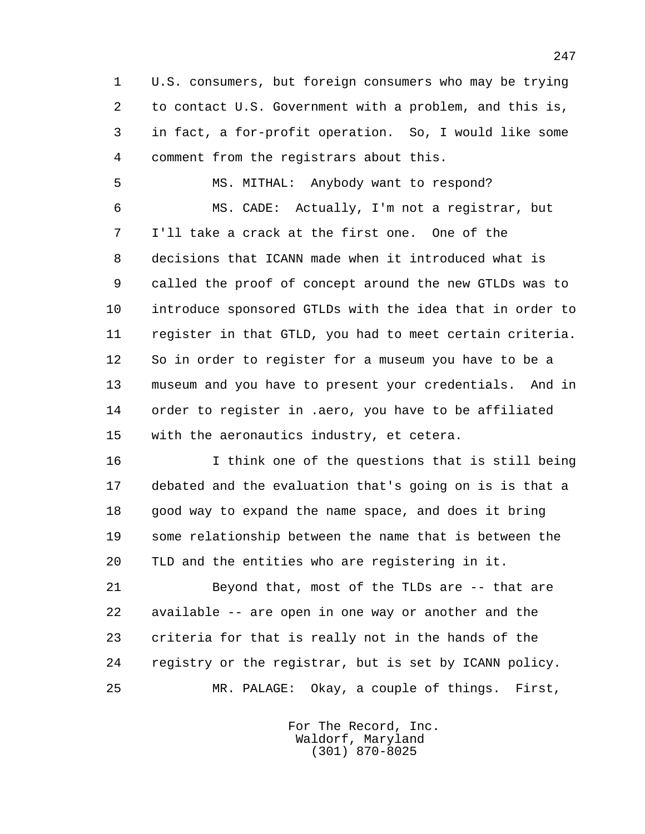1 U.S. consumers, but foreign consumers who may be trying 2 to contact U.S. Government with a problem, and this is, 3 in fact, a for-profit operation. So, I would like some 4 comment from the registrars about this.

 5 MS. MITHAL: Anybody want to respond? 6 MS. CADE: Actually, I'm not a registrar, but 7 I'll take a crack at the first one. One of the 8 decisions that ICANN made when it introduced what is 9 called the proof of concept around the new GTLDs was to 10 introduce sponsored GTLDs with the idea that in order to 11 register in that GTLD, you had to meet certain criteria. 12 So in order to register for a museum you have to be a 13 museum and you have to present your credentials. And in 14 order to register in .aero, you have to be affiliated 15 with the aeronautics industry, et cetera.

 16 I think one of the questions that is still being 17 debated and the evaluation that's going on is is that a 18 good way to expand the name space, and does it bring 19 some relationship between the name that is between the 20 TLD and the entities who are registering in it.

 21 Beyond that, most of the TLDs are -- that are 22 available -- are open in one way or another and the 23 criteria for that is really not in the hands of the 24 registry or the registrar, but is set by ICANN policy. 25 MR. PALAGE: Okay, a couple of things. First,

> For The Record, Inc. Waldorf, Maryland (301) 870-8025

247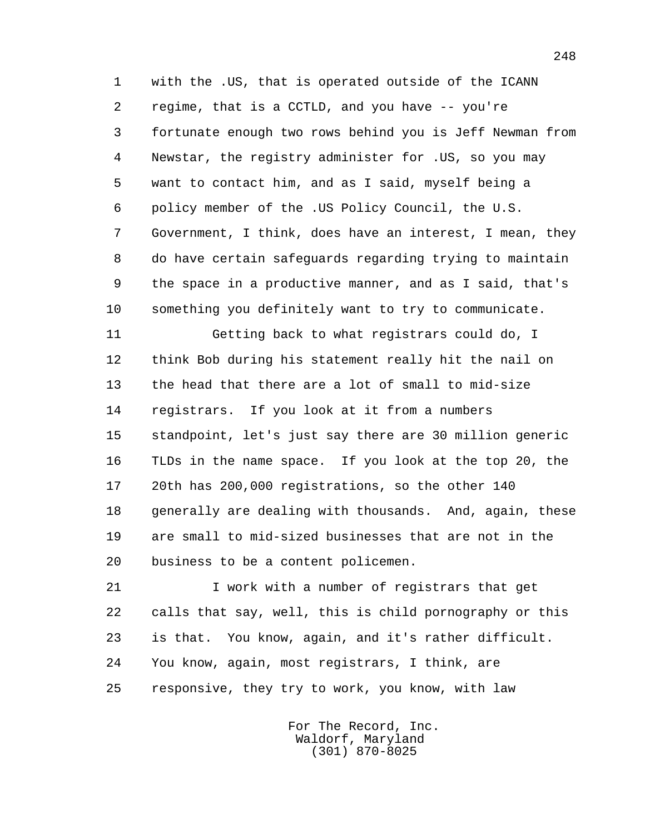1 with the .US, that is operated outside of the ICANN 2 regime, that is a CCTLD, and you have -- you're 3 fortunate enough two rows behind you is Jeff Newman from 4 Newstar, the registry administer for .US, so you may 5 want to contact him, and as I said, myself being a 6 policy member of the .US Policy Council, the U.S. 7 Government, I think, does have an interest, I mean, they 8 do have certain safeguards regarding trying to maintain 9 the space in a productive manner, and as I said, that's 10 something you definitely want to try to communicate.

 11 Getting back to what registrars could do, I 12 think Bob during his statement really hit the nail on 13 the head that there are a lot of small to mid-size 14 registrars. If you look at it from a numbers 15 standpoint, let's just say there are 30 million generic 16 TLDs in the name space. If you look at the top 20, the 17 20th has 200,000 registrations, so the other 140 18 generally are dealing with thousands. And, again, these 19 are small to mid-sized businesses that are not in the 20 business to be a content policemen.

 21 I work with a number of registrars that get 22 calls that say, well, this is child pornography or this 23 is that. You know, again, and it's rather difficult. 24 You know, again, most registrars, I think, are 25 responsive, they try to work, you know, with law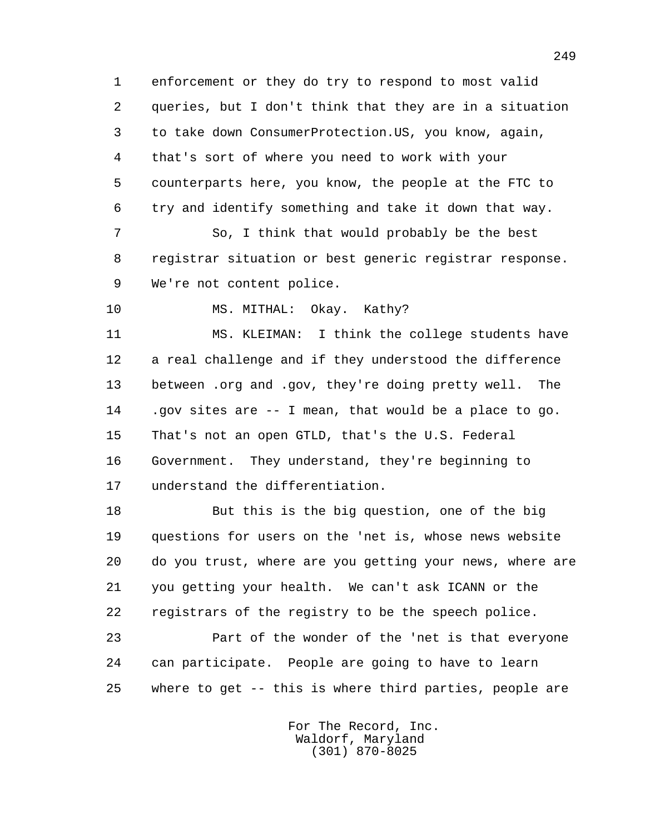1 enforcement or they do try to respond to most valid 2 queries, but I don't think that they are in a situation 3 to take down ConsumerProtection.US, you know, again, 4 that's sort of where you need to work with your 5 counterparts here, you know, the people at the FTC to 6 try and identify something and take it down that way.

 7 So, I think that would probably be the best 8 registrar situation or best generic registrar response. 9 We're not content police.

10 MS. MITHAL: Okay. Kathy?

 11 MS. KLEIMAN: I think the college students have 12 a real challenge and if they understood the difference 13 between .org and .gov, they're doing pretty well. The 14 .gov sites are -- I mean, that would be a place to go. 15 That's not an open GTLD, that's the U.S. Federal 16 Government. They understand, they're beginning to 17 understand the differentiation.

 18 But this is the big question, one of the big 19 questions for users on the 'net is, whose news website 20 do you trust, where are you getting your news, where are 21 you getting your health. We can't ask ICANN or the 22 registrars of the registry to be the speech police.

 23 Part of the wonder of the 'net is that everyone 24 can participate. People are going to have to learn 25 where to get -- this is where third parties, people are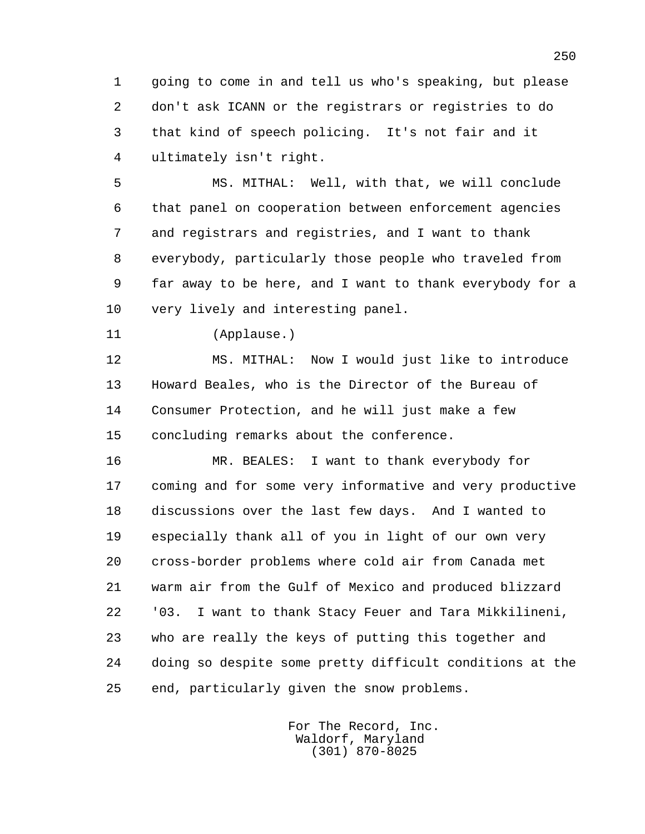1 going to come in and tell us who's speaking, but please 2 don't ask ICANN or the registrars or registries to do 3 that kind of speech policing. It's not fair and it 4 ultimately isn't right.

 5 MS. MITHAL: Well, with that, we will conclude 6 that panel on cooperation between enforcement agencies 7 and registrars and registries, and I want to thank 8 everybody, particularly those people who traveled from 9 far away to be here, and I want to thank everybody for a 10 very lively and interesting panel.

11 (Applause.)

 12 MS. MITHAL: Now I would just like to introduce 13 Howard Beales, who is the Director of the Bureau of 14 Consumer Protection, and he will just make a few 15 concluding remarks about the conference.

 16 MR. BEALES: I want to thank everybody for 17 coming and for some very informative and very productive 18 discussions over the last few days. And I wanted to 19 especially thank all of you in light of our own very 20 cross-border problems where cold air from Canada met 21 warm air from the Gulf of Mexico and produced blizzard 22 '03. I want to thank Stacy Feuer and Tara Mikkilineni, 23 who are really the keys of putting this together and 24 doing so despite some pretty difficult conditions at the 25 end, particularly given the snow problems.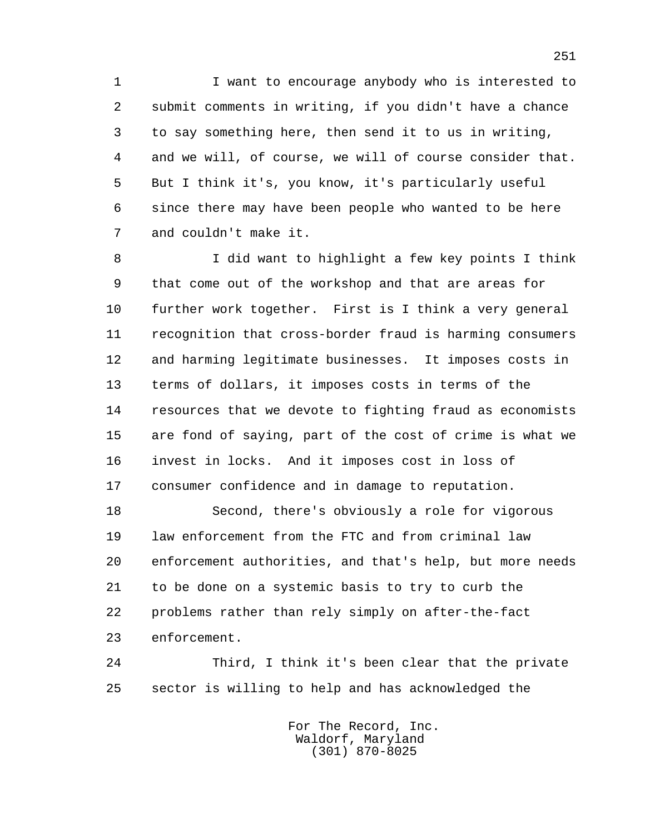1 I want to encourage anybody who is interested to 2 submit comments in writing, if you didn't have a chance 3 to say something here, then send it to us in writing, 4 and we will, of course, we will of course consider that. 5 But I think it's, you know, it's particularly useful 6 since there may have been people who wanted to be here 7 and couldn't make it.

 8 I did want to highlight a few key points I think 9 that come out of the workshop and that are areas for 10 further work together. First is I think a very general 11 recognition that cross-border fraud is harming consumers 12 and harming legitimate businesses. It imposes costs in 13 terms of dollars, it imposes costs in terms of the 14 resources that we devote to fighting fraud as economists 15 are fond of saying, part of the cost of crime is what we 16 invest in locks. And it imposes cost in loss of 17 consumer confidence and in damage to reputation.

 18 Second, there's obviously a role for vigorous 19 law enforcement from the FTC and from criminal law 20 enforcement authorities, and that's help, but more needs 21 to be done on a systemic basis to try to curb the 22 problems rather than rely simply on after-the-fact 23 enforcement.

 24 Third, I think it's been clear that the private 25 sector is willing to help and has acknowledged the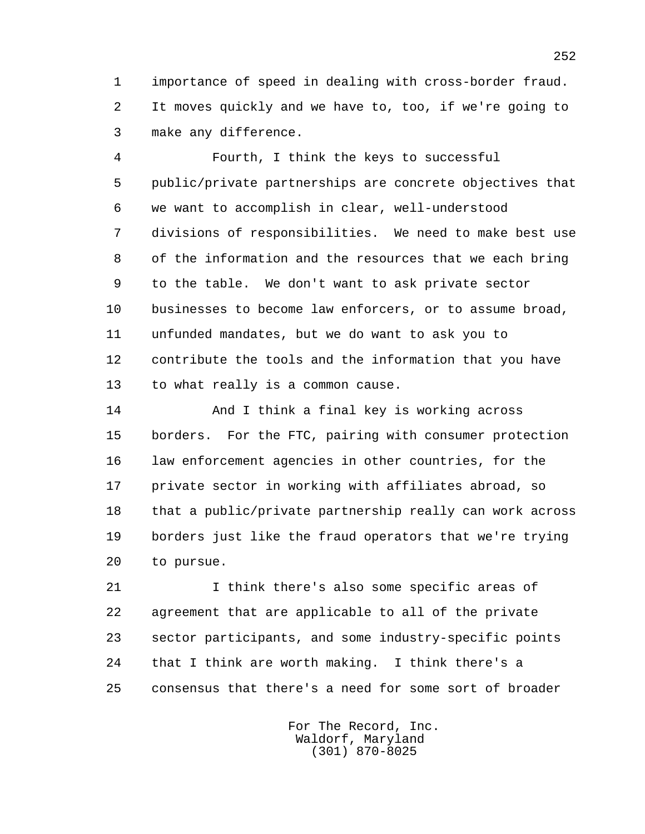1 importance of speed in dealing with cross-border fraud. 2 It moves quickly and we have to, too, if we're going to 3 make any difference.

 4 Fourth, I think the keys to successful 5 public/private partnerships are concrete objectives that 6 we want to accomplish in clear, well-understood 7 divisions of responsibilities. We need to make best use 8 of the information and the resources that we each bring 9 to the table. We don't want to ask private sector 10 businesses to become law enforcers, or to assume broad, 11 unfunded mandates, but we do want to ask you to 12 contribute the tools and the information that you have 13 to what really is a common cause.

 14 And I think a final key is working across 15 borders. For the FTC, pairing with consumer protection 16 law enforcement agencies in other countries, for the 17 private sector in working with affiliates abroad, so 18 that a public/private partnership really can work across 19 borders just like the fraud operators that we're trying 20 to pursue.

 21 I think there's also some specific areas of 22 agreement that are applicable to all of the private 23 sector participants, and some industry-specific points 24 that I think are worth making. I think there's a 25 consensus that there's a need for some sort of broader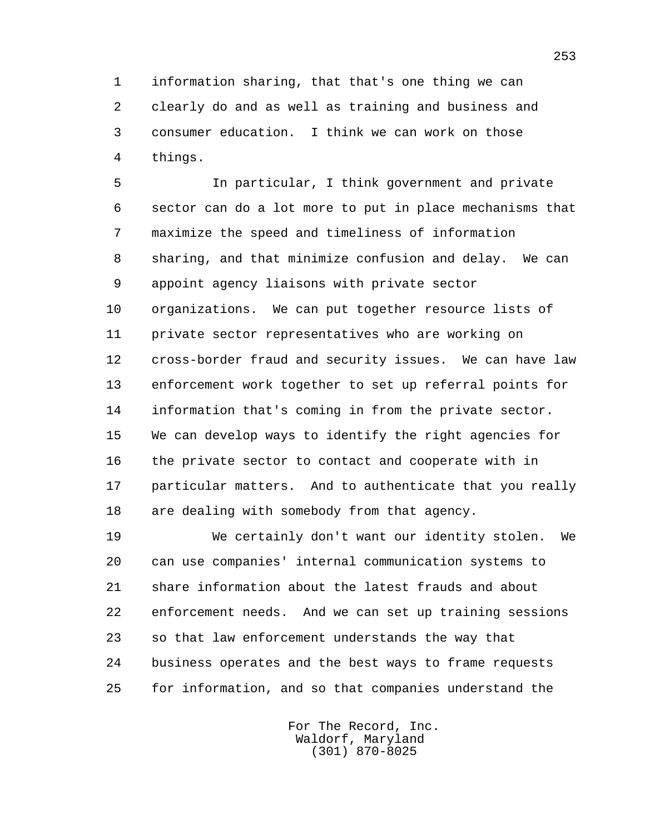1 information sharing, that that's one thing we can 2 clearly do and as well as training and business and 3 consumer education. I think we can work on those 4 things.

 5 In particular, I think government and private 6 sector can do a lot more to put in place mechanisms that 7 maximize the speed and timeliness of information 8 sharing, and that minimize confusion and delay. We can 9 appoint agency liaisons with private sector 10 organizations. We can put together resource lists of 11 private sector representatives who are working on 12 cross-border fraud and security issues. We can have law 13 enforcement work together to set up referral points for 14 information that's coming in from the private sector. 15 We can develop ways to identify the right agencies for 16 the private sector to contact and cooperate with in 17 particular matters. And to authenticate that you really 18 are dealing with somebody from that agency.

 19 We certainly don't want our identity stolen. We 20 can use companies' internal communication systems to 21 share information about the latest frauds and about 22 enforcement needs. And we can set up training sessions 23 so that law enforcement understands the way that 24 business operates and the best ways to frame requests 25 for information, and so that companies understand the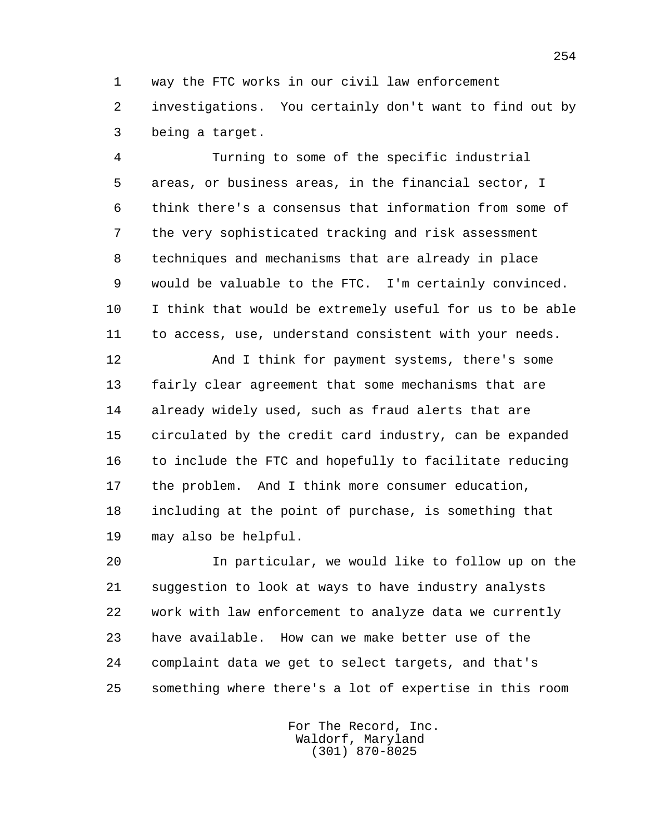1 way the FTC works in our civil law enforcement 2 investigations. You certainly don't want to find out by 3 being a target.

 4 Turning to some of the specific industrial 5 areas, or business areas, in the financial sector, I 6 think there's a consensus that information from some of 7 the very sophisticated tracking and risk assessment 8 techniques and mechanisms that are already in place 9 would be valuable to the FTC. I'm certainly convinced. 10 I think that would be extremely useful for us to be able 11 to access, use, understand consistent with your needs.

 12 And I think for payment systems, there's some 13 fairly clear agreement that some mechanisms that are 14 already widely used, such as fraud alerts that are 15 circulated by the credit card industry, can be expanded 16 to include the FTC and hopefully to facilitate reducing 17 the problem. And I think more consumer education, 18 including at the point of purchase, is something that 19 may also be helpful.

 20 In particular, we would like to follow up on the 21 suggestion to look at ways to have industry analysts 22 work with law enforcement to analyze data we currently 23 have available. How can we make better use of the 24 complaint data we get to select targets, and that's 25 something where there's a lot of expertise in this room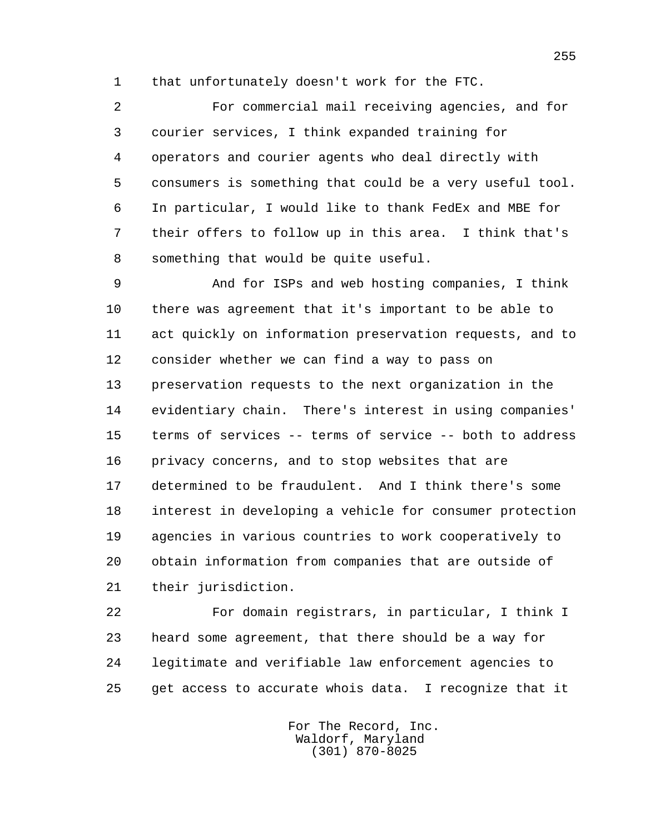1 that unfortunately doesn't work for the FTC.

 2 For commercial mail receiving agencies, and for 3 courier services, I think expanded training for 4 operators and courier agents who deal directly with 5 consumers is something that could be a very useful tool. 6 In particular, I would like to thank FedEx and MBE for 7 their offers to follow up in this area. I think that's 8 something that would be quite useful.

 9 And for ISPs and web hosting companies, I think 10 there was agreement that it's important to be able to 11 act quickly on information preservation requests, and to 12 consider whether we can find a way to pass on 13 preservation requests to the next organization in the 14 evidentiary chain. There's interest in using companies' 15 terms of services -- terms of service -- both to address 16 privacy concerns, and to stop websites that are 17 determined to be fraudulent. And I think there's some 18 interest in developing a vehicle for consumer protection 19 agencies in various countries to work cooperatively to 20 obtain information from companies that are outside of 21 their jurisdiction.

 22 For domain registrars, in particular, I think I 23 heard some agreement, that there should be a way for 24 legitimate and verifiable law enforcement agencies to 25 get access to accurate whois data. I recognize that it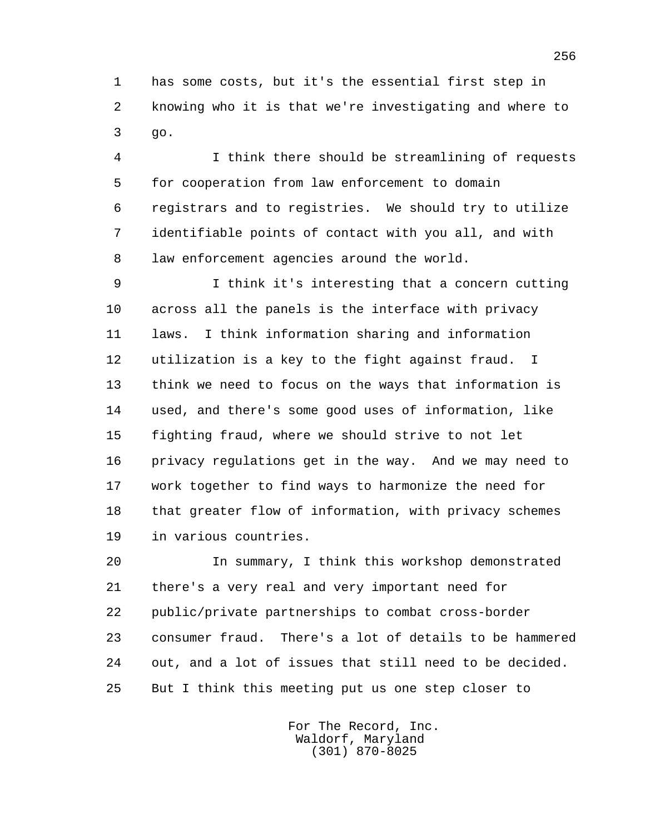1 has some costs, but it's the essential first step in 2 knowing who it is that we're investigating and where to 3 go.

 4 I think there should be streamlining of requests 5 for cooperation from law enforcement to domain 6 registrars and to registries. We should try to utilize 7 identifiable points of contact with you all, and with 8 law enforcement agencies around the world.

 9 I think it's interesting that a concern cutting 10 across all the panels is the interface with privacy 11 laws. I think information sharing and information 12 utilization is a key to the fight against fraud. I 13 think we need to focus on the ways that information is 14 used, and there's some good uses of information, like 15 fighting fraud, where we should strive to not let 16 privacy regulations get in the way. And we may need to 17 work together to find ways to harmonize the need for 18 that greater flow of information, with privacy schemes 19 in various countries.

 20 In summary, I think this workshop demonstrated 21 there's a very real and very important need for 22 public/private partnerships to combat cross-border 23 consumer fraud. There's a lot of details to be hammered 24 out, and a lot of issues that still need to be decided. 25 But I think this meeting put us one step closer to